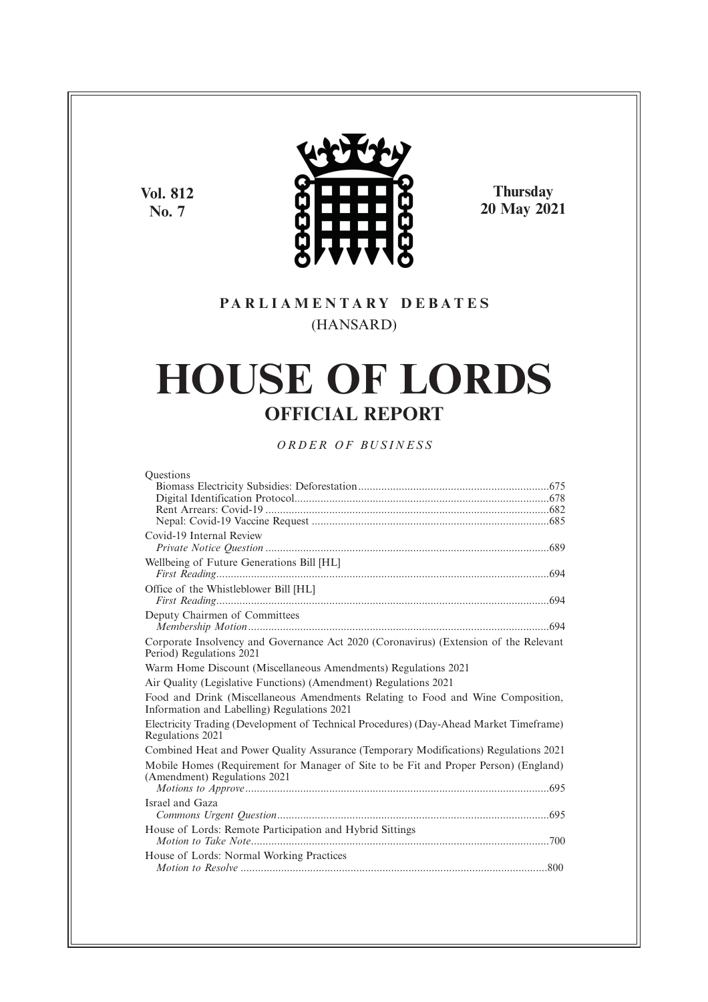**Vol. 812 No. 7**



**Thursday 20 May 2021**

# **P A R L I A M E N T A R Y D E B A T E S** (HANSARD)

# **HOUSE OF LORDS OFFICIAL REPORT**

*O R D E R O F BU S I N E S S*

| Ouestions                                                                                                                      |
|--------------------------------------------------------------------------------------------------------------------------------|
|                                                                                                                                |
|                                                                                                                                |
|                                                                                                                                |
|                                                                                                                                |
| Covid-19 Internal Review                                                                                                       |
|                                                                                                                                |
| Wellbeing of Future Generations Bill [HL]                                                                                      |
|                                                                                                                                |
| Office of the Whistleblower Bill [HL]                                                                                          |
|                                                                                                                                |
| Deputy Chairmen of Committees                                                                                                  |
|                                                                                                                                |
| Corporate Insolvency and Governance Act 2020 (Coronavirus) (Extension of the Relevant                                          |
| Period) Regulations 2021                                                                                                       |
| Warm Home Discount (Miscellaneous Amendments) Regulations 2021                                                                 |
| Air Quality (Legislative Functions) (Amendment) Regulations 2021                                                               |
| Food and Drink (Miscellaneous Amendments Relating to Food and Wine Composition,<br>Information and Labelling) Regulations 2021 |
| Electricity Trading (Development of Technical Procedures) (Day-Ahead Market Timeframe)<br>Regulations 2021                     |
| Combined Heat and Power Quality Assurance (Temporary Modifications) Regulations 2021                                           |
| Mobile Homes (Requirement for Manager of Site to be Fit and Proper Person) (England)                                           |
| (Amendment) Regulations 2021                                                                                                   |
|                                                                                                                                |
| Israel and Gaza                                                                                                                |
|                                                                                                                                |
| House of Lords: Remote Participation and Hybrid Sittings                                                                       |
|                                                                                                                                |
| House of Lords: Normal Working Practices                                                                                       |
|                                                                                                                                |
|                                                                                                                                |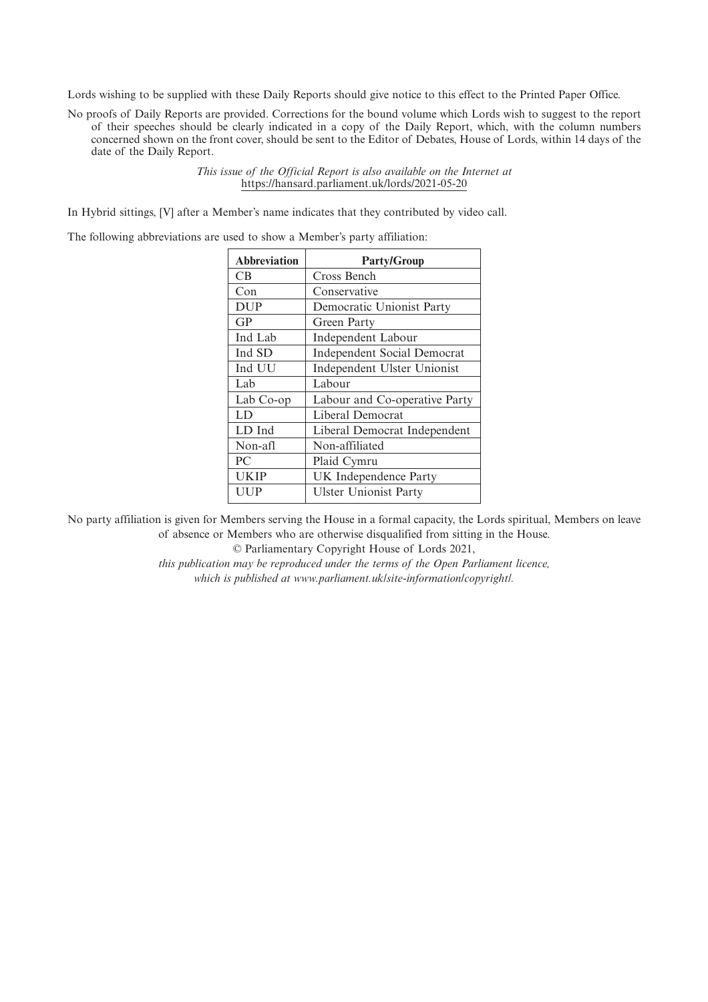Lords wishing to be supplied with these Daily Reports should give notice to this effect to the Printed Paper Office.

No proofs of Daily Reports are provided. Corrections for the bound volume which Lords wish to suggest to the report of their speeches should be clearly indicated in a copy of the Daily Report, which, with the column numbers concerned shown on the front cover, should be sent to the Editor of Debates, House of Lords, within 14 days of the date of the Daily Report.

> *This issue of the Official Report is also available on the Internet at* https://hansard.parliament.uk/lords/2021-05-20

In Hybrid sittings, [V] after a Member's name indicates that they contributed by video call.

The following abbreviations are used to show a Member's party affiliation:

| <b>Abbreviation</b> | <b>Party/Group</b>                 |
|---------------------|------------------------------------|
| CВ                  | Cross Bench                        |
| Con                 | Conservative                       |
| <b>DUP</b>          | Democratic Unionist Party          |
| GP                  | Green Party                        |
| Ind Lab             | Independent Labour                 |
| Ind SD              | <b>Independent Social Democrat</b> |
| Ind UU              | Independent Ulster Unionist        |
| Lab                 | Labour                             |
| Lab Co-op           | Labour and Co-operative Party      |
| LD                  | Liberal Democrat                   |
| LD Ind              | Liberal Democrat Independent       |
| Non-afl             | Non-affiliated                     |
| PC                  | Plaid Cymru                        |
| <b>UKIP</b>         | UK Independence Party              |
| UUP                 | <b>Ulster Unionist Party</b>       |

No party affiliation is given for Members serving the House in a formal capacity, the Lords spiritual, Members on leave of absence or Members who are otherwise disqualified from sitting in the House.

© Parliamentary Copyright House of Lords 2021,

*this publication may be reproduced under the terms of the Open Parliament licence, which is published at www.parliament.uk/site-information/copyright/.*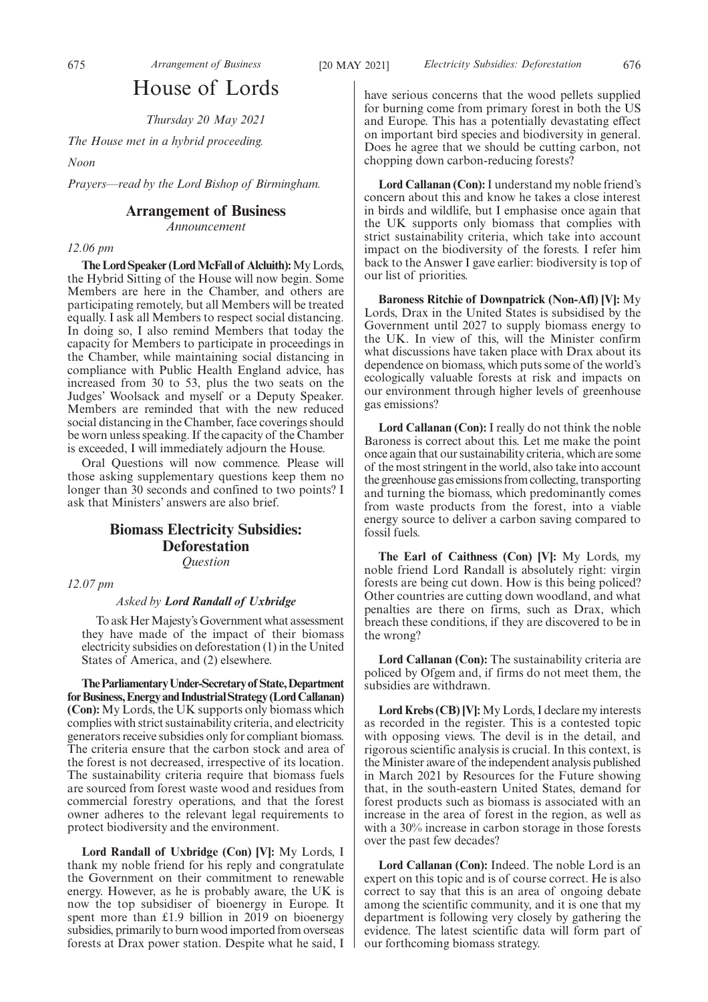# House of Lords

*Thursday 20 May 2021*

*The House met in a hybrid proceeding.*

*Noon*

*Prayers—read by the Lord Bishop of Birmingham.*

# **Arrangement of Business**

*Announcement*

#### *12.06 pm*

**The Lord Speaker (Lord McFall of Alcluith):**My Lords, the Hybrid Sitting of the House will now begin. Some Members are here in the Chamber, and others are participating remotely, but all Members will be treated equally. I ask all Members to respect social distancing. In doing so, I also remind Members that today the capacity for Members to participate in proceedings in the Chamber, while maintaining social distancing in compliance with Public Health England advice, has increased from 30 to 53, plus the two seats on the Judges' Woolsack and myself or a Deputy Speaker. Members are reminded that with the new reduced social distancing in the Chamber, face coverings should be worn unless speaking. If the capacity of the Chamber is exceeded, I will immediately adjourn the House.

Oral Questions will now commence. Please will those asking supplementary questions keep them no longer than 30 seconds and confined to two points? I ask that Ministers' answers are also brief.

# **Biomass Electricity Subsidies: Deforestation** *Question*

*12.07 pm*

## *Asked by Lord Randall of Uxbridge*

To ask Her Majesty's Government what assessment they have made of the impact of their biomass electricity subsidies on deforestation (1) in the United States of America, and (2) elsewhere.

**TheParliamentaryUnder-Secretaryof State,Department forBusiness,EnergyandIndustrialStrategy(LordCallanan) (Con):** My Lords, the UK supports only biomass which complies with strict sustainability criteria, and electricity generators receive subsidies only for compliant biomass. The criteria ensure that the carbon stock and area of the forest is not decreased, irrespective of its location. The sustainability criteria require that biomass fuels are sourced from forest waste wood and residues from commercial forestry operations, and that the forest owner adheres to the relevant legal requirements to protect biodiversity and the environment.

**Lord Randall of Uxbridge (Con) [V]:** My Lords, I thank my noble friend for his reply and congratulate the Government on their commitment to renewable energy. However, as he is probably aware, the UK is now the top subsidiser of bioenergy in Europe. It spent more than £1.9 billion in 2019 on bioenergy subsidies, primarily to burn wood imported from overseas forests at Drax power station. Despite what he said, I have serious concerns that the wood pellets supplied for burning come from primary forest in both the US and Europe. This has a potentially devastating effect on important bird species and biodiversity in general. Does he agree that we should be cutting carbon, not chopping down carbon-reducing forests?

**Lord Callanan (Con):**I understand my noble friend's concern about this and know he takes a close interest in birds and wildlife, but I emphasise once again that the UK supports only biomass that complies with strict sustainability criteria, which take into account impact on the biodiversity of the forests. I refer him back to the Answer I gave earlier: biodiversity is top of our list of priorities.

**Baroness Ritchie of Downpatrick (Non-Afl) [V]:** My Lords, Drax in the United States is subsidised by the Government until 2027 to supply biomass energy to the UK. In view of this, will the Minister confirm what discussions have taken place with Drax about its dependence on biomass, which puts some of the world's ecologically valuable forests at risk and impacts on our environment through higher levels of greenhouse gas emissions?

**Lord Callanan (Con):** I really do not think the noble Baroness is correct about this. Let me make the point once again that our sustainability criteria, which are some of the most stringent in the world, also take into account the greenhouse gas emissions from collecting, transporting and turning the biomass, which predominantly comes from waste products from the forest, into a viable energy source to deliver a carbon saving compared to fossil fuels.

**The Earl of Caithness (Con) [V]:** My Lords, my noble friend Lord Randall is absolutely right: virgin forests are being cut down. How is this being policed? Other countries are cutting down woodland, and what penalties are there on firms, such as Drax, which breach these conditions, if they are discovered to be in the wrong?

**Lord Callanan (Con):** The sustainability criteria are policed by Ofgem and, if firms do not meet them, the subsidies are withdrawn.

**Lord Krebs (CB) [V]:** My Lords, I declare my interests as recorded in the register. This is a contested topic with opposing views. The devil is in the detail, and rigorous scientific analysis is crucial. In this context, is the Minister aware of the independent analysis published in March 2021 by Resources for the Future showing that, in the south-eastern United States, demand for forest products such as biomass is associated with an increase in the area of forest in the region, as well as with a 30% increase in carbon storage in those forests over the past few decades?

**Lord Callanan (Con):** Indeed. The noble Lord is an expert on this topic and is of course correct. He is also correct to say that this is an area of ongoing debate among the scientific community, and it is one that my department is following very closely by gathering the evidence. The latest scientific data will form part of our forthcoming biomass strategy.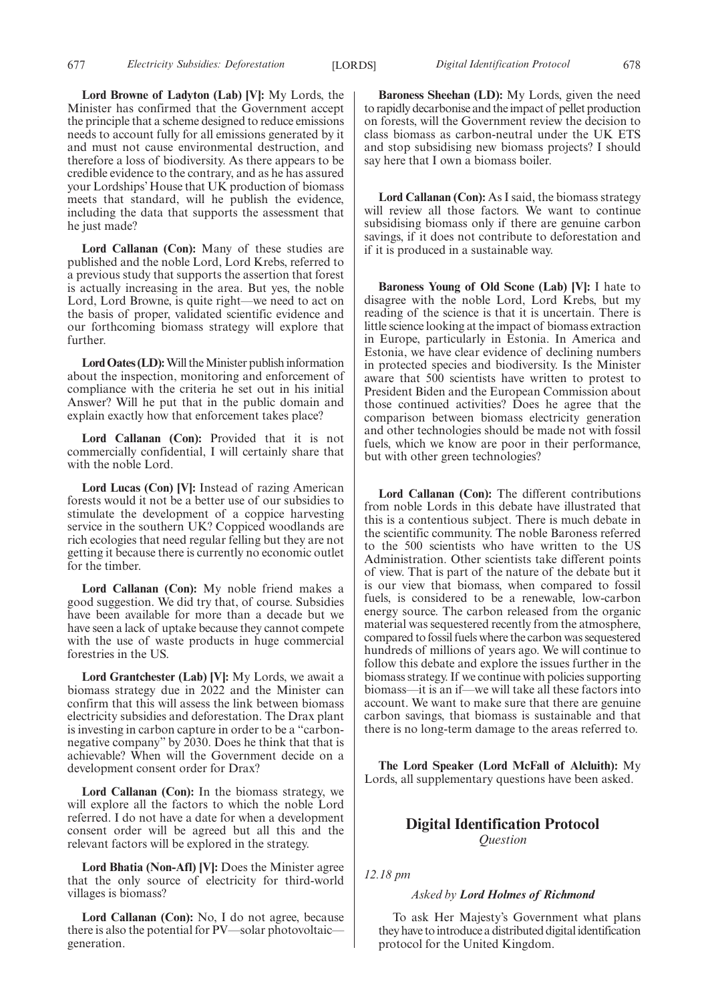677 *Electricity Subsidies: Deforestation Digital Identification Protocol* [LORDS] 678

**Lord Browne of Ladyton (Lab) [V]:** My Lords, the Minister has confirmed that the Government accept the principle that a scheme designed to reduce emissions needs to account fully for all emissions generated by it and must not cause environmental destruction, and therefore a loss of biodiversity. As there appears to be credible evidence to the contrary, and as he has assured your Lordships' House that UK production of biomass meets that standard, will he publish the evidence, including the data that supports the assessment that he just made?

**Lord Callanan (Con):** Many of these studies are published and the noble Lord, Lord Krebs, referred to a previous study that supports the assertion that forest is actually increasing in the area. But yes, the noble Lord, Lord Browne, is quite right—we need to act on the basis of proper, validated scientific evidence and our forthcoming biomass strategy will explore that further.

**Lord Oates (LD):**Will the Minister publish information about the inspection, monitoring and enforcement of compliance with the criteria he set out in his initial Answer? Will he put that in the public domain and explain exactly how that enforcement takes place?

**Lord Callanan (Con):** Provided that it is not commercially confidential, I will certainly share that with the noble Lord.

**Lord Lucas (Con) [V]:** Instead of razing American forests would it not be a better use of our subsidies to stimulate the development of a coppice harvesting service in the southern UK? Coppiced woodlands are rich ecologies that need regular felling but they are not getting it because there is currently no economic outlet for the timber.

**Lord Callanan (Con):** My noble friend makes a good suggestion. We did try that, of course. Subsidies have been available for more than a decade but we have seen a lack of uptake because they cannot compete with the use of waste products in huge commercial forestries in the US.

**Lord Grantchester (Lab) [V]:** My Lords, we await a biomass strategy due in 2022 and the Minister can confirm that this will assess the link between biomass electricity subsidies and deforestation. The Drax plant is investing in carbon capture in order to be a "carbonnegative company" by 2030. Does he think that that is achievable? When will the Government decide on a development consent order for Drax?

**Lord Callanan (Con):** In the biomass strategy, we will explore all the factors to which the noble Lord referred. I do not have a date for when a development consent order will be agreed but all this and the relevant factors will be explored in the strategy.

**Lord Bhatia (Non-Afl) [V]:** Does the Minister agree that the only source of electricity for third-world villages is biomass?

Lord Callanan (Con): No, I do not agree, because there is also the potential for PV—solar photovoltaic generation.

**Baroness Sheehan (LD):** My Lords, given the need to rapidly decarbonise and the impact of pellet production on forests, will the Government review the decision to class biomass as carbon-neutral under the UK ETS and stop subsidising new biomass projects? I should say here that I own a biomass boiler.

**Lord Callanan (Con):** As I said, the biomass strategy will review all those factors. We want to continue subsidising biomass only if there are genuine carbon savings, if it does not contribute to deforestation and if it is produced in a sustainable way.

**Baroness Young of Old Scone (Lab) [V]:** I hate to disagree with the noble Lord, Lord Krebs, but my reading of the science is that it is uncertain. There is little science looking at the impact of biomass extraction in Europe, particularly in Estonia. In America and Estonia, we have clear evidence of declining numbers in protected species and biodiversity. Is the Minister aware that 500 scientists have written to protest to President Biden and the European Commission about those continued activities? Does he agree that the comparison between biomass electricity generation and other technologies should be made not with fossil fuels, which we know are poor in their performance, but with other green technologies?

**Lord Callanan (Con):** The different contributions from noble Lords in this debate have illustrated that this is a contentious subject. There is much debate in the scientific community. The noble Baroness referred to the 500 scientists who have written to the US Administration. Other scientists take different points of view. That is part of the nature of the debate but it is our view that biomass, when compared to fossil fuels, is considered to be a renewable, low-carbon energy source. The carbon released from the organic material was sequestered recently from the atmosphere, compared to fossil fuels where the carbon was sequestered hundreds of millions of years ago. We will continue to follow this debate and explore the issues further in the biomass strategy. If we continue with policies supporting biomass—it is an if—we will take all these factors into account. We want to make sure that there are genuine carbon savings, that biomass is sustainable and that there is no long-term damage to the areas referred to.

**The Lord Speaker (Lord McFall of Alcluith):** My Lords, all supplementary questions have been asked.

# **Digital Identification Protocol** *Question*

*12.18 pm*

## *Asked by Lord Holmes of Richmond*

To ask Her Majesty's Government what plans they have to introduce a distributed digital identification protocol for the United Kingdom.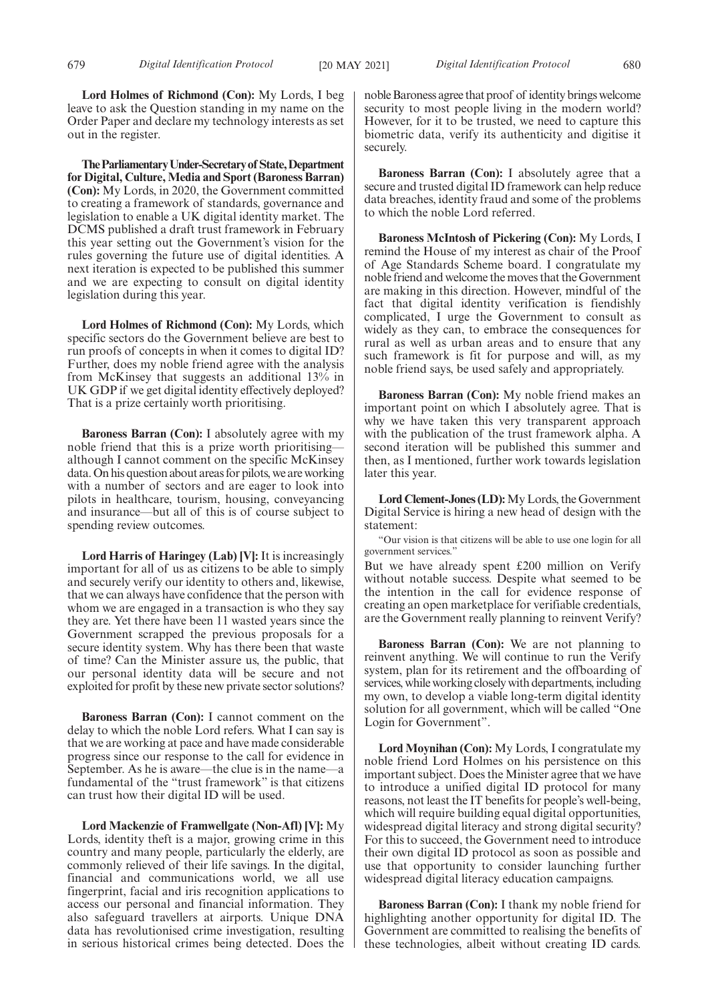**Lord Holmes of Richmond (Con):** My Lords, I beg leave to ask the Question standing in my name on the Order Paper and declare my technology interests as set out in the register.

**TheParliamentaryUnder-Secretaryof State,Department for Digital, Culture, Media and Sport (Baroness Barran) (Con):** My Lords, in 2020, the Government committed to creating a framework of standards, governance and legislation to enable a UK digital identity market. The DCMS published a draft trust framework in February this year setting out the Government's vision for the rules governing the future use of digital identities. A next iteration is expected to be published this summer and we are expecting to consult on digital identity legislation during this year.

**Lord Holmes of Richmond (Con):** My Lords, which specific sectors do the Government believe are best to run proofs of concepts in when it comes to digital ID? Further, does my noble friend agree with the analysis from McKinsey that suggests an additional 13% in UK GDP if we get digital identity effectively deployed? That is a prize certainly worth prioritising.

**Baroness Barran (Con):** I absolutely agree with my noble friend that this is a prize worth prioritising although I cannot comment on the specific McKinsey data. On his question about areas for pilots, we are working with a number of sectors and are eager to look into pilots in healthcare, tourism, housing, conveyancing and insurance—but all of this is of course subject to spending review outcomes.

**Lord Harris of Haringey (Lab) [V]:** It is increasingly important for all of us as citizens to be able to simply and securely verify our identity to others and, likewise, that we can always have confidence that the person with whom we are engaged in a transaction is who they say they are. Yet there have been 11 wasted years since the Government scrapped the previous proposals for a secure identity system. Why has there been that waste of time? Can the Minister assure us, the public, that our personal identity data will be secure and not exploited for profit by these new private sector solutions?

**Baroness Barran (Con):** I cannot comment on the delay to which the noble Lord refers. What I can say is that we are working at pace and have made considerable progress since our response to the call for evidence in September. As he is aware—the clue is in the name—a fundamental of the "trust framework" is that citizens can trust how their digital ID will be used.

**Lord Mackenzie of Framwellgate (Non-Afl) [V]:** My Lords, identity theft is a major, growing crime in this country and many people, particularly the elderly, are commonly relieved of their life savings. In the digital, financial and communications world, we all use fingerprint, facial and iris recognition applications to access our personal and financial information. They also safeguard travellers at airports. Unique DNA data has revolutionised crime investigation, resulting in serious historical crimes being detected. Does the

noble Baroness agree that proof of identity brings welcome security to most people living in the modern world? However, for it to be trusted, we need to capture this biometric data, verify its authenticity and digitise it securely.

**Baroness Barran (Con):** I absolutely agree that a secure and trusted digital ID framework can help reduce data breaches, identity fraud and some of the problems to which the noble Lord referred.

**Baroness McIntosh of Pickering (Con):** My Lords, I remind the House of my interest as chair of the Proof of Age Standards Scheme board. I congratulate my noble friend and welcome the moves that the Government are making in this direction. However, mindful of the fact that digital identity verification is fiendishly complicated, I urge the Government to consult as widely as they can, to embrace the consequences for rural as well as urban areas and to ensure that any such framework is fit for purpose and will, as my noble friend says, be used safely and appropriately.

**Baroness Barran (Con):** My noble friend makes an important point on which I absolutely agree. That is why we have taken this very transparent approach with the publication of the trust framework alpha. A second iteration will be published this summer and then, as I mentioned, further work towards legislation later this year.

**Lord Clement-Jones (LD):**My Lords, the Government Digital Service is hiring a new head of design with the statement:

"Our vision is that citizens will be able to use one login for all government services."

But we have already spent £200 million on Verify without notable success. Despite what seemed to be the intention in the call for evidence response of creating an open marketplace for verifiable credentials, are the Government really planning to reinvent Verify?

**Baroness Barran (Con):** We are not planning to reinvent anything. We will continue to run the Verify system, plan for its retirement and the offboarding of services, while working closely with departments, including my own, to develop a viable long-term digital identity solution for all government, which will be called "One Login for Government".

**Lord Moynihan (Con):** My Lords, I congratulate my noble friend Lord Holmes on his persistence on this important subject. Does the Minister agree that we have to introduce a unified digital ID protocol for many reasons, not least the IT benefits for people's well-being, which will require building equal digital opportunities, widespread digital literacy and strong digital security? For this to succeed, the Government need to introduce their own digital ID protocol as soon as possible and use that opportunity to consider launching further widespread digital literacy education campaigns.

**Baroness Barran (Con):** I thank my noble friend for highlighting another opportunity for digital ID. The Government are committed to realising the benefits of these technologies, albeit without creating ID cards.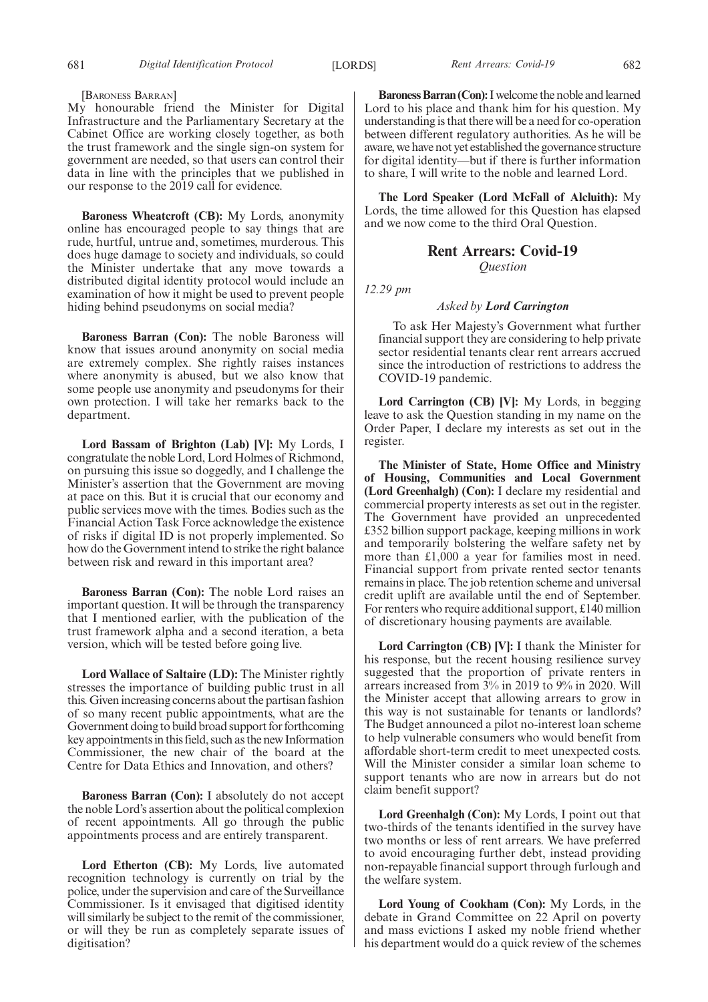# [BARONESS BARRAN]

My honourable friend the Minister for Digital Infrastructure and the Parliamentary Secretary at the Cabinet Office are working closely together, as both the trust framework and the single sign-on system for government are needed, so that users can control their data in line with the principles that we published in our response to the 2019 call for evidence.

**Baroness Wheatcroft (CB):** My Lords, anonymity online has encouraged people to say things that are rude, hurtful, untrue and, sometimes, murderous. This does huge damage to society and individuals, so could the Minister undertake that any move towards a distributed digital identity protocol would include an examination of how it might be used to prevent people hiding behind pseudonyms on social media?

**Baroness Barran (Con):** The noble Baroness will know that issues around anonymity on social media are extremely complex. She rightly raises instances where anonymity is abused, but we also know that some people use anonymity and pseudonyms for their own protection. I will take her remarks back to the department.

**Lord Bassam of Brighton (Lab) [V]:** My Lords, I congratulate the noble Lord, Lord Holmes of Richmond, on pursuing this issue so doggedly, and I challenge the Minister's assertion that the Government are moving at pace on this. But it is crucial that our economy and public services move with the times. Bodies such as the Financial Action Task Force acknowledge the existence of risks if digital ID is not properly implemented. So how do the Government intend to strike the right balance between risk and reward in this important area?

**Baroness Barran (Con):** The noble Lord raises an important question. It will be through the transparency that I mentioned earlier, with the publication of the trust framework alpha and a second iteration, a beta version, which will be tested before going live.

**Lord Wallace of Saltaire (LD):** The Minister rightly stresses the importance of building public trust in all this. Given increasing concerns about the partisan fashion of so many recent public appointments, what are the Government doing to build broad support for forthcoming key appointments in this field, such as the new Information Commissioner, the new chair of the board at the Centre for Data Ethics and Innovation, and others?

**Baroness Barran (Con):** I absolutely do not accept the noble Lord's assertion about the political complexion of recent appointments. All go through the public appointments process and are entirely transparent.

**Lord Etherton (CB):** My Lords, live automated recognition technology is currently on trial by the police, under the supervision and care of the Surveillance Commissioner. Is it envisaged that digitised identity will similarly be subject to the remit of the commissioner, or will they be run as completely separate issues of digitisation?

**Baroness Barran (Con):**I welcome the noble and learned Lord to his place and thank him for his question. My understanding is that there will be a need for co-operation between different regulatory authorities. As he will be aware, we have not yet established the governance structure for digital identity—but if there is further information to share, I will write to the noble and learned Lord.

**The Lord Speaker (Lord McFall of Alcluith):** My Lords, the time allowed for this Question has elapsed and we now come to the third Oral Question.

> **Rent Arrears: Covid-19** *Question*

*12.29 pm*

# *Asked by Lord Carrington*

To ask Her Majesty's Government what further financial support they are considering to help private sector residential tenants clear rent arrears accrued since the introduction of restrictions to address the COVID-19 pandemic.

**Lord Carrington (CB) [V]:** My Lords, in begging leave to ask the Question standing in my name on the Order Paper, I declare my interests as set out in the register.

**The Minister of State, Home Office and Ministry of Housing, Communities and Local Government (Lord Greenhalgh) (Con):** I declare my residential and commercial property interests as set out in the register. The Government have provided an unprecedented £352 billion support package, keeping millions in work and temporarily bolstering the welfare safety net by more than £1,000 a year for families most in need. Financial support from private rented sector tenants remains in place. The job retention scheme and universal credit uplift are available until the end of September. For renters who require additional support, £140 million of discretionary housing payments are available.

**Lord Carrington (CB) [V]:** I thank the Minister for his response, but the recent housing resilience survey suggested that the proportion of private renters in arrears increased from 3% in 2019 to 9% in 2020. Will the Minister accept that allowing arrears to grow in this way is not sustainable for tenants or landlords? The Budget announced a pilot no-interest loan scheme to help vulnerable consumers who would benefit from affordable short-term credit to meet unexpected costs. Will the Minister consider a similar loan scheme to support tenants who are now in arrears but do not claim benefit support?

**Lord Greenhalgh (Con):** My Lords, I point out that two-thirds of the tenants identified in the survey have two months or less of rent arrears. We have preferred to avoid encouraging further debt, instead providing non-repayable financial support through furlough and the welfare system.

**Lord Young of Cookham (Con):** My Lords, in the debate in Grand Committee on 22 April on poverty and mass evictions I asked my noble friend whether his department would do a quick review of the schemes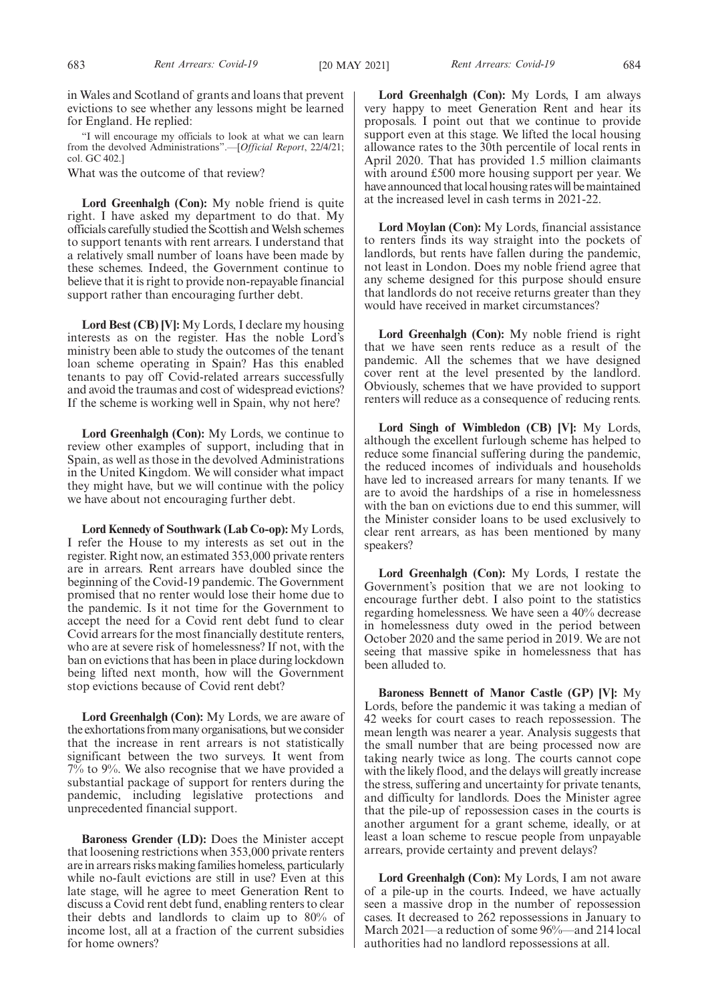"I will encourage my officials to look at what we can learn from the devolved Administrations".—[*Official Report*, 22/4/21; col. GC 402.]

What was the outcome of that review?

Lord Greenhalgh (Con): My noble friend is quite right. I have asked my department to do that. My officials carefully studied the Scottish and Welsh schemes to support tenants with rent arrears. I understand that a relatively small number of loans have been made by these schemes. Indeed, the Government continue to believe that it is right to provide non-repayable financial support rather than encouraging further debt.

**Lord Best (CB) [V]:** My Lords, I declare my housing interests as on the register. Has the noble Lord's ministry been able to study the outcomes of the tenant loan scheme operating in Spain? Has this enabled tenants to pay off Covid-related arrears successfully and avoid the traumas and cost of widespread evictions? If the scheme is working well in Spain, why not here?

**Lord Greenhalgh (Con):** My Lords, we continue to review other examples of support, including that in Spain, as well as those in the devolved Administrations in the United Kingdom. We will consider what impact they might have, but we will continue with the policy we have about not encouraging further debt.

**Lord Kennedy of Southwark (Lab Co-op):** My Lords, I refer the House to my interests as set out in the register. Right now, an estimated 353,000 private renters are in arrears. Rent arrears have doubled since the beginning of the Covid-19 pandemic. The Government promised that no renter would lose their home due to the pandemic. Is it not time for the Government to accept the need for a Covid rent debt fund to clear Covid arrears for the most financially destitute renters, who are at severe risk of homelessness? If not, with the ban on evictions that has been in place during lockdown being lifted next month, how will the Government stop evictions because of Covid rent debt?

**Lord Greenhalgh (Con):** My Lords, we are aware of the exhortations from many organisations, but we consider that the increase in rent arrears is not statistically significant between the two surveys. It went from 7% to 9%. We also recognise that we have provided a substantial package of support for renters during the pandemic, including legislative protections and unprecedented financial support.

**Baroness Grender (LD):** Does the Minister accept that loosening restrictions when 353,000 private renters are in arrears risks making families homeless, particularly while no-fault evictions are still in use? Even at this late stage, will he agree to meet Generation Rent to discuss a Covid rent debt fund, enabling renters to clear their debts and landlords to claim up to 80% of income lost, all at a fraction of the current subsidies for home owners?

**Lord Greenhalgh (Con):** My Lords, I am always very happy to meet Generation Rent and hear its proposals. I point out that we continue to provide support even at this stage. We lifted the local housing allowance rates to the 30th percentile of local rents in April 2020. That has provided 1.5 million claimants with around £500 more housing support per year. We have announced that local housing rates will be maintained at the increased level in cash terms in 2021-22.

**Lord Moylan (Con):** My Lords, financial assistance to renters finds its way straight into the pockets of landlords, but rents have fallen during the pandemic, not least in London. Does my noble friend agree that any scheme designed for this purpose should ensure that landlords do not receive returns greater than they would have received in market circumstances?

**Lord Greenhalgh (Con):** My noble friend is right that we have seen rents reduce as a result of the pandemic. All the schemes that we have designed cover rent at the level presented by the landlord. Obviously, schemes that we have provided to support renters will reduce as a consequence of reducing rents.

**Lord Singh of Wimbledon (CB) [V]:** My Lords, although the excellent furlough scheme has helped to reduce some financial suffering during the pandemic, the reduced incomes of individuals and households have led to increased arrears for many tenants. If we are to avoid the hardships of a rise in homelessness with the ban on evictions due to end this summer, will the Minister consider loans to be used exclusively to clear rent arrears, as has been mentioned by many speakers?

**Lord Greenhalgh (Con):** My Lords, I restate the Government's position that we are not looking to encourage further debt. I also point to the statistics regarding homelessness. We have seen a 40% decrease in homelessness duty owed in the period between October 2020 and the same period in 2019. We are not seeing that massive spike in homelessness that has been alluded to.

**Baroness Bennett of Manor Castle (GP) [V]:** My Lords, before the pandemic it was taking a median of 42 weeks for court cases to reach repossession. The mean length was nearer a year. Analysis suggests that the small number that are being processed now are taking nearly twice as long. The courts cannot cope with the likely flood, and the delays will greatly increase the stress, suffering and uncertainty for private tenants, and difficulty for landlords. Does the Minister agree that the pile-up of repossession cases in the courts is another argument for a grant scheme, ideally, or at least a loan scheme to rescue people from unpayable arrears, provide certainty and prevent delays?

**Lord Greenhalgh (Con):** My Lords, I am not aware of a pile-up in the courts. Indeed, we have actually seen a massive drop in the number of repossession cases. It decreased to 262 repossessions in January to March 2021—a reduction of some 96%—and 214 local authorities had no landlord repossessions at all.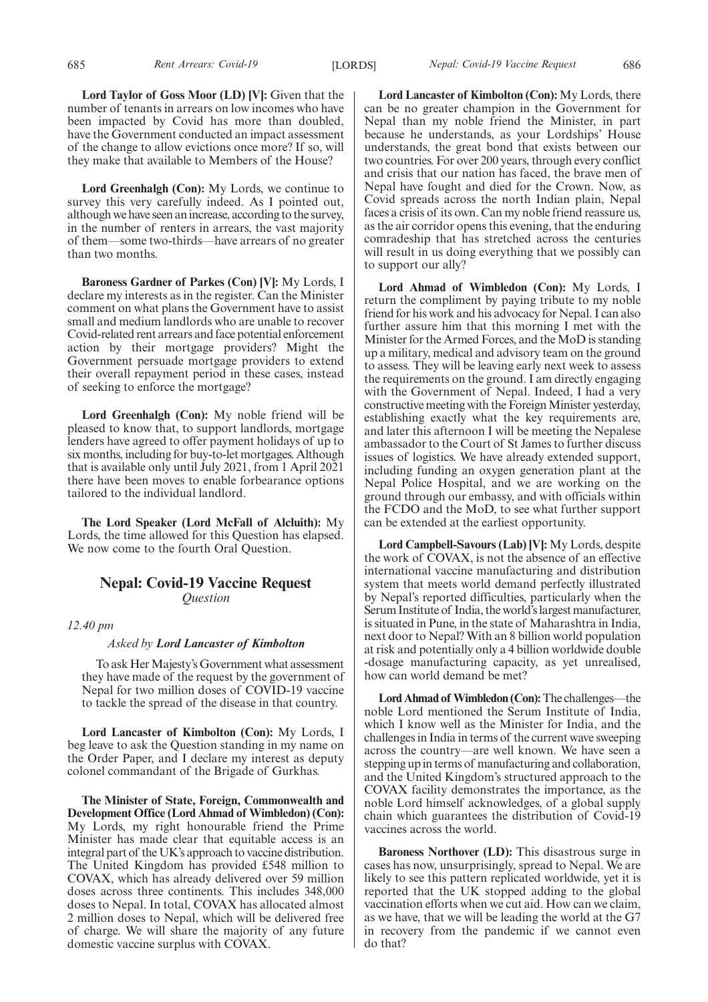**Lord Greenhalgh (Con):** My Lords, we continue to survey this very carefully indeed. As I pointed out, although we have seen an increase, according to the survey, in the number of renters in arrears, the vast majority of them—some two-thirds—have arrears of no greater than two months.

**Baroness Gardner of Parkes (Con) [V]:** My Lords, I declare my interests as in the register. Can the Minister comment on what plans the Government have to assist small and medium landlords who are unable to recover Covid-related rent arrears and face potential enforcement action by their mortgage providers? Might the Government persuade mortgage providers to extend their overall repayment period in these cases, instead of seeking to enforce the mortgage?

**Lord Greenhalgh (Con):** My noble friend will be pleased to know that, to support landlords, mortgage lenders have agreed to offer payment holidays of up to six months, including for buy-to-let mortgages. Although that is available only until July 2021, from 1 April 2021 there have been moves to enable forbearance options tailored to the individual landlord.

**The Lord Speaker (Lord McFall of Alcluith):** My Lords, the time allowed for this Question has elapsed. We now come to the fourth Oral Question.

# **Nepal: Covid-19 Vaccine Request** *Question*

*12.40 pm*

# *Asked by Lord Lancaster of Kimbolton*

To ask Her Majesty's Government what assessment they have made of the request by the government of Nepal for two million doses of COVID-19 vaccine to tackle the spread of the disease in that country.

**Lord Lancaster of Kimbolton (Con):** My Lords, I beg leave to ask the Question standing in my name on the Order Paper, and I declare my interest as deputy colonel commandant of the Brigade of Gurkhas.

**The Minister of State, Foreign, Commonwealth and Development Office (Lord Ahmad of Wimbledon) (Con):** My Lords, my right honourable friend the Prime Minister has made clear that equitable access is an integral part of the UK's approach to vaccine distribution. The United Kingdom has provided £548 million to COVAX, which has already delivered over 59 million doses across three continents. This includes 348,000 doses to Nepal. In total, COVAX has allocated almost 2 million doses to Nepal, which will be delivered free of charge. We will share the majority of any future domestic vaccine surplus with COVAX.

685 *Rent Arrears: Covid-19 Nepal: Covid-19 Vaccine Request* [LORDS] 686

**Lord Lancaster of Kimbolton (Con):** My Lords, there can be no greater champion in the Government for Nepal than my noble friend the Minister, in part because he understands, as your Lordships' House understands, the great bond that exists between our two countries. For over 200 years, through every conflict and crisis that our nation has faced, the brave men of Nepal have fought and died for the Crown. Now, as Covid spreads across the north Indian plain, Nepal faces a crisis of its own. Can my noble friend reassure us, as the air corridor opens this evening, that the enduring comradeship that has stretched across the centuries will result in us doing everything that we possibly can to support our ally?

**Lord Ahmad of Wimbledon (Con):** My Lords, I return the compliment by paying tribute to my noble friend for his work and his advocacy for Nepal. I can also further assure him that this morning I met with the Minister for the Armed Forces, and the MoD is standing up a military, medical and advisory team on the ground to assess. They will be leaving early next week to assess the requirements on the ground. I am directly engaging with the Government of Nepal. Indeed, I had a very constructive meeting with the Foreign Minister yesterday, establishing exactly what the key requirements are, and later this afternoon I will be meeting the Nepalese ambassador to the Court of St James to further discuss issues of logistics. We have already extended support, including funding an oxygen generation plant at the Nepal Police Hospital, and we are working on the ground through our embassy, and with officials within the FCDO and the MoD, to see what further support can be extended at the earliest opportunity.

**Lord Campbell-Savours (Lab) [V]:** My Lords, despite the work of COVAX, is not the absence of an effective international vaccine manufacturing and distribution system that meets world demand perfectly illustrated by Nepal's reported difficulties, particularly when the Serum Institute of India, the world's largest manufacturer, is situated in Pune, in the state of Maharashtra in India, next door to Nepal? With an 8 billion world population at risk and potentially only a 4 billion worldwide double -dosage manufacturing capacity, as yet unrealised, how can world demand be met?

**Lord Ahmad of Wimbledon (Con):**The challenges—the noble Lord mentioned the Serum Institute of India, which I know well as the Minister for India, and the challenges in India in terms of the current wave sweeping across the country—are well known. We have seen a stepping up in terms of manufacturing and collaboration, and the United Kingdom's structured approach to the COVAX facility demonstrates the importance, as the noble Lord himself acknowledges, of a global supply chain which guarantees the distribution of Covid-19 vaccines across the world.

**Baroness Northover (LD):** This disastrous surge in cases has now, unsurprisingly, spread to Nepal. We are likely to see this pattern replicated worldwide, yet it is reported that the UK stopped adding to the global vaccination efforts when we cut aid. How can we claim, as we have, that we will be leading the world at the G7 in recovery from the pandemic if we cannot even do that?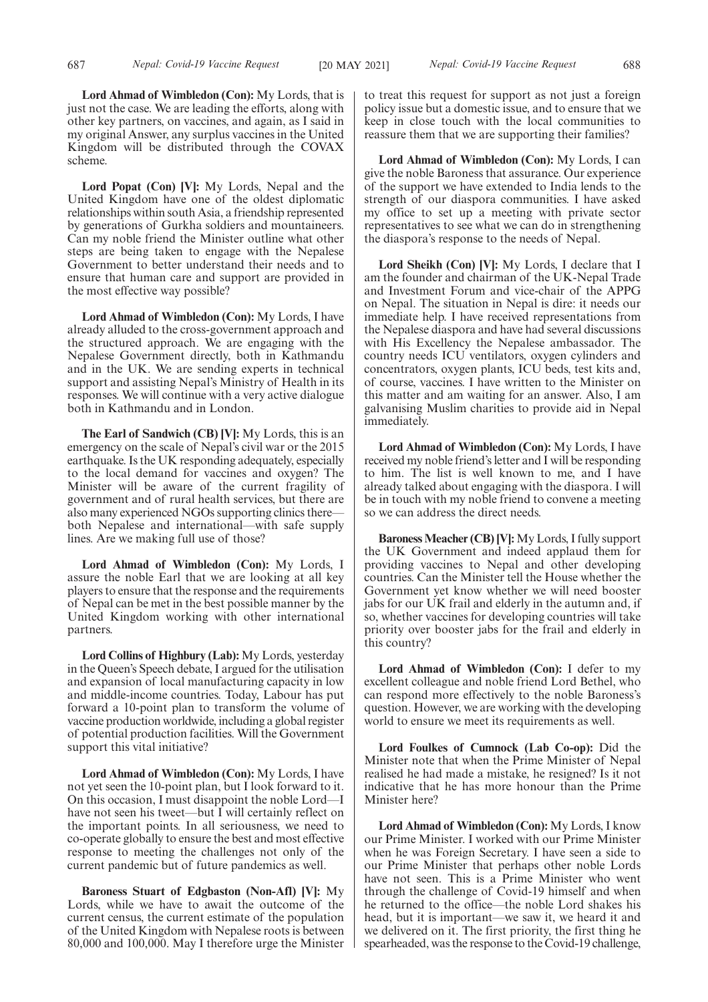**Lord Ahmad of Wimbledon (Con):** My Lords, that is just not the case. We are leading the efforts, along with other key partners, on vaccines, and again, as I said in my original Answer, any surplus vaccines in the United Kingdom will be distributed through the COVAX scheme.

**Lord Popat (Con) [V]:** My Lords, Nepal and the United Kingdom have one of the oldest diplomatic relationships within south Asia, a friendship represented by generations of Gurkha soldiers and mountaineers. Can my noble friend the Minister outline what other steps are being taken to engage with the Nepalese Government to better understand their needs and to ensure that human care and support are provided in the most effective way possible?

**Lord Ahmad of Wimbledon (Con):** My Lords, I have already alluded to the cross-government approach and the structured approach. We are engaging with the Nepalese Government directly, both in Kathmandu and in the UK. We are sending experts in technical support and assisting Nepal's Ministry of Health in its responses. We will continue with a very active dialogue both in Kathmandu and in London.

**The Earl of Sandwich (CB) [V]:** My Lords, this is an emergency on the scale of Nepal's civil war or the 2015 earthquake. Is the UK responding adequately, especially to the local demand for vaccines and oxygen? The Minister will be aware of the current fragility of government and of rural health services, but there are also many experienced NGOs supporting clinics there both Nepalese and international—with safe supply lines. Are we making full use of those?

**Lord Ahmad of Wimbledon (Con):** My Lords, I assure the noble Earl that we are looking at all key players to ensure that the response and the requirements of Nepal can be met in the best possible manner by the United Kingdom working with other international partners.

**Lord Collins of Highbury (Lab):** My Lords, yesterday in the Queen's Speech debate, I argued for the utilisation and expansion of local manufacturing capacity in low and middle-income countries. Today, Labour has put forward a 10-point plan to transform the volume of vaccine production worldwide, including a global register of potential production facilities. Will the Government support this vital initiative?

**Lord Ahmad of Wimbledon (Con):** My Lords, I have not yet seen the 10-point plan, but I look forward to it. On this occasion, I must disappoint the noble Lord—I have not seen his tweet—but I will certainly reflect on the important points. In all seriousness, we need to co-operate globally to ensure the best and most effective response to meeting the challenges not only of the current pandemic but of future pandemics as well.

**Baroness Stuart of Edgbaston (Non-Afl) [V]:** My Lords, while we have to await the outcome of the current census, the current estimate of the population of the United Kingdom with Nepalese roots is between 80,000 and 100,000. May I therefore urge the Minister to treat this request for support as not just a foreign policy issue but a domestic issue, and to ensure that we keep in close touch with the local communities to reassure them that we are supporting their families?

**Lord Ahmad of Wimbledon (Con):** My Lords, I can give the noble Baroness that assurance. Our experience of the support we have extended to India lends to the strength of our diaspora communities. I have asked my office to set up a meeting with private sector representatives to see what we can do in strengthening the diaspora's response to the needs of Nepal.

**Lord Sheikh (Con) [V]:** My Lords, I declare that I am the founder and chairman of the UK-Nepal Trade and Investment Forum and vice-chair of the APPG on Nepal. The situation in Nepal is dire: it needs our immediate help. I have received representations from the Nepalese diaspora and have had several discussions with His Excellency the Nepalese ambassador. The country needs ICU ventilators, oxygen cylinders and concentrators, oxygen plants, ICU beds, test kits and, of course, vaccines. I have written to the Minister on this matter and am waiting for an answer. Also, I am galvanising Muslim charities to provide aid in Nepal immediately.

**Lord Ahmad of Wimbledon (Con):** My Lords, I have received my noble friend's letter and I will be responding to him. The list is well known to me, and I have already talked about engaging with the diaspora. I will be in touch with my noble friend to convene a meeting so we can address the direct needs.

**Baroness Meacher (CB) [V]:**My Lords, I fully support the UK Government and indeed applaud them for providing vaccines to Nepal and other developing countries. Can the Minister tell the House whether the Government yet know whether we will need booster jabs for our UK frail and elderly in the autumn and, if so, whether vaccines for developing countries will take priority over booster jabs for the frail and elderly in this country?

**Lord Ahmad of Wimbledon (Con):** I defer to my excellent colleague and noble friend Lord Bethel, who can respond more effectively to the noble Baroness's question. However, we are working with the developing world to ensure we meet its requirements as well.

**Lord Foulkes of Cumnock (Lab Co-op):** Did the Minister note that when the Prime Minister of Nepal realised he had made a mistake, he resigned? Is it not indicative that he has more honour than the Prime Minister here?

**Lord Ahmad of Wimbledon (Con):** My Lords, I know our Prime Minister. I worked with our Prime Minister when he was Foreign Secretary. I have seen a side to our Prime Minister that perhaps other noble Lords have not seen. This is a Prime Minister who went through the challenge of Covid-19 himself and when he returned to the office—the noble Lord shakes his head, but it is important—we saw it, we heard it and we delivered on it. The first priority, the first thing he spearheaded, was the response to the Covid-19 challenge,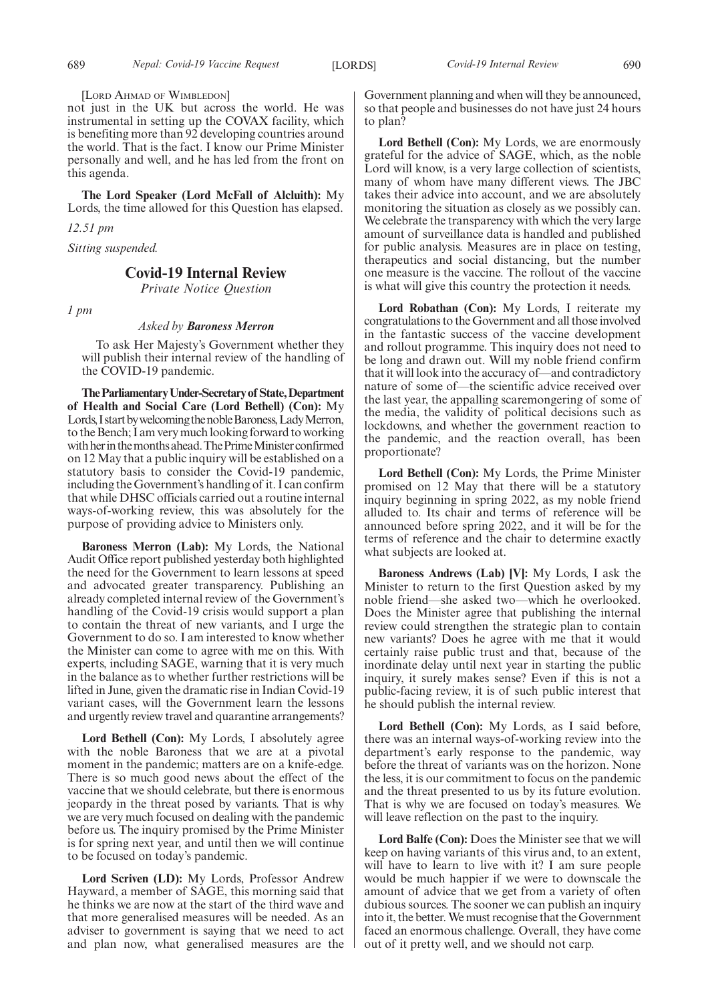[LORD AHMAD OF WIMBLEDON]

not just in the UK but across the world. He was instrumental in setting up the COVAX facility, which is benefiting more than 92 developing countries around the world. That is the fact. I know our Prime Minister personally and well, and he has led from the front on this agenda.

**The Lord Speaker (Lord McFall of Alcluith):** My Lords, the time allowed for this Question has elapsed.

*12.51 pm*

*Sitting suspended.*

# **Covid-19 Internal Review**

*Private Notice Question*

*1 pm*

#### *Asked by Baroness Merron*

To ask Her Majesty's Government whether they will publish their internal review of the handling of the COVID-19 pandemic.

**TheParliamentaryUnder-Secretaryof State,Department of Health and Social Care (Lord Bethell) (Con):** My Lords, I start by welcoming the noble Baroness, Lady Merron, to the Bench; I am very much looking forward to working with her in the months ahead. The Prime Minister confirmed on 12 May that a public inquiry will be established on a statutory basis to consider the Covid-19 pandemic, including the Government's handling of it. I can confirm that while DHSC officials carried out a routine internal ways-of-working review, this was absolutely for the purpose of providing advice to Ministers only.

**Baroness Merron (Lab):** My Lords, the National Audit Office report published yesterday both highlighted the need for the Government to learn lessons at speed and advocated greater transparency. Publishing an already completed internal review of the Government's handling of the Covid-19 crisis would support a plan to contain the threat of new variants, and I urge the Government to do so. I am interested to know whether the Minister can come to agree with me on this. With experts, including SAGE, warning that it is very much in the balance as to whether further restrictions will be lifted in June, given the dramatic rise in Indian Covid-19 variant cases, will the Government learn the lessons and urgently review travel and quarantine arrangements?

**Lord Bethell (Con):** My Lords, I absolutely agree with the noble Baroness that we are at a pivotal moment in the pandemic; matters are on a knife-edge. There is so much good news about the effect of the vaccine that we should celebrate, but there is enormous jeopardy in the threat posed by variants. That is why we are very much focused on dealing with the pandemic before us. The inquiry promised by the Prime Minister is for spring next year, and until then we will continue to be focused on today's pandemic.

**Lord Scriven (LD):** My Lords, Professor Andrew Hayward, a member of SAGE, this morning said that he thinks we are now at the start of the third wave and that more generalised measures will be needed. As an adviser to government is saying that we need to act and plan now, what generalised measures are the Government planning and when will they be announced, so that people and businesses do not have just 24 hours to plan?

**Lord Bethell (Con):** My Lords, we are enormously grateful for the advice of SAGE, which, as the noble Lord will know, is a very large collection of scientists, many of whom have many different views. The JBC takes their advice into account, and we are absolutely monitoring the situation as closely as we possibly can. We celebrate the transparency with which the very large amount of surveillance data is handled and published for public analysis. Measures are in place on testing, therapeutics and social distancing, but the number one measure is the vaccine. The rollout of the vaccine is what will give this country the protection it needs.

**Lord Robathan (Con):** My Lords, I reiterate my congratulations to the Government and all those involved in the fantastic success of the vaccine development and rollout programme. This inquiry does not need to be long and drawn out. Will my noble friend confirm that it will look into the accuracy of—and contradictory nature of some of—the scientific advice received over the last year, the appalling scaremongering of some of the media, the validity of political decisions such as lockdowns, and whether the government reaction to the pandemic, and the reaction overall, has been proportionate?

**Lord Bethell (Con):** My Lords, the Prime Minister promised on 12 May that there will be a statutory inquiry beginning in spring 2022, as my noble friend alluded to. Its chair and terms of reference will be announced before spring 2022, and it will be for the terms of reference and the chair to determine exactly what subjects are looked at.

**Baroness Andrews (Lab) [V]:** My Lords, I ask the Minister to return to the first Question asked by my noble friend—she asked two—which he overlooked. Does the Minister agree that publishing the internal review could strengthen the strategic plan to contain new variants? Does he agree with me that it would certainly raise public trust and that, because of the inordinate delay until next year in starting the public inquiry, it surely makes sense? Even if this is not a public-facing review, it is of such public interest that he should publish the internal review.

**Lord Bethell (Con):** My Lords, as I said before, there was an internal ways-of-working review into the department's early response to the pandemic, way before the threat of variants was on the horizon. None the less, it is our commitment to focus on the pandemic and the threat presented to us by its future evolution. That is why we are focused on today's measures. We will leave reflection on the past to the inquiry.

**Lord Balfe (Con):** Does the Minister see that we will keep on having variants of this virus and, to an extent, will have to learn to live with it? I am sure people would be much happier if we were to downscale the amount of advice that we get from a variety of often dubious sources. The sooner we can publish an inquiry into it, the better. We must recognise that the Government faced an enormous challenge. Overall, they have come out of it pretty well, and we should not carp.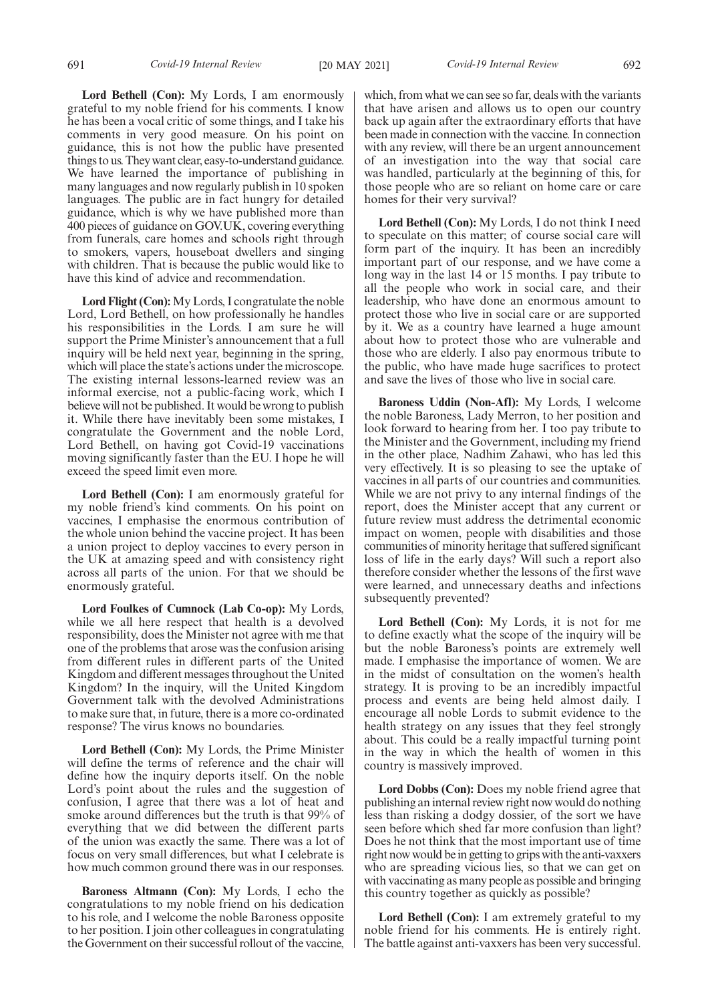**Lord Bethell (Con):** My Lords, I am enormously grateful to my noble friend for his comments. I know he has been a vocal critic of some things, and I take his comments in very good measure. On his point on guidance, this is not how the public have presented things to us. They want clear, easy-to-understand guidance. We have learned the importance of publishing in many languages and now regularly publish in 10 spoken languages. The public are in fact hungry for detailed guidance, which is why we have published more than 400 pieces of guidance on GOV.UK, covering everything from funerals, care homes and schools right through to smokers, vapers, houseboat dwellers and singing with children. That is because the public would like to have this kind of advice and recommendation.

**Lord Flight (Con):** My Lords, I congratulate the noble Lord, Lord Bethell, on how professionally he handles his responsibilities in the Lords. I am sure he will support the Prime Minister's announcement that a full inquiry will be held next year, beginning in the spring, which will place the state's actions under the microscope. The existing internal lessons-learned review was an informal exercise, not a public-facing work, which I believe will not be published. It would be wrong to publish it. While there have inevitably been some mistakes, I congratulate the Government and the noble Lord, Lord Bethell, on having got Covid-19 vaccinations moving significantly faster than the EU. I hope he will exceed the speed limit even more.

**Lord Bethell (Con):** I am enormously grateful for my noble friend's kind comments. On his point on vaccines, I emphasise the enormous contribution of the whole union behind the vaccine project. It has been a union project to deploy vaccines to every person in the UK at amazing speed and with consistency right across all parts of the union. For that we should be enormously grateful.

**Lord Foulkes of Cumnock (Lab Co-op):** My Lords, while we all here respect that health is a devolved responsibility, does the Minister not agree with me that one of the problems that arose was the confusion arising from different rules in different parts of the United Kingdom and different messages throughout the United Kingdom? In the inquiry, will the United Kingdom Government talk with the devolved Administrations to make sure that, in future, there is a more co-ordinated response? The virus knows no boundaries.

**Lord Bethell (Con):** My Lords, the Prime Minister will define the terms of reference and the chair will define how the inquiry deports itself. On the noble Lord's point about the rules and the suggestion of confusion, I agree that there was a lot of heat and smoke around differences but the truth is that 99% of everything that we did between the different parts of the union was exactly the same. There was a lot of focus on very small differences, but what I celebrate is how much common ground there was in our responses.

**Baroness Altmann (Con):** My Lords, I echo the congratulations to my noble friend on his dedication to his role, and I welcome the noble Baroness opposite to her position. I join other colleagues in congratulating the Government on their successful rollout of the vaccine, which, from what we can see so far, deals with the variants that have arisen and allows us to open our country back up again after the extraordinary efforts that have been made in connection with the vaccine. In connection with any review, will there be an urgent announcement of an investigation into the way that social care was handled, particularly at the beginning of this, for those people who are so reliant on home care or care homes for their very survival?

**Lord Bethell (Con):** My Lords, I do not think I need to speculate on this matter; of course social care will form part of the inquiry. It has been an incredibly important part of our response, and we have come a long way in the last 14 or 15 months. I pay tribute to all the people who work in social care, and their leadership, who have done an enormous amount to protect those who live in social care or are supported by it. We as a country have learned a huge amount about how to protect those who are vulnerable and those who are elderly. I also pay enormous tribute to the public, who have made huge sacrifices to protect and save the lives of those who live in social care.

**Baroness Uddin (Non-Afl):** My Lords, I welcome the noble Baroness, Lady Merron, to her position and look forward to hearing from her. I too pay tribute to the Minister and the Government, including my friend in the other place, Nadhim Zahawi, who has led this very effectively. It is so pleasing to see the uptake of vaccines in all parts of our countries and communities. While we are not privy to any internal findings of the report, does the Minister accept that any current or future review must address the detrimental economic impact on women, people with disabilities and those communities of minority heritage that suffered significant loss of life in the early days? Will such a report also therefore consider whether the lessons of the first wave were learned, and unnecessary deaths and infections subsequently prevented?

**Lord Bethell (Con):** My Lords, it is not for me to define exactly what the scope of the inquiry will be but the noble Baroness's points are extremely well made. I emphasise the importance of women. We are in the midst of consultation on the women's health strategy. It is proving to be an incredibly impactful process and events are being held almost daily. I encourage all noble Lords to submit evidence to the health strategy on any issues that they feel strongly about. This could be a really impactful turning point in the way in which the health of women in this country is massively improved.

**Lord Dobbs (Con):** Does my noble friend agree that publishing an internal review right now would do nothing less than risking a dodgy dossier, of the sort we have seen before which shed far more confusion than light? Does he not think that the most important use of time right now would be in getting to grips with the anti-vaxxers who are spreading vicious lies, so that we can get on with vaccinating as many people as possible and bringing this country together as quickly as possible?

**Lord Bethell (Con):** I am extremely grateful to my noble friend for his comments. He is entirely right. The battle against anti-vaxxers has been very successful.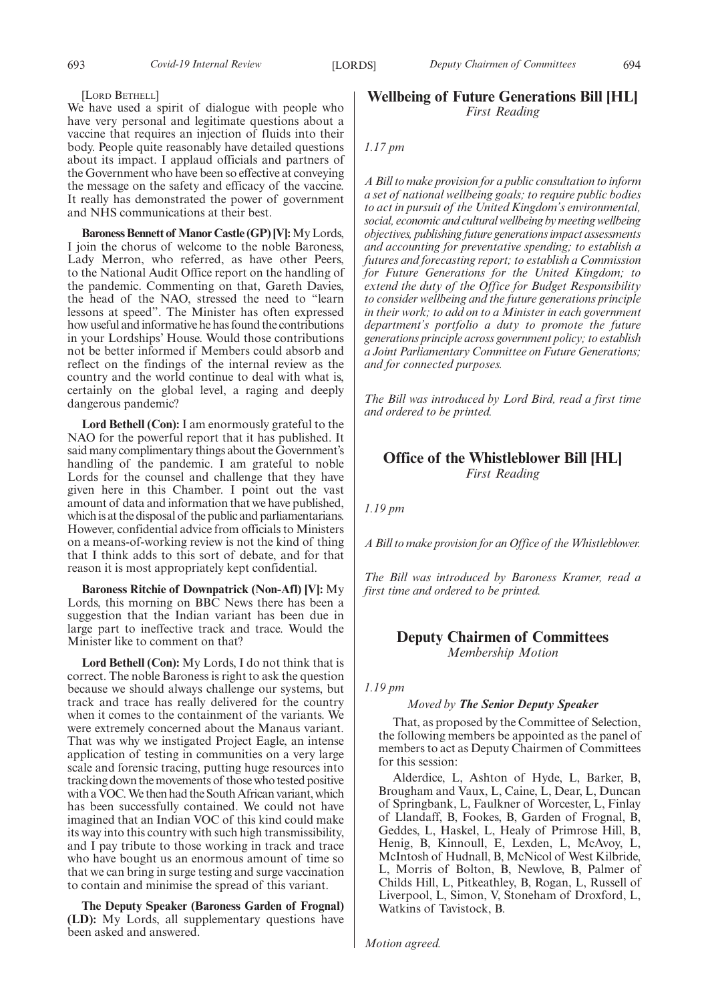#### [LORD BETHELL]

We have used a spirit of dialogue with people who have very personal and legitimate questions about a vaccine that requires an injection of fluids into their body. People quite reasonably have detailed questions about its impact. I applaud officials and partners of the Government who have been so effective at conveying the message on the safety and efficacy of the vaccine. It really has demonstrated the power of government and NHS communications at their best.

**Baroness Bennett of Manor Castle (GP) [V]:**My Lords, I join the chorus of welcome to the noble Baroness, Lady Merron, who referred, as have other Peers, to the National Audit Office report on the handling of the pandemic. Commenting on that, Gareth Davies, the head of the NAO, stressed the need to "learn lessons at speed". The Minister has often expressed how useful and informative he has found the contributions in your Lordships' House. Would those contributions not be better informed if Members could absorb and reflect on the findings of the internal review as the country and the world continue to deal with what is, certainly on the global level, a raging and deeply dangerous pandemic?

**Lord Bethell (Con):** I am enormously grateful to the NAO for the powerful report that it has published. It said many complimentary things about the Government's handling of the pandemic. I am grateful to noble Lords for the counsel and challenge that they have given here in this Chamber. I point out the vast amount of data and information that we have published, which is at the disposal of the public and parliamentarians. However, confidential advice from officials to Ministers on a means-of-working review is not the kind of thing that I think adds to this sort of debate, and for that reason it is most appropriately kept confidential.

**Baroness Ritchie of Downpatrick (Non-Afl) [V]:** My Lords, this morning on BBC News there has been a suggestion that the Indian variant has been due in large part to ineffective track and trace. Would the Minister like to comment on that?

**Lord Bethell (Con):** My Lords, I do not think that is correct. The noble Baroness is right to ask the question because we should always challenge our systems, but track and trace has really delivered for the country when it comes to the containment of the variants. We were extremely concerned about the Manaus variant. That was why we instigated Project Eagle, an intense application of testing in communities on a very large scale and forensic tracing, putting huge resources into tracking down the movements of those who tested positive with a VOC. We then had the South African variant, which has been successfully contained. We could not have imagined that an Indian VOC of this kind could make its way into this country with such high transmissibility, and I pay tribute to those working in track and trace who have bought us an enormous amount of time so that we can bring in surge testing and surge vaccination to contain and minimise the spread of this variant.

**The Deputy Speaker (Baroness Garden of Frognal) (LD):** My Lords, all supplementary questions have been asked and answered.

# **Wellbeing of Future Generations Bill [HL]** *First Reading*

# *1.17 pm*

*A Bill to make provision for a public consultation to inform a set of national wellbeing goals; to require public bodies to act in pursuit of the United Kingdom's environmental, social, economic and cultural wellbeing by meeting wellbeing objectives, publishing future generations impact assessments and accounting for preventative spending; to establish a futures and forecasting report; to establish a Commission for Future Generations for the United Kingdom; to extend the duty of the Office for Budget Responsibility to consider wellbeing and the future generations principle in their work; to add on to a Minister in each government department's portfolio a duty to promote the future generations principle across government policy; to establish a Joint Parliamentary Committee on Future Generations; and for connected purposes.*

*The Bill was introduced by Lord Bird, read a first time and ordered to be printed.*

# **Office of the Whistleblower Bill [HL]** *First Reading*

*1.19 pm*

*A Bill to make provision for an Office of the Whistleblower.*

*The Bill was introduced by Baroness Kramer, read a first time and ordered to be printed.*

# **Deputy Chairmen of Committees** *Membership Motion*

#### *1.19 pm*

# *Moved by The Senior Deputy Speaker*

That, as proposed by the Committee of Selection, the following members be appointed as the panel of members to act as Deputy Chairmen of Committees for this session:

Alderdice, L, Ashton of Hyde, L, Barker, B, Brougham and Vaux, L, Caine, L, Dear, L, Duncan of Springbank, L, Faulkner of Worcester, L, Finlay of Llandaff, B, Fookes, B, Garden of Frognal, B, Geddes, L, Haskel, L, Healy of Primrose Hill, B, Henig, B, Kinnoull, E, Lexden, L, McAvoy, L, McIntosh of Hudnall, B, McNicol of West Kilbride, L, Morris of Bolton, B, Newlove, B, Palmer of Childs Hill, L, Pitkeathley, B, Rogan, L, Russell of Liverpool, L, Simon, V, Stoneham of Droxford, L, Watkins of Tavistock, B.

*Motion agreed.*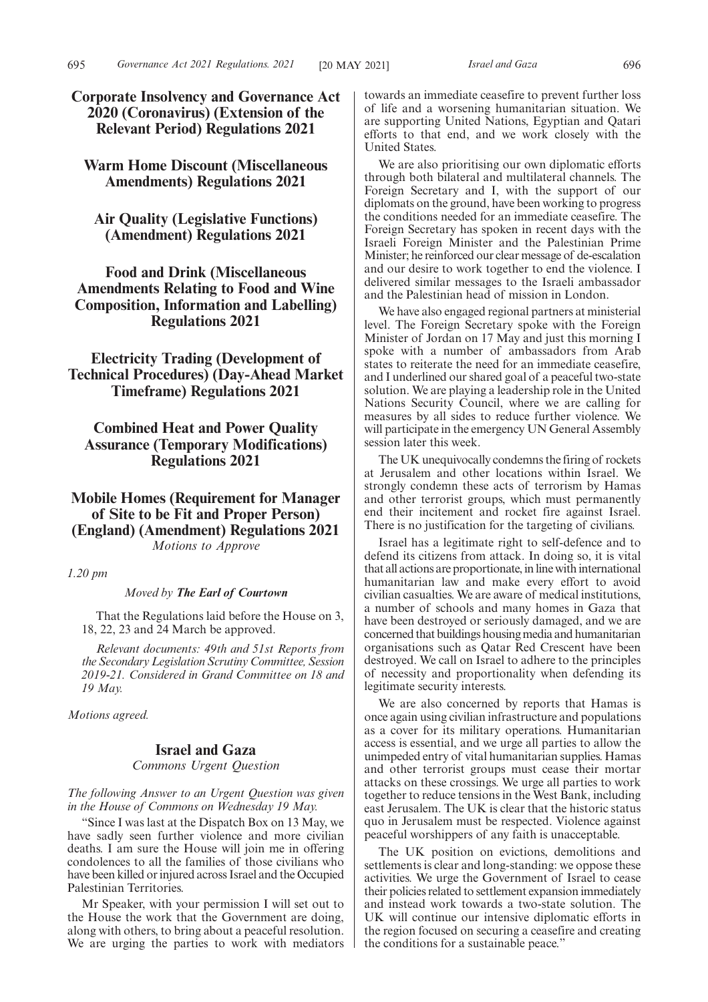# **Corporate Insolvency and Governance Act 2020 (Coronavirus) (Extension of the Relevant Period) Regulations 2021**

**Warm Home Discount (Miscellaneous Amendments) Regulations 2021**

**Air Quality (Legislative Functions) (Amendment) Regulations 2021**

# **Food and Drink (Miscellaneous Amendments Relating to Food and Wine Composition, Information and Labelling) Regulations 2021**

**Electricity Trading (Development of Technical Procedures) (Day-Ahead Market Timeframe) Regulations 2021**

**Combined Heat and Power Quality Assurance (Temporary Modifications) Regulations 2021**

# **Mobile Homes (Requirement for Manager of Site to be Fit and Proper Person) (England) (Amendment) Regulations 2021** *Motions to Approve*

*1.20 pm*

*Moved by The Earl of Courtown*

That the Regulations laid before the House on 3, 18, 22, 23 and 24 March be approved.

*Relevant documents: 49th and 51st Reports from the Secondary Legislation Scrutiny Committee, Session 2019-21. Considered in Grand Committee on 18 and 19 May.*

*Motions agreed.*

# **Israel and Gaza**

*Commons Urgent Question*

*The following Answer to an Urgent Question was given in the House of Commons on Wednesday 19 May.*

"Since I was last at the Dispatch Box on 13 May, we have sadly seen further violence and more civilian deaths. I am sure the House will join me in offering condolences to all the families of those civilians who have been killed or injured across Israel and the Occupied Palestinian Territories.

Mr Speaker, with your permission I will set out to the House the work that the Government are doing, along with others, to bring about a peaceful resolution. We are urging the parties to work with mediators towards an immediate ceasefire to prevent further loss of life and a worsening humanitarian situation. We are supporting United Nations, Egyptian and Qatari efforts to that end, and we work closely with the United States.

We are also prioritising our own diplomatic efforts through both bilateral and multilateral channels. The Foreign Secretary and I, with the support of our diplomats on the ground, have been working to progress the conditions needed for an immediate ceasefire. The Foreign Secretary has spoken in recent days with the Israeli Foreign Minister and the Palestinian Prime Minister; he reinforced our clear message of de-escalation and our desire to work together to end the violence. I delivered similar messages to the Israeli ambassador and the Palestinian head of mission in London.

We have also engaged regional partners at ministerial level. The Foreign Secretary spoke with the Foreign Minister of Jordan on 17 May and just this morning I spoke with a number of ambassadors from Arab states to reiterate the need for an immediate ceasefire, and I underlined our shared goal of a peaceful two-state solution. We are playing a leadership role in the United Nations Security Council, where we are calling for measures by all sides to reduce further violence. We will participate in the emergency UN General Assembly session later this week.

The UK unequivocally condemns the firing of rockets at Jerusalem and other locations within Israel. We strongly condemn these acts of terrorism by Hamas and other terrorist groups, which must permanently end their incitement and rocket fire against Israel. There is no justification for the targeting of civilians.

Israel has a legitimate right to self-defence and to defend its citizens from attack. In doing so, it is vital that all actions are proportionate, in line with international humanitarian law and make every effort to avoid civilian casualties. We are aware of medical institutions, a number of schools and many homes in Gaza that have been destroyed or seriously damaged, and we are concerned that buildings housing media and humanitarian organisations such as Qatar Red Crescent have been destroyed. We call on Israel to adhere to the principles of necessity and proportionality when defending its legitimate security interests.

We are also concerned by reports that Hamas is once again using civilian infrastructure and populations as a cover for its military operations. Humanitarian access is essential, and we urge all parties to allow the unimpeded entry of vital humanitarian supplies. Hamas and other terrorist groups must cease their mortar attacks on these crossings. We urge all parties to work together to reduce tensions in the West Bank, including east Jerusalem. The UK is clear that the historic status quo in Jerusalem must be respected. Violence against peaceful worshippers of any faith is unacceptable.

The UK position on evictions, demolitions and settlements is clear and long-standing: we oppose these activities. We urge the Government of Israel to cease their policies related to settlement expansion immediately and instead work towards a two-state solution. The UK will continue our intensive diplomatic efforts in the region focused on securing a ceasefire and creating the conditions for a sustainable peace."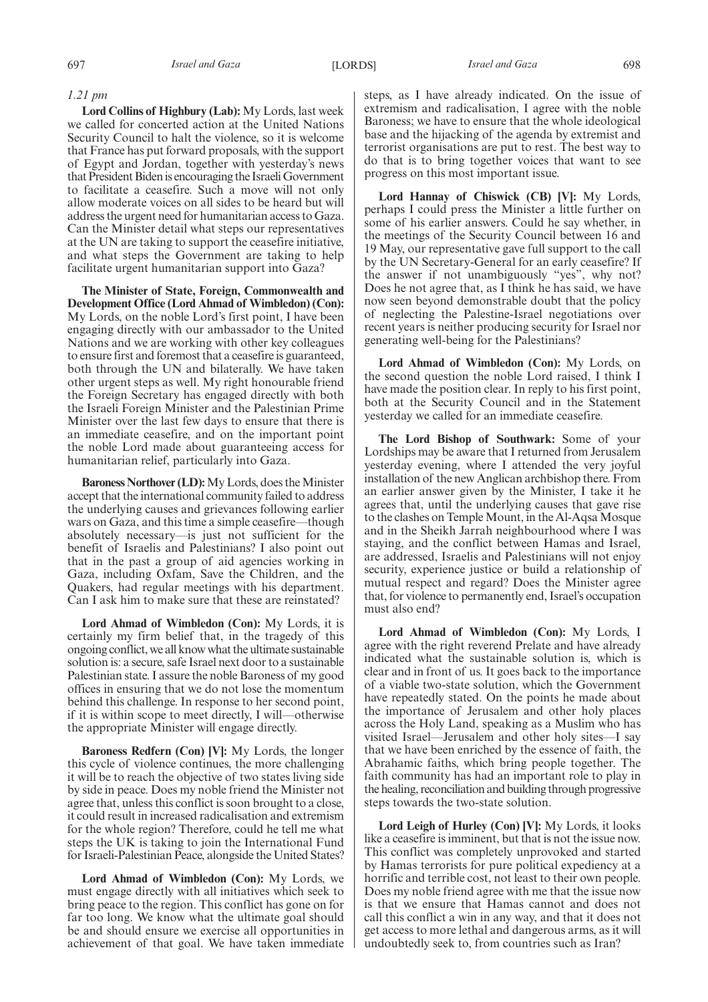#### *1.21 pm*

**Lord Collins of Highbury (Lab):** My Lords, last week we called for concerted action at the United Nations Security Council to halt the violence, so it is welcome that France has put forward proposals, with the support of Egypt and Jordan, together with yesterday's news that President Biden is encouraging the Israeli Government to facilitate a ceasefire. Such a move will not only allow moderate voices on all sides to be heard but will address the urgent need for humanitarian access to Gaza. Can the Minister detail what steps our representatives at the UN are taking to support the ceasefire initiative, and what steps the Government are taking to help facilitate urgent humanitarian support into Gaza?

**The Minister of State, Foreign, Commonwealth and Development Office (Lord Ahmad of Wimbledon) (Con):** My Lords, on the noble Lord's first point, I have been engaging directly with our ambassador to the United Nations and we are working with other key colleagues to ensure first and foremost that a ceasefire is guaranteed, both through the UN and bilaterally. We have taken other urgent steps as well. My right honourable friend the Foreign Secretary has engaged directly with both the Israeli Foreign Minister and the Palestinian Prime Minister over the last few days to ensure that there is an immediate ceasefire, and on the important point the noble Lord made about guaranteeing access for humanitarian relief, particularly into Gaza.

**Baroness Northover (LD):**My Lords, does the Minister accept that the international community failed to address the underlying causes and grievances following earlier wars on Gaza, and this time a simple ceasefire—though absolutely necessary—is just not sufficient for the benefit of Israelis and Palestinians? I also point out that in the past a group of aid agencies working in Gaza, including Oxfam, Save the Children, and the Quakers, had regular meetings with his department. Can I ask him to make sure that these are reinstated?

**Lord Ahmad of Wimbledon (Con):** My Lords, it is certainly my firm belief that, in the tragedy of this ongoing conflict, we all know what the ultimate sustainable solution is: a secure, safe Israel next door to a sustainable Palestinian state. I assure the noble Baroness of my good offices in ensuring that we do not lose the momentum behind this challenge. In response to her second point, if it is within scope to meet directly, I will—otherwise the appropriate Minister will engage directly.

**Baroness Redfern (Con) [V]:** My Lords, the longer this cycle of violence continues, the more challenging it will be to reach the objective of two states living side by side in peace. Does my noble friend the Minister not agree that, unless this conflict is soon brought to a close, it could result in increased radicalisation and extremism for the whole region? Therefore, could he tell me what steps the UK is taking to join the International Fund for Israeli-Palestinian Peace, alongside the United States?

**Lord Ahmad of Wimbledon (Con):** My Lords, we must engage directly with all initiatives which seek to bring peace to the region. This conflict has gone on for far too long. We know what the ultimate goal should be and should ensure we exercise all opportunities in achievement of that goal. We have taken immediate steps, as I have already indicated. On the issue of extremism and radicalisation, I agree with the noble Baroness; we have to ensure that the whole ideological base and the hijacking of the agenda by extremist and terrorist organisations are put to rest. The best way to do that is to bring together voices that want to see progress on this most important issue.

**Lord Hannay of Chiswick (CB) [V]:** My Lords, perhaps I could press the Minister a little further on some of his earlier answers. Could he say whether, in the meetings of the Security Council between 16 and 19 May, our representative gave full support to the call by the UN Secretary-General for an early ceasefire? If the answer if not unambiguously "yes", why not? Does he not agree that, as I think he has said, we have now seen beyond demonstrable doubt that the policy of neglecting the Palestine-Israel negotiations over recent years is neither producing security for Israel nor generating well-being for the Palestinians?

**Lord Ahmad of Wimbledon (Con):** My Lords, on the second question the noble Lord raised, I think I have made the position clear. In reply to his first point, both at the Security Council and in the Statement yesterday we called for an immediate ceasefire.

**The Lord Bishop of Southwark:** Some of your Lordships may be aware that I returned from Jerusalem yesterday evening, where I attended the very joyful installation of the new Anglican archbishop there. From an earlier answer given by the Minister, I take it he agrees that, until the underlying causes that gave rise to the clashes on Temple Mount, in the Al-Aqsa Mosque and in the Sheikh Jarrah neighbourhood where I was staying, and the conflict between Hamas and Israel, are addressed, Israelis and Palestinians will not enjoy security, experience justice or build a relationship of mutual respect and regard? Does the Minister agree that, for violence to permanently end, Israel's occupation must also end?

**Lord Ahmad of Wimbledon (Con):** My Lords, I agree with the right reverend Prelate and have already indicated what the sustainable solution is, which is clear and in front of us. It goes back to the importance of a viable two-state solution, which the Government have repeatedly stated. On the points he made about the importance of Jerusalem and other holy places across the Holy Land, speaking as a Muslim who has visited Israel—Jerusalem and other holy sites—I say that we have been enriched by the essence of faith, the Abrahamic faiths, which bring people together. The faith community has had an important role to play in the healing, reconciliation and building through progressive steps towards the two-state solution.

**Lord Leigh of Hurley (Con) [V]:** My Lords, it looks like a ceasefire is imminent, but that is not the issue now. This conflict was completely unprovoked and started by Hamas terrorists for pure political expediency at a horrific and terrible cost, not least to their own people. Does my noble friend agree with me that the issue now is that we ensure that Hamas cannot and does not call this conflict a win in any way, and that it does not get access to more lethal and dangerous arms, as it will undoubtedly seek to, from countries such as Iran?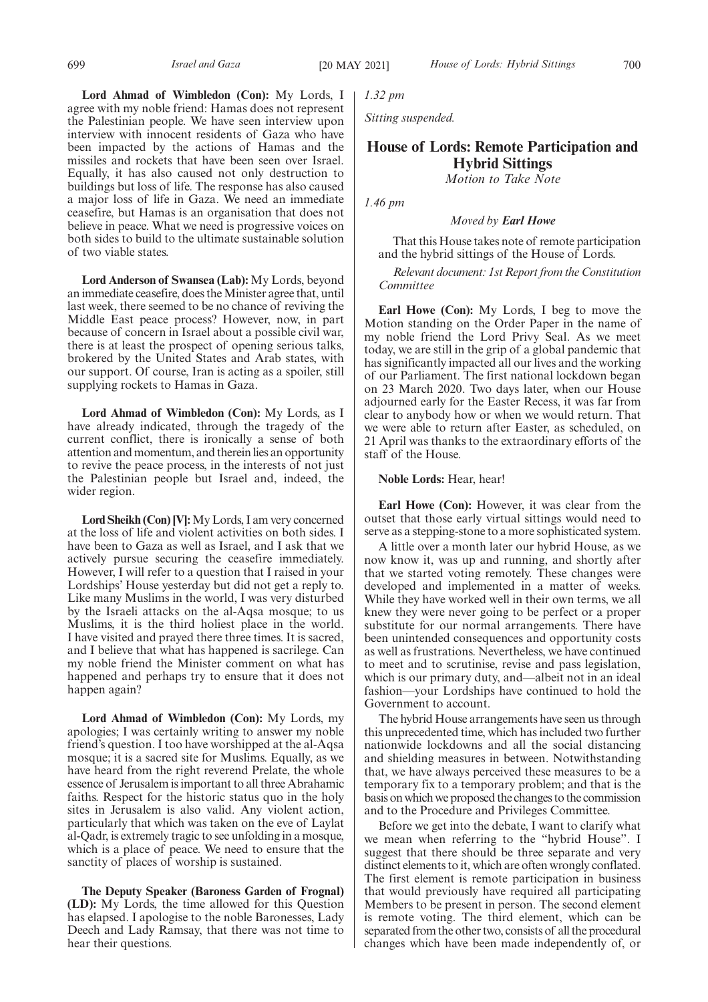**Lord Ahmad of Wimbledon (Con):** My Lords, I agree with my noble friend: Hamas does not represent the Palestinian people. We have seen interview upon interview with innocent residents of Gaza who have been impacted by the actions of Hamas and the missiles and rockets that have been seen over Israel. Equally, it has also caused not only destruction to buildings but loss of life. The response has also caused a major loss of life in Gaza. We need an immediate ceasefire, but Hamas is an organisation that does not believe in peace. What we need is progressive voices on both sides to build to the ultimate sustainable solution of two viable states.

**Lord Anderson of Swansea (Lab):** My Lords, beyond an immediate ceasefire, does the Minister agree that, until last week, there seemed to be no chance of reviving the Middle East peace process? However, now, in part because of concern in Israel about a possible civil war, there is at least the prospect of opening serious talks, brokered by the United States and Arab states, with our support. Of course, Iran is acting as a spoiler, still supplying rockets to Hamas in Gaza.

**Lord Ahmad of Wimbledon (Con):** My Lords, as I have already indicated, through the tragedy of the current conflict, there is ironically a sense of both attention and momentum, and therein lies an opportunity to revive the peace process, in the interests of not just the Palestinian people but Israel and, indeed, the wider region.

**Lord Sheikh (Con) [V]:**My Lords, I am very concerned at the loss of life and violent activities on both sides. I have been to Gaza as well as Israel, and I ask that we actively pursue securing the ceasefire immediately. However, I will refer to a question that I raised in your Lordships' House yesterday but did not get a reply to. Like many Muslims in the world, I was very disturbed by the Israeli attacks on the al-Aqsa mosque; to us Muslims, it is the third holiest place in the world. I have visited and prayed there three times. It is sacred, and I believe that what has happened is sacrilege. Can my noble friend the Minister comment on what has happened and perhaps try to ensure that it does not happen again?

**Lord Ahmad of Wimbledon (Con):** My Lords, my apologies; I was certainly writing to answer my noble friend's question. I too have worshipped at the al-Aqsa mosque; it is a sacred site for Muslims. Equally, as we have heard from the right reverend Prelate, the whole essence of Jerusalem is important to all three Abrahamic faiths. Respect for the historic status quo in the holy sites in Jerusalem is also valid. Any violent action, particularly that which was taken on the eve of Laylat al-Qadr, is extremely tragic to see unfolding in a mosque, which is a place of peace. We need to ensure that the sanctity of places of worship is sustained.

**The Deputy Speaker (Baroness Garden of Frognal) (LD):** My Lords, the time allowed for this Question has elapsed. I apologise to the noble Baronesses, Lady Deech and Lady Ramsay, that there was not time to hear their questions.

*1.32 pm*

*Sitting suspended.*

# **House of Lords: Remote Participation and Hybrid Sittings**

*Motion to Take Note*

*1.46 pm*

*Moved by Earl Howe*

That this House takes note of remote participation and the hybrid sittings of the House of Lords.

*Relevant document: 1st Report from the Constitution Committee*

**Earl Howe (Con):** My Lords, I beg to move the Motion standing on the Order Paper in the name of my noble friend the Lord Privy Seal. As we meet today, we are still in the grip of a global pandemic that has significantly impacted all our lives and the working of our Parliament. The first national lockdown began on 23 March 2020. Two days later, when our House adjourned early for the Easter Recess, it was far from clear to anybody how or when we would return. That we were able to return after Easter, as scheduled, on 21 April was thanks to the extraordinary efforts of the staff of the House.

**Noble Lords:** Hear, hear!

**Earl Howe (Con):** However, it was clear from the outset that those early virtual sittings would need to serve as a stepping-stone to a more sophisticated system.

A little over a month later our hybrid House, as we now know it, was up and running, and shortly after that we started voting remotely. These changes were developed and implemented in a matter of weeks. While they have worked well in their own terms, we all knew they were never going to be perfect or a proper substitute for our normal arrangements. There have been unintended consequences and opportunity costs as well as frustrations. Nevertheless, we have continued to meet and to scrutinise, revise and pass legislation, which is our primary duty, and—albeit not in an ideal fashion—your Lordships have continued to hold the Government to account.

The hybrid House arrangements have seen us through this unprecedented time, which has included two further nationwide lockdowns and all the social distancing and shielding measures in between. Notwithstanding that, we have always perceived these measures to be a temporary fix to a temporary problem; and that is the basis on which we proposed the changes to the commission and to the Procedure and Privileges Committee.

Before we get into the debate, I want to clarify what we mean when referring to the "hybrid House". I suggest that there should be three separate and very distinct elements to it, which are often wrongly conflated. The first element is remote participation in business that would previously have required all participating Members to be present in person. The second element is remote voting. The third element, which can be separated from the other two, consists of all the procedural changes which have been made independently of, or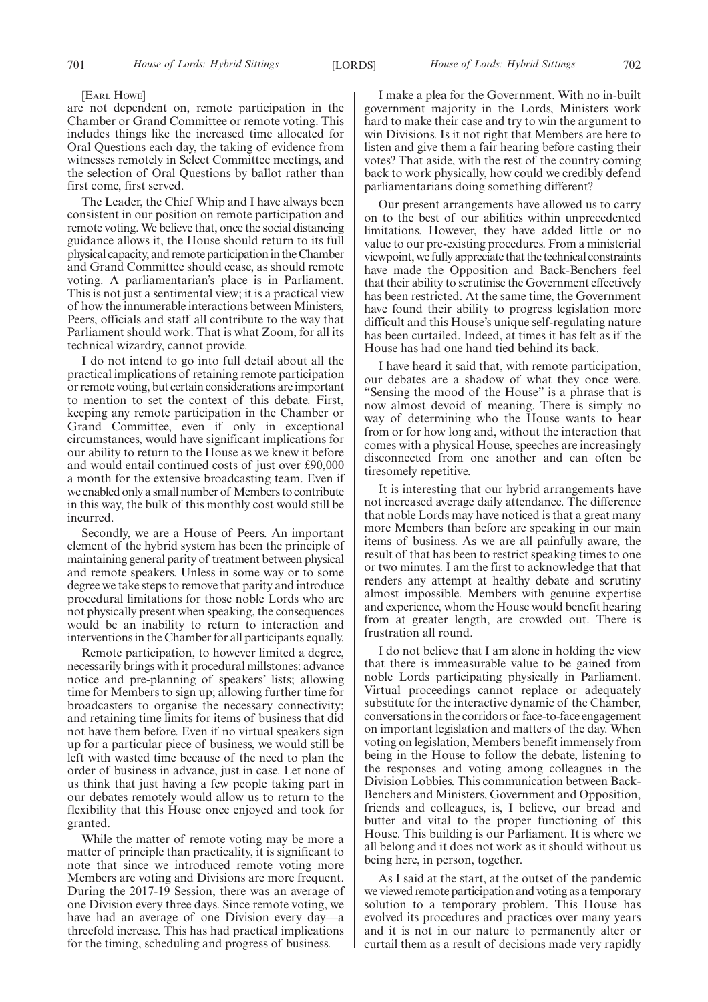#### [EARL HOWE]

are not dependent on, remote participation in the Chamber or Grand Committee or remote voting. This includes things like the increased time allocated for Oral Questions each day, the taking of evidence from witnesses remotely in Select Committee meetings, and the selection of Oral Questions by ballot rather than first come, first served.

The Leader, the Chief Whip and I have always been consistent in our position on remote participation and remote voting. We believe that, once the social distancing guidance allows it, the House should return to its full physical capacity, and remote participation in the Chamber and Grand Committee should cease, as should remote voting. A parliamentarian's place is in Parliament. This is not just a sentimental view; it is a practical view of how the innumerable interactions between Ministers, Peers, officials and staff all contribute to the way that Parliament should work. That is what Zoom, for all its technical wizardry, cannot provide.

I do not intend to go into full detail about all the practical implications of retaining remote participation or remote voting, but certain considerations are important to mention to set the context of this debate. First, keeping any remote participation in the Chamber or Grand Committee, even if only in exceptional circumstances, would have significant implications for our ability to return to the House as we knew it before and would entail continued costs of just over £90,000 a month for the extensive broadcasting team. Even if we enabled only a small number of Members to contribute in this way, the bulk of this monthly cost would still be incurred.

Secondly, we are a House of Peers. An important element of the hybrid system has been the principle of maintaining general parity of treatment between physical and remote speakers. Unless in some way or to some degree we take steps to remove that parity and introduce procedural limitations for those noble Lords who are not physically present when speaking, the consequences would be an inability to return to interaction and interventions in the Chamber for all participants equally.

Remote participation, to however limited a degree, necessarily brings with it procedural millstones: advance notice and pre-planning of speakers' lists; allowing time for Members to sign up; allowing further time for broadcasters to organise the necessary connectivity; and retaining time limits for items of business that did not have them before. Even if no virtual speakers sign up for a particular piece of business, we would still be left with wasted time because of the need to plan the order of business in advance, just in case. Let none of us think that just having a few people taking part in our debates remotely would allow us to return to the flexibility that this House once enjoyed and took for granted.

While the matter of remote voting may be more a matter of principle than practicality, it is significant to note that since we introduced remote voting more Members are voting and Divisions are more frequent. During the  $2017-19$  Session, there was an average of one Division every three days. Since remote voting, we have had an average of one Division every day—a threefold increase. This has had practical implications for the timing, scheduling and progress of business.

I make a plea for the Government. With no in-built government majority in the Lords, Ministers work hard to make their case and try to win the argument to win Divisions. Is it not right that Members are here to listen and give them a fair hearing before casting their votes? That aside, with the rest of the country coming back to work physically, how could we credibly defend parliamentarians doing something different?

Our present arrangements have allowed us to carry on to the best of our abilities within unprecedented limitations. However, they have added little or no value to our pre-existing procedures. From a ministerial viewpoint, we fully appreciate that the technical constraints have made the Opposition and Back-Benchers feel that their ability to scrutinise the Government effectively has been restricted. At the same time, the Government have found their ability to progress legislation more difficult and this House's unique self-regulating nature has been curtailed. Indeed, at times it has felt as if the House has had one hand tied behind its back.

I have heard it said that, with remote participation, our debates are a shadow of what they once were. "Sensing the mood of the House" is a phrase that is now almost devoid of meaning. There is simply no way of determining who the House wants to hear from or for how long and, without the interaction that comes with a physical House, speeches are increasingly disconnected from one another and can often be tiresomely repetitive.

It is interesting that our hybrid arrangements have not increased average daily attendance. The difference that noble Lords may have noticed is that a great many more Members than before are speaking in our main items of business. As we are all painfully aware, the result of that has been to restrict speaking times to one or two minutes. I am the first to acknowledge that that renders any attempt at healthy debate and scrutiny almost impossible. Members with genuine expertise and experience, whom the House would benefit hearing from at greater length, are crowded out. There is frustration all round.

I do not believe that I am alone in holding the view that there is immeasurable value to be gained from noble Lords participating physically in Parliament. Virtual proceedings cannot replace or adequately substitute for the interactive dynamic of the Chamber, conversations in the corridors or face-to-face engagement on important legislation and matters of the day. When voting on legislation, Members benefit immensely from being in the House to follow the debate, listening to the responses and voting among colleagues in the Division Lobbies. This communication between Back-Benchers and Ministers, Government and Opposition, friends and colleagues, is, I believe, our bread and butter and vital to the proper functioning of this House. This building is our Parliament. It is where we all belong and it does not work as it should without us being here, in person, together.

As I said at the start, at the outset of the pandemic we viewed remote participation and voting as a temporary solution to a temporary problem. This House has evolved its procedures and practices over many years and it is not in our nature to permanently alter or curtail them as a result of decisions made very rapidly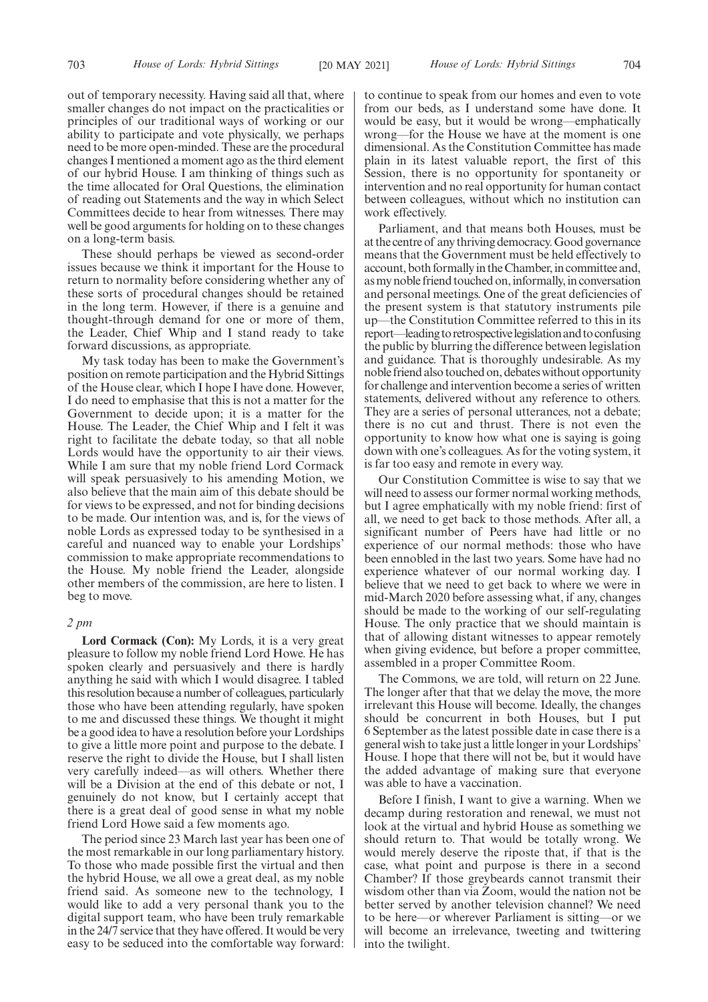out of temporary necessity. Having said all that, where smaller changes do not impact on the practicalities or principles of our traditional ways of working or our ability to participate and vote physically, we perhaps need to be more open-minded. These are the procedural changes I mentioned a moment ago as the third element of our hybrid House. I am thinking of things such as the time allocated for Oral Questions, the elimination of reading out Statements and the way in which Select Committees decide to hear from witnesses. There may well be good arguments for holding on to these changes on a long-term basis.

These should perhaps be viewed as second-order issues because we think it important for the House to return to normality before considering whether any of these sorts of procedural changes should be retained in the long term. However, if there is a genuine and thought-through demand for one or more of them, the Leader, Chief Whip and I stand ready to take forward discussions, as appropriate.

My task today has been to make the Government's position on remote participation and the Hybrid Sittings of the House clear, which I hope I have done. However, I do need to emphasise that this is not a matter for the Government to decide upon; it is a matter for the House. The Leader, the Chief Whip and I felt it was right to facilitate the debate today, so that all noble Lords would have the opportunity to air their views. While I am sure that my noble friend Lord Cormack will speak persuasively to his amending Motion, we also believe that the main aim of this debate should be for views to be expressed, and not for binding decisions to be made. Our intention was, and is, for the views of noble Lords as expressed today to be synthesised in a careful and nuanced way to enable your Lordships' commission to make appropriate recommendations to the House. My noble friend the Leader, alongside other members of the commission, are here to listen. I beg to move.

# *2 pm*

**Lord Cormack (Con):** My Lords, it is a very great pleasure to follow my noble friend Lord Howe. He has spoken clearly and persuasively and there is hardly anything he said with which I would disagree. I tabled this resolution because a number of colleagues, particularly those who have been attending regularly, have spoken to me and discussed these things. We thought it might be a good idea to have a resolution before your Lordships to give a little more point and purpose to the debate. I reserve the right to divide the House, but I shall listen very carefully indeed—as will others. Whether there will be a Division at the end of this debate or not, I genuinely do not know, but I certainly accept that there is a great deal of good sense in what my noble friend Lord Howe said a few moments ago.

The period since 23 March last year has been one of the most remarkable in our long parliamentary history. To those who made possible first the virtual and then the hybrid House, we all owe a great deal, as my noble friend said. As someone new to the technology, I would like to add a very personal thank you to the digital support team, who have been truly remarkable in the 24/7 service that they have offered. It would be very easy to be seduced into the comfortable way forward: to continue to speak from our homes and even to vote from our beds, as I understand some have done. It would be easy, but it would be wrong—emphatically wrong—for the House we have at the moment is one dimensional. As the Constitution Committee has made plain in its latest valuable report, the first of this Session, there is no opportunity for spontaneity or intervention and no real opportunity for human contact between colleagues, without which no institution can work effectively.

Parliament, and that means both Houses, must be at the centre of any thriving democracy. Good governance means that the Government must be held effectively to account, both formally in the Chamber, in committee and, as my noble friend touched on, informally, in conversation and personal meetings. One of the great deficiencies of the present system is that statutory instruments pile up—the Constitution Committee referred to this in its report—leading to retrospective legislation and to confusing the public by blurring the difference between legislation and guidance. That is thoroughly undesirable. As my noble friend also touched on, debates without opportunity for challenge and intervention become a series of written statements, delivered without any reference to others. They are a series of personal utterances, not a debate; there is no cut and thrust. There is not even the opportunity to know how what one is saying is going down with one's colleagues. As for the voting system, it is far too easy and remote in every way.

Our Constitution Committee is wise to say that we will need to assess our former normal working methods, but I agree emphatically with my noble friend: first of all, we need to get back to those methods. After all, a significant number of Peers have had little or no experience of our normal methods: those who have been ennobled in the last two years. Some have had no experience whatever of our normal working day. I believe that we need to get back to where we were in mid-March 2020 before assessing what, if any, changes should be made to the working of our self-regulating House. The only practice that we should maintain is that of allowing distant witnesses to appear remotely when giving evidence, but before a proper committee, assembled in a proper Committee Room.

The Commons, we are told, will return on 22 June. The longer after that that we delay the move, the more irrelevant this House will become. Ideally, the changes should be concurrent in both Houses, but I put 6 September as the latest possible date in case there is a general wish to take just a little longer in your Lordships' House. I hope that there will not be, but it would have the added advantage of making sure that everyone was able to have a vaccination.

Before I finish, I want to give a warning. When we decamp during restoration and renewal, we must not look at the virtual and hybrid House as something we should return to. That would be totally wrong. We would merely deserve the riposte that, if that is the case, what point and purpose is there in a second Chamber? If those greybeards cannot transmit their wisdom other than via Zoom, would the nation not be better served by another television channel? We need to be here—or wherever Parliament is sitting—or we will become an irrelevance, tweeting and twittering into the twilight.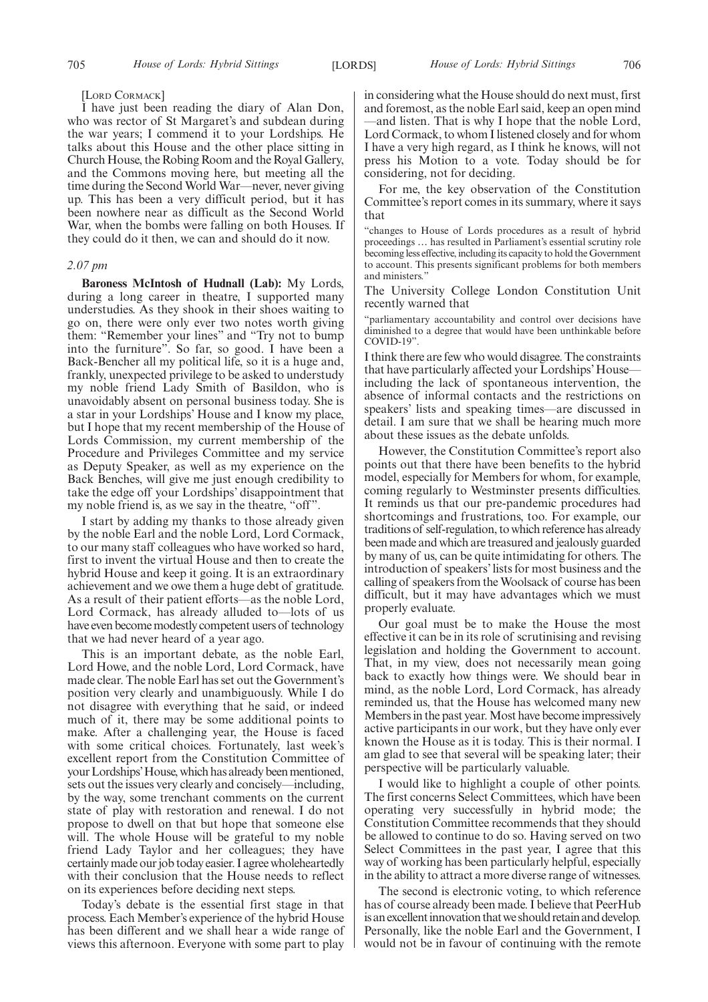#### [LORD CORMACK]

I have just been reading the diary of Alan Don, who was rector of St Margaret's and subdean during the war years; I commend it to your Lordships. He talks about this House and the other place sitting in Church House, the Robing Room and the Royal Gallery, and the Commons moving here, but meeting all the time during the Second World War—never, never giving up. This has been a very difficult period, but it has been nowhere near as difficult as the Second World War, when the bombs were falling on both Houses. If they could do it then, we can and should do it now.

#### *2.07 pm*

**Baroness McIntosh of Hudnall (Lab):** My Lords, during a long career in theatre, I supported many understudies. As they shook in their shoes waiting to go on, there were only ever two notes worth giving them: "Remember your lines" and "Try not to bump into the furniture". So far, so good. I have been a Back-Bencher all my political life, so it is a huge and, frankly, unexpected privilege to be asked to understudy my noble friend Lady Smith of Basildon, who is unavoidably absent on personal business today. She is a star in your Lordships' House and I know my place, but I hope that my recent membership of the House of Lords Commission, my current membership of the Procedure and Privileges Committee and my service as Deputy Speaker, as well as my experience on the Back Benches, will give me just enough credibility to take the edge off your Lordships' disappointment that my noble friend is, as we say in the theatre, "off".

I start by adding my thanks to those already given by the noble Earl and the noble Lord, Lord Cormack, to our many staff colleagues who have worked so hard, first to invent the virtual House and then to create the hybrid House and keep it going. It is an extraordinary achievement and we owe them a huge debt of gratitude. As a result of their patient efforts—as the noble Lord, Lord Cormack, has already alluded to—lots of us have even become modestly competent users of technology that we had never heard of a year ago.

This is an important debate, as the noble Earl, Lord Howe, and the noble Lord, Lord Cormack, have made clear. The noble Earl has set out the Government's position very clearly and unambiguously. While I do not disagree with everything that he said, or indeed much of it, there may be some additional points to make. After a challenging year, the House is faced with some critical choices. Fortunately, last week's excellent report from the Constitution Committee of your Lordships'House, which has already been mentioned, sets out the issues very clearly and concisely—including, by the way, some trenchant comments on the current state of play with restoration and renewal. I do not propose to dwell on that but hope that someone else will. The whole House will be grateful to my noble friend Lady Taylor and her colleagues; they have certainly made our job today easier. I agree wholeheartedly with their conclusion that the House needs to reflect on its experiences before deciding next steps.

Today's debate is the essential first stage in that process. Each Member's experience of the hybrid House has been different and we shall hear a wide range of views this afternoon. Everyone with some part to play in considering what the House should do next must, first and foremost, as the noble Earl said, keep an open mind —and listen. That is why I hope that the noble Lord, Lord Cormack, to whom I listened closely and for whom I have a very high regard, as I think he knows, will not press his Motion to a vote. Today should be for considering, not for deciding.

For me, the key observation of the Constitution Committee's report comes in its summary, where it says that

"changes to House of Lords procedures as a result of hybrid proceedings … has resulted in Parliament's essential scrutiny role becoming less effective, including its capacity to hold the Government to account. This presents significant problems for both members and ministers."

The University College London Constitution Unit recently warned that

"parliamentary accountability and control over decisions have diminished to a degree that would have been unthinkable before COVID-19".

I think there are few who would disagree. The constraints that have particularly affected your Lordships' House including the lack of spontaneous intervention, the absence of informal contacts and the restrictions on speakers' lists and speaking times—are discussed in detail. I am sure that we shall be hearing much more about these issues as the debate unfolds.

However, the Constitution Committee's report also points out that there have been benefits to the hybrid model, especially for Members for whom, for example, coming regularly to Westminster presents difficulties. It reminds us that our pre-pandemic procedures had shortcomings and frustrations, too. For example, our traditions of self-regulation, to which reference has already been made and which are treasured and jealously guarded by many of us, can be quite intimidating for others. The introduction of speakers' lists for most business and the calling of speakers from the Woolsack of course has been difficult, but it may have advantages which we must properly evaluate.

Our goal must be to make the House the most effective it can be in its role of scrutinising and revising legislation and holding the Government to account. That, in my view, does not necessarily mean going back to exactly how things were. We should bear in mind, as the noble Lord, Lord Cormack, has already reminded us, that the House has welcomed many new Members in the past year. Most have become impressively active participants in our work, but they have only ever known the House as it is today. This is their normal. I am glad to see that several will be speaking later; their perspective will be particularly valuable.

I would like to highlight a couple of other points. The first concerns Select Committees, which have been operating very successfully in hybrid mode; the Constitution Committee recommends that they should be allowed to continue to do so. Having served on two Select Committees in the past year, I agree that this way of working has been particularly helpful, especially in the ability to attract a more diverse range of witnesses.

The second is electronic voting, to which reference has of course already been made. I believe that PeerHub is an excellent innovation that we should retain and develop. Personally, like the noble Earl and the Government, I would not be in favour of continuing with the remote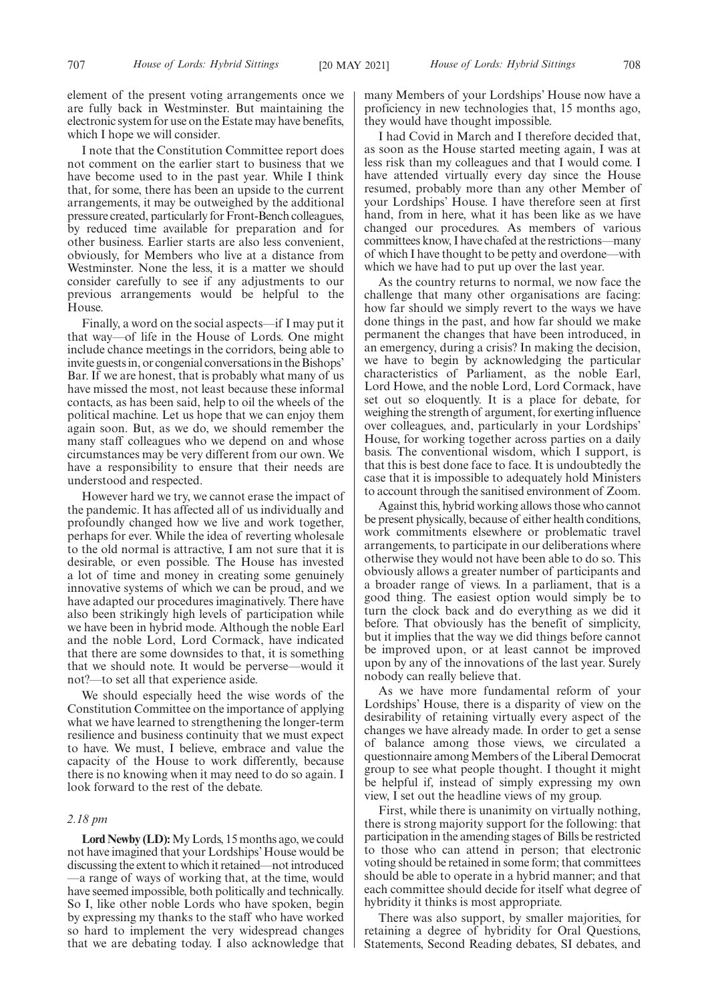element of the present voting arrangements once we are fully back in Westminster. But maintaining the electronic system for use on the Estate may have benefits, which I hope we will consider.

I note that the Constitution Committee report does not comment on the earlier start to business that we have become used to in the past year. While I think that, for some, there has been an upside to the current arrangements, it may be outweighed by the additional pressure created, particularly for Front-Bench colleagues, by reduced time available for preparation and for other business. Earlier starts are also less convenient, obviously, for Members who live at a distance from Westminster. None the less, it is a matter we should consider carefully to see if any adjustments to our previous arrangements would be helpful to the House.

Finally, a word on the social aspects—if I may put it that way—of life in the House of Lords. One might include chance meetings in the corridors, being able to invite guests in, or congenial conversations in the Bishops' Bar. If we are honest, that is probably what many of us have missed the most, not least because these informal contacts, as has been said, help to oil the wheels of the political machine. Let us hope that we can enjoy them again soon. But, as we do, we should remember the many staff colleagues who we depend on and whose circumstances may be very different from our own. We have a responsibility to ensure that their needs are understood and respected.

However hard we try, we cannot erase the impact of the pandemic. It has affected all of us individually and profoundly changed how we live and work together, perhaps for ever. While the idea of reverting wholesale to the old normal is attractive, I am not sure that it is desirable, or even possible. The House has invested a lot of time and money in creating some genuinely innovative systems of which we can be proud, and we have adapted our procedures imaginatively. There have also been strikingly high levels of participation while we have been in hybrid mode. Although the noble Earl and the noble Lord, Lord Cormack, have indicated that there are some downsides to that, it is something that we should note. It would be perverse—would it not?—to set all that experience aside.

We should especially heed the wise words of the Constitution Committee on the importance of applying what we have learned to strengthening the longer-term resilience and business continuity that we must expect to have. We must, I believe, embrace and value the capacity of the House to work differently, because there is no knowing when it may need to do so again. I look forward to the rest of the debate.

## *2.18 pm*

Lord Newby (LD): My Lords, 15 months ago, we could not have imagined that your Lordships' House would be discussing the extent to which it retained—not introduced —a range of ways of working that, at the time, would have seemed impossible, both politically and technically. So I, like other noble Lords who have spoken, begin by expressing my thanks to the staff who have worked so hard to implement the very widespread changes that we are debating today. I also acknowledge that many Members of your Lordships' House now have a proficiency in new technologies that, 15 months ago, they would have thought impossible.

I had Covid in March and I therefore decided that, as soon as the House started meeting again, I was at less risk than my colleagues and that I would come. I have attended virtually every day since the House resumed, probably more than any other Member of your Lordships' House. I have therefore seen at first hand, from in here, what it has been like as we have changed our procedures. As members of various committees know, I have chafed at the restrictions—many of which I have thought to be petty and overdone—with which we have had to put up over the last year.

As the country returns to normal, we now face the challenge that many other organisations are facing: how far should we simply revert to the ways we have done things in the past, and how far should we make permanent the changes that have been introduced, in an emergency, during a crisis? In making the decision, we have to begin by acknowledging the particular characteristics of Parliament, as the noble Earl, Lord Howe, and the noble Lord, Lord Cormack, have set out so eloquently. It is a place for debate, for weighing the strength of argument, for exerting influence over colleagues, and, particularly in your Lordships' House, for working together across parties on a daily basis. The conventional wisdom, which I support, is that this is best done face to face. It is undoubtedly the case that it is impossible to adequately hold Ministers to account through the sanitised environment of Zoom.

Against this, hybrid working allows those who cannot be present physically, because of either health conditions, work commitments elsewhere or problematic travel arrangements, to participate in our deliberations where otherwise they would not have been able to do so. This obviously allows a greater number of participants and a broader range of views. In a parliament, that is a good thing. The easiest option would simply be to turn the clock back and do everything as we did it before. That obviously has the benefit of simplicity, but it implies that the way we did things before cannot be improved upon, or at least cannot be improved upon by any of the innovations of the last year. Surely nobody can really believe that.

As we have more fundamental reform of your Lordships' House, there is a disparity of view on the desirability of retaining virtually every aspect of the changes we have already made. In order to get a sense of balance among those views, we circulated a questionnaire among Members of the Liberal Democrat group to see what people thought. I thought it might be helpful if, instead of simply expressing my own view, I set out the headline views of my group.

First, while there is unanimity on virtually nothing, there is strong majority support for the following: that participation in the amending stages of Bills be restricted to those who can attend in person; that electronic voting should be retained in some form; that committees should be able to operate in a hybrid manner; and that each committee should decide for itself what degree of hybridity it thinks is most appropriate.

There was also support, by smaller majorities, for retaining a degree of hybridity for Oral Questions, Statements, Second Reading debates, SI debates, and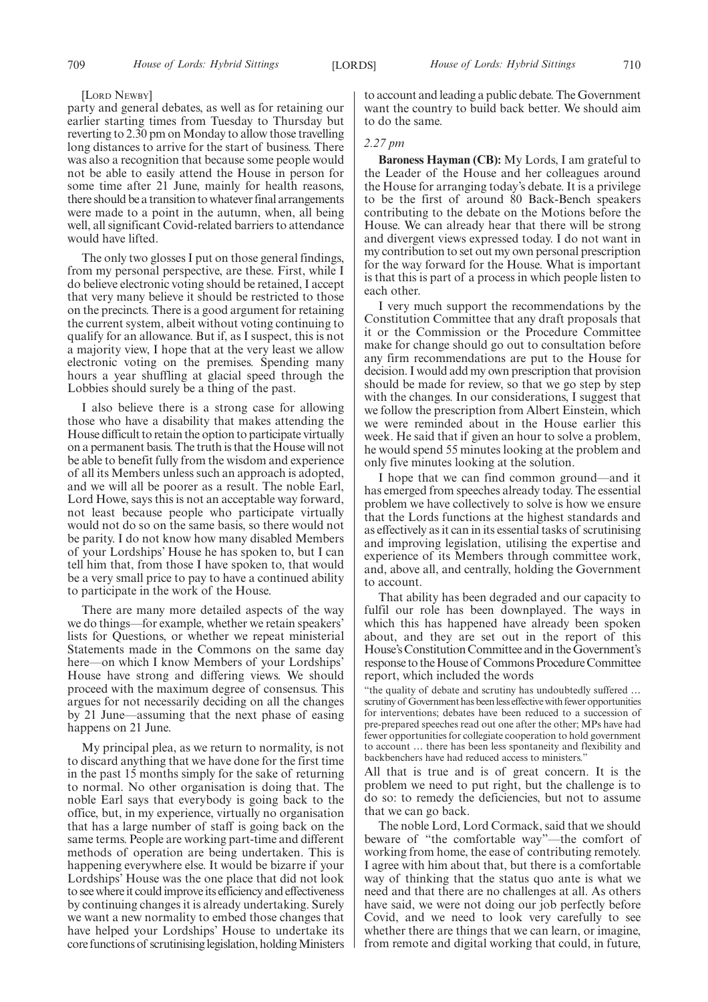#### [LORD NEWBY]

party and general debates, as well as for retaining our earlier starting times from Tuesday to Thursday but reverting to 2.30 pm on Monday to allow those travelling long distances to arrive for the start of business. There was also a recognition that because some people would not be able to easily attend the House in person for some time after 21 June, mainly for health reasons, there should be a transition to whatever final arrangements were made to a point in the autumn, when, all being well, all significant Covid-related barriers to attendance would have lifted.

The only two glosses I put on those general findings, from my personal perspective, are these. First, while I do believe electronic voting should be retained, I accept that very many believe it should be restricted to those on the precincts. There is a good argument for retaining the current system, albeit without voting continuing to qualify for an allowance. But if, as I suspect, this is not a majority view, I hope that at the very least we allow electronic voting on the premises. Spending many hours a year shuffling at glacial speed through the Lobbies should surely be a thing of the past.

I also believe there is a strong case for allowing those who have a disability that makes attending the House difficult to retain the option to participate virtually on a permanent basis. The truth is that the House will not be able to benefit fully from the wisdom and experience of all its Members unless such an approach is adopted, and we will all be poorer as a result. The noble Earl, Lord Howe, says this is not an acceptable way forward, not least because people who participate virtually would not do so on the same basis, so there would not be parity. I do not know how many disabled Members of your Lordships' House he has spoken to, but I can tell him that, from those I have spoken to, that would be a very small price to pay to have a continued ability to participate in the work of the House.

There are many more detailed aspects of the way we do things—for example, whether we retain speakers' lists for Questions, or whether we repeat ministerial Statements made in the Commons on the same day here—on which I know Members of your Lordships' House have strong and differing views. We should proceed with the maximum degree of consensus. This argues for not necessarily deciding on all the changes by 21 June—assuming that the next phase of easing happens on 21 June.

My principal plea, as we return to normality, is not to discard anything that we have done for the first time in the past 15 months simply for the sake of returning to normal. No other organisation is doing that. The noble Earl says that everybody is going back to the office, but, in my experience, virtually no organisation that has a large number of staff is going back on the same terms. People are working part-time and different methods of operation are being undertaken. This is happening everywhere else. It would be bizarre if your Lordships' House was the one place that did not look to see where it could improve its efficiency and effectiveness by continuing changes it is already undertaking. Surely we want a new normality to embed those changes that have helped your Lordships' House to undertake its core functions of scrutinising legislation, holding Ministers to account and leading a public debate. The Government want the country to build back better. We should aim to do the same.

# *2.27 pm*

**Baroness Hayman (CB):** My Lords, I am grateful to the Leader of the House and her colleagues around the House for arranging today's debate. It is a privilege to be the first of around 80 Back-Bench speakers contributing to the debate on the Motions before the House. We can already hear that there will be strong and divergent views expressed today. I do not want in my contribution to set out my own personal prescription for the way forward for the House. What is important is that this is part of a process in which people listen to each other.

I very much support the recommendations by the Constitution Committee that any draft proposals that it or the Commission or the Procedure Committee make for change should go out to consultation before any firm recommendations are put to the House for decision. I would add my own prescription that provision should be made for review, so that we go step by step with the changes. In our considerations, I suggest that we follow the prescription from Albert Einstein, which we were reminded about in the House earlier this week. He said that if given an hour to solve a problem, he would spend 55 minutes looking at the problem and only five minutes looking at the solution.

I hope that we can find common ground—and it has emerged from speeches already today. The essential problem we have collectively to solve is how we ensure that the Lords functions at the highest standards and as effectively as it can in its essential tasks of scrutinising and improving legislation, utilising the expertise and experience of its Members through committee work, and, above all, and centrally, holding the Government to account.

That ability has been degraded and our capacity to fulfil our role has been downplayed. The ways in which this has happened have already been spoken about, and they are set out in the report of this House's Constitution Committee and in the Government's response to the House of Commons Procedure Committee report, which included the words

"the quality of debate and scrutiny has undoubtedly suffered … scrutiny of Government has been less effective with fewer opportunities for interventions; debates have been reduced to a succession of pre-prepared speeches read out one after the other; MPs have had fewer opportunities for collegiate cooperation to hold government to account … there has been less spontaneity and flexibility and backbenchers have had reduced access to ministers.'

All that is true and is of great concern. It is the problem we need to put right, but the challenge is to do so: to remedy the deficiencies, but not to assume that we can go back.

The noble Lord, Lord Cormack, said that we should beware of "the comfortable way"—the comfort of working from home, the ease of contributing remotely. I agree with him about that, but there is a comfortable way of thinking that the status quo ante is what we need and that there are no challenges at all. As others have said, we were not doing our job perfectly before Covid, and we need to look very carefully to see whether there are things that we can learn, or imagine, from remote and digital working that could, in future,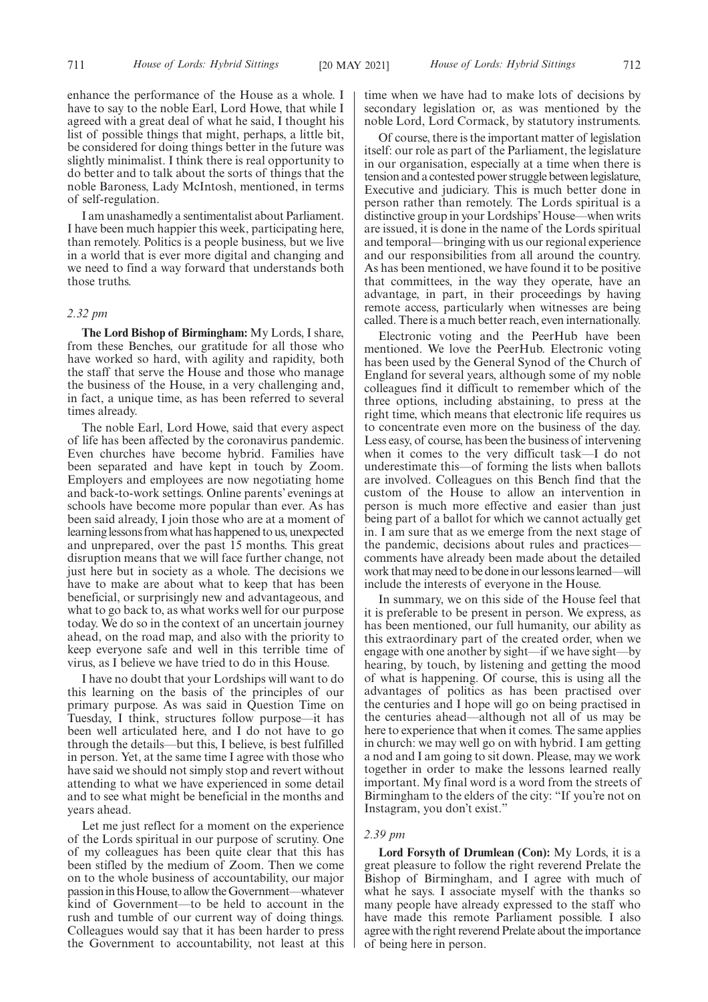enhance the performance of the House as a whole. I have to say to the noble Earl, Lord Howe, that while I agreed with a great deal of what he said, I thought his list of possible things that might, perhaps, a little bit, be considered for doing things better in the future was slightly minimalist. I think there is real opportunity to do better and to talk about the sorts of things that the noble Baroness, Lady McIntosh, mentioned, in terms of self-regulation.

I am unashamedly a sentimentalist about Parliament. I have been much happier this week, participating here, than remotely. Politics is a people business, but we live in a world that is ever more digital and changing and we need to find a way forward that understands both those truths.

#### *2.32 pm*

**The Lord Bishop of Birmingham:** My Lords, I share, from these Benches, our gratitude for all those who have worked so hard, with agility and rapidity, both the staff that serve the House and those who manage the business of the House, in a very challenging and, in fact, a unique time, as has been referred to several times already.

The noble Earl, Lord Howe, said that every aspect of life has been affected by the coronavirus pandemic. Even churches have become hybrid. Families have been separated and have kept in touch by Zoom. Employers and employees are now negotiating home and back-to-work settings. Online parents' evenings at schools have become more popular than ever. As has been said already, I join those who are at a moment of learning lessons from what has happened to us, unexpected and unprepared, over the past 15 months. This great disruption means that we will face further change, not just here but in society as a whole. The decisions we have to make are about what to keep that has been beneficial, or surprisingly new and advantageous, and what to go back to, as what works well for our purpose today. We do so in the context of an uncertain journey ahead, on the road map, and also with the priority to keep everyone safe and well in this terrible time of virus, as I believe we have tried to do in this House.

I have no doubt that your Lordships will want to do this learning on the basis of the principles of our primary purpose. As was said in Question Time on Tuesday, I think, structures follow purpose—it has been well articulated here, and I do not have to go through the details—but this, I believe, is best fulfilled in person. Yet, at the same time I agree with those who have said we should not simply stop and revert without attending to what we have experienced in some detail and to see what might be beneficial in the months and years ahead.

Let me just reflect for a moment on the experience of the Lords spiritual in our purpose of scrutiny. One of my colleagues has been quite clear that this has been stifled by the medium of Zoom. Then we come on to the whole business of accountability, our major passion in this House, to allow the Government—whatever kind of Government—to be held to account in the rush and tumble of our current way of doing things. Colleagues would say that it has been harder to press the Government to accountability, not least at this time when we have had to make lots of decisions by secondary legislation or, as was mentioned by the noble Lord, Lord Cormack, by statutory instruments.

Of course, there is the important matter of legislation itself: our role as part of the Parliament, the legislature in our organisation, especially at a time when there is tension and a contested power struggle between legislature, Executive and judiciary. This is much better done in person rather than remotely. The Lords spiritual is a distinctive group in your Lordships' House—when writs are issued, it is done in the name of the Lords spiritual and temporal—bringing with us our regional experience and our responsibilities from all around the country. As has been mentioned, we have found it to be positive that committees, in the way they operate, have an advantage, in part, in their proceedings by having remote access, particularly when witnesses are being called. There is a much better reach, even internationally.

Electronic voting and the PeerHub have been mentioned. We love the PeerHub. Electronic voting has been used by the General Synod of the Church of England for several years, although some of my noble colleagues find it difficult to remember which of the three options, including abstaining, to press at the right time, which means that electronic life requires us to concentrate even more on the business of the day. Less easy, of course, has been the business of intervening when it comes to the very difficult task—I do not underestimate this—of forming the lists when ballots are involved. Colleagues on this Bench find that the custom of the House to allow an intervention in person is much more effective and easier than just being part of a ballot for which we cannot actually get in. I am sure that as we emerge from the next stage of the pandemic, decisions about rules and practices comments have already been made about the detailed work that may need to be done in our lessons learned—will include the interests of everyone in the House.

In summary, we on this side of the House feel that it is preferable to be present in person. We express, as has been mentioned, our full humanity, our ability as this extraordinary part of the created order, when we engage with one another by sight—if we have sight—by hearing, by touch, by listening and getting the mood of what is happening. Of course, this is using all the advantages of politics as has been practised over the centuries and I hope will go on being practised in the centuries ahead—although not all of us may be here to experience that when it comes. The same applies in church: we may well go on with hybrid. I am getting a nod and I am going to sit down. Please, may we work together in order to make the lessons learned really important. My final word is a word from the streets of Birmingham to the elders of the city: "If you're not on Instagram, you don't exist."

# *2.39 pm*

**Lord Forsyth of Drumlean (Con):** My Lords, it is a great pleasure to follow the right reverend Prelate the Bishop of Birmingham, and I agree with much of what he says. I associate myself with the thanks so many people have already expressed to the staff who have made this remote Parliament possible. I also agree with the right reverend Prelate about the importance of being here in person.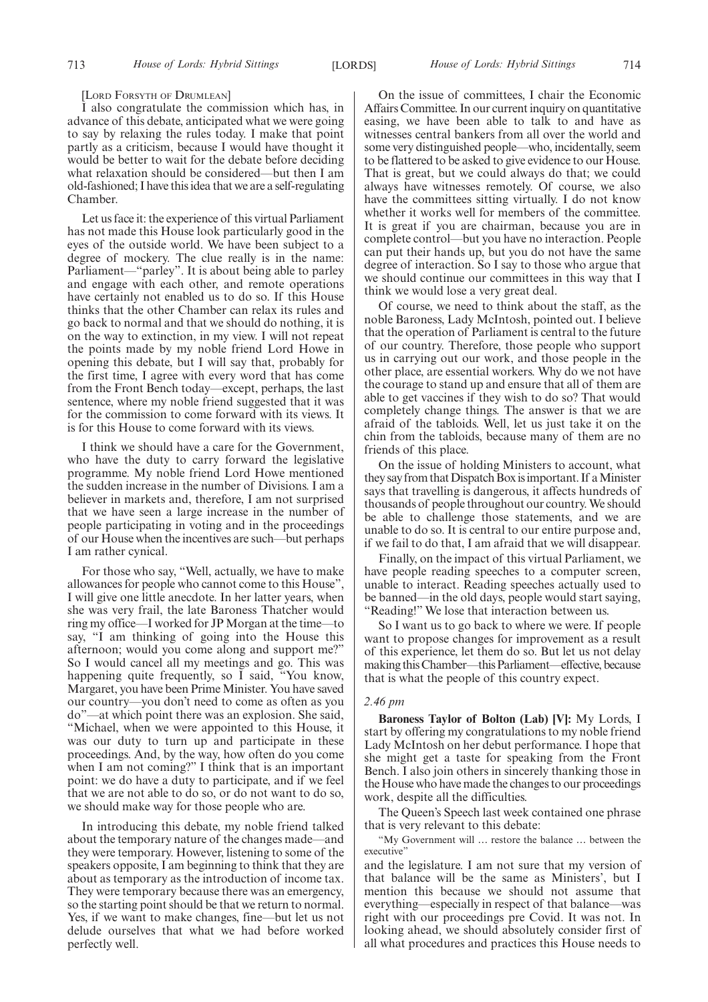#### [LORD FORSYTH OF DRUMLEAN]

I also congratulate the commission which has, in advance of this debate, anticipated what we were going to say by relaxing the rules today. I make that point partly as a criticism, because I would have thought it would be better to wait for the debate before deciding what relaxation should be considered—but then I am old-fashioned; I have this idea that we are a self-regulating Chamber.

Let us face it: the experience of this virtual Parliament has not made this House look particularly good in the eyes of the outside world. We have been subject to a degree of mockery. The clue really is in the name: Parliament—"parley". It is about being able to parley and engage with each other, and remote operations have certainly not enabled us to do so. If this House thinks that the other Chamber can relax its rules and go back to normal and that we should do nothing, it is on the way to extinction, in my view. I will not repeat the points made by my noble friend Lord Howe in opening this debate, but I will say that, probably for the first time, I agree with every word that has come from the Front Bench today—except, perhaps, the last sentence, where my noble friend suggested that it was for the commission to come forward with its views. It is for this House to come forward with its views.

I think we should have a care for the Government, who have the duty to carry forward the legislative programme. My noble friend Lord Howe mentioned the sudden increase in the number of Divisions. I am a believer in markets and, therefore, I am not surprised that we have seen a large increase in the number of people participating in voting and in the proceedings of our House when the incentives are such—but perhaps I am rather cynical.

For those who say, "Well, actually, we have to make allowances for people who cannot come to this House", I will give one little anecdote. In her latter years, when she was very frail, the late Baroness Thatcher would ring my office—I worked for JP Morgan at the time—to say, "I am thinking of going into the House this afternoon; would you come along and support me?" So I would cancel all my meetings and go. This was happening quite frequently, so  $\tilde{I}$  said, "You know, Margaret, you have been Prime Minister. You have saved our country—you don't need to come as often as you do"—at which point there was an explosion. She said, "Michael, when we were appointed to this House, it was our duty to turn up and participate in these proceedings. And, by the way, how often do you come when I am not coming?" I think that is an important point: we do have a duty to participate, and if we feel that we are not able to do so, or do not want to do so, we should make way for those people who are.

In introducing this debate, my noble friend talked about the temporary nature of the changes made—and they were temporary. However, listening to some of the speakers opposite, I am beginning to think that they are about as temporary as the introduction of income tax. They were temporary because there was an emergency, so the starting point should be that we return to normal. Yes, if we want to make changes, fine—but let us not delude ourselves that what we had before worked perfectly well.

On the issue of committees, I chair the Economic Affairs Committee. In our current inquiry on quantitative easing, we have been able to talk to and have as witnesses central bankers from all over the world and some very distinguished people—who, incidentally, seem to be flattered to be asked to give evidence to our House. That is great, but we could always do that; we could always have witnesses remotely. Of course, we also have the committees sitting virtually. I do not know whether it works well for members of the committee. It is great if you are chairman, because you are in complete control—but you have no interaction. People can put their hands up, but you do not have the same degree of interaction. So I say to those who argue that we should continue our committees in this way that I think we would lose a very great deal.

Of course, we need to think about the staff, as the noble Baroness, Lady McIntosh, pointed out. I believe that the operation of Parliament is central to the future of our country. Therefore, those people who support us in carrying out our work, and those people in the other place, are essential workers. Why do we not have the courage to stand up and ensure that all of them are able to get vaccines if they wish to do so? That would completely change things. The answer is that we are afraid of the tabloids. Well, let us just take it on the chin from the tabloids, because many of them are no friends of this place.

On the issue of holding Ministers to account, what they say from that Dispatch Box is important. If a Minister says that travelling is dangerous, it affects hundreds of thousands of people throughout our country. We should be able to challenge those statements, and we are unable to do so. It is central to our entire purpose and, if we fail to do that, I am afraid that we will disappear.

Finally, on the impact of this virtual Parliament, we have people reading speeches to a computer screen, unable to interact. Reading speeches actually used to be banned—in the old days, people would start saying, "Reading!" We lose that interaction between us.

So I want us to go back to where we were. If people want to propose changes for improvement as a result of this experience, let them do so. But let us not delay making this Chamber—this Parliament—effective, because that is what the people of this country expect.

#### *2.46 pm*

**Baroness Taylor of Bolton (Lab) [V]:** My Lords, I start by offering my congratulations to my noble friend Lady McIntosh on her debut performance. I hope that she might get a taste for speaking from the Front Bench. I also join others in sincerely thanking those in the House who have made the changes to our proceedings work, despite all the difficulties.

The Queen's Speech last week contained one phrase that is very relevant to this debate:

"My Government will … restore the balance … between the executive"

and the legislature. I am not sure that my version of that balance will be the same as Ministers', but I mention this because we should not assume that everything—especially in respect of that balance—was right with our proceedings pre Covid. It was not. In looking ahead, we should absolutely consider first of all what procedures and practices this House needs to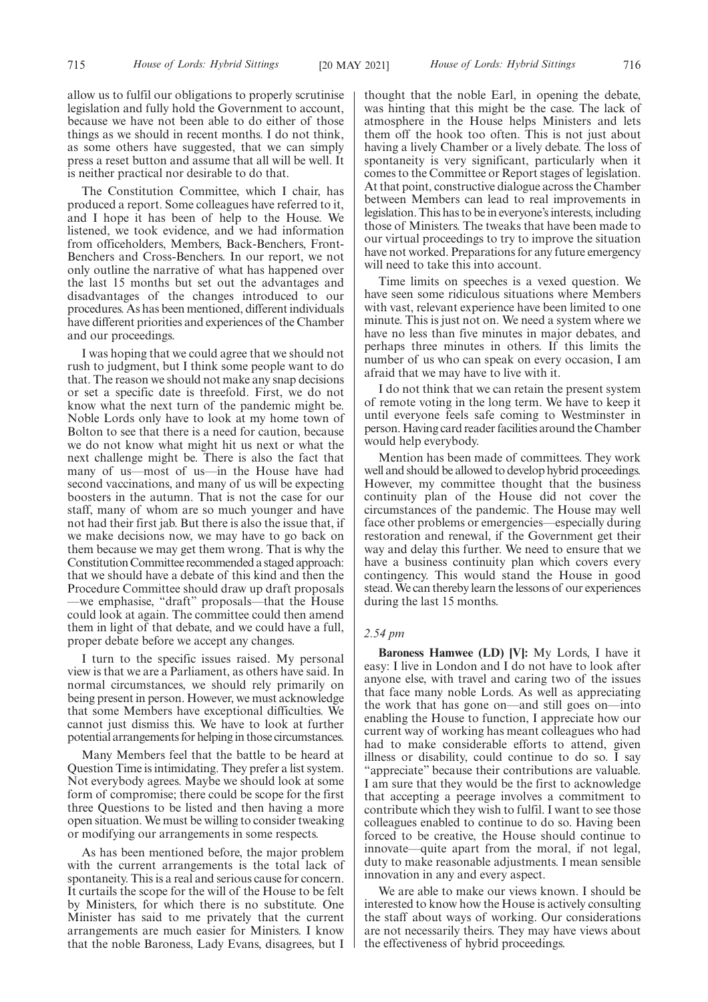allow us to fulfil our obligations to properly scrutinise legislation and fully hold the Government to account, because we have not been able to do either of those things as we should in recent months. I do not think, as some others have suggested, that we can simply press a reset button and assume that all will be well. It is neither practical nor desirable to do that.

The Constitution Committee, which I chair, has produced a report. Some colleagues have referred to it, and I hope it has been of help to the House. We listened, we took evidence, and we had information from officeholders, Members, Back-Benchers, Front-Benchers and Cross-Benchers. In our report, we not only outline the narrative of what has happened over the last 15 months but set out the advantages and disadvantages of the changes introduced to our procedures. As has been mentioned, different individuals have different priorities and experiences of the Chamber and our proceedings.

I was hoping that we could agree that we should not rush to judgment, but I think some people want to do that. The reason we should not make any snap decisions or set a specific date is threefold. First, we do not know what the next turn of the pandemic might be. Noble Lords only have to look at my home town of Bolton to see that there is a need for caution, because we do not know what might hit us next or what the next challenge might be. There is also the fact that many of us—most of us—in the House have had second vaccinations, and many of us will be expecting boosters in the autumn. That is not the case for our staff, many of whom are so much younger and have not had their first jab. But there is also the issue that, if we make decisions now, we may have to go back on them because we may get them wrong. That is why the Constitution Committee recommended a staged approach: that we should have a debate of this kind and then the Procedure Committee should draw up draft proposals —we emphasise, "draft" proposals—that the House could look at again. The committee could then amend them in light of that debate, and we could have a full, proper debate before we accept any changes.

I turn to the specific issues raised. My personal view is that we are a Parliament, as others have said. In normal circumstances, we should rely primarily on being present in person. However, we must acknowledge that some Members have exceptional difficulties. We cannot just dismiss this. We have to look at further potential arrangements for helping in those circumstances.

Many Members feel that the battle to be heard at Question Time is intimidating. They prefer a list system. Not everybody agrees. Maybe we should look at some form of compromise; there could be scope for the first three Questions to be listed and then having a more open situation. We must be willing to consider tweaking or modifying our arrangements in some respects.

As has been mentioned before, the major problem with the current arrangements is the total lack of spontaneity. This is a real and serious cause for concern. It curtails the scope for the will of the House to be felt by Ministers, for which there is no substitute. One Minister has said to me privately that the current arrangements are much easier for Ministers. I know that the noble Baroness, Lady Evans, disagrees, but I

thought that the noble Earl, in opening the debate, was hinting that this might be the case. The lack of atmosphere in the House helps Ministers and lets them off the hook too often. This is not just about having a lively Chamber or a lively debate. The loss of spontaneity is very significant, particularly when it comes to the Committee or Report stages of legislation. At that point, constructive dialogue across the Chamber between Members can lead to real improvements in legislation. This has to be in everyone's interests, including those of Ministers. The tweaks that have been made to our virtual proceedings to try to improve the situation have not worked. Preparations for any future emergency will need to take this into account.

Time limits on speeches is a vexed question. We have seen some ridiculous situations where Members with vast, relevant experience have been limited to one minute. This is just not on. We need a system where we have no less than five minutes in major debates, and perhaps three minutes in others. If this limits the number of us who can speak on every occasion, I am afraid that we may have to live with it.

I do not think that we can retain the present system of remote voting in the long term. We have to keep it until everyone feels safe coming to Westminster in person. Having card reader facilities around the Chamber would help everybody.

Mention has been made of committees. They work well and should be allowed to develop hybrid proceedings. However, my committee thought that the business continuity plan of the House did not cover the circumstances of the pandemic. The House may well face other problems or emergencies—especially during restoration and renewal, if the Government get their way and delay this further. We need to ensure that we have a business continuity plan which covers every contingency. This would stand the House in good stead. We can thereby learn the lessons of our experiences during the last 15 months.

#### *2.54 pm*

**Baroness Hamwee (LD) [V]:** My Lords, I have it easy: I live in London and I do not have to look after anyone else, with travel and caring two of the issues that face many noble Lords. As well as appreciating the work that has gone on—and still goes on—into enabling the House to function, I appreciate how our current way of working has meant colleagues who had had to make considerable efforts to attend, given illness or disability, could continue to do so. I say "appreciate" because their contributions are valuable. I am sure that they would be the first to acknowledge that accepting a peerage involves a commitment to contribute which they wish to fulfil. I want to see those colleagues enabled to continue to do so. Having been forced to be creative, the House should continue to innovate—quite apart from the moral, if not legal, duty to make reasonable adjustments. I mean sensible innovation in any and every aspect.

We are able to make our views known. I should be interested to know how the House is actively consulting the staff about ways of working. Our considerations are not necessarily theirs. They may have views about the effectiveness of hybrid proceedings.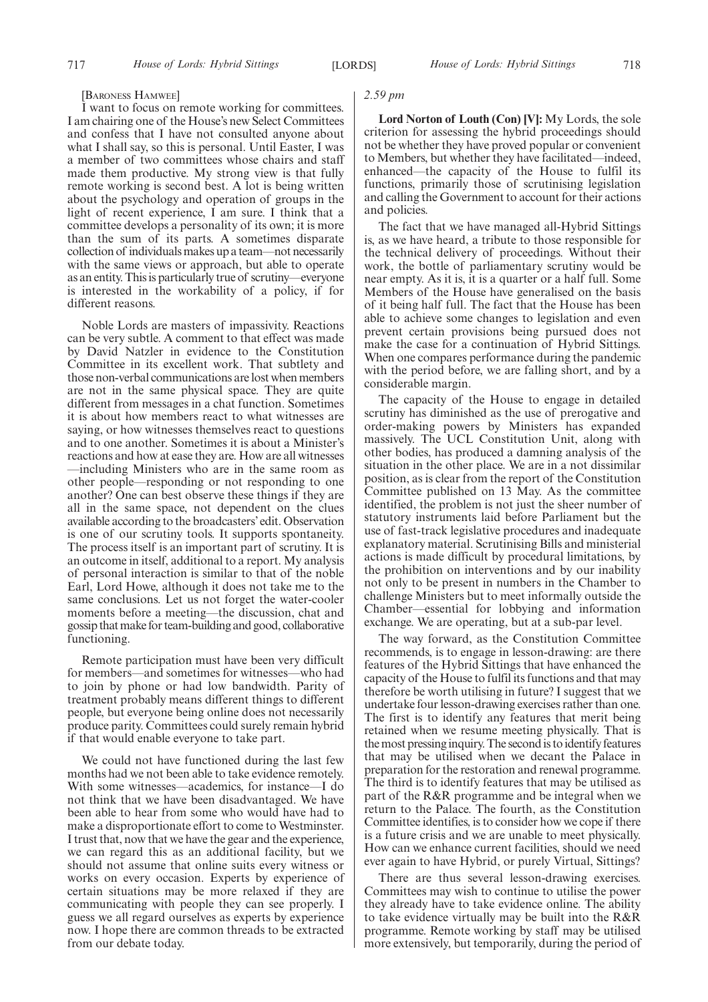#### [BARONESS HAMWEE]

I want to focus on remote working for committees. I am chairing one of the House's new Select Committees and confess that I have not consulted anyone about what I shall say, so this is personal. Until Easter, I was a member of two committees whose chairs and staff made them productive. My strong view is that fully remote working is second best. A lot is being written about the psychology and operation of groups in the light of recent experience, I am sure. I think that a committee develops a personality of its own; it is more than the sum of its parts. A sometimes disparate collection of individuals makes up a team—not necessarily with the same views or approach, but able to operate as an entity. This is particularly true of scrutiny—everyone is interested in the workability of a policy, if for different reasons.

Noble Lords are masters of impassivity. Reactions can be very subtle. A comment to that effect was made by David Natzler in evidence to the Constitution Committee in its excellent work. That subtlety and those non-verbal communications are lost when members are not in the same physical space. They are quite different from messages in a chat function. Sometimes it is about how members react to what witnesses are saying, or how witnesses themselves react to questions and to one another. Sometimes it is about a Minister's reactions and how at ease they are. How are all witnesses —including Ministers who are in the same room as other people—responding or not responding to one another? One can best observe these things if they are all in the same space, not dependent on the clues available according to the broadcasters'edit. Observation is one of our scrutiny tools. It supports spontaneity. The process itself is an important part of scrutiny. It is an outcome in itself, additional to a report. My analysis of personal interaction is similar to that of the noble Earl, Lord Howe, although it does not take me to the same conclusions. Let us not forget the water-cooler moments before a meeting—the discussion, chat and gossip that make for team-building and good, collaborative functioning.

Remote participation must have been very difficult for members—and sometimes for witnesses—who had to join by phone or had low bandwidth. Parity of treatment probably means different things to different people, but everyone being online does not necessarily produce parity. Committees could surely remain hybrid if that would enable everyone to take part.

We could not have functioned during the last few months had we not been able to take evidence remotely. With some witnesses—academics, for instance—I do not think that we have been disadvantaged. We have been able to hear from some who would have had to make a disproportionate effort to come to Westminster. I trust that, now that we have the gear and the experience, we can regard this as an additional facility, but we should not assume that online suits every witness or works on every occasion. Experts by experience of certain situations may be more relaxed if they are communicating with people they can see properly. I guess we all regard ourselves as experts by experience now. I hope there are common threads to be extracted from our debate today.

# *2.59 pm*

**Lord Norton of Louth (Con) [V]:** My Lords, the sole criterion for assessing the hybrid proceedings should not be whether they have proved popular or convenient to Members, but whether they have facilitated—indeed, enhanced—the capacity of the House to fulfil its functions, primarily those of scrutinising legislation and calling the Government to account for their actions and policies.

The fact that we have managed all-Hybrid Sittings is, as we have heard, a tribute to those responsible for the technical delivery of proceedings. Without their work, the bottle of parliamentary scrutiny would be near empty. As it is, it is a quarter or a half full. Some Members of the House have generalised on the basis of it being half full. The fact that the House has been able to achieve some changes to legislation and even prevent certain provisions being pursued does not make the case for a continuation of Hybrid Sittings. When one compares performance during the pandemic with the period before, we are falling short, and by a considerable margin.

The capacity of the House to engage in detailed scrutiny has diminished as the use of prerogative and order-making powers by Ministers has expanded massively. The UCL Constitution Unit, along with other bodies, has produced a damning analysis of the situation in the other place. We are in a not dissimilar position, as is clear from the report of the Constitution Committee published on 13 May. As the committee identified, the problem is not just the sheer number of statutory instruments laid before Parliament but the use of fast-track legislative procedures and inadequate explanatory material. Scrutinising Bills and ministerial actions is made difficult by procedural limitations, by the prohibition on interventions and by our inability not only to be present in numbers in the Chamber to challenge Ministers but to meet informally outside the Chamber—essential for lobbying and information exchange. We are operating, but at a sub-par level.

The way forward, as the Constitution Committee recommends, is to engage in lesson-drawing: are there features of the Hybrid Sittings that have enhanced the capacity of the House to fulfil its functions and that may therefore be worth utilising in future? I suggest that we undertake four lesson-drawing exercises rather than one. The first is to identify any features that merit being retained when we resume meeting physically. That is the most pressing inquiry. The second is to identify features that may be utilised when we decant the Palace in preparation for the restoration and renewal programme. The third is to identify features that may be utilised as part of the R&R programme and be integral when we return to the Palace. The fourth, as the Constitution Committee identifies, is to consider how we cope if there is a future crisis and we are unable to meet physically. How can we enhance current facilities, should we need ever again to have Hybrid, or purely Virtual, Sittings?

There are thus several lesson-drawing exercises. Committees may wish to continue to utilise the power they already have to take evidence online. The ability to take evidence virtually may be built into the R&R programme. Remote working by staff may be utilised more extensively, but temporarily, during the period of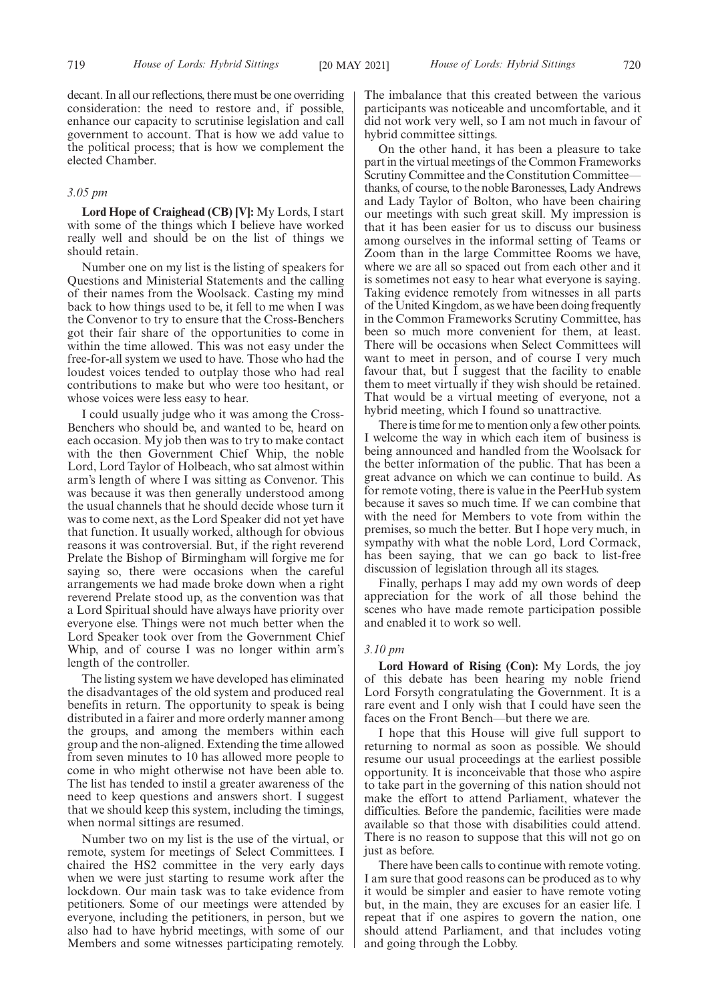decant. In all our reflections, there must be one overriding consideration: the need to restore and, if possible, enhance our capacity to scrutinise legislation and call government to account. That is how we add value to the political process; that is how we complement the elected Chamber.

# *3.05 pm*

**Lord Hope of Craighead (CB) [V]:** My Lords, I start with some of the things which I believe have worked really well and should be on the list of things we should retain.

Number one on my list is the listing of speakers for Questions and Ministerial Statements and the calling of their names from the Woolsack. Casting my mind back to how things used to be, it fell to me when I was the Convenor to try to ensure that the Cross-Benchers got their fair share of the opportunities to come in within the time allowed. This was not easy under the free-for-all system we used to have. Those who had the loudest voices tended to outplay those who had real contributions to make but who were too hesitant, or whose voices were less easy to hear.

I could usually judge who it was among the Cross-Benchers who should be, and wanted to be, heard on each occasion. My job then was to try to make contact with the then Government Chief Whip, the noble Lord, Lord Taylor of Holbeach, who sat almost within arm's length of where I was sitting as Convenor. This was because it was then generally understood among the usual channels that he should decide whose turn it was to come next, as the Lord Speaker did not yet have that function. It usually worked, although for obvious reasons it was controversial. But, if the right reverend Prelate the Bishop of Birmingham will forgive me for saying so, there were occasions when the careful arrangements we had made broke down when a right reverend Prelate stood up, as the convention was that a Lord Spiritual should have always have priority over everyone else. Things were not much better when the Lord Speaker took over from the Government Chief Whip, and of course I was no longer within arm's length of the controller.

The listing system we have developed has eliminated the disadvantages of the old system and produced real benefits in return. The opportunity to speak is being distributed in a fairer and more orderly manner among the groups, and among the members within each group and the non-aligned. Extending the time allowed from seven minutes to 10 has allowed more people to come in who might otherwise not have been able to. The list has tended to instil a greater awareness of the need to keep questions and answers short. I suggest that we should keep this system, including the timings, when normal sittings are resumed.

Number two on my list is the use of the virtual, or remote, system for meetings of Select Committees. I chaired the HS2 committee in the very early days when we were just starting to resume work after the lockdown. Our main task was to take evidence from petitioners. Some of our meetings were attended by everyone, including the petitioners, in person, but we also had to have hybrid meetings, with some of our Members and some witnesses participating remotely. The imbalance that this created between the various participants was noticeable and uncomfortable, and it did not work very well, so I am not much in favour of hybrid committee sittings.

On the other hand, it has been a pleasure to take part in the virtual meetings of the Common Frameworks Scrutiny Committee and the Constitution Committee thanks, of course, to the noble Baronesses, Lady Andrews and Lady Taylor of Bolton, who have been chairing our meetings with such great skill. My impression is that it has been easier for us to discuss our business among ourselves in the informal setting of Teams or Zoom than in the large Committee Rooms we have, where we are all so spaced out from each other and it is sometimes not easy to hear what everyone is saying. Taking evidence remotely from witnesses in all parts of the United Kingdom, as we have been doing frequently in the Common Frameworks Scrutiny Committee, has been so much more convenient for them, at least. There will be occasions when Select Committees will want to meet in person, and of course I very much favour that, but I suggest that the facility to enable them to meet virtually if they wish should be retained. That would be a virtual meeting of everyone, not a hybrid meeting, which I found so unattractive.

There is time for me to mention only a few other points. I welcome the way in which each item of business is being announced and handled from the Woolsack for the better information of the public. That has been a great advance on which we can continue to build. As for remote voting, there is value in the PeerHub system because it saves so much time. If we can combine that with the need for Members to vote from within the premises, so much the better. But I hope very much, in sympathy with what the noble Lord, Lord Cormack, has been saying, that we can go back to list-free discussion of legislation through all its stages.

Finally, perhaps I may add my own words of deep appreciation for the work of all those behind the scenes who have made remote participation possible and enabled it to work so well.

#### *3.10 pm*

**Lord Howard of Rising (Con):** My Lords, the joy of this debate has been hearing my noble friend Lord Forsyth congratulating the Government. It is a rare event and I only wish that I could have seen the faces on the Front Bench—but there we are.

I hope that this House will give full support to returning to normal as soon as possible. We should resume our usual proceedings at the earliest possible opportunity. It is inconceivable that those who aspire to take part in the governing of this nation should not make the effort to attend Parliament, whatever the difficulties. Before the pandemic, facilities were made available so that those with disabilities could attend. There is no reason to suppose that this will not go on just as before.

There have been calls to continue with remote voting. I am sure that good reasons can be produced as to why it would be simpler and easier to have remote voting but, in the main, they are excuses for an easier life. I repeat that if one aspires to govern the nation, one should attend Parliament, and that includes voting and going through the Lobby.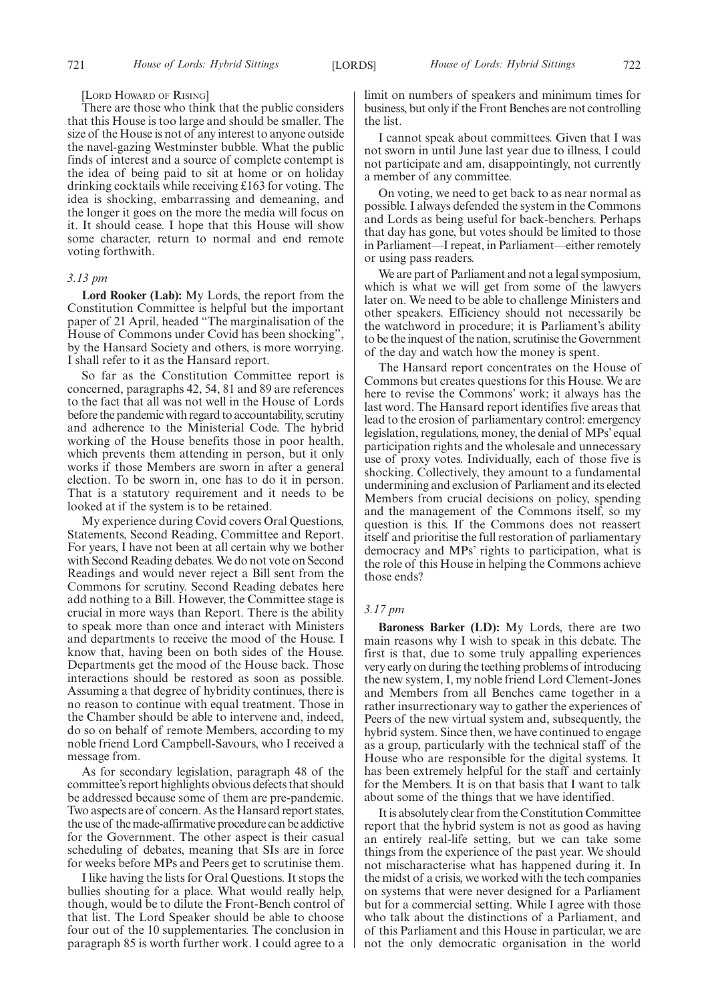#### [LORD HOWARD OF RISING]

There are those who think that the public considers that this House is too large and should be smaller. The size of the House is not of any interest to anyone outside the navel-gazing Westminster bubble. What the public finds of interest and a source of complete contempt is the idea of being paid to sit at home or on holiday drinking cocktails while receiving £163 for voting. The idea is shocking, embarrassing and demeaning, and the longer it goes on the more the media will focus on it. It should cease. I hope that this House will show some character, return to normal and end remote voting forthwith.

## *3.13 pm*

**Lord Rooker (Lab):** My Lords, the report from the Constitution Committee is helpful but the important paper of 21 April, headed "The marginalisation of the House of Commons under Covid has been shocking", by the Hansard Society and others, is more worrying. I shall refer to it as the Hansard report.

So far as the Constitution Committee report is concerned, paragraphs 42, 54, 81 and 89 are references to the fact that all was not well in the House of Lords before the pandemic with regard to accountability, scrutiny and adherence to the Ministerial Code. The hybrid working of the House benefits those in poor health, which prevents them attending in person, but it only works if those Members are sworn in after a general election. To be sworn in, one has to do it in person. That is a statutory requirement and it needs to be looked at if the system is to be retained.

My experience during Covid covers Oral Questions, Statements, Second Reading, Committee and Report. For years, I have not been at all certain why we bother with Second Reading debates. We do not vote on Second Readings and would never reject a Bill sent from the Commons for scrutiny. Second Reading debates here add nothing to a Bill. However, the Committee stage is crucial in more ways than Report. There is the ability to speak more than once and interact with Ministers and departments to receive the mood of the House. I know that, having been on both sides of the House. Departments get the mood of the House back. Those interactions should be restored as soon as possible. Assuming a that degree of hybridity continues, there is no reason to continue with equal treatment. Those in the Chamber should be able to intervene and, indeed, do so on behalf of remote Members, according to my noble friend Lord Campbell-Savours, who I received a message from.

As for secondary legislation, paragraph 48 of the committee's report highlights obvious defects that should be addressed because some of them are pre-pandemic. Two aspects are of concern. As the Hansard report states, the use of the made-affirmative procedure can be addictive for the Government. The other aspect is their casual scheduling of debates, meaning that SIs are in force for weeks before MPs and Peers get to scrutinise them.

I like having the lists for Oral Questions. It stops the bullies shouting for a place. What would really help, though, would be to dilute the Front-Bench control of that list. The Lord Speaker should be able to choose four out of the 10 supplementaries. The conclusion in paragraph 85 is worth further work. I could agree to a limit on numbers of speakers and minimum times for business, but only if the Front Benches are not controlling the list.

I cannot speak about committees. Given that I was not sworn in until June last year due to illness, I could not participate and am, disappointingly, not currently a member of any committee.

On voting, we need to get back to as near normal as possible. I always defended the system in the Commons and Lords as being useful for back-benchers. Perhaps that day has gone, but votes should be limited to those in Parliament—I repeat, in Parliament—either remotely or using pass readers.

We are part of Parliament and not a legal symposium, which is what we will get from some of the lawyers later on. We need to be able to challenge Ministers and other speakers. Efficiency should not necessarily be the watchword in procedure; it is Parliament's ability to be the inquest of the nation, scrutinise the Government of the day and watch how the money is spent.

The Hansard report concentrates on the House of Commons but creates questions for this House. We are here to revise the Commons' work; it always has the last word. The Hansard report identifies five areas that lead to the erosion of parliamentary control: emergency legislation, regulations, money, the denial of MPs' equal participation rights and the wholesale and unnecessary use of proxy votes. Individually, each of those five is shocking. Collectively, they amount to a fundamental undermining and exclusion of Parliament and its elected Members from crucial decisions on policy, spending and the management of the Commons itself, so my question is this. If the Commons does not reassert itself and prioritise the full restoration of parliamentary democracy and MPs' rights to participation, what is the role of this House in helping the Commons achieve those ends?

# *3.17 pm*

**Baroness Barker (LD):** My Lords, there are two main reasons why I wish to speak in this debate. The first is that, due to some truly appalling experiences very early on during the teething problems of introducing the new system, I, my noble friend Lord Clement-Jones and Members from all Benches came together in a rather insurrectionary way to gather the experiences of Peers of the new virtual system and, subsequently, the hybrid system. Since then, we have continued to engage as a group, particularly with the technical staff of the House who are responsible for the digital systems. It has been extremely helpful for the staff and certainly for the Members. It is on that basis that I want to talk about some of the things that we have identified.

It is absolutely clear from the Constitution Committee report that the hybrid system is not as good as having an entirely real-life setting, but we can take some things from the experience of the past year. We should not mischaracterise what has happened during it. In the midst of a crisis, we worked with the tech companies on systems that were never designed for a Parliament but for a commercial setting. While I agree with those who talk about the distinctions of a Parliament, and of this Parliament and this House in particular, we are not the only democratic organisation in the world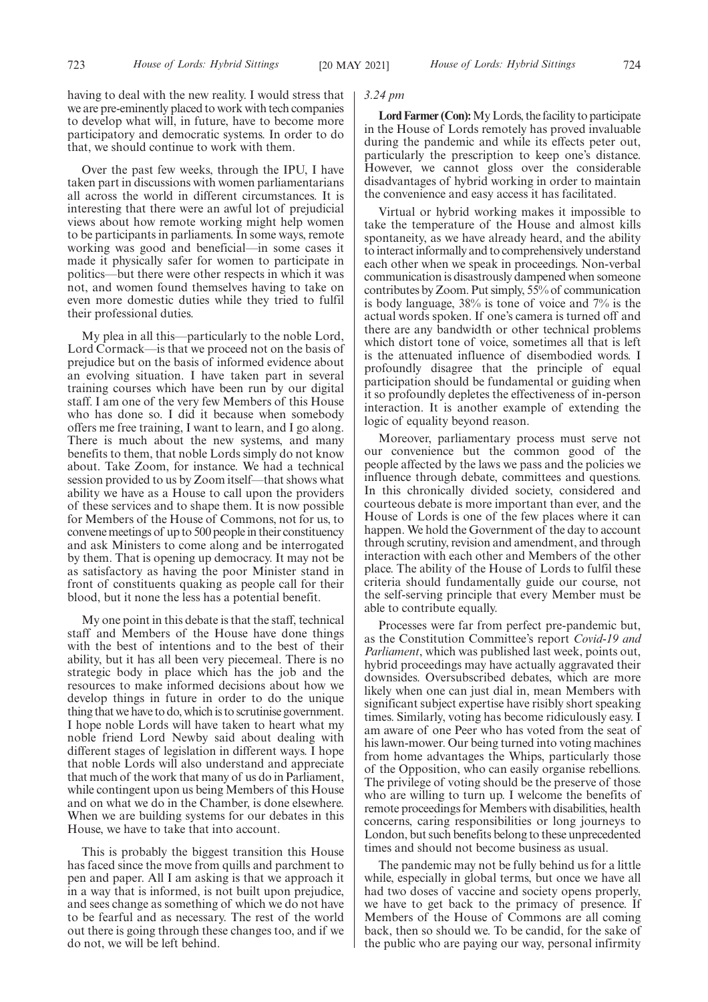having to deal with the new reality. I would stress that we are pre-eminently placed to work with tech companies to develop what will, in future, have to become more participatory and democratic systems. In order to do that, we should continue to work with them.

Over the past few weeks, through the IPU, I have taken part in discussions with women parliamentarians all across the world in different circumstances. It is interesting that there were an awful lot of prejudicial views about how remote working might help women to be participants in parliaments. In some ways, remote working was good and beneficial—in some cases it made it physically safer for women to participate in politics—but there were other respects in which it was not, and women found themselves having to take on even more domestic duties while they tried to fulfil their professional duties.

My plea in all this—particularly to the noble Lord, Lord Cormack—is that we proceed not on the basis of prejudice but on the basis of informed evidence about an evolving situation. I have taken part in several training courses which have been run by our digital staff. I am one of the very few Members of this House who has done so. I did it because when somebody offers me free training, I want to learn, and I go along. There is much about the new systems, and many benefits to them, that noble Lords simply do not know about. Take Zoom, for instance. We had a technical session provided to us by Zoom itself—that shows what ability we have as a House to call upon the providers of these services and to shape them. It is now possible for Members of the House of Commons, not for us, to convene meetings of up to 500 people in their constituency and ask Ministers to come along and be interrogated by them. That is opening up democracy. It may not be as satisfactory as having the poor Minister stand in front of constituents quaking as people call for their blood, but it none the less has a potential benefit.

My one point in this debate is that the staff, technical staff and Members of the House have done things with the best of intentions and to the best of their ability, but it has all been very piecemeal. There is no strategic body in place which has the job and the resources to make informed decisions about how we develop things in future in order to do the unique thing that we have to do, which is to scrutinise government. I hope noble Lords will have taken to heart what my noble friend Lord Newby said about dealing with different stages of legislation in different ways. I hope that noble Lords will also understand and appreciate that much of the work that many of us do in Parliament, while contingent upon us being Members of this House and on what we do in the Chamber, is done elsewhere. When we are building systems for our debates in this House, we have to take that into account.

This is probably the biggest transition this House has faced since the move from quills and parchment to pen and paper. All I am asking is that we approach it in a way that is informed, is not built upon prejudice, and sees change as something of which we do not have to be fearful and as necessary. The rest of the world out there is going through these changes too, and if we do not, we will be left behind.

#### *3.24 pm*

**Lord Farmer (Con):**My Lords, the facility to participate in the House of Lords remotely has proved invaluable during the pandemic and while its effects peter out, particularly the prescription to keep one's distance. However, we cannot gloss over the considerable disadvantages of hybrid working in order to maintain the convenience and easy access it has facilitated.

Virtual or hybrid working makes it impossible to take the temperature of the House and almost kills spontaneity, as we have already heard, and the ability to interact informally and to comprehensively understand each other when we speak in proceedings. Non-verbal communication is disastrously dampened when someone contributes by Zoom. Put simply, 55% of communication is body language, 38% is tone of voice and 7% is the actual words spoken. If one's camera is turned off and there are any bandwidth or other technical problems which distort tone of voice, sometimes all that is left is the attenuated influence of disembodied words. I profoundly disagree that the principle of equal participation should be fundamental or guiding when it so profoundly depletes the effectiveness of in-person interaction. It is another example of extending the logic of equality beyond reason.

Moreover, parliamentary process must serve not our convenience but the common good of the people affected by the laws we pass and the policies we influence through debate, committees and questions. In this chronically divided society, considered and courteous debate is more important than ever, and the House of Lords is one of the few places where it can happen. We hold the Government of the day to account through scrutiny, revision and amendment, and through interaction with each other and Members of the other place. The ability of the House of Lords to fulfil these criteria should fundamentally guide our course, not the self-serving principle that every Member must be able to contribute equally.

Processes were far from perfect pre-pandemic but, as the Constitution Committee's report *Covid-19 and Parliament*, which was published last week, points out, hybrid proceedings may have actually aggravated their downsides. Oversubscribed debates, which are more likely when one can just dial in, mean Members with significant subject expertise have risibly short speaking times. Similarly, voting has become ridiculously easy. I am aware of one Peer who has voted from the seat of his lawn-mower. Our being turned into voting machines from home advantages the Whips, particularly those of the Opposition, who can easily organise rebellions. The privilege of voting should be the preserve of those who are willing to turn up. I welcome the benefits of remote proceedings for Members with disabilities, health concerns, caring responsibilities or long journeys to London, but such benefits belong to these unprecedented times and should not become business as usual.

The pandemic may not be fully behind us for a little while, especially in global terms, but once we have all had two doses of vaccine and society opens properly, we have to get back to the primacy of presence. If Members of the House of Commons are all coming back, then so should we. To be candid, for the sake of the public who are paying our way, personal infirmity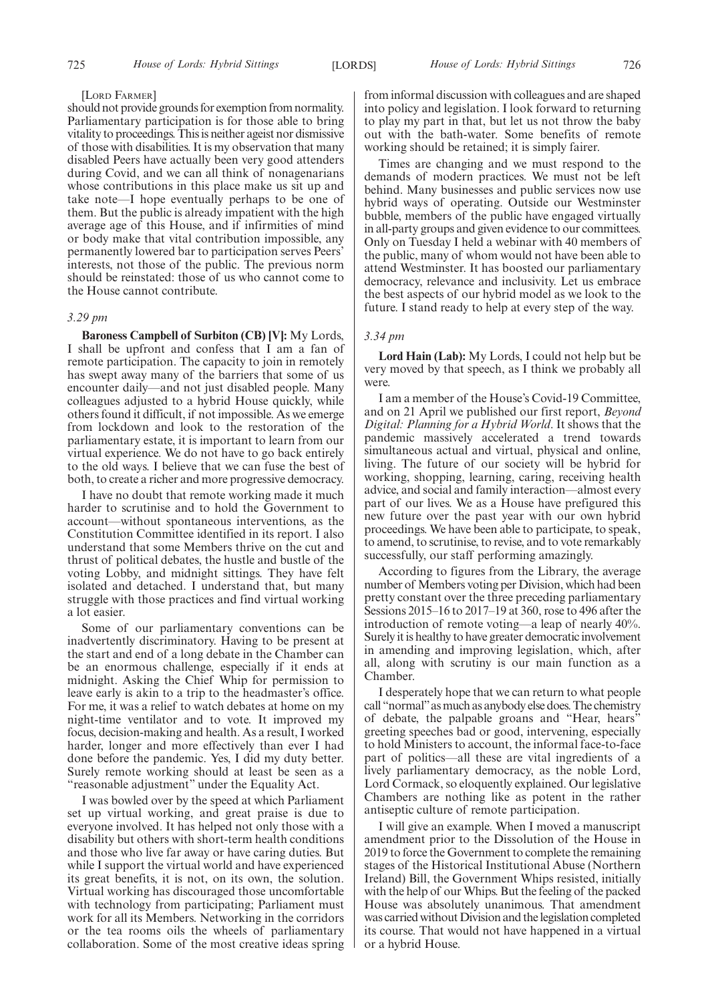#### [LORD FARMER]

should not provide grounds for exemption from normality. Parliamentary participation is for those able to bring vitality to proceedings. This is neither ageist nor dismissive of those with disabilities. It is my observation that many disabled Peers have actually been very good attenders during Covid, and we can all think of nonagenarians whose contributions in this place make us sit up and take note—I hope eventually perhaps to be one of them. But the public is already impatient with the high average age of this House, and if infirmities of mind or body make that vital contribution impossible, any permanently lowered bar to participation serves Peers' interests, not those of the public. The previous norm should be reinstated: those of us who cannot come to the House cannot contribute.

# *3.29 pm*

**Baroness Campbell of Surbiton (CB) [V]:** My Lords, I shall be upfront and confess that I am a fan of remote participation. The capacity to join in remotely has swept away many of the barriers that some of us encounter daily—and not just disabled people. Many colleagues adjusted to a hybrid House quickly, while others found it difficult, if not impossible. As we emerge from lockdown and look to the restoration of the parliamentary estate, it is important to learn from our virtual experience. We do not have to go back entirely to the old ways. I believe that we can fuse the best of both, to create a richer and more progressive democracy.

I have no doubt that remote working made it much harder to scrutinise and to hold the Government to account—without spontaneous interventions, as the Constitution Committee identified in its report. I also understand that some Members thrive on the cut and thrust of political debates, the hustle and bustle of the voting Lobby, and midnight sittings. They have felt isolated and detached. I understand that, but many struggle with those practices and find virtual working a lot easier.

Some of our parliamentary conventions can be inadvertently discriminatory. Having to be present at the start and end of a long debate in the Chamber can be an enormous challenge, especially if it ends at midnight. Asking the Chief Whip for permission to leave early is akin to a trip to the headmaster's office. For me, it was a relief to watch debates at home on my night-time ventilator and to vote. It improved my focus, decision-making and health. As a result, I worked harder, longer and more effectively than ever I had done before the pandemic. Yes, I did my duty better. Surely remote working should at least be seen as a "reasonable adjustment" under the Equality Act.

I was bowled over by the speed at which Parliament set up virtual working, and great praise is due to everyone involved. It has helped not only those with a disability but others with short-term health conditions and those who live far away or have caring duties. But while I support the virtual world and have experienced its great benefits, it is not, on its own, the solution. Virtual working has discouraged those uncomfortable with technology from participating; Parliament must work for all its Members. Networking in the corridors or the tea rooms oils the wheels of parliamentary collaboration. Some of the most creative ideas spring from informal discussion with colleagues and are shaped into policy and legislation. I look forward to returning to play my part in that, but let us not throw the baby out with the bath-water. Some benefits of remote working should be retained; it is simply fairer.

Times are changing and we must respond to the demands of modern practices. We must not be left behind. Many businesses and public services now use hybrid ways of operating. Outside our Westminster bubble, members of the public have engaged virtually in all-party groups and given evidence to our committees. Only on Tuesday I held a webinar with 40 members of the public, many of whom would not have been able to attend Westminster. It has boosted our parliamentary democracy, relevance and inclusivity. Let us embrace the best aspects of our hybrid model as we look to the future. I stand ready to help at every step of the way.

# *3.34 pm*

**Lord Hain (Lab):** My Lords, I could not help but be very moved by that speech, as I think we probably all were.

I am a member of the House's Covid-19 Committee, and on 21 April we published our first report, *Beyond Digital: Planning for a Hybrid World*. It shows that the pandemic massively accelerated a trend towards simultaneous actual and virtual, physical and online, living. The future of our society will be hybrid for working, shopping, learning, caring, receiving health advice, and social and family interaction—almost every part of our lives. We as a House have prefigured this new future over the past year with our own hybrid proceedings. We have been able to participate, to speak, to amend, to scrutinise, to revise, and to vote remarkably successfully, our staff performing amazingly.

According to figures from the Library, the average number of Members voting per Division, which had been pretty constant over the three preceding parliamentary Sessions 2015–16 to 2017–19 at 360, rose to 496 after the introduction of remote voting—a leap of nearly 40%. Surely it is healthy to have greater democratic involvement in amending and improving legislation, which, after all, along with scrutiny is our main function as a Chamber.

I desperately hope that we can return to what people call "normal"as much as anybody else does. The chemistry of debate, the palpable groans and "Hear, hears" greeting speeches bad or good, intervening, especially to hold Ministers to account, the informal face-to-face part of politics—all these are vital ingredients of a lively parliamentary democracy, as the noble Lord, Lord Cormack, so eloquently explained. Our legislative Chambers are nothing like as potent in the rather antiseptic culture of remote participation.

I will give an example. When I moved a manuscript amendment prior to the Dissolution of the House in 2019 to force the Government to complete the remaining stages of the Historical Institutional Abuse (Northern Ireland) Bill, the Government Whips resisted, initially with the help of our Whips. But the feeling of the packed House was absolutely unanimous. That amendment was carried without Division and the legislation completed its course. That would not have happened in a virtual or a hybrid House.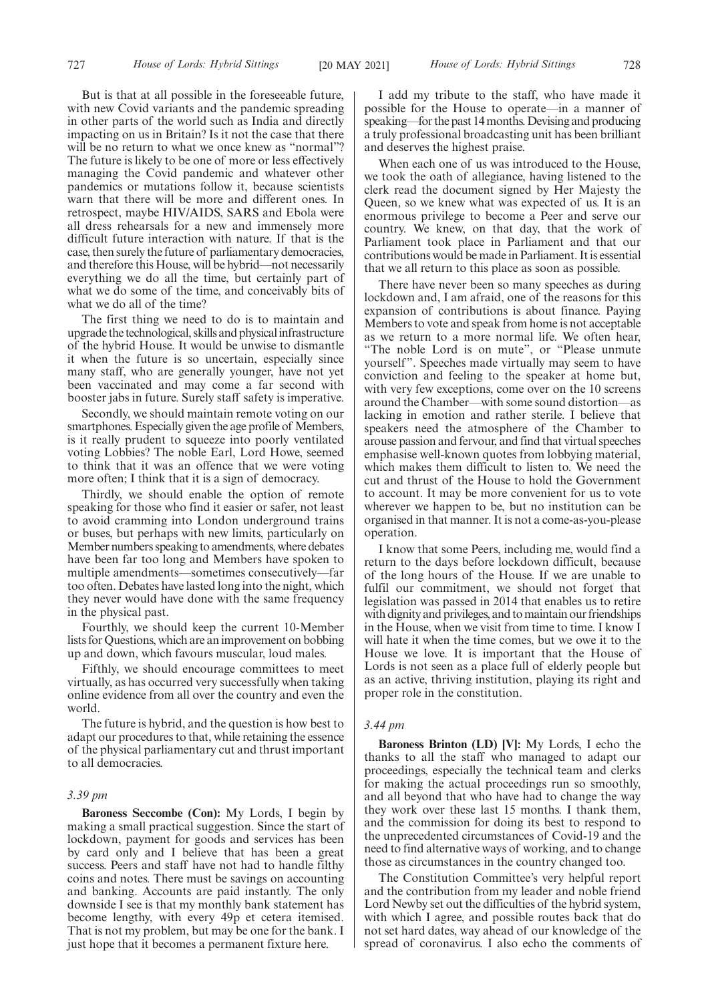But is that at all possible in the foreseeable future, with new Covid variants and the pandemic spreading in other parts of the world such as India and directly impacting on us in Britain? Is it not the case that there will be no return to what we once knew as "normal"? The future is likely to be one of more or less effectively managing the Covid pandemic and whatever other pandemics or mutations follow it, because scientists warn that there will be more and different ones. In retrospect, maybe HIV/AIDS, SARS and Ebola were all dress rehearsals for a new and immensely more difficult future interaction with nature. If that is the case, then surely the future of parliamentary democracies, and therefore this House, will be hybrid—not necessarily everything we do all the time, but certainly part of what we do some of the time, and conceivably bits of what we do all of the time?

The first thing we need to do is to maintain and upgrade the technological, skills and physical infrastructure of the hybrid House. It would be unwise to dismantle it when the future is so uncertain, especially since many staff, who are generally younger, have not yet been vaccinated and may come a far second with booster jabs in future. Surely staff safety is imperative.

Secondly, we should maintain remote voting on our smartphones. Especially given the age profile of Members, is it really prudent to squeeze into poorly ventilated voting Lobbies? The noble Earl, Lord Howe, seemed to think that it was an offence that we were voting more often; I think that it is a sign of democracy.

Thirdly, we should enable the option of remote speaking for those who find it easier or safer, not least to avoid cramming into London underground trains or buses, but perhaps with new limits, particularly on Member numbers speaking to amendments, where debates have been far too long and Members have spoken to multiple amendments—sometimes consecutively—far too often. Debates have lasted long into the night, which they never would have done with the same frequency in the physical past.

Fourthly, we should keep the current 10-Member lists for Questions, which are an improvement on bobbing up and down, which favours muscular, loud males.

Fifthly, we should encourage committees to meet virtually, as has occurred very successfully when taking online evidence from all over the country and even the world.

The future is hybrid, and the question is how best to adapt our procedures to that, while retaining the essence of the physical parliamentary cut and thrust important to all democracies.

#### *3.39 pm*

**Baroness Seccombe (Con):** My Lords, I begin by making a small practical suggestion. Since the start of lockdown, payment for goods and services has been by card only and I believe that has been a great success. Peers and staff have not had to handle filthy coins and notes. There must be savings on accounting and banking. Accounts are paid instantly. The only downside I see is that my monthly bank statement has become lengthy, with every 49p et cetera itemised. That is not my problem, but may be one for the bank. I just hope that it becomes a permanent fixture here.

I add my tribute to the staff, who have made it possible for the House to operate—in a manner of speaking—for the past 14 months. Devising and producing a truly professional broadcasting unit has been brilliant and deserves the highest praise.

When each one of us was introduced to the House, we took the oath of allegiance, having listened to the clerk read the document signed by Her Majesty the Queen, so we knew what was expected of us. It is an enormous privilege to become a Peer and serve our country. We knew, on that day, that the work of Parliament took place in Parliament and that our contributions would be made in Parliament. It is essential that we all return to this place as soon as possible.

There have never been so many speeches as during lockdown and, I am afraid, one of the reasons for this expansion of contributions is about finance. Paying Members to vote and speak from home is not acceptable as we return to a more normal life. We often hear, "The noble Lord is on mute", or "Please unmute yourself". Speeches made virtually may seem to have conviction and feeling to the speaker at home but, with very few exceptions, come over on the 10 screens around the Chamber—with some sound distortion—as lacking in emotion and rather sterile. I believe that speakers need the atmosphere of the Chamber to arouse passion and fervour, and find that virtual speeches emphasise well-known quotes from lobbying material, which makes them difficult to listen to. We need the cut and thrust of the House to hold the Government to account. It may be more convenient for us to vote wherever we happen to be, but no institution can be organised in that manner. It is not a come-as-you-please operation.

I know that some Peers, including me, would find a return to the days before lockdown difficult, because of the long hours of the House. If we are unable to fulfil our commitment, we should not forget that legislation was passed in 2014 that enables us to retire with dignity and privileges, and to maintain our friendships in the House, when we visit from time to time. I know I will hate it when the time comes, but we owe it to the House we love. It is important that the House of Lords is not seen as a place full of elderly people but as an active, thriving institution, playing its right and proper role in the constitution.

#### *3.44 pm*

**Baroness Brinton (LD) [V]:** My Lords, I echo the thanks to all the staff who managed to adapt our proceedings, especially the technical team and clerks for making the actual proceedings run so smoothly, and all beyond that who have had to change the way they work over these last 15 months. I thank them, and the commission for doing its best to respond to the unprecedented circumstances of Covid-19 and the need to find alternative ways of working, and to change those as circumstances in the country changed too.

The Constitution Committee's very helpful report and the contribution from my leader and noble friend Lord Newby set out the difficulties of the hybrid system, with which I agree, and possible routes back that do not set hard dates, way ahead of our knowledge of the spread of coronavirus. I also echo the comments of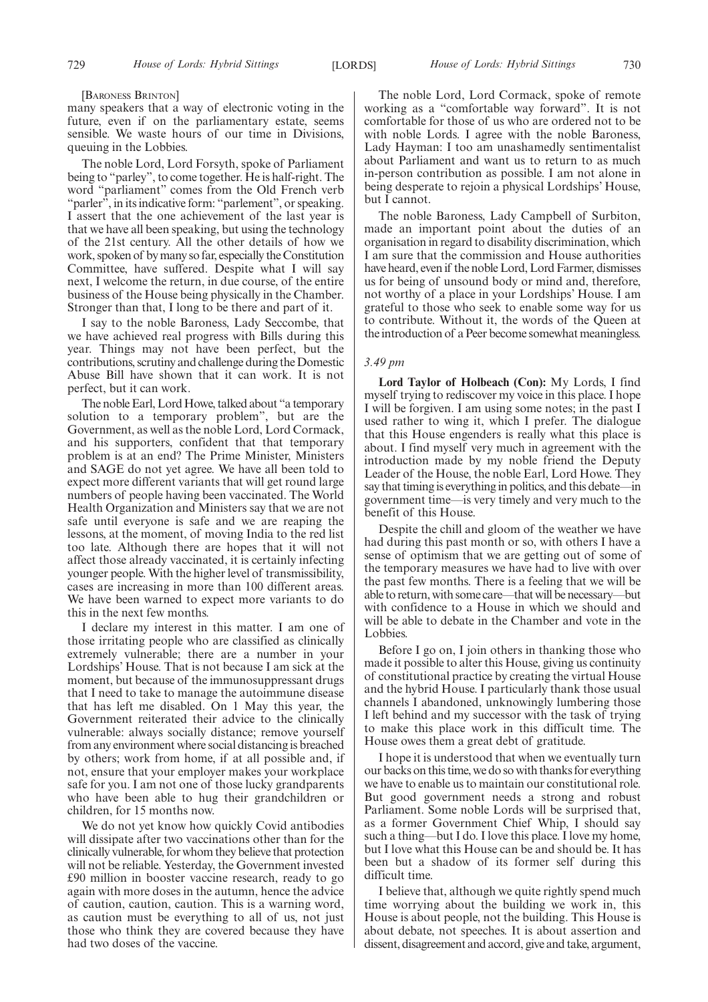#### [BARONESS BRINTON]

many speakers that a way of electronic voting in the future, even if on the parliamentary estate, seems sensible. We waste hours of our time in Divisions, queuing in the Lobbies.

The noble Lord, Lord Forsyth, spoke of Parliament being to "parley", to come together. He is half-right. The word "parliament" comes from the Old French verb "parler", in its indicative form: "parlement", or speaking. I assert that the one achievement of the last year is that we have all been speaking, but using the technology of the 21st century. All the other details of how we work, spoken of by many so far, especially the Constitution Committee, have suffered. Despite what I will say next, I welcome the return, in due course, of the entire business of the House being physically in the Chamber. Stronger than that, I long to be there and part of it.

I say to the noble Baroness, Lady Seccombe, that we have achieved real progress with Bills during this year. Things may not have been perfect, but the contributions, scrutiny and challenge during the Domestic Abuse Bill have shown that it can work. It is not perfect, but it can work.

The noble Earl, Lord Howe, talked about "a temporary solution to a temporary problem", but are the Government, as well as the noble Lord, Lord Cormack, and his supporters, confident that that temporary problem is at an end? The Prime Minister, Ministers and SAGE do not yet agree. We have all been told to expect more different variants that will get round large numbers of people having been vaccinated. The World Health Organization and Ministers say that we are not safe until everyone is safe and we are reaping the lessons, at the moment, of moving India to the red list too late. Although there are hopes that it will not affect those already vaccinated, it is certainly infecting younger people. With the higher level of transmissibility, cases are increasing in more than 100 different areas. We have been warned to expect more variants to do this in the next few months.

I declare my interest in this matter. I am one of those irritating people who are classified as clinically extremely vulnerable; there are a number in your Lordships' House. That is not because I am sick at the moment, but because of the immunosuppressant drugs that I need to take to manage the autoimmune disease that has left me disabled. On 1 May this year, the Government reiterated their advice to the clinically vulnerable: always socially distance; remove yourself from any environment where social distancing is breached by others; work from home, if at all possible and, if not, ensure that your employer makes your workplace safe for you. I am not one of those lucky grandparents who have been able to hug their grandchildren or children, for 15 months now.

We do not yet know how quickly Covid antibodies will dissipate after two vaccinations other than for the clinically vulnerable, for whom they believe that protection will not be reliable. Yesterday, the Government invested £90 million in booster vaccine research, ready to go again with more doses in the autumn, hence the advice of caution, caution, caution. This is a warning word, as caution must be everything to all of us, not just those who think they are covered because they have had two doses of the vaccine.

The noble Lord, Lord Cormack, spoke of remote working as a "comfortable way forward". It is not comfortable for those of us who are ordered not to be with noble Lords. I agree with the noble Baroness, Lady Hayman: I too am unashamedly sentimentalist about Parliament and want us to return to as much in-person contribution as possible. I am not alone in being desperate to rejoin a physical Lordships' House, but I cannot.

The noble Baroness, Lady Campbell of Surbiton, made an important point about the duties of an organisation in regard to disability discrimination, which I am sure that the commission and House authorities have heard, even if the noble Lord, Lord Farmer, dismisses us for being of unsound body or mind and, therefore, not worthy of a place in your Lordships' House. I am grateful to those who seek to enable some way for us to contribute. Without it, the words of the Queen at the introduction of a Peer become somewhat meaningless.

#### *3.49 pm*

**Lord Taylor of Holbeach (Con):** My Lords, I find myself trying to rediscover my voice in this place. I hope I will be forgiven. I am using some notes; in the past I used rather to wing it, which I prefer. The dialogue that this House engenders is really what this place is about. I find myself very much in agreement with the introduction made by my noble friend the Deputy Leader of the House, the noble Earl, Lord Howe. They say that timing is everything in politics, and this debate—in government time—is very timely and very much to the benefit of this House.

Despite the chill and gloom of the weather we have had during this past month or so, with others I have a sense of optimism that we are getting out of some of the temporary measures we have had to live with over the past few months. There is a feeling that we will be able to return, with some care—that will be necessary—but with confidence to a House in which we should and will be able to debate in the Chamber and vote in the Lobbies.

Before I go on, I join others in thanking those who made it possible to alter this House, giving us continuity of constitutional practice by creating the virtual House and the hybrid House. I particularly thank those usual channels I abandoned, unknowingly lumbering those I left behind and my successor with the task of trying to make this place work in this difficult time. The House owes them a great debt of gratitude.

I hope it is understood that when we eventually turn our backs on this time, we do so with thanks for everything we have to enable us to maintain our constitutional role. But good government needs a strong and robust Parliament. Some noble Lords will be surprised that, as a former Government Chief Whip, I should say such a thing—but I do. I love this place. I love my home, but I love what this House can be and should be. It has been but a shadow of its former self during this difficult time.

I believe that, although we quite rightly spend much time worrying about the building we work in, this House is about people, not the building. This House is about debate, not speeches. It is about assertion and dissent, disagreement and accord, give and take, argument,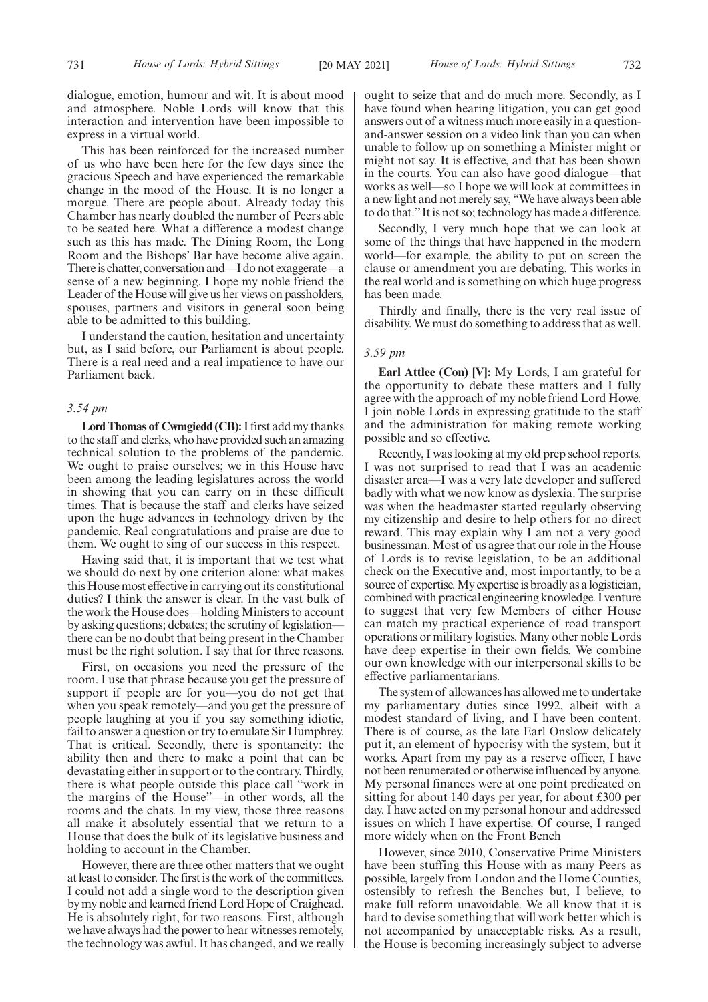dialogue, emotion, humour and wit. It is about mood and atmosphere. Noble Lords will know that this interaction and intervention have been impossible to express in a virtual world.

This has been reinforced for the increased number of us who have been here for the few days since the gracious Speech and have experienced the remarkable change in the mood of the House. It is no longer a morgue. There are people about. Already today this Chamber has nearly doubled the number of Peers able to be seated here. What a difference a modest change such as this has made. The Dining Room, the Long Room and the Bishops' Bar have become alive again. There is chatter, conversation and—I do not exaggerate—a sense of a new beginning. I hope my noble friend the Leader of the House will give us her views on passholders, spouses, partners and visitors in general soon being able to be admitted to this building.

I understand the caution, hesitation and uncertainty but, as I said before, our Parliament is about people. There is a real need and a real impatience to have our Parliament back.

# *3.54 pm*

**Lord Thomas of Cwmgiedd (CB):**I first add my thanks to the staff and clerks, who have provided such an amazing technical solution to the problems of the pandemic. We ought to praise ourselves; we in this House have been among the leading legislatures across the world in showing that you can carry on in these difficult times. That is because the staff and clerks have seized upon the huge advances in technology driven by the pandemic. Real congratulations and praise are due to them. We ought to sing of our success in this respect.

Having said that, it is important that we test what we should do next by one criterion alone: what makes this House most effective in carrying out its constitutional duties? I think the answer is clear. In the vast bulk of the work the House does—holding Ministers to account by asking questions; debates; the scrutiny of legislation there can be no doubt that being present in the Chamber must be the right solution. I say that for three reasons.

First, on occasions you need the pressure of the room. I use that phrase because you get the pressure of support if people are for you—you do not get that when you speak remotely—and you get the pressure of people laughing at you if you say something idiotic, fail to answer a question or try to emulate Sir Humphrey. That is critical. Secondly, there is spontaneity: the ability then and there to make a point that can be devastating either in support or to the contrary. Thirdly, there is what people outside this place call "work in the margins of the House"—in other words, all the rooms and the chats. In my view, those three reasons all make it absolutely essential that we return to a House that does the bulk of its legislative business and holding to account in the Chamber.

However, there are three other matters that we ought at least to consider. The first is the work of the committees. I could not add a single word to the description given by my noble and learned friend Lord Hope of Craighead. He is absolutely right, for two reasons. First, although we have always had the power to hear witnesses remotely, the technology was awful. It has changed, and we really ought to seize that and do much more. Secondly, as I have found when hearing litigation, you can get good answers out of a witness much more easily in a questionand-answer session on a video link than you can when unable to follow up on something a Minister might or might not say. It is effective, and that has been shown in the courts. You can also have good dialogue—that works as well—so I hope we will look at committees in a new light and not merely say, "We have always been able to do that."It is not so; technology has made a difference.

Secondly, I very much hope that we can look at some of the things that have happened in the modern world—for example, the ability to put on screen the clause or amendment you are debating. This works in the real world and is something on which huge progress has been made.

Thirdly and finally, there is the very real issue of disability. We must do something to address that as well.

#### *3.59 pm*

**Earl Attlee (Con) [V]:** My Lords, I am grateful for the opportunity to debate these matters and I fully agree with the approach of my noble friend Lord Howe. I join noble Lords in expressing gratitude to the staff and the administration for making remote working possible and so effective.

Recently, I was looking at my old prep school reports. I was not surprised to read that I was an academic disaster area—I was a very late developer and suffered badly with what we now know as dyslexia. The surprise was when the headmaster started regularly observing my citizenship and desire to help others for no direct reward. This may explain why I am not a very good businessman. Most of us agree that our role in the House of Lords is to revise legislation, to be an additional check on the Executive and, most importantly, to be a source of expertise. My expertise is broadly as a logistician, combined with practical engineering knowledge. I venture to suggest that very few Members of either House can match my practical experience of road transport operations or military logistics. Many other noble Lords have deep expertise in their own fields. We combine our own knowledge with our interpersonal skills to be effective parliamentarians.

The system of allowances has allowed me to undertake my parliamentary duties since 1992, albeit with a modest standard of living, and I have been content. There is of course, as the late Earl Onslow delicately put it, an element of hypocrisy with the system, but it works. Apart from my pay as a reserve officer, I have not been renumerated or otherwise influenced by anyone. My personal finances were at one point predicated on sitting for about 140 days per year, for about £300 per day. I have acted on my personal honour and addressed issues on which I have expertise. Of course, I ranged more widely when on the Front Bench

However, since 2010, Conservative Prime Ministers have been stuffing this House with as many Peers as possible, largely from London and the Home Counties, ostensibly to refresh the Benches but, I believe, to make full reform unavoidable. We all know that it is hard to devise something that will work better which is not accompanied by unacceptable risks. As a result, the House is becoming increasingly subject to adverse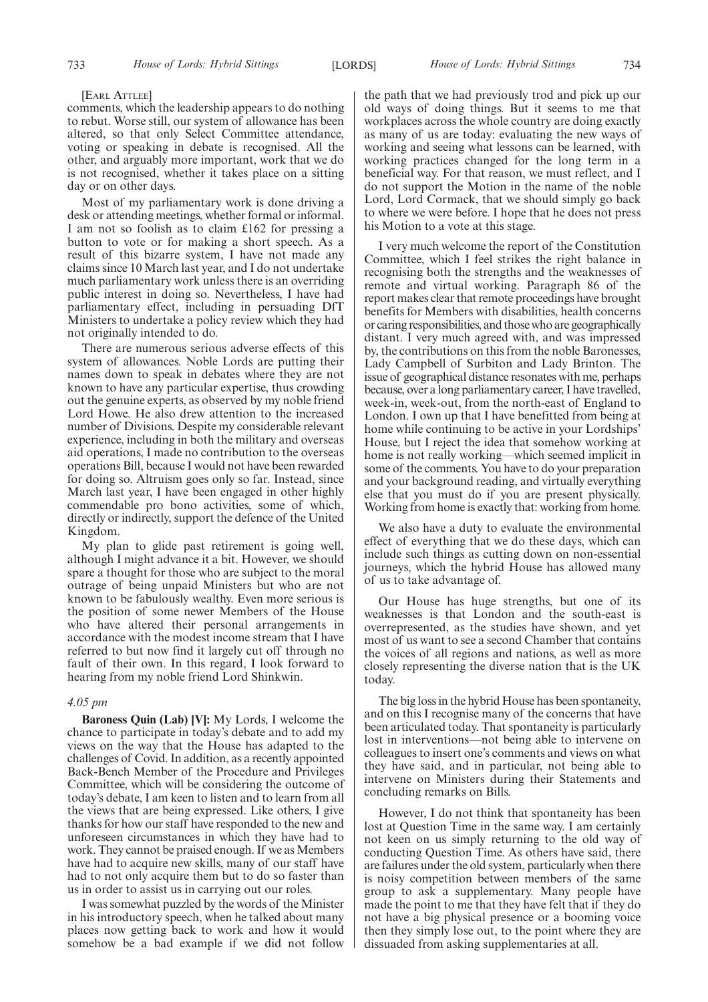#### [EARL ATTLEE]

comments, which the leadership appears to do nothing to rebut. Worse still, our system of allowance has been altered, so that only Select Committee attendance, voting or speaking in debate is recognised. All the other, and arguably more important, work that we do is not recognised, whether it takes place on a sitting day or on other days.

Most of my parliamentary work is done driving a desk or attending meetings, whether formal or informal. I am not so foolish as to claim £162 for pressing a button to vote or for making a short speech. As a result of this bizarre system, I have not made any claims since 10 March last year, and I do not undertake much parliamentary work unless there is an overriding public interest in doing so. Nevertheless, I have had parliamentary effect, including in persuading DfT Ministers to undertake a policy review which they had not originally intended to do.

There are numerous serious adverse effects of this system of allowances. Noble Lords are putting their names down to speak in debates where they are not known to have any particular expertise, thus crowding out the genuine experts, as observed by my noble friend Lord Howe. He also drew attention to the increased number of Divisions. Despite my considerable relevant experience, including in both the military and overseas aid operations, I made no contribution to the overseas operations Bill, because I would not have been rewarded for doing so. Altruism goes only so far. Instead, since March last year, I have been engaged in other highly commendable pro bono activities, some of which, directly or indirectly, support the defence of the United Kingdom.

My plan to glide past retirement is going well, although I might advance it a bit. However, we should spare a thought for those who are subject to the moral outrage of being unpaid Ministers but who are not known to be fabulously wealthy. Even more serious is the position of some newer Members of the House who have altered their personal arrangements in accordance with the modest income stream that I have referred to but now find it largely cut off through no fault of their own. In this regard, I look forward to hearing from my noble friend Lord Shinkwin.

# *4.05 pm*

**Baroness Quin (Lab) [V]:** My Lords, I welcome the chance to participate in today's debate and to add my views on the way that the House has adapted to the challenges of Covid. In addition, as a recently appointed Back-Bench Member of the Procedure and Privileges Committee, which will be considering the outcome of today's debate, I am keen to listen and to learn from all the views that are being expressed. Like others, I give thanks for how our staff have responded to the new and unforeseen circumstances in which they have had to work. They cannot be praised enough. If we as Members have had to acquire new skills, many of our staff have had to not only acquire them but to do so faster than us in order to assist us in carrying out our roles.

I was somewhat puzzled by the words of the Minister in his introductory speech, when he talked about many places now getting back to work and how it would somehow be a bad example if we did not follow

the path that we had previously trod and pick up our old ways of doing things. But it seems to me that workplaces across the whole country are doing exactly as many of us are today: evaluating the new ways of working and seeing what lessons can be learned, with working practices changed for the long term in a beneficial way. For that reason, we must reflect, and I do not support the Motion in the name of the noble Lord, Lord Cormack, that we should simply go back to where we were before. I hope that he does not press his Motion to a vote at this stage.

I very much welcome the report of the Constitution Committee, which I feel strikes the right balance in recognising both the strengths and the weaknesses of remote and virtual working. Paragraph 86 of the report makes clear that remote proceedings have brought benefits for Members with disabilities, health concerns or caring responsibilities, and those who are geographically distant. I very much agreed with, and was impressed by, the contributions on this from the noble Baronesses, Lady Campbell of Surbiton and Lady Brinton. The issue of geographical distance resonates with me, perhaps because, over a long parliamentary career, I have travelled, week-in, week-out, from the north-east of England to London. I own up that I have benefitted from being at home while continuing to be active in your Lordships' House, but I reject the idea that somehow working at home is not really working—which seemed implicit in some of the comments. You have to do your preparation and your background reading, and virtually everything else that you must do if you are present physically. Working from home is exactly that: working from home.

We also have a duty to evaluate the environmental effect of everything that we do these days, which can include such things as cutting down on non-essential journeys, which the hybrid House has allowed many of us to take advantage of.

Our House has huge strengths, but one of its weaknesses is that London and the south-east is overrepresented, as the studies have shown, and yet most of us want to see a second Chamber that contains the voices of all regions and nations, as well as more closely representing the diverse nation that is the UK today.

The big loss in the hybrid House has been spontaneity, and on this I recognise many of the concerns that have been articulated today. That spontaneity is particularly lost in interventions—not being able to intervene on colleagues to insert one's comments and views on what they have said, and in particular, not being able to intervene on Ministers during their Statements and concluding remarks on Bills.

However, I do not think that spontaneity has been lost at Question Time in the same way. I am certainly not keen on us simply returning to the old way of conducting Question Time. As others have said, there are failures under the old system, particularly when there is noisy competition between members of the same group to ask a supplementary. Many people have made the point to me that they have felt that if they do not have a big physical presence or a booming voice then they simply lose out, to the point where they are dissuaded from asking supplementaries at all.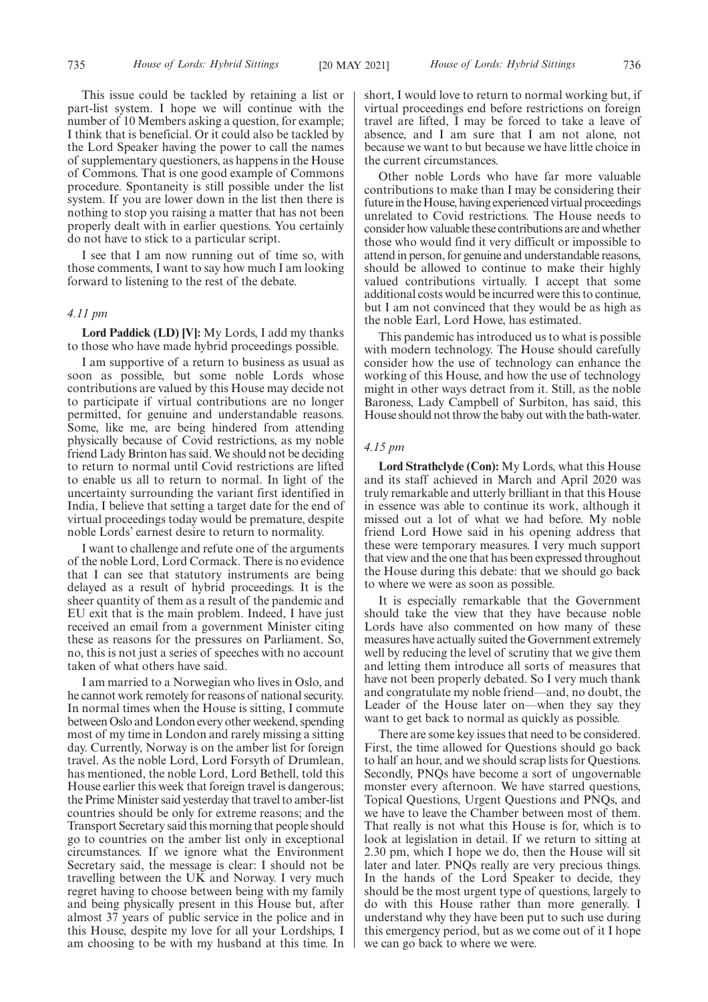This issue could be tackled by retaining a list or part-list system. I hope we will continue with the number of 10 Members asking a question, for example; I think that is beneficial. Or it could also be tackled by the Lord Speaker having the power to call the names of supplementary questioners, as happens in the House of Commons. That is one good example of Commons procedure. Spontaneity is still possible under the list system. If you are lower down in the list then there is nothing to stop you raising a matter that has not been properly dealt with in earlier questions. You certainly do not have to stick to a particular script.

I see that I am now running out of time so, with those comments, I want to say how much I am looking forward to listening to the rest of the debate.

#### *4.11 pm*

**Lord Paddick (LD) [V]:** My Lords, I add my thanks to those who have made hybrid proceedings possible.

I am supportive of a return to business as usual as soon as possible, but some noble Lords whose contributions are valued by this House may decide not to participate if virtual contributions are no longer permitted, for genuine and understandable reasons. Some, like me, are being hindered from attending physically because of Covid restrictions, as my noble friend Lady Brinton has said. We should not be deciding to return to normal until Covid restrictions are lifted to enable us all to return to normal. In light of the uncertainty surrounding the variant first identified in India, I believe that setting a target date for the end of virtual proceedings today would be premature, despite noble Lords' earnest desire to return to normality.

I want to challenge and refute one of the arguments of the noble Lord, Lord Cormack. There is no evidence that I can see that statutory instruments are being delayed as a result of hybrid proceedings. It is the sheer quantity of them as a result of the pandemic and EU exit that is the main problem. Indeed, I have just received an email from a government Minister citing these as reasons for the pressures on Parliament. So, no, this is not just a series of speeches with no account taken of what others have said.

I am married to a Norwegian who lives in Oslo, and he cannot work remotely for reasons of national security. In normal times when the House is sitting, I commute between Oslo and London every other weekend, spending most of my time in London and rarely missing a sitting day. Currently, Norway is on the amber list for foreign travel. As the noble Lord, Lord Forsyth of Drumlean, has mentioned, the noble Lord, Lord Bethell, told this House earlier this week that foreign travel is dangerous; the Prime Minister said yesterday that travel to amber-list countries should be only for extreme reasons; and the Transport Secretary said this morning that people should go to countries on the amber list only in exceptional circumstances. If we ignore what the Environment Secretary said, the message is clear: I should not be travelling between the UK and Norway. I very much regret having to choose between being with my family and being physically present in this House but, after almost 37 years of public service in the police and in this House, despite my love for all your Lordships, I am choosing to be with my husband at this time. In short, I would love to return to normal working but, if virtual proceedings end before restrictions on foreign travel are lifted, I may be forced to take a leave of absence, and I am sure that I am not alone, not because we want to but because we have little choice in the current circumstances.

Other noble Lords who have far more valuable contributions to make than I may be considering their future in the House, having experienced virtual proceedings unrelated to Covid restrictions. The House needs to consider how valuable these contributions are and whether those who would find it very difficult or impossible to attend in person, for genuine and understandable reasons, should be allowed to continue to make their highly valued contributions virtually. I accept that some additional costs would be incurred were this to continue, but I am not convinced that they would be as high as the noble Earl, Lord Howe, has estimated.

This pandemic has introduced us to what is possible with modern technology. The House should carefully consider how the use of technology can enhance the working of this House, and how the use of technology might in other ways detract from it. Still, as the noble Baroness, Lady Campbell of Surbiton, has said, this House should not throw the baby out with the bath-water.

## *4.15 pm*

**Lord Strathclyde (Con):** My Lords, what this House and its staff achieved in March and April 2020 was truly remarkable and utterly brilliant in that this House in essence was able to continue its work, although it missed out a lot of what we had before. My noble friend Lord Howe said in his opening address that these were temporary measures. I very much support that view and the one that has been expressed throughout the House during this debate: that we should go back to where we were as soon as possible.

It is especially remarkable that the Government should take the view that they have because noble Lords have also commented on how many of these measures have actually suited the Government extremely well by reducing the level of scrutiny that we give them and letting them introduce all sorts of measures that have not been properly debated. So I very much thank and congratulate my noble friend—and, no doubt, the Leader of the House later on—when they say they want to get back to normal as quickly as possible.

There are some key issues that need to be considered. First, the time allowed for Questions should go back to half an hour, and we should scrap lists for Questions. Secondly, PNQs have become a sort of ungovernable monster every afternoon. We have starred questions, Topical Questions, Urgent Questions and PNQs, and we have to leave the Chamber between most of them. That really is not what this House is for, which is to look at legislation in detail. If we return to sitting at 2.30 pm, which I hope we do, then the House will sit later and later. PNQs really are very precious things. In the hands of the Lord Speaker to decide, they should be the most urgent type of questions, largely to do with this House rather than more generally. I understand why they have been put to such use during this emergency period, but as we come out of it I hope we can go back to where we were.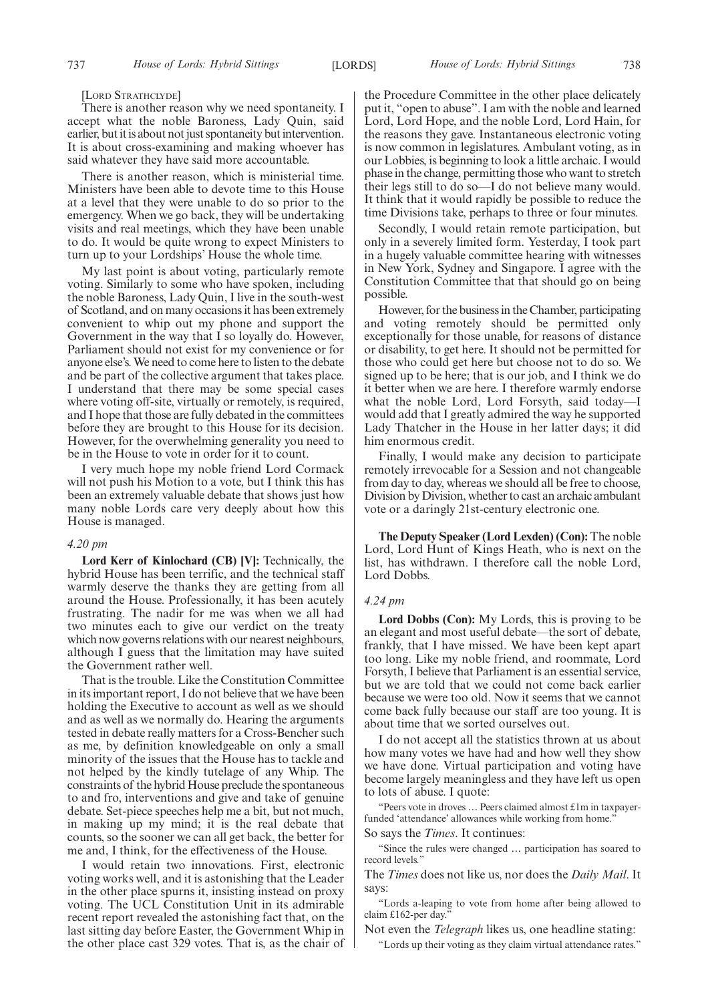[LORD STRATHCLYDE]

There is another reason why we need spontaneity. I accept what the noble Baroness, Lady Quin, said earlier, but it is about not just spontaneity but intervention. It is about cross-examining and making whoever has said whatever they have said more accountable.

There is another reason, which is ministerial time. Ministers have been able to devote time to this House at a level that they were unable to do so prior to the emergency. When we go back, they will be undertaking visits and real meetings, which they have been unable to do. It would be quite wrong to expect Ministers to turn up to your Lordships' House the whole time.

My last point is about voting, particularly remote voting. Similarly to some who have spoken, including the noble Baroness, Lady Quin, I live in the south-west of Scotland, and on many occasions it has been extremely convenient to whip out my phone and support the Government in the way that I so loyally do. However, Parliament should not exist for my convenience or for anyone else's. We need to come here to listen to the debate and be part of the collective argument that takes place. I understand that there may be some special cases where voting off-site, virtually or remotely, is required, and I hope that those are fully debated in the committees before they are brought to this House for its decision. However, for the overwhelming generality you need to be in the House to vote in order for it to count.

I very much hope my noble friend Lord Cormack will not push his Motion to a vote, but I think this has been an extremely valuable debate that shows just how many noble Lords care very deeply about how this House is managed.

#### *4.20 pm*

**Lord Kerr of Kinlochard (CB) [V]:** Technically, the hybrid House has been terrific, and the technical staff warmly deserve the thanks they are getting from all around the House. Professionally, it has been acutely frustrating. The nadir for me was when we all had two minutes each to give our verdict on the treaty which now governs relations with our nearest neighbours, although I guess that the limitation may have suited the Government rather well.

That is the trouble. Like the Constitution Committee in its important report, I do not believe that we have been holding the Executive to account as well as we should and as well as we normally do. Hearing the arguments tested in debate really matters for a Cross-Bencher such as me, by definition knowledgeable on only a small minority of the issues that the House has to tackle and not helped by the kindly tutelage of any Whip. The constraints of the hybrid House preclude the spontaneous to and fro, interventions and give and take of genuine debate. Set-piece speeches help me a bit, but not much, in making up my mind; it is the real debate that counts, so the sooner we can all get back, the better for me and, I think, for the effectiveness of the House.

I would retain two innovations. First, electronic voting works well, and it is astonishing that the Leader in the other place spurns it, insisting instead on proxy voting. The UCL Constitution Unit in its admirable recent report revealed the astonishing fact that, on the last sitting day before Easter, the Government Whip in the other place cast 329 votes. That is, as the chair of the Procedure Committee in the other place delicately put it, "open to abuse". I am with the noble and learned Lord, Lord Hope, and the noble Lord, Lord Hain, for the reasons they gave. Instantaneous electronic voting is now common in legislatures. Ambulant voting, as in our Lobbies, is beginning to look a little archaic. I would phase in the change, permitting those who want to stretch their legs still to do so—I do not believe many would. It think that it would rapidly be possible to reduce the time Divisions take, perhaps to three or four minutes.

Secondly, I would retain remote participation, but only in a severely limited form. Yesterday, I took part in a hugely valuable committee hearing with witnesses in New York, Sydney and Singapore. I agree with the Constitution Committee that that should go on being possible.

However, for the business in the Chamber, participating and voting remotely should be permitted only exceptionally for those unable, for reasons of distance or disability, to get here. It should not be permitted for those who could get here but choose not to do so. We signed up to be here; that is our job, and I think we do it better when we are here. I therefore warmly endorse what the noble Lord, Lord Forsyth, said today—I would add that I greatly admired the way he supported Lady Thatcher in the House in her latter days; it did him enormous credit.

Finally, I would make any decision to participate remotely irrevocable for a Session and not changeable from day to day, whereas we should all be free to choose, Division by Division, whether to cast an archaic ambulant vote or a daringly 21st-century electronic one.

**The Deputy Speaker (Lord Lexden) (Con):** The noble Lord, Lord Hunt of Kings Heath, who is next on the list, has withdrawn. I therefore call the noble Lord, Lord Dobbs.

#### *4.24 pm*

**Lord Dobbs (Con):** My Lords, this is proving to be an elegant and most useful debate—the sort of debate, frankly, that I have missed. We have been kept apart too long. Like my noble friend, and roommate, Lord Forsyth, I believe that Parliament is an essential service, but we are told that we could not come back earlier because we were too old. Now it seems that we cannot come back fully because our staff are too young. It is about time that we sorted ourselves out.

I do not accept all the statistics thrown at us about how many votes we have had and how well they show we have done. Virtual participation and voting have become largely meaningless and they have left us open to lots of abuse. I quote:

Peers vote in droves ... Peers claimed almost £1m in taxpayerfunded 'attendance' allowances while working from home.

So says the *Times*. It continues:

"Since the rules were changed … participation has soared to record levels."

The *Times* does not like us, nor does the *Daily Mail*. It says:

"Lords a-leaping to vote from home after being allowed to claim £162-per day.

Not even the *Telegraph* likes us, one headline stating:

"Lords up their voting as they claim virtual attendance rates."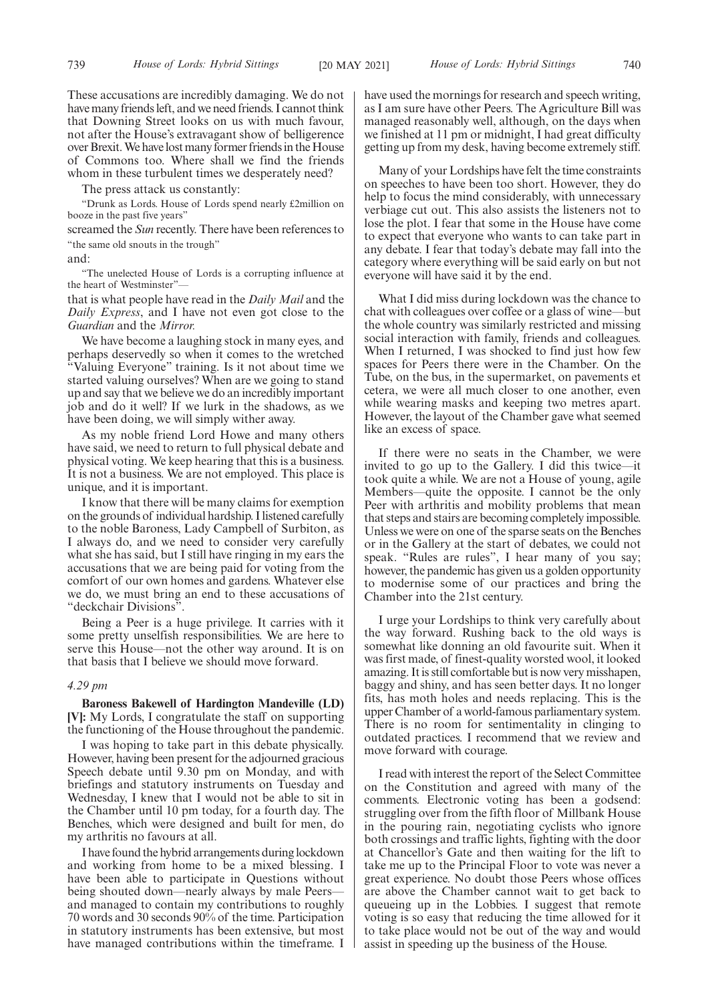These accusations are incredibly damaging. We do not have many friends left, and we need friends. I cannot think that Downing Street looks on us with much favour, not after the House's extravagant show of belligerence over Brexit. We have lost many former friends in the House of Commons too. Where shall we find the friends whom in these turbulent times we desperately need?

The press attack us constantly:

"Drunk as Lords. House of Lords spend nearly £2million on booze in the past five years"

screamed the *Sun* recently. There have been references to "the same old snouts in the trough"

and:

"The unelected House of Lords is a corrupting influence at the heart of Westminster"

that is what people have read in the *Daily Mail* and the *Daily Express*, and I have not even got close to the *Guardian* and the *Mirror.*

We have become a laughing stock in many eyes, and perhaps deservedly so when it comes to the wretched "Valuing Everyone" training. Is it not about time we started valuing ourselves? When are we going to stand up and say that we believe we do an incredibly important job and do it well? If we lurk in the shadows, as we have been doing, we will simply wither away.

As my noble friend Lord Howe and many others have said, we need to return to full physical debate and physical voting. We keep hearing that this is a business. It is not a business. We are not employed. This place is unique, and it is important.

I know that there will be many claims for exemption on the grounds of individual hardship. I listened carefully to the noble Baroness, Lady Campbell of Surbiton, as I always do, and we need to consider very carefully what she has said, but I still have ringing in my ears the accusations that we are being paid for voting from the comfort of our own homes and gardens. Whatever else we do, we must bring an end to these accusations of "deckchair Divisions".

Being a Peer is a huge privilege. It carries with it some pretty unselfish responsibilities. We are here to serve this House—not the other way around. It is on that basis that I believe we should move forward.

# *4.29 pm*

**Baroness Bakewell of Hardington Mandeville (LD) [V]:** My Lords, I congratulate the staff on supporting the functioning of the House throughout the pandemic.

I was hoping to take part in this debate physically. However, having been present for the adjourned gracious Speech debate until 9.30 pm on Monday, and with briefings and statutory instruments on Tuesday and Wednesday, I knew that I would not be able to sit in the Chamber until 10 pm today, for a fourth day. The Benches, which were designed and built for men, do my arthritis no favours at all.

I have found the hybrid arrangements during lockdown and working from home to be a mixed blessing. I have been able to participate in Questions without being shouted down—nearly always by male Peers and managed to contain my contributions to roughly 70 words and 30 seconds 90% of the time. Participation in statutory instruments has been extensive, but most have managed contributions within the timeframe. I have used the mornings for research and speech writing, as I am sure have other Peers. The Agriculture Bill was managed reasonably well, although, on the days when we finished at 11 pm or midnight, I had great difficulty getting up from my desk, having become extremely stiff.

Many of your Lordships have felt the time constraints on speeches to have been too short. However, they do help to focus the mind considerably, with unnecessary verbiage cut out. This also assists the listeners not to lose the plot. I fear that some in the House have come to expect that everyone who wants to can take part in any debate. I fear that today's debate may fall into the category where everything will be said early on but not everyone will have said it by the end.

What I did miss during lockdown was the chance to chat with colleagues over coffee or a glass of wine—but the whole country was similarly restricted and missing social interaction with family, friends and colleagues. When I returned, I was shocked to find just how few spaces for Peers there were in the Chamber. On the Tube, on the bus, in the supermarket, on pavements et cetera, we were all much closer to one another, even while wearing masks and keeping two metres apart. However, the layout of the Chamber gave what seemed like an excess of space.

If there were no seats in the Chamber, we were invited to go up to the Gallery. I did this twice—it took quite a while. We are not a House of young, agile Members—quite the opposite. I cannot be the only Peer with arthritis and mobility problems that mean that steps and stairs are becoming completely impossible. Unless we were on one of the sparse seats on the Benches or in the Gallery at the start of debates, we could not speak. "Rules are rules", I hear many of you say; however, the pandemic has given us a golden opportunity to modernise some of our practices and bring the Chamber into the 21st century.

I urge your Lordships to think very carefully about the way forward. Rushing back to the old ways is somewhat like donning an old favourite suit. When it was first made, of finest-quality worsted wool, it looked amazing. It is still comfortable but is now very misshapen, baggy and shiny, and has seen better days. It no longer fits, has moth holes and needs replacing. This is the upper Chamber of a world-famous parliamentary system. There is no room for sentimentality in clinging to outdated practices. I recommend that we review and move forward with courage.

I read with interest the report of the Select Committee on the Constitution and agreed with many of the comments. Electronic voting has been a godsend: struggling over from the fifth floor of Millbank House in the pouring rain, negotiating cyclists who ignore both crossings and traffic lights, fighting with the door at Chancellor's Gate and then waiting for the lift to take me up to the Principal Floor to vote was never a great experience. No doubt those Peers whose offices are above the Chamber cannot wait to get back to queueing up in the Lobbies. I suggest that remote voting is so easy that reducing the time allowed for it to take place would not be out of the way and would assist in speeding up the business of the House.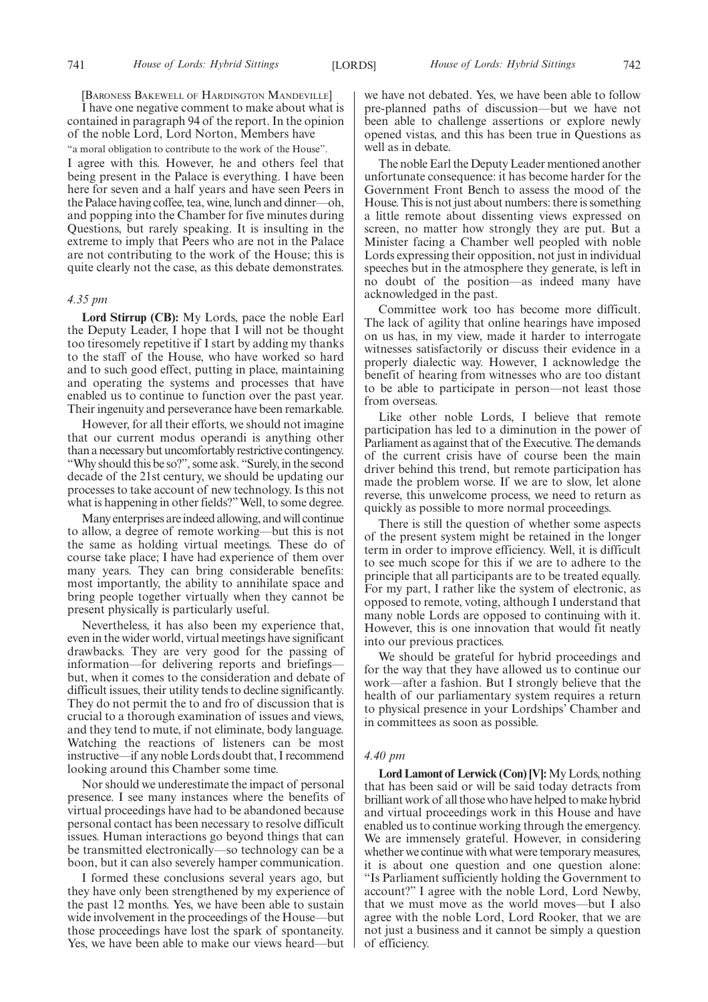[BARONESS BAKEWELL OF HARDINGTON MANDEVILLE]

I have one negative comment to make about what is contained in paragraph 94 of the report. In the opinion of the noble Lord, Lord Norton, Members have "a moral obligation to contribute to the work of the House". I agree with this. However, he and others feel that being present in the Palace is everything. I have been here for seven and a half years and have seen Peers in the Palace having coffee, tea, wine, lunch and dinner—oh, and popping into the Chamber for five minutes during Questions, but rarely speaking. It is insulting in the extreme to imply that Peers who are not in the Palace are not contributing to the work of the House; this is quite clearly not the case, as this debate demonstrates.

#### *4.35 pm*

**Lord Stirrup (CB):** My Lords, pace the noble Earl the Deputy Leader, I hope that I will not be thought too tiresomely repetitive if I start by adding my thanks to the staff of the House, who have worked so hard and to such good effect, putting in place, maintaining and operating the systems and processes that have enabled us to continue to function over the past year. Their ingenuity and perseverance have been remarkable.

However, for all their efforts, we should not imagine that our current modus operandi is anything other than a necessary but uncomfortably restrictive contingency. "Why should this be so?", some ask. "Surely, in the second decade of the 21st century, we should be updating our processes to take account of new technology. Is this not what is happening in other fields?" Well, to some degree.

Many enterprises are indeed allowing, and will continue to allow, a degree of remote working—but this is not the same as holding virtual meetings. These do of course take place; I have had experience of them over many years. They can bring considerable benefits: most importantly, the ability to annihilate space and bring people together virtually when they cannot be present physically is particularly useful.

Nevertheless, it has also been my experience that, even in the wider world, virtual meetings have significant drawbacks. They are very good for the passing of information—for delivering reports and briefings but, when it comes to the consideration and debate of difficult issues, their utility tends to decline significantly. They do not permit the to and fro of discussion that is crucial to a thorough examination of issues and views, and they tend to mute, if not eliminate, body language. Watching the reactions of listeners can be most instructive—if any noble Lords doubt that, I recommend looking around this Chamber some time.

Nor should we underestimate the impact of personal presence. I see many instances where the benefits of virtual proceedings have had to be abandoned because personal contact has been necessary to resolve difficult issues. Human interactions go beyond things that can be transmitted electronically—so technology can be a boon, but it can also severely hamper communication.

I formed these conclusions several years ago, but they have only been strengthened by my experience of the past 12 months. Yes, we have been able to sustain wide involvement in the proceedings of the House—but those proceedings have lost the spark of spontaneity. Yes, we have been able to make our views heard—but we have not debated. Yes, we have been able to follow pre-planned paths of discussion—but we have not been able to challenge assertions or explore newly opened vistas, and this has been true in Questions as well as in debate.

The noble Earl the Deputy Leader mentioned another unfortunate consequence: it has become harder for the Government Front Bench to assess the mood of the House. This is not just about numbers: there is something a little remote about dissenting views expressed on screen, no matter how strongly they are put. But a Minister facing a Chamber well peopled with noble Lords expressing their opposition, not just in individual speeches but in the atmosphere they generate, is left in no doubt of the position—as indeed many have acknowledged in the past.

Committee work too has become more difficult. The lack of agility that online hearings have imposed on us has, in my view, made it harder to interrogate witnesses satisfactorily or discuss their evidence in a properly dialectic way. However, I acknowledge the benefit of hearing from witnesses who are too distant to be able to participate in person—not least those from overseas.

Like other noble Lords, I believe that remote participation has led to a diminution in the power of Parliament as against that of the Executive. The demands of the current crisis have of course been the main driver behind this trend, but remote participation has made the problem worse. If we are to slow, let alone reverse, this unwelcome process, we need to return as quickly as possible to more normal proceedings.

There is still the question of whether some aspects of the present system might be retained in the longer term in order to improve efficiency. Well, it is difficult to see much scope for this if we are to adhere to the principle that all participants are to be treated equally. For my part, I rather like the system of electronic, as opposed to remote, voting, although I understand that many noble Lords are opposed to continuing with it. However, this is one innovation that would fit neatly into our previous practices.

We should be grateful for hybrid proceedings and for the way that they have allowed us to continue our work—after a fashion. But I strongly believe that the health of our parliamentary system requires a return to physical presence in your Lordships' Chamber and in committees as soon as possible.

# *4.40 pm*

**Lord Lamont of Lerwick (Con) [V]:**My Lords, nothing that has been said or will be said today detracts from brilliant work of all those who have helped to make hybrid and virtual proceedings work in this House and have enabled us to continue working through the emergency. We are immensely grateful. However, in considering whether we continue with what were temporary measures, it is about one question and one question alone: "Is Parliament sufficiently holding the Government to account?" I agree with the noble Lord, Lord Newby, that we must move as the world moves—but I also agree with the noble Lord, Lord Rooker, that we are not just a business and it cannot be simply a question of efficiency.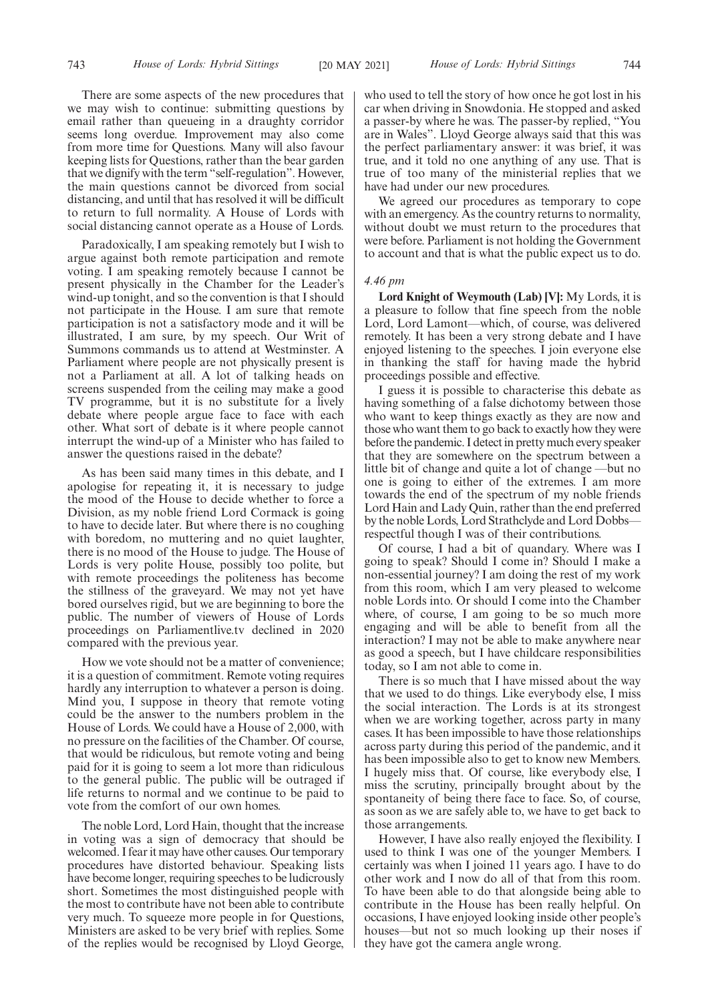There are some aspects of the new procedures that we may wish to continue: submitting questions by email rather than queueing in a draughty corridor seems long overdue. Improvement may also come from more time for Questions. Many will also favour keeping lists for Questions, rather than the bear garden that we dignify with the term "self-regulation". However, the main questions cannot be divorced from social distancing, and until that has resolved it will be difficult to return to full normality. A House of Lords with social distancing cannot operate as a House of Lords.

Paradoxically, I am speaking remotely but I wish to argue against both remote participation and remote voting. I am speaking remotely because I cannot be present physically in the Chamber for the Leader's wind-up tonight, and so the convention is that I should not participate in the House. I am sure that remote participation is not a satisfactory mode and it will be illustrated, I am sure, by my speech. Our Writ of Summons commands us to attend at Westminster. A Parliament where people are not physically present is not a Parliament at all. A lot of talking heads on screens suspended from the ceiling may make a good TV programme, but it is no substitute for a lively debate where people argue face to face with each other. What sort of debate is it where people cannot interrupt the wind-up of a Minister who has failed to answer the questions raised in the debate?

As has been said many times in this debate, and I apologise for repeating it, it is necessary to judge the mood of the House to decide whether to force a Division, as my noble friend Lord Cormack is going to have to decide later. But where there is no coughing with boredom, no muttering and no quiet laughter, there is no mood of the House to judge. The House of Lords is very polite House, possibly too polite, but with remote proceedings the politeness has become the stillness of the graveyard. We may not yet have bored ourselves rigid, but we are beginning to bore the public. The number of viewers of House of Lords proceedings on Parliamentlive.tv declined in 2020 compared with the previous year.

How we vote should not be a matter of convenience; it is a question of commitment. Remote voting requires hardly any interruption to whatever a person is doing. Mind you, I suppose in theory that remote voting could be the answer to the numbers problem in the House of Lords. We could have a House of 2,000, with no pressure on the facilities of the Chamber. Of course, that would be ridiculous, but remote voting and being paid for it is going to seem a lot more than ridiculous to the general public. The public will be outraged if life returns to normal and we continue to be paid to vote from the comfort of our own homes.

The noble Lord, Lord Hain, thought that the increase in voting was a sign of democracy that should be welcomed. I fear it may have other causes. Our temporary procedures have distorted behaviour. Speaking lists have become longer, requiring speeches to be ludicrously short. Sometimes the most distinguished people with the most to contribute have not been able to contribute very much. To squeeze more people in for Questions, Ministers are asked to be very brief with replies. Some of the replies would be recognised by Lloyd George,

who used to tell the story of how once he got lost in his car when driving in Snowdonia. He stopped and asked a passer-by where he was. The passer-by replied, "You are in Wales". Lloyd George always said that this was the perfect parliamentary answer: it was brief, it was true, and it told no one anything of any use. That is true of too many of the ministerial replies that we have had under our new procedures.

We agreed our procedures as temporary to cope with an emergency. As the country returns to normality, without doubt we must return to the procedures that were before. Parliament is not holding the Government to account and that is what the public expect us to do.

# *4.46 pm*

**Lord Knight of Weymouth (Lab) [V]:** My Lords, it is a pleasure to follow that fine speech from the noble Lord, Lord Lamont—which, of course, was delivered remotely. It has been a very strong debate and I have enjoyed listening to the speeches. I join everyone else in thanking the staff for having made the hybrid proceedings possible and effective.

I guess it is possible to characterise this debate as having something of a false dichotomy between those who want to keep things exactly as they are now and those who want them to go back to exactly how they were before the pandemic. I detect in pretty much every speaker that they are somewhere on the spectrum between a little bit of change and quite a lot of change —but no one is going to either of the extremes. I am more towards the end of the spectrum of my noble friends Lord Hain and Lady Quin, rather than the end preferred by the noble Lords, Lord Strathclyde and Lord Dobbs respectful though I was of their contributions.

Of course, I had a bit of quandary. Where was I going to speak? Should I come in? Should I make a non-essential journey? I am doing the rest of my work from this room, which I am very pleased to welcome noble Lords into. Or should I come into the Chamber where, of course, I am going to be so much more engaging and will be able to benefit from all the interaction? I may not be able to make anywhere near as good a speech, but I have childcare responsibilities today, so I am not able to come in.

There is so much that I have missed about the way that we used to do things. Like everybody else, I miss the social interaction. The Lords is at its strongest when we are working together, across party in many cases. It has been impossible to have those relationships across party during this period of the pandemic, and it has been impossible also to get to know new Members. I hugely miss that. Of course, like everybody else, I miss the scrutiny, principally brought about by the spontaneity of being there face to face. So, of course, as soon as we are safely able to, we have to get back to those arrangements.

However, I have also really enjoyed the flexibility. I used to think I was one of the younger Members. I certainly was when I joined 11 years ago. I have to do other work and I now do all of that from this room. To have been able to do that alongside being able to contribute in the House has been really helpful. On occasions, I have enjoyed looking inside other people's houses—but not so much looking up their noses if they have got the camera angle wrong.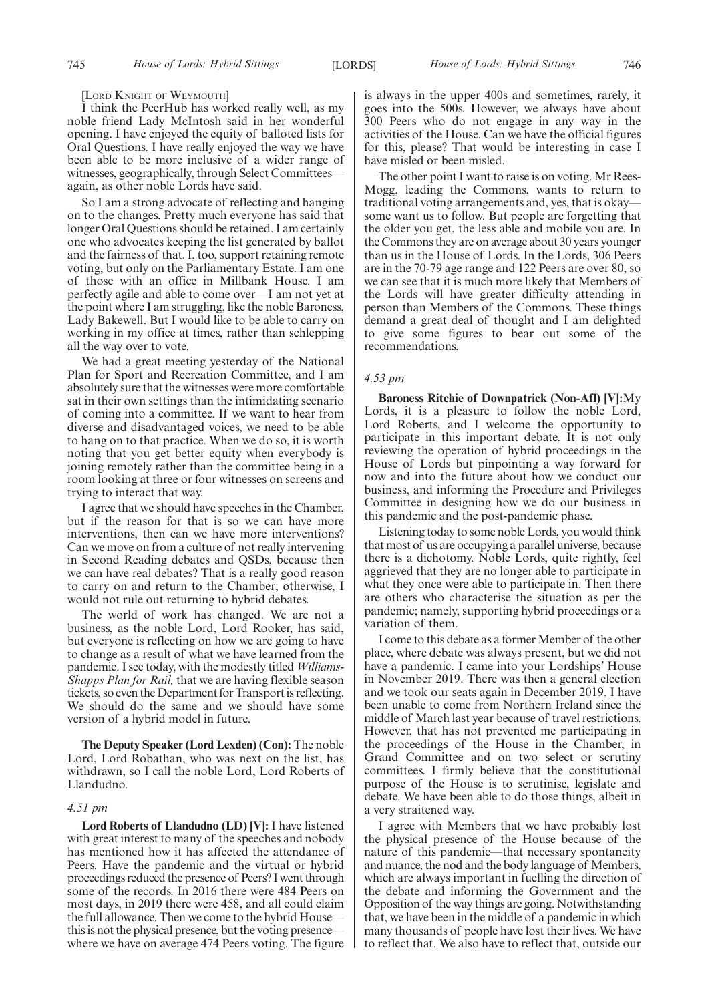[LORD KNIGHT OF WEYMOUTH]

I think the PeerHub has worked really well, as my noble friend Lady McIntosh said in her wonderful opening. I have enjoyed the equity of balloted lists for Oral Questions. I have really enjoyed the way we have been able to be more inclusive of a wider range of witnesses, geographically, through Select Committees again, as other noble Lords have said.

So I am a strong advocate of reflecting and hanging on to the changes. Pretty much everyone has said that longer Oral Questions should be retained. I am certainly one who advocates keeping the list generated by ballot and the fairness of that. I, too, support retaining remote voting, but only on the Parliamentary Estate. I am one of those with an office in Millbank House. I am perfectly agile and able to come over—I am not yet at the point where I am struggling, like the noble Baroness, Lady Bakewell. But I would like to be able to carry on working in my office at times, rather than schlepping all the way over to vote.

We had a great meeting yesterday of the National Plan for Sport and Recreation Committee, and I am absolutely sure that the witnesses were more comfortable sat in their own settings than the intimidating scenario of coming into a committee. If we want to hear from diverse and disadvantaged voices, we need to be able to hang on to that practice. When we do so, it is worth noting that you get better equity when everybody is joining remotely rather than the committee being in a room looking at three or four witnesses on screens and trying to interact that way.

I agree that we should have speeches in the Chamber, but if the reason for that is so we can have more interventions, then can we have more interventions? Can we move on from a culture of not really intervening in Second Reading debates and QSDs, because then we can have real debates? That is a really good reason to carry on and return to the Chamber; otherwise, I would not rule out returning to hybrid debates.

The world of work has changed. We are not a business, as the noble Lord, Lord Rooker, has said, but everyone is reflecting on how we are going to have to change as a result of what we have learned from the pandemic. I see today, with the modestly titled *Williams-Shapps Plan for Rail,* that we are having flexible season tickets, so even the Department for Transport is reflecting. We should do the same and we should have some version of a hybrid model in future.

**The Deputy Speaker (Lord Lexden) (Con):** The noble Lord, Lord Robathan, who was next on the list, has withdrawn, so I call the noble Lord, Lord Roberts of Llandudno.

# *4.51 pm*

**Lord Roberts of Llandudno (LD) [V]:** I have listened with great interest to many of the speeches and nobody has mentioned how it has affected the attendance of Peers. Have the pandemic and the virtual or hybrid proceedings reduced the presence of Peers? I went through some of the records. In 2016 there were 484 Peers on most days, in 2019 there were 458, and all could claim the full allowance. Then we come to the hybrid House this is not the physical presence, but the voting presence where we have on average 474 Peers voting. The figure is always in the upper 400s and sometimes, rarely, it goes into the 500s. However, we always have about 300 Peers who do not engage in any way in the activities of the House. Can we have the official figures for this, please? That would be interesting in case I have misled or been misled.

The other point I want to raise is on voting. Mr Rees-Mogg, leading the Commons, wants to return to traditional voting arrangements and, yes, that is okay some want us to follow. But people are forgetting that the older you get, the less able and mobile you are. In the Commons they are on average about 30 years younger than us in the House of Lords. In the Lords, 306 Peers are in the 70-79 age range and 122 Peers are over 80, so we can see that it is much more likely that Members of the Lords will have greater difficulty attending in person than Members of the Commons. These things demand a great deal of thought and I am delighted to give some figures to bear out some of the recommendations.

## *4.53 pm*

**Baroness Ritchie of Downpatrick (Non-Afl) [V]:**My Lords, it is a pleasure to follow the noble Lord, Lord Roberts, and I welcome the opportunity to participate in this important debate. It is not only reviewing the operation of hybrid proceedings in the House of Lords but pinpointing a way forward for now and into the future about how we conduct our business, and informing the Procedure and Privileges Committee in designing how we do our business in this pandemic and the post-pandemic phase.

Listening today to some noble Lords, you would think that most of us are occupying a parallel universe, because there is a dichotomy. Noble Lords, quite rightly, feel aggrieved that they are no longer able to participate in what they once were able to participate in. Then there are others who characterise the situation as per the pandemic; namely, supporting hybrid proceedings or a variation of them.

I come to this debate as a former Member of the other place, where debate was always present, but we did not have a pandemic. I came into your Lordships' House in November 2019. There was then a general election and we took our seats again in December 2019. I have been unable to come from Northern Ireland since the middle of March last year because of travel restrictions. However, that has not prevented me participating in the proceedings of the House in the Chamber, in Grand Committee and on two select or scrutiny committees. I firmly believe that the constitutional purpose of the House is to scrutinise, legislate and debate. We have been able to do those things, albeit in a very straitened way.

I agree with Members that we have probably lost the physical presence of the House because of the nature of this pandemic—that necessary spontaneity and nuance, the nod and the body language of Members, which are always important in fuelling the direction of the debate and informing the Government and the Opposition of the way things are going. Notwithstanding that, we have been in the middle of a pandemic in which many thousands of people have lost their lives. We have to reflect that. We also have to reflect that, outside our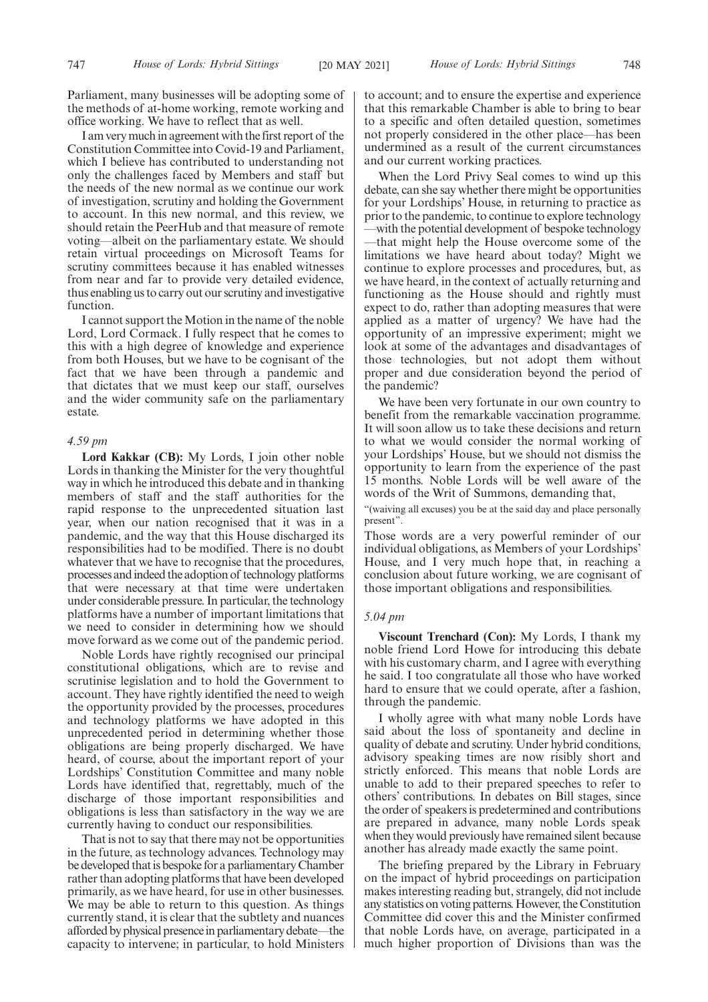Parliament, many businesses will be adopting some of the methods of at-home working, remote working and office working. We have to reflect that as well.

I am very much in agreement with the first report of the Constitution Committee into Covid-19 and Parliament, which I believe has contributed to understanding not only the challenges faced by Members and staff but the needs of the new normal as we continue our work of investigation, scrutiny and holding the Government to account. In this new normal, and this review, we should retain the PeerHub and that measure of remote voting—albeit on the parliamentary estate. We should retain virtual proceedings on Microsoft Teams for scrutiny committees because it has enabled witnesses from near and far to provide very detailed evidence, thus enabling us to carry out our scrutiny and investigative function.

I cannot support the Motion in the name of the noble Lord, Lord Cormack. I fully respect that he comes to this with a high degree of knowledge and experience from both Houses, but we have to be cognisant of the fact that we have been through a pandemic and that dictates that we must keep our staff, ourselves and the wider community safe on the parliamentary estate.

# *4.59 pm*

**Lord Kakkar (CB):** My Lords, I join other noble Lords in thanking the Minister for the very thoughtful way in which he introduced this debate and in thanking members of staff and the staff authorities for the rapid response to the unprecedented situation last year, when our nation recognised that it was in a pandemic, and the way that this House discharged its responsibilities had to be modified. There is no doubt whatever that we have to recognise that the procedures, processes and indeed the adoption of technology platforms that were necessary at that time were undertaken under considerable pressure. In particular, the technology platforms have a number of important limitations that we need to consider in determining how we should move forward as we come out of the pandemic period.

Noble Lords have rightly recognised our principal constitutional obligations, which are to revise and scrutinise legislation and to hold the Government to account. They have rightly identified the need to weigh the opportunity provided by the processes, procedures and technology platforms we have adopted in this unprecedented period in determining whether those obligations are being properly discharged. We have heard, of course, about the important report of your Lordships' Constitution Committee and many noble Lords have identified that, regrettably, much of the discharge of those important responsibilities and obligations is less than satisfactory in the way we are currently having to conduct our responsibilities.

That is not to say that there may not be opportunities in the future, as technology advances. Technology may be developed that is bespoke for a parliamentary Chamber rather than adopting platforms that have been developed primarily, as we have heard, for use in other businesses. We may be able to return to this question. As things currently stand, it is clear that the subtlety and nuances afforded by physical presence in parliamentary debate—the capacity to intervene; in particular, to hold Ministers to account; and to ensure the expertise and experience that this remarkable Chamber is able to bring to bear to a specific and often detailed question, sometimes not properly considered in the other place—has been undermined as a result of the current circumstances and our current working practices.

When the Lord Privy Seal comes to wind up this debate, can she say whether there might be opportunities for your Lordships' House, in returning to practice as prior to the pandemic, to continue to explore technology —with the potential development of bespoke technology —that might help the House overcome some of the limitations we have heard about today? Might we continue to explore processes and procedures, but, as we have heard, in the context of actually returning and functioning as the House should and rightly must expect to do, rather than adopting measures that were applied as a matter of urgency? We have had the opportunity of an impressive experiment; might we look at some of the advantages and disadvantages of those technologies, but not adopt them without proper and due consideration beyond the period of the pandemic?

We have been very fortunate in our own country to benefit from the remarkable vaccination programme. It will soon allow us to take these decisions and return to what we would consider the normal working of your Lordships' House, but we should not dismiss the opportunity to learn from the experience of the past 15 months. Noble Lords will be well aware of the words of the Writ of Summons, demanding that,

"(waiving all excuses) you be at the said day and place personally present".

Those words are a very powerful reminder of our individual obligations, as Members of your Lordships' House, and I very much hope that, in reaching a conclusion about future working, we are cognisant of those important obligations and responsibilities.

## *5.04 pm*

**Viscount Trenchard (Con):** My Lords, I thank my noble friend Lord Howe for introducing this debate with his customary charm, and I agree with everything he said. I too congratulate all those who have worked hard to ensure that we could operate, after a fashion, through the pandemic.

I wholly agree with what many noble Lords have said about the loss of spontaneity and decline in quality of debate and scrutiny. Under hybrid conditions, advisory speaking times are now risibly short and strictly enforced. This means that noble Lords are unable to add to their prepared speeches to refer to others' contributions. In debates on Bill stages, since the order of speakers is predetermined and contributions are prepared in advance, many noble Lords speak when they would previously have remained silent because another has already made exactly the same point.

The briefing prepared by the Library in February on the impact of hybrid proceedings on participation makes interesting reading but, strangely, did not include any statistics on voting patterns. However, the Constitution Committee did cover this and the Minister confirmed that noble Lords have, on average, participated in a much higher proportion of Divisions than was the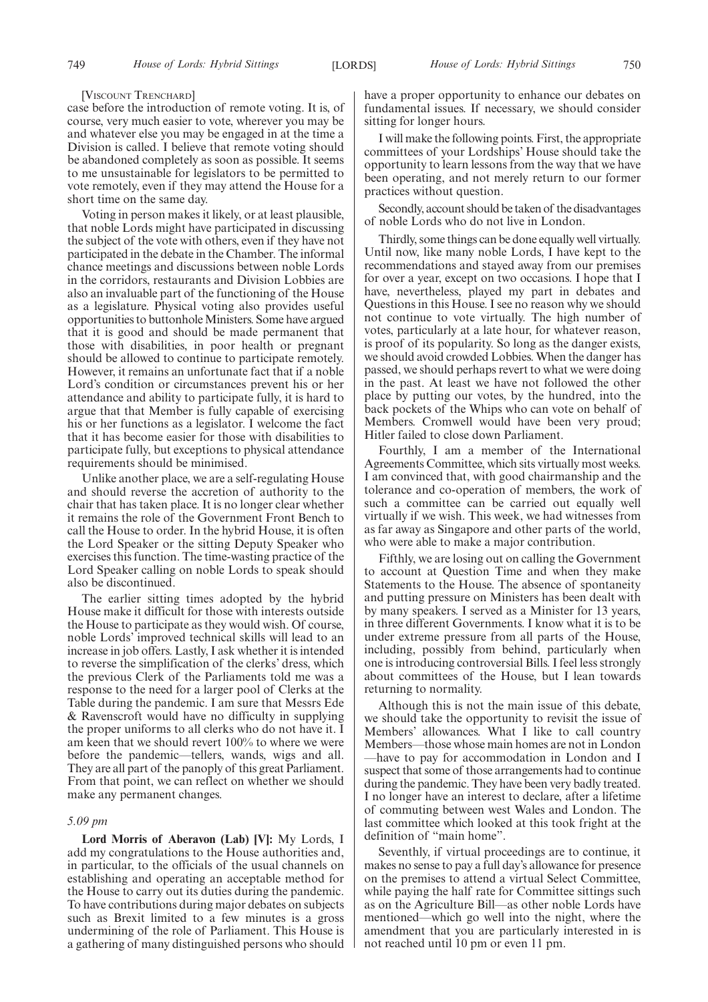[VISCOUNT TRENCHARD]

case before the introduction of remote voting. It is, of course, very much easier to vote, wherever you may be and whatever else you may be engaged in at the time a Division is called. I believe that remote voting should be abandoned completely as soon as possible. It seems to me unsustainable for legislators to be permitted to vote remotely, even if they may attend the House for a short time on the same day.

Voting in person makes it likely, or at least plausible, that noble Lords might have participated in discussing the subject of the vote with others, even if they have not participated in the debate in the Chamber. The informal chance meetings and discussions between noble Lords in the corridors, restaurants and Division Lobbies are also an invaluable part of the functioning of the House as a legislature. Physical voting also provides useful opportunities to buttonhole Ministers. Some have argued that it is good and should be made permanent that those with disabilities, in poor health or pregnant should be allowed to continue to participate remotely. However, it remains an unfortunate fact that if a noble Lord's condition or circumstances prevent his or her attendance and ability to participate fully, it is hard to argue that that Member is fully capable of exercising his or her functions as a legislator. I welcome the fact that it has become easier for those with disabilities to participate fully, but exceptions to physical attendance requirements should be minimised.

Unlike another place, we are a self-regulating House and should reverse the accretion of authority to the chair that has taken place. It is no longer clear whether it remains the role of the Government Front Bench to call the House to order. In the hybrid House, it is often the Lord Speaker or the sitting Deputy Speaker who exercises this function. The time-wasting practice of the Lord Speaker calling on noble Lords to speak should also be discontinued.

The earlier sitting times adopted by the hybrid House make it difficult for those with interests outside the House to participate as they would wish. Of course, noble Lords' improved technical skills will lead to an increase in job offers. Lastly, I ask whether it is intended to reverse the simplification of the clerks' dress, which the previous Clerk of the Parliaments told me was a response to the need for a larger pool of Clerks at the Table during the pandemic. I am sure that Messrs Ede & Ravenscroft would have no difficulty in supplying the proper uniforms to all clerks who do not have it. I am keen that we should revert 100% to where we were before the pandemic—tellers, wands, wigs and all. They are all part of the panoply of this great Parliament. From that point, we can reflect on whether we should make any permanent changes.

# *5.09 pm*

**Lord Morris of Aberavon (Lab) [V]:** My Lords, I add my congratulations to the House authorities and, in particular, to the officials of the usual channels on establishing and operating an acceptable method for the House to carry out its duties during the pandemic. To have contributions during major debates on subjects such as Brexit limited to a few minutes is a gross undermining of the role of Parliament. This House is a gathering of many distinguished persons who should have a proper opportunity to enhance our debates on fundamental issues. If necessary, we should consider sitting for longer hours.

I will make the following points. First, the appropriate committees of your Lordships' House should take the opportunity to learn lessons from the way that we have been operating, and not merely return to our former practices without question.

Secondly, account should be taken of the disadvantages of noble Lords who do not live in London.

Thirdly, some things can be done equally well virtually. Until now, like many noble Lords, I have kept to the recommendations and stayed away from our premises for over a year, except on two occasions. I hope that I have, nevertheless, played my part in debates and Questions in this House. I see no reason why we should not continue to vote virtually. The high number of votes, particularly at a late hour, for whatever reason, is proof of its popularity. So long as the danger exists, we should avoid crowded Lobbies. When the danger has passed, we should perhaps revert to what we were doing in the past. At least we have not followed the other place by putting our votes, by the hundred, into the back pockets of the Whips who can vote on behalf of Members. Cromwell would have been very proud; Hitler failed to close down Parliament.

Fourthly, I am a member of the International Agreements Committee, which sits virtually most weeks. I am convinced that, with good chairmanship and the tolerance and co-operation of members, the work of such a committee can be carried out equally well virtually if we wish. This week, we had witnesses from as far away as Singapore and other parts of the world, who were able to make a major contribution.

Fifthly, we are losing out on calling the Government to account at Question Time and when they make Statements to the House. The absence of spontaneity and putting pressure on Ministers has been dealt with by many speakers. I served as a Minister for 13 years, in three different Governments. I know what it is to be under extreme pressure from all parts of the House, including, possibly from behind, particularly when one is introducing controversial Bills. I feel less strongly about committees of the House, but I lean towards returning to normality.

Although this is not the main issue of this debate, we should take the opportunity to revisit the issue of Members' allowances. What I like to call country Members—those whose main homes are not in London —have to pay for accommodation in London and I suspect that some of those arrangements had to continue during the pandemic. They have been very badly treated. I no longer have an interest to declare, after a lifetime of commuting between west Wales and London. The last committee which looked at this took fright at the definition of "main home".

Seventhly, if virtual proceedings are to continue, it makes no sense to pay a full day's allowance for presence on the premises to attend a virtual Select Committee, while paying the half rate for Committee sittings such as on the Agriculture Bill—as other noble Lords have mentioned—which go well into the night, where the amendment that you are particularly interested in is not reached until 10 pm or even 11 pm.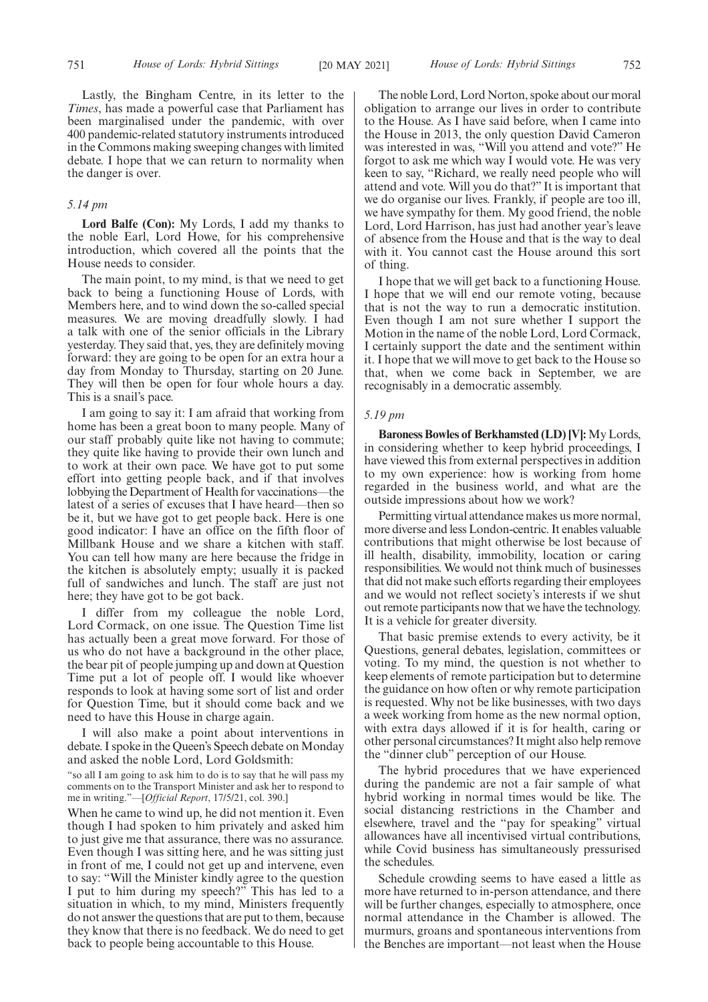Lastly, the Bingham Centre, in its letter to the *Times*, has made a powerful case that Parliament has been marginalised under the pandemic, with over 400 pandemic-related statutory instruments introduced in the Commons making sweeping changes with limited debate. I hope that we can return to normality when the danger is over.

# *5.14 pm*

**Lord Balfe (Con):** My Lords, I add my thanks to the noble Earl, Lord Howe, for his comprehensive introduction, which covered all the points that the House needs to consider.

The main point, to my mind, is that we need to get back to being a functioning House of Lords, with Members here, and to wind down the so-called special measures. We are moving dreadfully slowly. I had a talk with one of the senior officials in the Library yesterday. They said that, yes, they are definitely moving forward: they are going to be open for an extra hour a day from Monday to Thursday, starting on 20 June. They will then be open for four whole hours a day. This is a snail's pace.

I am going to say it: I am afraid that working from home has been a great boon to many people. Many of our staff probably quite like not having to commute; they quite like having to provide their own lunch and to work at their own pace. We have got to put some effort into getting people back, and if that involves lobbying the Department of Health for vaccinations—the latest of a series of excuses that I have heard—then so be it, but we have got to get people back. Here is one good indicator: I have an office on the fifth floor of Millbank House and we share a kitchen with staff. You can tell how many are here because the fridge in the kitchen is absolutely empty; usually it is packed full of sandwiches and lunch. The staff are just not here; they have got to be got back.

I differ from my colleague the noble Lord, Lord Cormack, on one issue. The Question Time list has actually been a great move forward. For those of us who do not have a background in the other place, the bear pit of people jumping up and down at Question Time put a lot of people off. I would like whoever responds to look at having some sort of list and order for Question Time, but it should come back and we need to have this House in charge again.

I will also make a point about interventions in debate. I spoke in the Queen's Speech debate on Monday and asked the noble Lord, Lord Goldsmith:

#### "so all I am going to ask him to do is to say that he will pass my comments on to the Transport Minister and ask her to respond to me in writing."—[*Official Report*, 17/5/21, col. 390.]

When he came to wind up, he did not mention it. Even though I had spoken to him privately and asked him to just give me that assurance, there was no assurance. Even though I was sitting here, and he was sitting just in front of me, I could not get up and intervene, even to say: "Will the Minister kindly agree to the question I put to him during my speech?" This has led to a situation in which, to my mind, Ministers frequently do not answer the questions that are put to them, because they know that there is no feedback. We do need to get back to people being accountable to this House.

The noble Lord, Lord Norton, spoke about our moral obligation to arrange our lives in order to contribute to the House. As I have said before, when I came into the House in 2013, the only question David Cameron was interested in was, "Will you attend and vote?" He forgot to ask me which way I would vote. He was very keen to say, "Richard, we really need people who will attend and vote. Will you do that?" It is important that we do organise our lives. Frankly, if people are too ill, we have sympathy for them. My good friend, the noble Lord, Lord Harrison, has just had another year's leave of absence from the House and that is the way to deal with it. You cannot cast the House around this sort of thing.

I hope that we will get back to a functioning House. I hope that we will end our remote voting, because that is not the way to run a democratic institution. Even though I am not sure whether I support the Motion in the name of the noble Lord, Lord Cormack, I certainly support the date and the sentiment within it. I hope that we will move to get back to the House so that, when we come back in September, we are recognisably in a democratic assembly.

# *5.19 pm*

**Baroness Bowles of Berkhamsted (LD) [V]:** My Lords, in considering whether to keep hybrid proceedings, I have viewed this from external perspectives in addition to my own experience: how is working from home regarded in the business world, and what are the outside impressions about how we work?

Permitting virtual attendance makes us more normal, more diverse and less London-centric. It enables valuable contributions that might otherwise be lost because of ill health, disability, immobility, location or caring responsibilities. We would not think much of businesses that did not make such efforts regarding their employees and we would not reflect society's interests if we shut out remote participants now that we have the technology. It is a vehicle for greater diversity.

That basic premise extends to every activity, be it Questions, general debates, legislation, committees or voting. To my mind, the question is not whether to keep elements of remote participation but to determine the guidance on how often or why remote participation is requested. Why not be like businesses, with two days a week working from home as the new normal option, with extra days allowed if it is for health, caring or other personal circumstances? It might also help remove the "dinner club" perception of our House.

The hybrid procedures that we have experienced during the pandemic are not a fair sample of what hybrid working in normal times would be like. The social distancing restrictions in the Chamber and elsewhere, travel and the "pay for speaking" virtual allowances have all incentivised virtual contributions, while Covid business has simultaneously pressurised the schedules.

Schedule crowding seems to have eased a little as more have returned to in-person attendance, and there will be further changes, especially to atmosphere, once normal attendance in the Chamber is allowed. The murmurs, groans and spontaneous interventions from the Benches are important—not least when the House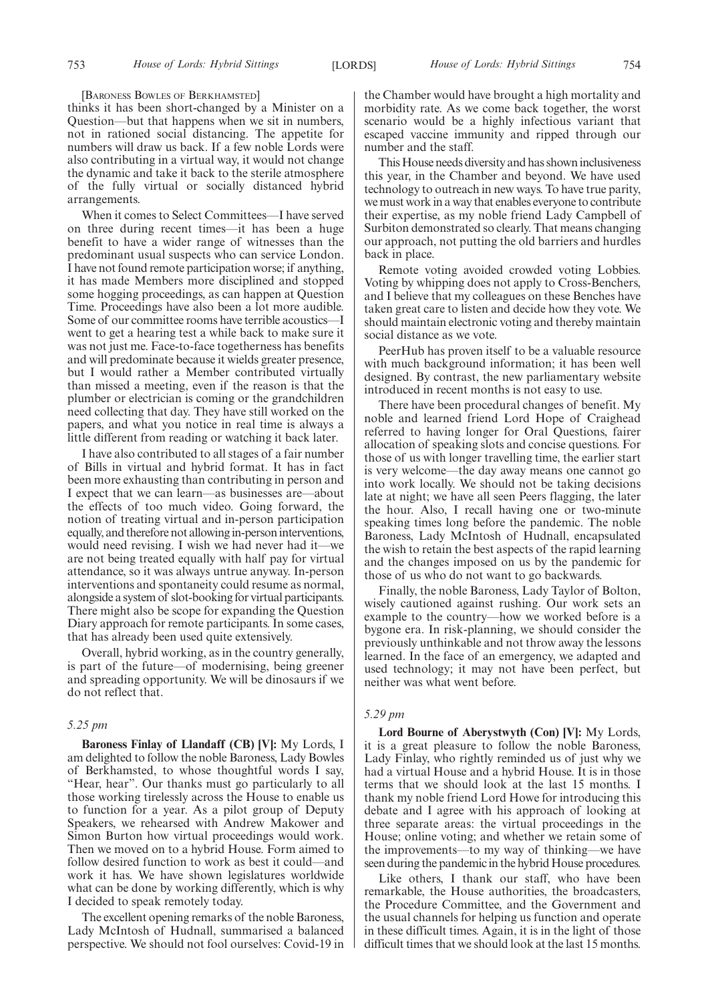#### [BARONESS BOWLES OF BERKHAMSTED]

thinks it has been short-changed by a Minister on a Question—but that happens when we sit in numbers, not in rationed social distancing. The appetite for numbers will draw us back. If a few noble Lords were also contributing in a virtual way, it would not change the dynamic and take it back to the sterile atmosphere of the fully virtual or socially distanced hybrid arrangements.

When it comes to Select Committees—I have served on three during recent times—it has been a huge benefit to have a wider range of witnesses than the predominant usual suspects who can service London. I have not found remote participation worse; if anything, it has made Members more disciplined and stopped some hogging proceedings, as can happen at Question Time. Proceedings have also been a lot more audible. Some of our committee rooms have terrible acoustics—I went to get a hearing test a while back to make sure it was not just me. Face-to-face togetherness has benefits and will predominate because it wields greater presence, but I would rather a Member contributed virtually than missed a meeting, even if the reason is that the plumber or electrician is coming or the grandchildren need collecting that day. They have still worked on the papers, and what you notice in real time is always a little different from reading or watching it back later.

I have also contributed to all stages of a fair number of Bills in virtual and hybrid format. It has in fact been more exhausting than contributing in person and I expect that we can learn—as businesses are—about the effects of too much video. Going forward, the notion of treating virtual and in-person participation equally, and therefore not allowing in-person interventions, would need revising. I wish we had never had it—we are not being treated equally with half pay for virtual attendance, so it was always untrue anyway. In-person interventions and spontaneity could resume as normal, alongside a system of slot-booking for virtual participants. There might also be scope for expanding the Question Diary approach for remote participants. In some cases, that has already been used quite extensively.

Overall, hybrid working, as in the country generally, is part of the future—of modernising, being greener and spreading opportunity. We will be dinosaurs if we do not reflect that.

# *5.25 pm*

**Baroness Finlay of Llandaff (CB) [V]:** My Lords, I am delighted to follow the noble Baroness, Lady Bowles of Berkhamsted, to whose thoughtful words I say, "Hear, hear". Our thanks must go particularly to all those working tirelessly across the House to enable us to function for a year. As a pilot group of Deputy Speakers, we rehearsed with Andrew Makower and Simon Burton how virtual proceedings would work. Then we moved on to a hybrid House. Form aimed to follow desired function to work as best it could—and work it has. We have shown legislatures worldwide what can be done by working differently, which is why I decided to speak remotely today.

The excellent opening remarks of the noble Baroness, Lady McIntosh of Hudnall, summarised a balanced perspective. We should not fool ourselves: Covid-19 in the Chamber would have brought a high mortality and morbidity rate. As we come back together, the worst scenario would be a highly infectious variant that escaped vaccine immunity and ripped through our number and the staff.

This House needs diversity and has shown inclusiveness this year, in the Chamber and beyond. We have used technology to outreach in new ways. To have true parity, we must work in a way that enables everyone to contribute their expertise, as my noble friend Lady Campbell of Surbiton demonstrated so clearly. That means changing our approach, not putting the old barriers and hurdles back in place.

Remote voting avoided crowded voting Lobbies. Voting by whipping does not apply to Cross-Benchers, and I believe that my colleagues on these Benches have taken great care to listen and decide how they vote. We should maintain electronic voting and thereby maintain social distance as we vote.

PeerHub has proven itself to be a valuable resource with much background information; it has been well designed. By contrast, the new parliamentary website introduced in recent months is not easy to use.

There have been procedural changes of benefit. My noble and learned friend Lord Hope of Craighead referred to having longer for Oral Questions, fairer allocation of speaking slots and concise questions. For those of us with longer travelling time, the earlier start is very welcome—the day away means one cannot go into work locally. We should not be taking decisions late at night; we have all seen Peers flagging, the later the hour. Also, I recall having one or two-minute speaking times long before the pandemic. The noble Baroness, Lady McIntosh of Hudnall, encapsulated the wish to retain the best aspects of the rapid learning and the changes imposed on us by the pandemic for those of us who do not want to go backwards.

Finally, the noble Baroness, Lady Taylor of Bolton, wisely cautioned against rushing. Our work sets an example to the country—how we worked before is a bygone era. In risk-planning, we should consider the previously unthinkable and not throw away the lessons learned. In the face of an emergency, we adapted and used technology; it may not have been perfect, but neither was what went before.

# *5.29 pm*

**Lord Bourne of Aberystwyth (Con) [V]:** My Lords, it is a great pleasure to follow the noble Baroness, Lady Finlay, who rightly reminded us of just why we had a virtual House and a hybrid House. It is in those terms that we should look at the last 15 months. I thank my noble friend Lord Howe for introducing this debate and I agree with his approach of looking at three separate areas: the virtual proceedings in the House; online voting; and whether we retain some of the improvements—to my way of thinking—we have seen during the pandemic in the hybrid House procedures.

Like others, I thank our staff, who have been remarkable, the House authorities, the broadcasters, the Procedure Committee, and the Government and the usual channels for helping us function and operate in these difficult times. Again, it is in the light of those difficult times that we should look at the last 15 months.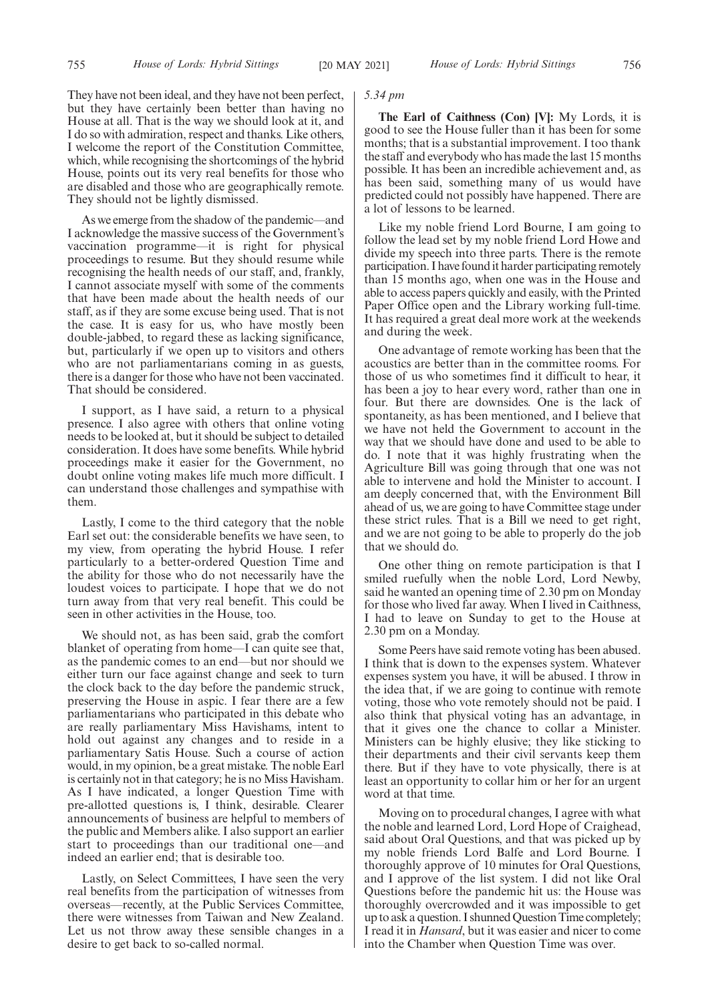They have not been ideal, and they have not been perfect, but they have certainly been better than having no House at all. That is the way we should look at it, and I do so with admiration, respect and thanks. Like others, I welcome the report of the Constitution Committee, which, while recognising the shortcomings of the hybrid House, points out its very real benefits for those who are disabled and those who are geographically remote. They should not be lightly dismissed.

As we emerge from the shadow of the pandemic—and I acknowledge the massive success of the Government's vaccination programme—it is right for physical proceedings to resume. But they should resume while recognising the health needs of our staff, and, frankly, I cannot associate myself with some of the comments that have been made about the health needs of our staff, as if they are some excuse being used. That is not the case. It is easy for us, who have mostly been double-jabbed, to regard these as lacking significance, but, particularly if we open up to visitors and others who are not parliamentarians coming in as guests, there is a danger for those who have not been vaccinated. That should be considered.

I support, as I have said, a return to a physical presence. I also agree with others that online voting needs to be looked at, but it should be subject to detailed consideration. It does have some benefits. While hybrid proceedings make it easier for the Government, no doubt online voting makes life much more difficult. I can understand those challenges and sympathise with them.

Lastly, I come to the third category that the noble Earl set out: the considerable benefits we have seen, to my view, from operating the hybrid House. I refer particularly to a better-ordered Question Time and the ability for those who do not necessarily have the loudest voices to participate. I hope that we do not turn away from that very real benefit. This could be seen in other activities in the House, too.

We should not, as has been said, grab the comfort blanket of operating from home—I can quite see that, as the pandemic comes to an end—but nor should we either turn our face against change and seek to turn the clock back to the day before the pandemic struck, preserving the House in aspic. I fear there are a few parliamentarians who participated in this debate who are really parliamentary Miss Havishams, intent to hold out against any changes and to reside in a parliamentary Satis House. Such a course of action would, in my opinion, be a great mistake. The noble Earl is certainly not in that category; he is no Miss Havisham. As I have indicated, a longer Question Time with pre-allotted questions is, I think, desirable. Clearer announcements of business are helpful to members of the public and Members alike. I also support an earlier start to proceedings than our traditional one—and indeed an earlier end; that is desirable too.

Lastly, on Select Committees, I have seen the very real benefits from the participation of witnesses from overseas—recently, at the Public Services Committee, there were witnesses from Taiwan and New Zealand. Let us not throw away these sensible changes in a desire to get back to so-called normal.

#### *5.34 pm*

**The Earl of Caithness (Con) [V]:** My Lords, it is good to see the House fuller than it has been for some months; that is a substantial improvement. I too thank the staff and everybody who has made the last 15 months possible. It has been an incredible achievement and, as has been said, something many of us would have predicted could not possibly have happened. There are a lot of lessons to be learned.

Like my noble friend Lord Bourne, I am going to follow the lead set by my noble friend Lord Howe and divide my speech into three parts. There is the remote participation. I have found it harder participating remotely than 15 months ago, when one was in the House and able to access papers quickly and easily, with the Printed Paper Office open and the Library working full-time. It has required a great deal more work at the weekends and during the week.

One advantage of remote working has been that the acoustics are better than in the committee rooms. For those of us who sometimes find it difficult to hear, it has been a joy to hear every word, rather than one in four. But there are downsides. One is the lack of spontaneity, as has been mentioned, and I believe that we have not held the Government to account in the way that we should have done and used to be able to do. I note that it was highly frustrating when the Agriculture Bill was going through that one was not able to intervene and hold the Minister to account. I am deeply concerned that, with the Environment Bill ahead of us, we are going to have Committee stage under these strict rules. That is a Bill we need to get right, and we are not going to be able to properly do the job that we should do.

One other thing on remote participation is that I smiled ruefully when the noble Lord, Lord Newby, said he wanted an opening time of 2.30 pm on Monday for those who lived far away. When I lived in Caithness, I had to leave on Sunday to get to the House at 2.30 pm on a Monday.

Some Peers have said remote voting has been abused. I think that is down to the expenses system. Whatever expenses system you have, it will be abused. I throw in the idea that, if we are going to continue with remote voting, those who vote remotely should not be paid. I also think that physical voting has an advantage, in that it gives one the chance to collar a Minister. Ministers can be highly elusive; they like sticking to their departments and their civil servants keep them there. But if they have to vote physically, there is at least an opportunity to collar him or her for an urgent word at that time.

Moving on to procedural changes, I agree with what the noble and learned Lord, Lord Hope of Craighead, said about Oral Questions, and that was picked up by my noble friends Lord Balfe and Lord Bourne. I thoroughly approve of 10 minutes for Oral Questions, and I approve of the list system. I did not like Oral Questions before the pandemic hit us: the House was thoroughly overcrowded and it was impossible to get up to ask a question. I shunned Question Time completely; I read it in *Hansard*, but it was easier and nicer to come into the Chamber when Question Time was over.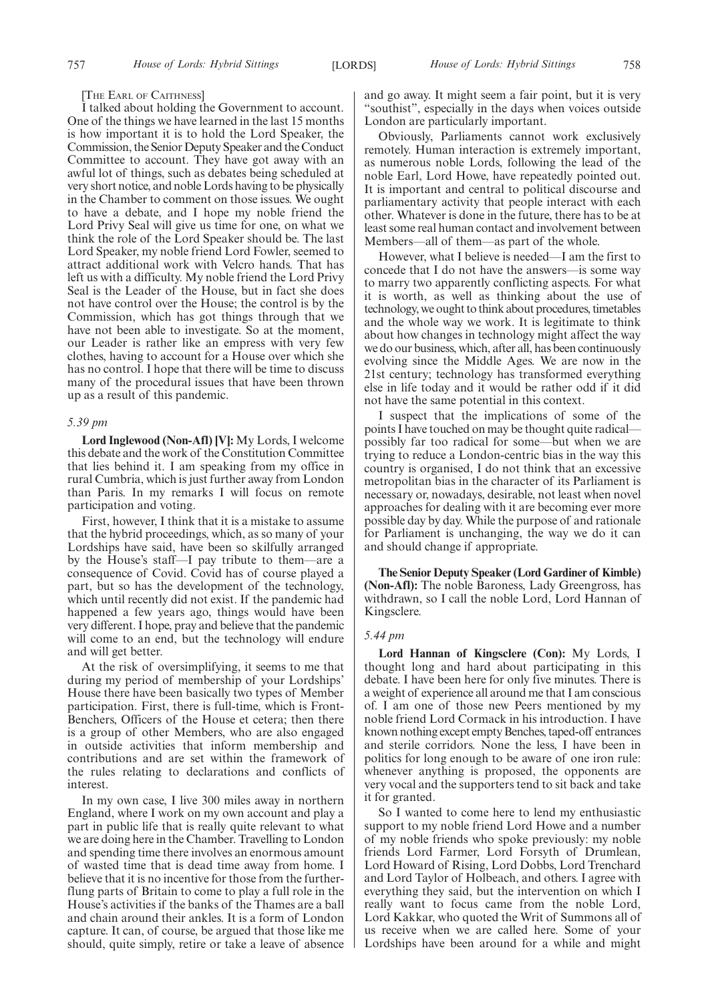[THE EARL OF CAITHNESS]

I talked about holding the Government to account. One of the things we have learned in the last 15 months is how important it is to hold the Lord Speaker, the Commission, the Senior Deputy Speaker and the Conduct Committee to account. They have got away with an awful lot of things, such as debates being scheduled at very short notice, and noble Lords having to be physically in the Chamber to comment on those issues. We ought to have a debate, and I hope my noble friend the Lord Privy Seal will give us time for one, on what we think the role of the Lord Speaker should be. The last Lord Speaker, my noble friend Lord Fowler, seemed to attract additional work with Velcro hands. That has left us with a difficulty. My noble friend the Lord Privy Seal is the Leader of the House, but in fact she does not have control over the House; the control is by the Commission, which has got things through that we have not been able to investigate. So at the moment, our Leader is rather like an empress with very few clothes, having to account for a House over which she has no control. I hope that there will be time to discuss many of the procedural issues that have been thrown up as a result of this pandemic.

#### *5.39 pm*

**Lord Inglewood (Non-Afl) [V]:** My Lords, I welcome this debate and the work of the Constitution Committee that lies behind it. I am speaking from my office in rural Cumbria, which is just further away from London than Paris. In my remarks I will focus on remote participation and voting.

First, however, I think that it is a mistake to assume that the hybrid proceedings, which, as so many of your Lordships have said, have been so skilfully arranged by the House's staff—I pay tribute to them—are a consequence of Covid. Covid has of course played a part, but so has the development of the technology, which until recently did not exist. If the pandemic had happened a few years ago, things would have been very different. I hope, pray and believe that the pandemic will come to an end, but the technology will endure and will get better.

At the risk of oversimplifying, it seems to me that during my period of membership of your Lordships' House there have been basically two types of Member participation. First, there is full-time, which is Front-Benchers, Officers of the House et cetera; then there is a group of other Members, who are also engaged in outside activities that inform membership and contributions and are set within the framework of the rules relating to declarations and conflicts of interest.

In my own case, I live 300 miles away in northern England, where I work on my own account and play a part in public life that is really quite relevant to what we are doing here in the Chamber. Travelling to London and spending time there involves an enormous amount of wasted time that is dead time away from home. I believe that it is no incentive for those from the furtherflung parts of Britain to come to play a full role in the House's activities if the banks of the Thames are a ball and chain around their ankles. It is a form of London capture. It can, of course, be argued that those like me should, quite simply, retire or take a leave of absence and go away. It might seem a fair point, but it is very "southist", especially in the days when voices outside London are particularly important.

Obviously, Parliaments cannot work exclusively remotely. Human interaction is extremely important, as numerous noble Lords, following the lead of the noble Earl, Lord Howe, have repeatedly pointed out. It is important and central to political discourse and parliamentary activity that people interact with each other. Whatever is done in the future, there has to be at least some real human contact and involvement between Members—all of them—as part of the whole.

However, what I believe is needed—I am the first to concede that I do not have the answers—is some way to marry two apparently conflicting aspects. For what it is worth, as well as thinking about the use of technology, we ought to think about procedures, timetables and the whole way we work. It is legitimate to think about how changes in technology might affect the way we do our business, which, after all, has been continuously evolving since the Middle Ages. We are now in the 21st century; technology has transformed everything else in life today and it would be rather odd if it did not have the same potential in this context.

I suspect that the implications of some of the points I have touched on may be thought quite radical possibly far too radical for some—but when we are trying to reduce a London-centric bias in the way this country is organised, I do not think that an excessive metropolitan bias in the character of its Parliament is necessary or, nowadays, desirable, not least when novel approaches for dealing with it are becoming ever more possible day by day. While the purpose of and rationale for Parliament is unchanging, the way we do it can and should change if appropriate.

**The Senior Deputy Speaker (Lord Gardiner of Kimble) (Non-Afl):** The noble Baroness, Lady Greengross, has withdrawn, so I call the noble Lord, Lord Hannan of Kingsclere.

#### *5.44 pm*

**Lord Hannan of Kingsclere (Con):** My Lords, I thought long and hard about participating in this debate. I have been here for only five minutes. There is a weight of experience all around me that I am conscious of. I am one of those new Peers mentioned by my noble friend Lord Cormack in his introduction. I have known nothing except empty Benches, taped-off entrances and sterile corridors. None the less, I have been in politics for long enough to be aware of one iron rule: whenever anything is proposed, the opponents are very vocal and the supporters tend to sit back and take it for granted.

So I wanted to come here to lend my enthusiastic support to my noble friend Lord Howe and a number of my noble friends who spoke previously: my noble friends Lord Farmer, Lord Forsyth of Drumlean, Lord Howard of Rising, Lord Dobbs, Lord Trenchard and Lord Taylor of Holbeach, and others. I agree with everything they said, but the intervention on which I really want to focus came from the noble Lord, Lord Kakkar, who quoted the Writ of Summons all of us receive when we are called here. Some of your Lordships have been around for a while and might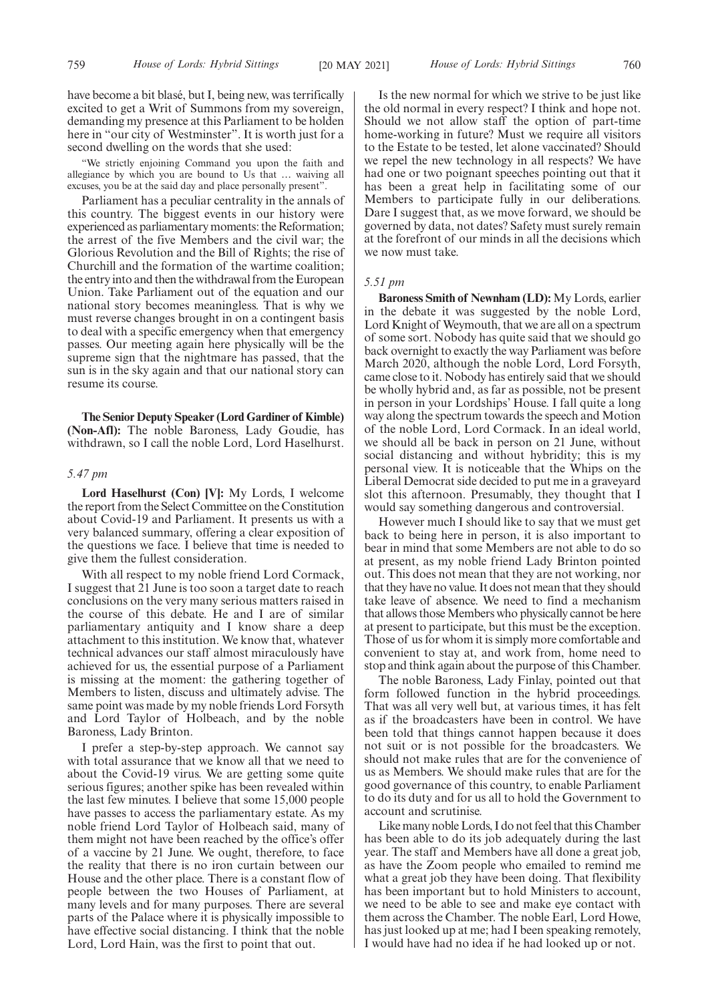have become a bit blasé, but I, being new, was terrifically excited to get a Writ of Summons from my sovereign, demanding my presence at this Parliament to be holden here in "our city of Westminster". It is worth just for a second dwelling on the words that she used:

"We strictly enjoining Command you upon the faith and allegiance by which you are bound to Us that … waiving all excuses, you be at the said day and place personally present".

Parliament has a peculiar centrality in the annals of this country. The biggest events in our history were experienced as parliamentary moments: the Reformation; the arrest of the five Members and the civil war; the Glorious Revolution and the Bill of Rights; the rise of Churchill and the formation of the wartime coalition; the entry into and then the withdrawal from the European Union. Take Parliament out of the equation and our national story becomes meaningless. That is why we must reverse changes brought in on a contingent basis to deal with a specific emergency when that emergency passes. Our meeting again here physically will be the supreme sign that the nightmare has passed, that the sun is in the sky again and that our national story can resume its course.

**The Senior Deputy Speaker (Lord Gardiner of Kimble) (Non-Afl):** The noble Baroness, Lady Goudie, has withdrawn, so I call the noble Lord, Lord Haselhurst.

# *5.47 pm*

**Lord Haselhurst (Con) [V]:** My Lords, I welcome the report from the Select Committee on the Constitution about Covid-19 and Parliament. It presents us with a very balanced summary, offering a clear exposition of the questions we face. I believe that time is needed to give them the fullest consideration.

With all respect to my noble friend Lord Cormack, I suggest that 21 June is too soon a target date to reach conclusions on the very many serious matters raised in the course of this debate. He and I are of similar parliamentary antiquity and I know share a deep attachment to this institution. We know that, whatever technical advances our staff almost miraculously have achieved for us, the essential purpose of a Parliament is missing at the moment: the gathering together of Members to listen, discuss and ultimately advise. The same point was made by my noble friends Lord Forsyth and Lord Taylor of Holbeach, and by the noble Baroness, Lady Brinton.

I prefer a step-by-step approach. We cannot say with total assurance that we know all that we need to about the Covid-19 virus. We are getting some quite serious figures; another spike has been revealed within the last few minutes. I believe that some 15,000 people have passes to access the parliamentary estate. As my noble friend Lord Taylor of Holbeach said, many of them might not have been reached by the office's offer of a vaccine by 21 June. We ought, therefore, to face the reality that there is no iron curtain between our House and the other place. There is a constant flow of people between the two Houses of Parliament, at many levels and for many purposes. There are several parts of the Palace where it is physically impossible to have effective social distancing. I think that the noble Lord, Lord Hain, was the first to point that out.

Is the new normal for which we strive to be just like the old normal in every respect? I think and hope not. Should we not allow staff the option of part-time home-working in future? Must we require all visitors to the Estate to be tested, let alone vaccinated? Should we repel the new technology in all respects? We have had one or two poignant speeches pointing out that it has been a great help in facilitating some of our Members to participate fully in our deliberations. Dare I suggest that, as we move forward, we should be governed by data, not dates? Safety must surely remain at the forefront of our minds in all the decisions which we now must take.

#### *5.51 pm*

**Baroness Smith of Newnham (LD):** My Lords, earlier in the debate it was suggested by the noble Lord, Lord Knight of Weymouth, that we are all on a spectrum of some sort. Nobody has quite said that we should go back overnight to exactly the way Parliament was before March 2020, although the noble Lord, Lord Forsyth, came close to it. Nobody has entirely said that we should be wholly hybrid and, as far as possible, not be present in person in your Lordships' House. I fall quite a long way along the spectrum towards the speech and Motion of the noble Lord, Lord Cormack. In an ideal world, we should all be back in person on 21 June, without social distancing and without hybridity; this is my personal view. It is noticeable that the Whips on the Liberal Democrat side decided to put me in a graveyard slot this afternoon. Presumably, they thought that I would say something dangerous and controversial.

However much I should like to say that we must get back to being here in person, it is also important to bear in mind that some Members are not able to do so at present, as my noble friend Lady Brinton pointed out. This does not mean that they are not working, nor that they have no value. It does not mean that they should take leave of absence. We need to find a mechanism that allows those Members who physically cannot be here at present to participate, but this must be the exception. Those of us for whom it is simply more comfortable and convenient to stay at, and work from, home need to stop and think again about the purpose of this Chamber.

The noble Baroness, Lady Finlay, pointed out that form followed function in the hybrid proceedings. That was all very well but, at various times, it has felt as if the broadcasters have been in control. We have been told that things cannot happen because it does not suit or is not possible for the broadcasters. We should not make rules that are for the convenience of us as Members. We should make rules that are for the good governance of this country, to enable Parliament to do its duty and for us all to hold the Government to account and scrutinise.

Like many noble Lords, I do not feel that this Chamber has been able to do its job adequately during the last year. The staff and Members have all done a great job, as have the Zoom people who emailed to remind me what a great job they have been doing. That flexibility has been important but to hold Ministers to account, we need to be able to see and make eye contact with them across the Chamber. The noble Earl, Lord Howe, has just looked up at me; had I been speaking remotely, I would have had no idea if he had looked up or not.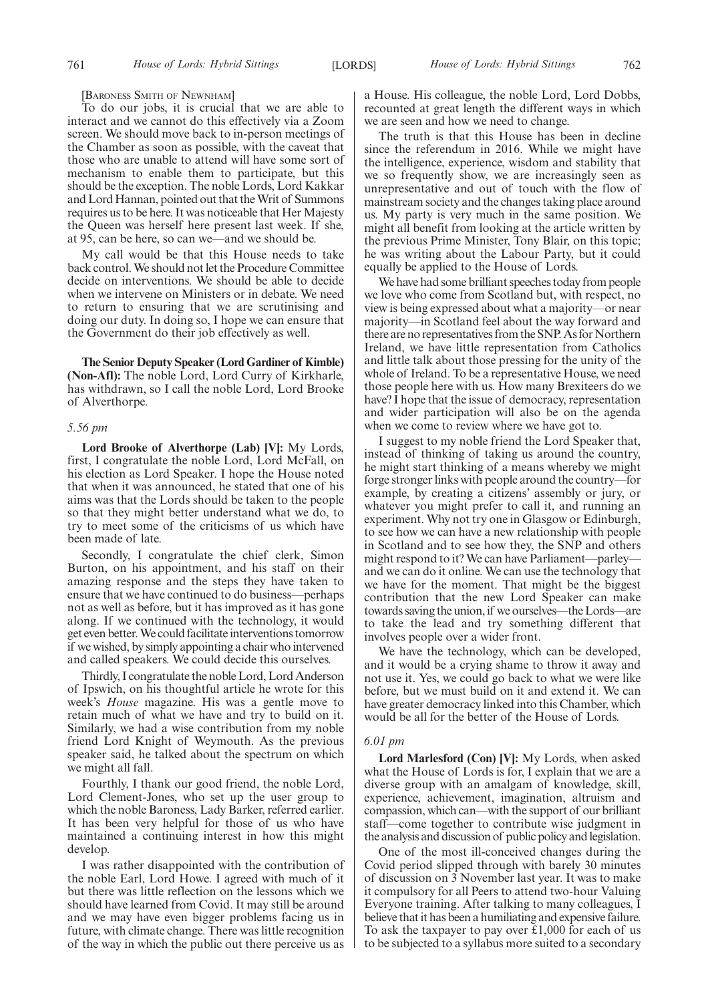#### [BARONESS SMITH OF NEWNHAM]

To do our jobs, it is crucial that we are able to interact and we cannot do this effectively via a Zoom screen. We should move back to in-person meetings of the Chamber as soon as possible, with the caveat that those who are unable to attend will have some sort of mechanism to enable them to participate, but this should be the exception. The noble Lords, Lord Kakkar and Lord Hannan, pointed out that the Writ of Summons requires us to be here. It was noticeable that Her Majesty the Queen was herself here present last week. If she, at 95, can be here, so can we—and we should be.

My call would be that this House needs to take back control. We should not let the Procedure Committee decide on interventions. We should be able to decide when we intervene on Ministers or in debate. We need to return to ensuring that we are scrutinising and doing our duty. In doing so, I hope we can ensure that the Government do their job effectively as well.

**The Senior Deputy Speaker (Lord Gardiner of Kimble) (Non-Afl):** The noble Lord, Lord Curry of Kirkharle, has withdrawn, so I call the noble Lord, Lord Brooke of Alverthorpe.

# *5.56 pm*

**Lord Brooke of Alverthorpe (Lab) [V]:** My Lords, first, I congratulate the noble Lord, Lord McFall, on his election as Lord Speaker. I hope the House noted that when it was announced, he stated that one of his aims was that the Lords should be taken to the people so that they might better understand what we do, to try to meet some of the criticisms of us which have been made of late.

Secondly, I congratulate the chief clerk, Simon Burton, on his appointment, and his staff on their amazing response and the steps they have taken to ensure that we have continued to do business—perhaps not as well as before, but it has improved as it has gone along. If we continued with the technology, it would get even better. We could facilitate interventions tomorrow if we wished, by simply appointing a chair who intervened and called speakers. We could decide this ourselves.

Thirdly, I congratulate the noble Lord, Lord Anderson of Ipswich, on his thoughtful article he wrote for this week's *House* magazine. His was a gentle move to retain much of what we have and try to build on it. Similarly, we had a wise contribution from my noble friend Lord Knight of Weymouth. As the previous speaker said, he talked about the spectrum on which we might all fall.

Fourthly, I thank our good friend, the noble Lord, Lord Clement-Jones, who set up the user group to which the noble Baroness, Lady Barker, referred earlier. It has been very helpful for those of us who have maintained a continuing interest in how this might develop.

I was rather disappointed with the contribution of the noble Earl, Lord Howe. I agreed with much of it but there was little reflection on the lessons which we should have learned from Covid. It may still be around and we may have even bigger problems facing us in future, with climate change. There was little recognition of the way in which the public out there perceive us as

a House. His colleague, the noble Lord, Lord Dobbs, recounted at great length the different ways in which we are seen and how we need to change.

The truth is that this House has been in decline since the referendum in 2016. While we might have the intelligence, experience, wisdom and stability that we so frequently show, we are increasingly seen as unrepresentative and out of touch with the flow of mainstream society and the changes taking place around us. My party is very much in the same position. We might all benefit from looking at the article written by the previous Prime Minister, Tony Blair, on this topic; he was writing about the Labour Party, but it could equally be applied to the House of Lords.

We have had some brilliant speeches today from people we love who come from Scotland but, with respect, no view is being expressed about what a majority—or near majority—in Scotland feel about the way forward and there are no representatives from the SNP. As for Northern Ireland, we have little representation from Catholics and little talk about those pressing for the unity of the whole of Ireland. To be a representative House, we need those people here with us. How many Brexiteers do we have? I hope that the issue of democracy, representation and wider participation will also be on the agenda when we come to review where we have got to.

I suggest to my noble friend the Lord Speaker that, instead of thinking of taking us around the country, he might start thinking of a means whereby we might forge stronger links with people around the country—for example, by creating a citizens' assembly or jury, or whatever you might prefer to call it, and running an experiment. Why not try one in Glasgow or Edinburgh, to see how we can have a new relationship with people in Scotland and to see how they, the SNP and others might respond to it? We can have Parliament—parley and we can do it online. We can use the technology that we have for the moment. That might be the biggest contribution that the new Lord Speaker can make towards saving the union, if we ourselves—the Lords—are to take the lead and try something different that involves people over a wider front.

We have the technology, which can be developed, and it would be a crying shame to throw it away and not use it. Yes, we could go back to what we were like before, but we must build on it and extend it. We can have greater democracy linked into this Chamber, which would be all for the better of the House of Lords.

#### *6.01 pm*

**Lord Marlesford (Con) [V]:** My Lords, when asked what the House of Lords is for, I explain that we are a diverse group with an amalgam of knowledge, skill, experience, achievement, imagination, altruism and compassion, which can—with the support of our brilliant staff—come together to contribute wise judgment in the analysis and discussion of public policy and legislation.

One of the most ill-conceived changes during the Covid period slipped through with barely 30 minutes of discussion on 3 November last year. It was to make it compulsory for all Peers to attend two-hour Valuing Everyone training. After talking to many colleagues, I believe that it has been a humiliating and expensive failure. To ask the taxpayer to pay over £1,000 for each of us to be subjected to a syllabus more suited to a secondary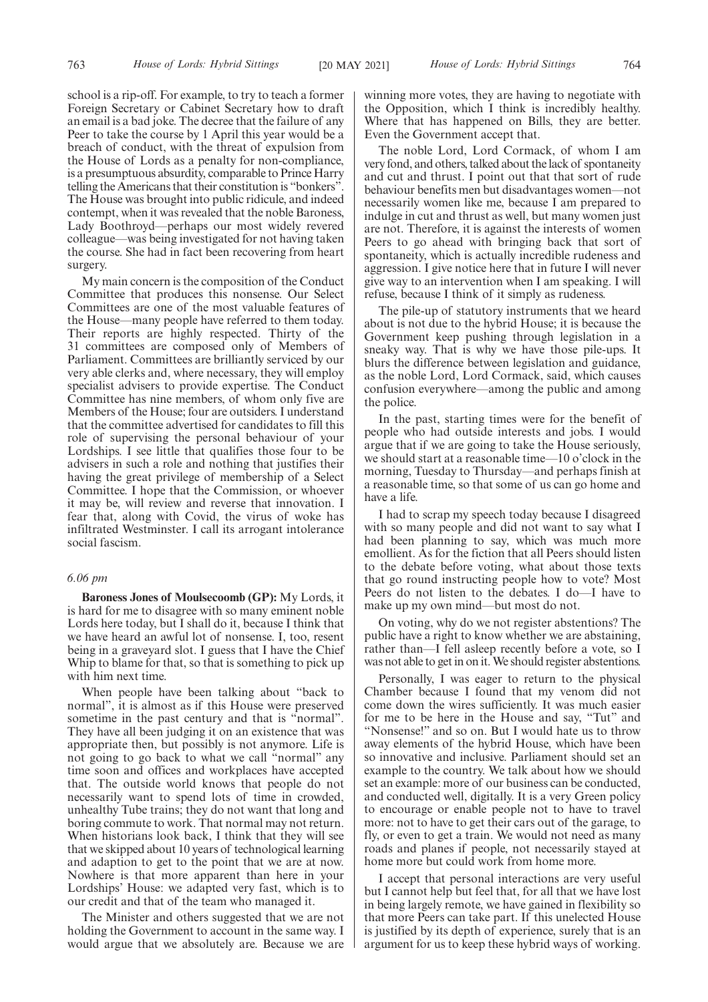school is a rip-off. For example, to try to teach a former Foreign Secretary or Cabinet Secretary how to draft an email is a bad joke. The decree that the failure of any Peer to take the course by 1 April this year would be a breach of conduct, with the threat of expulsion from the House of Lords as a penalty for non-compliance, is a presumptuous absurdity, comparable to Prince Harry telling the Americans that their constitution is "bonkers". The House was brought into public ridicule, and indeed contempt, when it was revealed that the noble Baroness, Lady Boothroyd—perhaps our most widely revered colleague—was being investigated for not having taken the course. She had in fact been recovering from heart surgery.

My main concern is the composition of the Conduct Committee that produces this nonsense. Our Select Committees are one of the most valuable features of the House—many people have referred to them today. Their reports are highly respected. Thirty of the 31 committees are composed only of Members of Parliament. Committees are brilliantly serviced by our very able clerks and, where necessary, they will employ specialist advisers to provide expertise. The Conduct Committee has nine members, of whom only five are Members of the House; four are outsiders. I understand that the committee advertised for candidates to fill this role of supervising the personal behaviour of your Lordships. I see little that qualifies those four to be advisers in such a role and nothing that justifies their having the great privilege of membership of a Select Committee. I hope that the Commission, or whoever it may be, will review and reverse that innovation. I fear that, along with Covid, the virus of woke has infiltrated Westminster. I call its arrogant intolerance social fascism.

# *6.06 pm*

**Baroness Jones of Moulsecoomb (GP):** My Lords, it is hard for me to disagree with so many eminent noble Lords here today, but I shall do it, because I think that we have heard an awful lot of nonsense. I, too, resent being in a graveyard slot. I guess that I have the Chief Whip to blame for that, so that is something to pick up with him next time.

When people have been talking about "back to normal", it is almost as if this House were preserved sometime in the past century and that is "normal". They have all been judging it on an existence that was appropriate then, but possibly is not anymore. Life is not going to go back to what we call "normal" any time soon and offices and workplaces have accepted that. The outside world knows that people do not necessarily want to spend lots of time in crowded, unhealthy Tube trains; they do not want that long and boring commute to work. That normal may not return. When historians look back, I think that they will see that we skipped about 10 years of technological learning and adaption to get to the point that we are at now. Nowhere is that more apparent than here in your Lordships' House: we adapted very fast, which is to our credit and that of the team who managed it.

The Minister and others suggested that we are not holding the Government to account in the same way. I would argue that we absolutely are. Because we are winning more votes, they are having to negotiate with the Opposition, which I think is incredibly healthy. Where that has happened on Bills, they are better. Even the Government accept that.

The noble Lord, Lord Cormack, of whom I am very fond, and others, talked about the lack of spontaneity and cut and thrust. I point out that that sort of rude behaviour benefits men but disadvantages women—not necessarily women like me, because I am prepared to indulge in cut and thrust as well, but many women just are not. Therefore, it is against the interests of women Peers to go ahead with bringing back that sort of spontaneity, which is actually incredible rudeness and aggression. I give notice here that in future I will never give way to an intervention when I am speaking. I will refuse, because I think of it simply as rudeness.

The pile-up of statutory instruments that we heard about is not due to the hybrid House; it is because the Government keep pushing through legislation in a sneaky way. That is why we have those pile-ups. It blurs the difference between legislation and guidance, as the noble Lord, Lord Cormack, said, which causes confusion everywhere—among the public and among the police.

In the past, starting times were for the benefit of people who had outside interests and jobs. I would argue that if we are going to take the House seriously, we should start at a reasonable time—10 o'clock in the morning, Tuesday to Thursday—and perhaps finish at a reasonable time, so that some of us can go home and have a life.

I had to scrap my speech today because I disagreed with so many people and did not want to say what I had been planning to say, which was much more emollient. As for the fiction that all Peers should listen to the debate before voting, what about those texts that go round instructing people how to vote? Most Peers do not listen to the debates. I do—I have to make up my own mind—but most do not.

On voting, why do we not register abstentions? The public have a right to know whether we are abstaining, rather than—I fell asleep recently before a vote, so I was not able to get in on it. We should register abstentions.

Personally, I was eager to return to the physical Chamber because I found that my venom did not come down the wires sufficiently. It was much easier for me to be here in the House and say, "Tut" and "Nonsense!" and so on. But I would hate us to throw away elements of the hybrid House, which have been so innovative and inclusive. Parliament should set an example to the country. We talk about how we should set an example: more of our business can be conducted, and conducted well, digitally. It is a very Green policy to encourage or enable people not to have to travel more: not to have to get their cars out of the garage, to fly, or even to get a train. We would not need as many roads and planes if people, not necessarily stayed at home more but could work from home more.

I accept that personal interactions are very useful but I cannot help but feel that, for all that we have lost in being largely remote, we have gained in flexibility so that more Peers can take part. If this unelected House is justified by its depth of experience, surely that is an argument for us to keep these hybrid ways of working.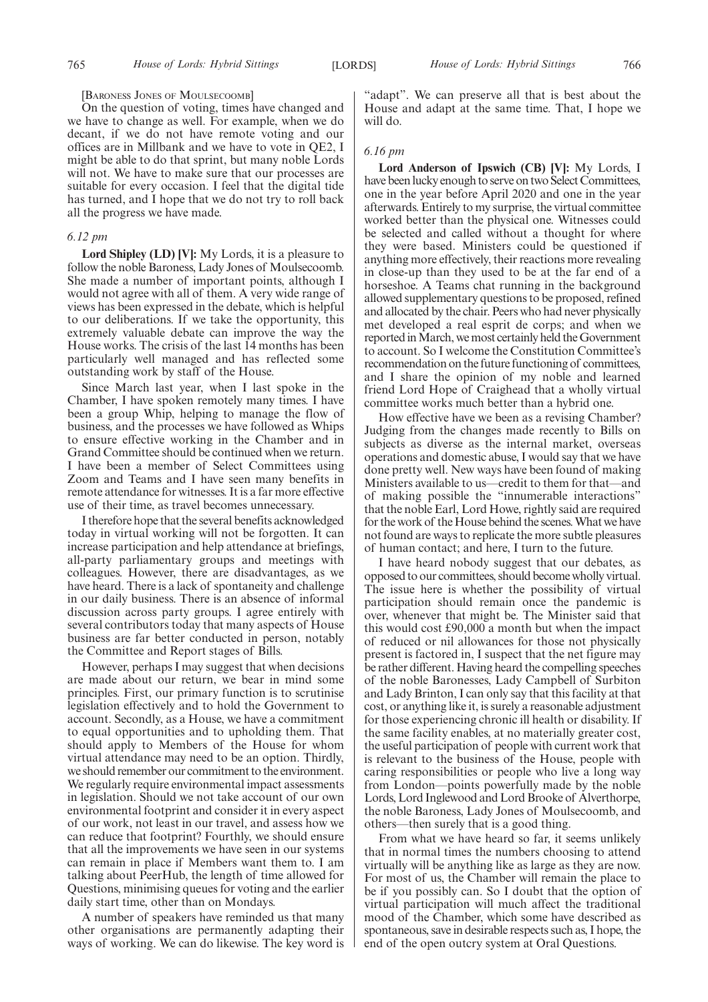#### [BARONESS JONES OF MOULSECOOMB]

On the question of voting, times have changed and we have to change as well. For example, when we do decant, if we do not have remote voting and our offices are in Millbank and we have to vote in QE2, I might be able to do that sprint, but many noble Lords will not. We have to make sure that our processes are suitable for every occasion. I feel that the digital tide has turned, and I hope that we do not try to roll back all the progress we have made.

#### *6.12 pm*

**Lord Shipley (LD) [V]:** My Lords, it is a pleasure to follow the noble Baroness, Lady Jones of Moulsecoomb. She made a number of important points, although I would not agree with all of them. A very wide range of views has been expressed in the debate, which is helpful to our deliberations. If we take the opportunity, this extremely valuable debate can improve the way the House works. The crisis of the last 14 months has been particularly well managed and has reflected some outstanding work by staff of the House.

Since March last year, when I last spoke in the Chamber, I have spoken remotely many times. I have been a group Whip, helping to manage the flow of business, and the processes we have followed as Whips to ensure effective working in the Chamber and in Grand Committee should be continued when we return. I have been a member of Select Committees using Zoom and Teams and I have seen many benefits in remote attendance for witnesses. It is a far more effective use of their time, as travel becomes unnecessary.

I therefore hope that the several benefits acknowledged today in virtual working will not be forgotten. It can increase participation and help attendance at briefings, all-party parliamentary groups and meetings with colleagues. However, there are disadvantages, as we have heard. There is a lack of spontaneity and challenge in our daily business. There is an absence of informal discussion across party groups. I agree entirely with several contributors today that many aspects of House business are far better conducted in person, notably the Committee and Report stages of Bills.

However, perhaps I may suggest that when decisions are made about our return, we bear in mind some principles. First, our primary function is to scrutinise legislation effectively and to hold the Government to account. Secondly, as a House, we have a commitment to equal opportunities and to upholding them. That should apply to Members of the House for whom virtual attendance may need to be an option. Thirdly, we should remember our commitment to the environment. We regularly require environmental impact assessments in legislation. Should we not take account of our own environmental footprint and consider it in every aspect of our work, not least in our travel, and assess how we can reduce that footprint? Fourthly, we should ensure that all the improvements we have seen in our systems can remain in place if Members want them to. I am talking about PeerHub, the length of time allowed for Questions, minimising queues for voting and the earlier daily start time, other than on Mondays.

A number of speakers have reminded us that many other organisations are permanently adapting their ways of working. We can do likewise. The key word is "adapt". We can preserve all that is best about the House and adapt at the same time. That, I hope we will do.

# *6.16 pm*

**Lord Anderson of Ipswich (CB) [V]:** My Lords, I have been lucky enough to serve on two Select Committees, one in the year before April 2020 and one in the year afterwards. Entirely to my surprise, the virtual committee worked better than the physical one. Witnesses could be selected and called without a thought for where they were based. Ministers could be questioned if anything more effectively, their reactions more revealing in close-up than they used to be at the far end of a horseshoe. A Teams chat running in the background allowed supplementary questions to be proposed, refined and allocated by the chair. Peers who had never physically met developed a real esprit de corps; and when we reported in March, we most certainly held the Government to account. So I welcome the Constitution Committee's recommendation on the future functioning of committees, and I share the opinion of my noble and learned friend Lord Hope of Craighead that a wholly virtual committee works much better than a hybrid one.

How effective have we been as a revising Chamber? Judging from the changes made recently to Bills on subjects as diverse as the internal market, overseas operations and domestic abuse, I would say that we have done pretty well. New ways have been found of making Ministers available to us—credit to them for that—and of making possible the "innumerable interactions" that the noble Earl, Lord Howe, rightly said are required for the work of the House behind the scenes. What we have not found are ways to replicate the more subtle pleasures of human contact; and here, I turn to the future.

I have heard nobody suggest that our debates, as opposed to our committees, should become wholly virtual. The issue here is whether the possibility of virtual participation should remain once the pandemic is over, whenever that might be. The Minister said that this would cost £90,000 a month but when the impact of reduced or nil allowances for those not physically present is factored in, I suspect that the net figure may be rather different. Having heard the compelling speeches of the noble Baronesses, Lady Campbell of Surbiton and Lady Brinton, I can only say that this facility at that cost, or anything like it, is surely a reasonable adjustment for those experiencing chronic ill health or disability. If the same facility enables, at no materially greater cost, the useful participation of people with current work that is relevant to the business of the House, people with caring responsibilities or people who live a long way from London—points powerfully made by the noble Lords, Lord Inglewood and Lord Brooke of Alverthorpe, the noble Baroness, Lady Jones of Moulsecoomb, and others—then surely that is a good thing.

From what we have heard so far, it seems unlikely that in normal times the numbers choosing to attend virtually will be anything like as large as they are now. For most of us, the Chamber will remain the place to be if you possibly can. So I doubt that the option of virtual participation will much affect the traditional mood of the Chamber, which some have described as spontaneous, save in desirable respects such as, I hope, the end of the open outcry system at Oral Questions.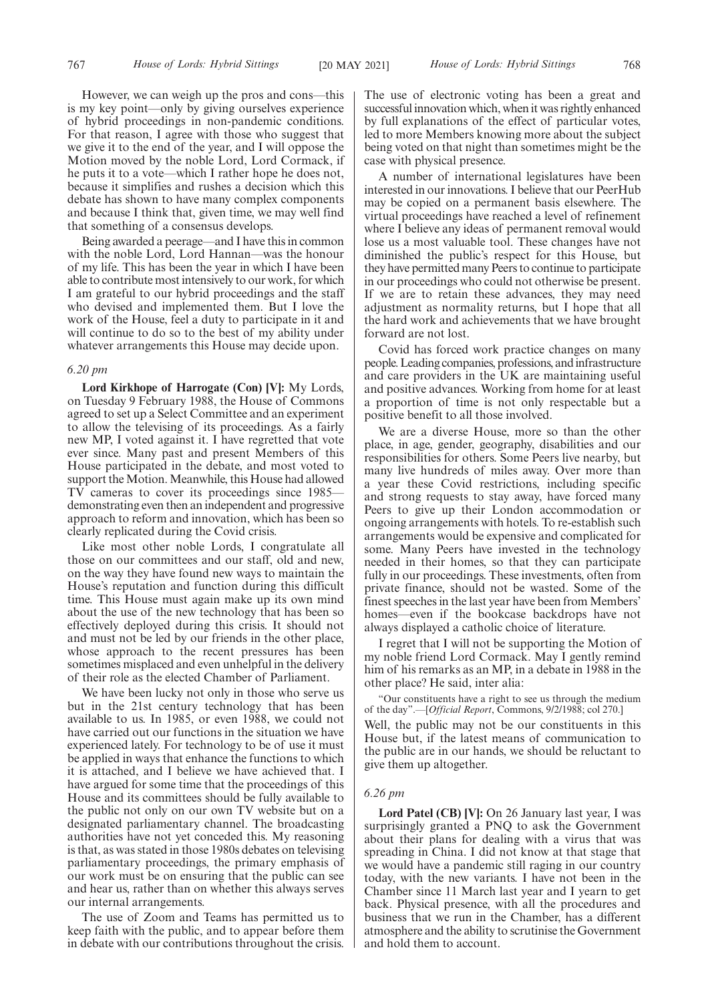However, we can weigh up the pros and cons—this is my key point—only by giving ourselves experience of hybrid proceedings in non-pandemic conditions. For that reason, I agree with those who suggest that we give it to the end of the year, and I will oppose the Motion moved by the noble Lord, Lord Cormack, if he puts it to a vote—which I rather hope he does not, because it simplifies and rushes a decision which this debate has shown to have many complex components and because I think that, given time, we may well find that something of a consensus develops.

Being awarded a peerage—and I have this in common with the noble Lord, Lord Hannan—was the honour of my life. This has been the year in which I have been able to contribute most intensively to our work, for which I am grateful to our hybrid proceedings and the staff who devised and implemented them. But I love the work of the House, feel a duty to participate in it and will continue to do so to the best of my ability under whatever arrangements this House may decide upon.

# *6.20 pm*

**Lord Kirkhope of Harrogate (Con) [V]:** My Lords, on Tuesday 9 February 1988, the House of Commons agreed to set up a Select Committee and an experiment to allow the televising of its proceedings. As a fairly new MP, I voted against it. I have regretted that vote ever since. Many past and present Members of this House participated in the debate, and most voted to support the Motion. Meanwhile, this House had allowed TV cameras to cover its proceedings since 1985 demonstrating even then an independent and progressive approach to reform and innovation, which has been so clearly replicated during the Covid crisis.

Like most other noble Lords, I congratulate all those on our committees and our staff, old and new, on the way they have found new ways to maintain the House's reputation and function during this difficult time. This House must again make up its own mind about the use of the new technology that has been so effectively deployed during this crisis. It should not and must not be led by our friends in the other place, whose approach to the recent pressures has been sometimes misplaced and even unhelpful in the delivery of their role as the elected Chamber of Parliament.

We have been lucky not only in those who serve us but in the 21st century technology that has been available to us. In 1985, or even 1988, we could not have carried out our functions in the situation we have experienced lately. For technology to be of use it must be applied in ways that enhance the functions to which it is attached, and I believe we have achieved that. I have argued for some time that the proceedings of this House and its committees should be fully available to the public not only on our own TV website but on a designated parliamentary channel. The broadcasting authorities have not yet conceded this. My reasoning is that, as was stated in those 1980s debates on televising parliamentary proceedings, the primary emphasis of our work must be on ensuring that the public can see and hear us, rather than on whether this always serves our internal arrangements.

The use of Zoom and Teams has permitted us to keep faith with the public, and to appear before them in debate with our contributions throughout the crisis. The use of electronic voting has been a great and successful innovation which, when it was rightly enhanced by full explanations of the effect of particular votes, led to more Members knowing more about the subject being voted on that night than sometimes might be the case with physical presence.

A number of international legislatures have been interested in our innovations. I believe that our PeerHub may be copied on a permanent basis elsewhere. The virtual proceedings have reached a level of refinement where I believe any ideas of permanent removal would lose us a most valuable tool. These changes have not diminished the public's respect for this House, but they have permitted many Peers to continue to participate in our proceedings who could not otherwise be present. If we are to retain these advances, they may need adjustment as normality returns, but I hope that all the hard work and achievements that we have brought forward are not lost.

Covid has forced work practice changes on many people. Leading companies, professions, and infrastructure and care providers in the UK are maintaining useful and positive advances. Working from home for at least a proportion of time is not only respectable but a positive benefit to all those involved.

We are a diverse House, more so than the other place, in age, gender, geography, disabilities and our responsibilities for others. Some Peers live nearby, but many live hundreds of miles away. Over more than a year these Covid restrictions, including specific and strong requests to stay away, have forced many Peers to give up their London accommodation or ongoing arrangements with hotels. To re-establish such arrangements would be expensive and complicated for some. Many Peers have invested in the technology needed in their homes, so that they can participate fully in our proceedings. These investments, often from private finance, should not be wasted. Some of the finest speeches in the last year have been from Members' homes—even if the bookcase backdrops have not always displayed a catholic choice of literature.

I regret that I will not be supporting the Motion of my noble friend Lord Cormack. May I gently remind him of his remarks as an MP, in a debate in 1988 in the other place? He said, inter alia:

"Our constituents have a right to see us through the medium of the day".—[*Official Report*, Commons, 9/2/1988; col 270.] Well, the public may not be our constituents in this House but, if the latest means of communication to the public are in our hands, we should be reluctant to give them up altogether.

#### *6.26 pm*

**Lord Patel (CB) [V]:** On 26 January last year, I was surprisingly granted a PNQ to ask the Government about their plans for dealing with a virus that was spreading in China. I did not know at that stage that we would have a pandemic still raging in our country today, with the new variants. I have not been in the Chamber since 11 March last year and I yearn to get back. Physical presence, with all the procedures and business that we run in the Chamber, has a different atmosphere and the ability to scrutinise the Government and hold them to account.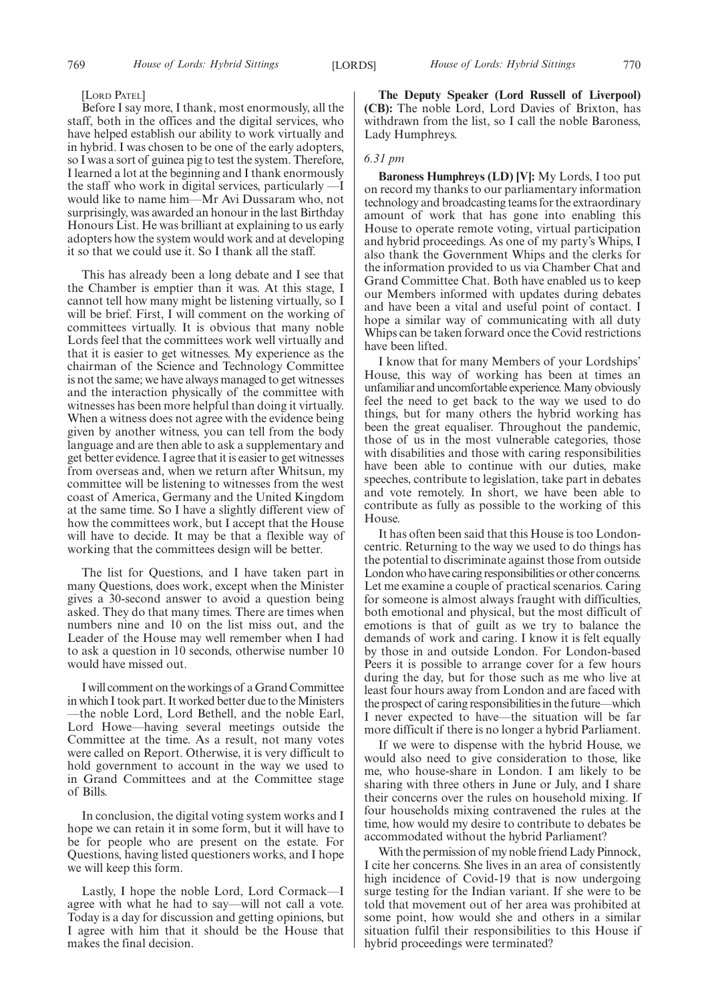#### [LORD PATEL]

Before I say more, I thank, most enormously, all the staff, both in the offices and the digital services, who have helped establish our ability to work virtually and in hybrid. I was chosen to be one of the early adopters, so I was a sort of guinea pig to test the system. Therefore, I learned a lot at the beginning and I thank enormously the staff who work in digital services, particularly  $\cdot$ would like to name him—Mr Avi Dussaram who, not surprisingly, was awarded an honour in the last Birthday Honours List. He was brilliant at explaining to us early adopters how the system would work and at developing it so that we could use it. So I thank all the staff.

This has already been a long debate and I see that the Chamber is emptier than it was. At this stage, I cannot tell how many might be listening virtually, so I will be brief. First, I will comment on the working of committees virtually. It is obvious that many noble Lords feel that the committees work well virtually and that it is easier to get witnesses. My experience as the chairman of the Science and Technology Committee is not the same; we have always managed to get witnesses and the interaction physically of the committee with witnesses has been more helpful than doing it virtually. When a witness does not agree with the evidence being given by another witness, you can tell from the body language and are then able to ask a supplementary and get better evidence. I agree that it is easier to get witnesses from overseas and, when we return after Whitsun, my committee will be listening to witnesses from the west coast of America, Germany and the United Kingdom at the same time. So I have a slightly different view of how the committees work, but I accept that the House will have to decide. It may be that a flexible way of working that the committees design will be better.

The list for Questions, and I have taken part in many Questions, does work, except when the Minister gives a 30-second answer to avoid a question being asked. They do that many times. There are times when numbers nine and 10 on the list miss out, and the Leader of the House may well remember when I had to ask a question in 10 seconds, otherwise number 10 would have missed out.

I will comment on the workings of a Grand Committee in which I took part. It worked better due to the Ministers —the noble Lord, Lord Bethell, and the noble Earl, Lord Howe—having several meetings outside the Committee at the time. As a result, not many votes were called on Report. Otherwise, it is very difficult to hold government to account in the way we used to in Grand Committees and at the Committee stage of Bills.

In conclusion, the digital voting system works and I hope we can retain it in some form, but it will have to be for people who are present on the estate. For Questions, having listed questioners works, and I hope we will keep this form.

Lastly, I hope the noble Lord, Lord Cormack—I agree with what he had to say—will not call a vote. Today is a day for discussion and getting opinions, but I agree with him that it should be the House that makes the final decision.

**The Deputy Speaker (Lord Russell of Liverpool) (CB):** The noble Lord, Lord Davies of Brixton, has withdrawn from the list, so I call the noble Baroness, Lady Humphreys.

#### *6.31 pm*

**Baroness Humphreys (LD) [V]:** My Lords, I too put on record my thanks to our parliamentary information technology and broadcasting teams for the extraordinary amount of work that has gone into enabling this House to operate remote voting, virtual participation and hybrid proceedings. As one of my party's Whips, I also thank the Government Whips and the clerks for the information provided to us via Chamber Chat and Grand Committee Chat. Both have enabled us to keep our Members informed with updates during debates and have been a vital and useful point of contact. I hope a similar way of communicating with all duty Whips can be taken forward once the Covid restrictions have been lifted.

I know that for many Members of your Lordships' House, this way of working has been at times an unfamiliar and uncomfortable experience. Many obviously feel the need to get back to the way we used to do things, but for many others the hybrid working has been the great equaliser. Throughout the pandemic, those of us in the most vulnerable categories, those with disabilities and those with caring responsibilities have been able to continue with our duties, make speeches, contribute to legislation, take part in debates and vote remotely. In short, we have been able to contribute as fully as possible to the working of this House.

It has often been said that this House is too Londoncentric. Returning to the way we used to do things has the potential to discriminate against those from outside London who have caring responsibilities or other concerns. Let me examine a couple of practical scenarios. Caring for someone is almost always fraught with difficulties, both emotional and physical, but the most difficult of emotions is that of guilt as we try to balance the demands of work and caring. I know it is felt equally by those in and outside London. For London-based Peers it is possible to arrange cover for a few hours during the day, but for those such as me who live at least four hours away from London and are faced with the prospect of caring responsibilities in the future—which I never expected to have—the situation will be far more difficult if there is no longer a hybrid Parliament.

If we were to dispense with the hybrid House, we would also need to give consideration to those, like me, who house-share in London. I am likely to be sharing with three others in June or July, and I share their concerns over the rules on household mixing. If four households mixing contravened the rules at the time, how would my desire to contribute to debates be accommodated without the hybrid Parliament?

With the permission of my noble friend Lady Pinnock, I cite her concerns. She lives in an area of consistently high incidence of Covid-19 that is now undergoing surge testing for the Indian variant. If she were to be told that movement out of her area was prohibited at some point, how would she and others in a similar situation fulfil their responsibilities to this House if hybrid proceedings were terminated?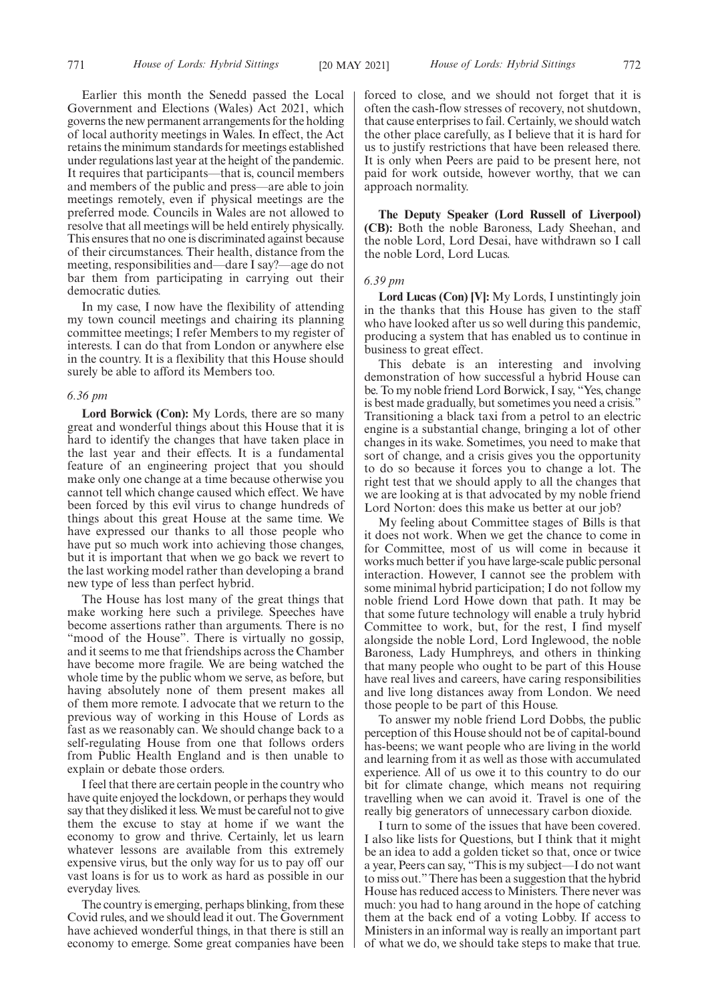Earlier this month the Senedd passed the Local Government and Elections (Wales) Act 2021, which governs the new permanent arrangements for the holding of local authority meetings in Wales. In effect, the Act retains the minimum standards for meetings established under regulations last year at the height of the pandemic. It requires that participants—that is, council members and members of the public and press—are able to join meetings remotely, even if physical meetings are the preferred mode. Councils in Wales are not allowed to resolve that all meetings will be held entirely physically. This ensures that no one is discriminated against because of their circumstances. Their health, distance from the meeting, responsibilities and—dare I say?—age do not bar them from participating in carrying out their democratic duties.

In my case, I now have the flexibility of attending my town council meetings and chairing its planning committee meetings; I refer Members to my register of interests. I can do that from London or anywhere else in the country. It is a flexibility that this House should surely be able to afford its Members too.

## *6.36 pm*

**Lord Borwick (Con):** My Lords, there are so many great and wonderful things about this House that it is hard to identify the changes that have taken place in the last year and their effects. It is a fundamental feature of an engineering project that you should make only one change at a time because otherwise you cannot tell which change caused which effect. We have been forced by this evil virus to change hundreds of things about this great House at the same time. We have expressed our thanks to all those people who have put so much work into achieving those changes, but it is important that when we go back we revert to the last working model rather than developing a brand new type of less than perfect hybrid.

The House has lost many of the great things that make working here such a privilege. Speeches have become assertions rather than arguments. There is no "mood of the House". There is virtually no gossip, and it seems to me that friendships across the Chamber have become more fragile. We are being watched the whole time by the public whom we serve, as before, but having absolutely none of them present makes all of them more remote. I advocate that we return to the previous way of working in this House of Lords as fast as we reasonably can. We should change back to a self-regulating House from one that follows orders from Public Health England and is then unable to explain or debate those orders.

I feel that there are certain people in the country who have quite enjoyed the lockdown, or perhaps they would say that they disliked it less. We must be careful not to give them the excuse to stay at home if we want the economy to grow and thrive. Certainly, let us learn whatever lessons are available from this extremely expensive virus, but the only way for us to pay off our vast loans is for us to work as hard as possible in our everyday lives.

The country is emerging, perhaps blinking, from these Covid rules, and we should lead it out. The Government have achieved wonderful things, in that there is still an economy to emerge. Some great companies have been forced to close, and we should not forget that it is often the cash-flow stresses of recovery, not shutdown, that cause enterprises to fail. Certainly, we should watch the other place carefully, as I believe that it is hard for us to justify restrictions that have been released there. It is only when Peers are paid to be present here, not paid for work outside, however worthy, that we can approach normality.

**The Deputy Speaker (Lord Russell of Liverpool) (CB):** Both the noble Baroness, Lady Sheehan, and the noble Lord, Lord Desai, have withdrawn so I call the noble Lord, Lord Lucas.

# *6.39 pm*

**Lord Lucas (Con) [V]:** My Lords, I unstintingly join in the thanks that this House has given to the staff who have looked after us so well during this pandemic, producing a system that has enabled us to continue in business to great effect.

This debate is an interesting and involving demonstration of how successful a hybrid House can be. To my noble friend Lord Borwick, I say, "Yes, change is best made gradually, but sometimes you need a crisis." Transitioning a black taxi from a petrol to an electric engine is a substantial change, bringing a lot of other changes in its wake. Sometimes, you need to make that sort of change, and a crisis gives you the opportunity to do so because it forces you to change a lot. The right test that we should apply to all the changes that we are looking at is that advocated by my noble friend Lord Norton: does this make us better at our job?

My feeling about Committee stages of Bills is that it does not work. When we get the chance to come in for Committee, most of us will come in because it works much better if you have large-scale public personal interaction. However, I cannot see the problem with some minimal hybrid participation; I do not follow my noble friend Lord Howe down that path. It may be that some future technology will enable a truly hybrid Committee to work, but, for the rest, I find myself alongside the noble Lord, Lord Inglewood, the noble Baroness, Lady Humphreys, and others in thinking that many people who ought to be part of this House have real lives and careers, have caring responsibilities and live long distances away from London. We need those people to be part of this House.

To answer my noble friend Lord Dobbs, the public perception of this House should not be of capital-bound has-beens; we want people who are living in the world and learning from it as well as those with accumulated experience. All of us owe it to this country to do our bit for climate change, which means not requiring travelling when we can avoid it. Travel is one of the really big generators of unnecessary carbon dioxide.

I turn to some of the issues that have been covered. I also like lists for Questions, but I think that it might be an idea to add a golden ticket so that, once or twice a year, Peers can say, "This is my subject—I do not want to miss out."There has been a suggestion that the hybrid House has reduced access to Ministers. There never was much: you had to hang around in the hope of catching them at the back end of a voting Lobby. If access to Ministers in an informal way is really an important part of what we do, we should take steps to make that true.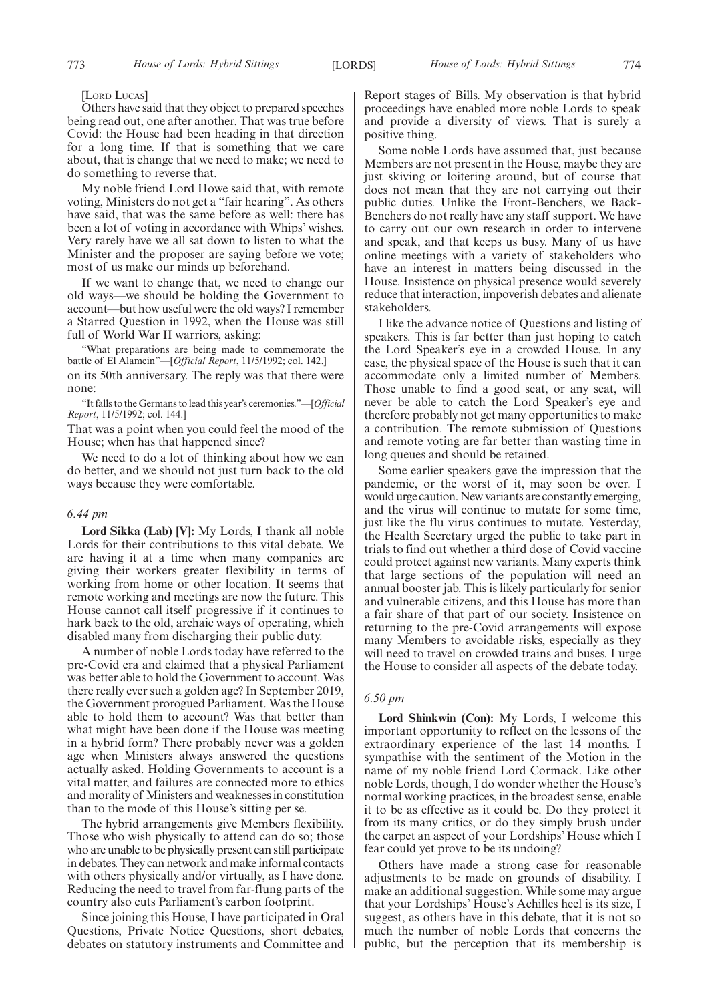[LORD LUCAS]

Others have said that they object to prepared speeches being read out, one after another. That was true before Covid: the House had been heading in that direction for a long time. If that is something that we care about, that is change that we need to make; we need to do something to reverse that.

My noble friend Lord Howe said that, with remote voting, Ministers do not get a "fair hearing". As others have said, that was the same before as well: there has been a lot of voting in accordance with Whips' wishes. Very rarely have we all sat down to listen to what the Minister and the proposer are saying before we vote; most of us make our minds up beforehand.

If we want to change that, we need to change our old ways—we should be holding the Government to account—but how useful were the old ways? I remember a Starred Question in 1992, when the House was still full of World War II warriors, asking:

"What preparations are being made to commemorate the battle of El Alamein"—[*Official Report*, 11/5/1992; col. 142.]

on its 50th anniversary. The reply was that there were none:

"It falls to the Germans to lead this year's ceremonies."—[*Official Report*, 11/5/1992; col. 144.]

That was a point when you could feel the mood of the House; when has that happened since?

We need to do a lot of thinking about how we can do better, and we should not just turn back to the old ways because they were comfortable.

# *6.44 pm*

**Lord Sikka (Lab) [V]:** My Lords, I thank all noble Lords for their contributions to this vital debate. We are having it at a time when many companies are giving their workers greater flexibility in terms of working from home or other location. It seems that remote working and meetings are now the future. This House cannot call itself progressive if it continues to hark back to the old, archaic ways of operating, which disabled many from discharging their public duty.

A number of noble Lords today have referred to the pre-Covid era and claimed that a physical Parliament was better able to hold the Government to account. Was there really ever such a golden age? In September 2019, the Government prorogued Parliament. Was the House able to hold them to account? Was that better than what might have been done if the House was meeting in a hybrid form? There probably never was a golden age when Ministers always answered the questions actually asked. Holding Governments to account is a vital matter, and failures are connected more to ethics and morality of Ministers and weaknesses in constitution than to the mode of this House's sitting per se.

The hybrid arrangements give Members flexibility. Those who wish physically to attend can do so; those who are unable to be physically present can still participate in debates. They can network and make informal contacts with others physically and/or virtually, as I have done. Reducing the need to travel from far-flung parts of the country also cuts Parliament's carbon footprint.

Since joining this House, I have participated in Oral Questions, Private Notice Questions, short debates, debates on statutory instruments and Committee and Report stages of Bills. My observation is that hybrid proceedings have enabled more noble Lords to speak and provide a diversity of views. That is surely a positive thing.

Some noble Lords have assumed that, just because Members are not present in the House, maybe they are just skiving or loitering around, but of course that does not mean that they are not carrying out their public duties. Unlike the Front-Benchers, we Back-Benchers do not really have any staff support. We have to carry out our own research in order to intervene and speak, and that keeps us busy. Many of us have online meetings with a variety of stakeholders who have an interest in matters being discussed in the House. Insistence on physical presence would severely reduce that interaction, impoverish debates and alienate stakeholders.

I like the advance notice of Questions and listing of speakers. This is far better than just hoping to catch the Lord Speaker's eye in a crowded House. In any case, the physical space of the House is such that it can accommodate only a limited number of Members. Those unable to find a good seat, or any seat, will never be able to catch the Lord Speaker's eye and therefore probably not get many opportunities to make a contribution. The remote submission of Questions and remote voting are far better than wasting time in long queues and should be retained.

Some earlier speakers gave the impression that the pandemic, or the worst of it, may soon be over. I would urge caution. New variants are constantly emerging, and the virus will continue to mutate for some time, just like the flu virus continues to mutate. Yesterday, the Health Secretary urged the public to take part in trials to find out whether a third dose of Covid vaccine could protect against new variants. Many experts think that large sections of the population will need an annual booster jab. This is likely particularly for senior and vulnerable citizens, and this House has more than a fair share of that part of our society. Insistence on returning to the pre-Covid arrangements will expose many Members to avoidable risks, especially as they will need to travel on crowded trains and buses. I urge the House to consider all aspects of the debate today.

# *6.50 pm*

**Lord Shinkwin (Con):** My Lords, I welcome this important opportunity to reflect on the lessons of the extraordinary experience of the last 14 months. I sympathise with the sentiment of the Motion in the name of my noble friend Lord Cormack. Like other noble Lords, though, I do wonder whether the House's normal working practices, in the broadest sense, enable it to be as effective as it could be. Do they protect it from its many critics, or do they simply brush under the carpet an aspect of your Lordships' House which I fear could yet prove to be its undoing?

Others have made a strong case for reasonable adjustments to be made on grounds of disability. I make an additional suggestion. While some may argue that your Lordships' House's Achilles heel is its size, I suggest, as others have in this debate, that it is not so much the number of noble Lords that concerns the public, but the perception that its membership is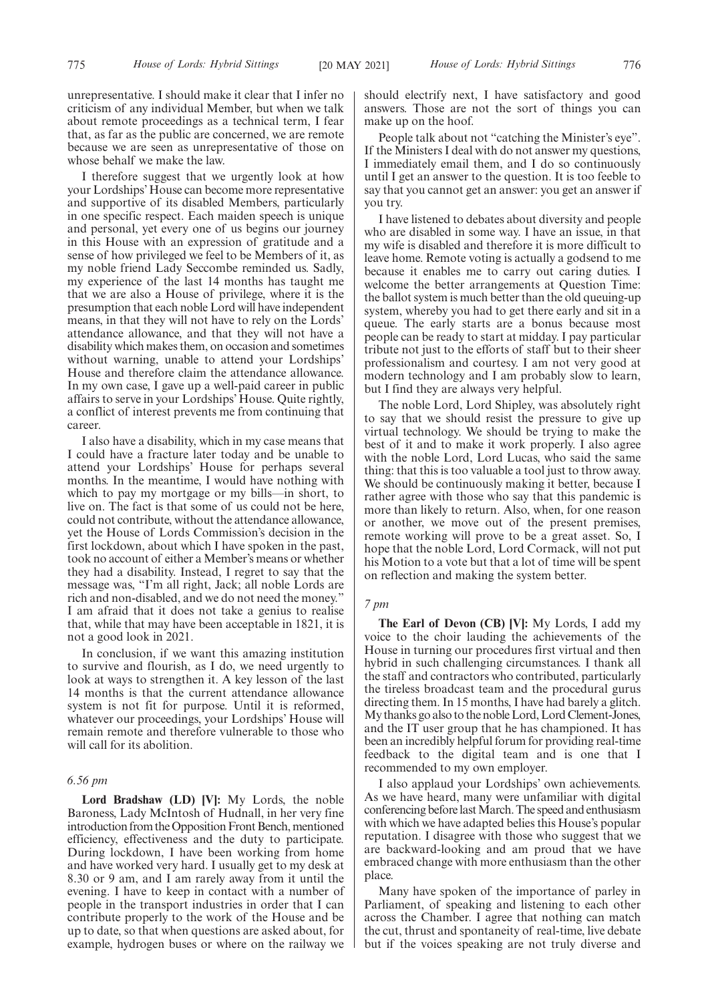unrepresentative. I should make it clear that I infer no criticism of any individual Member, but when we talk about remote proceedings as a technical term, I fear that, as far as the public are concerned, we are remote because we are seen as unrepresentative of those on whose behalf we make the law.

I therefore suggest that we urgently look at how your Lordships' House can become more representative and supportive of its disabled Members, particularly in one specific respect. Each maiden speech is unique and personal, yet every one of us begins our journey in this House with an expression of gratitude and a sense of how privileged we feel to be Members of it, as my noble friend Lady Seccombe reminded us. Sadly, my experience of the last 14 months has taught me that we are also a House of privilege, where it is the presumption that each noble Lord will have independent means, in that they will not have to rely on the Lords' attendance allowance, and that they will not have a disability which makes them, on occasion and sometimes without warning, unable to attend your Lordships' House and therefore claim the attendance allowance. In my own case, I gave up a well-paid career in public affairs to serve in your Lordships' House. Quite rightly, a conflict of interest prevents me from continuing that career.

I also have a disability, which in my case means that I could have a fracture later today and be unable to attend your Lordships' House for perhaps several months. In the meantime, I would have nothing with which to pay my mortgage or my bills—in short, to live on. The fact is that some of us could not be here, could not contribute, without the attendance allowance, yet the House of Lords Commission's decision in the first lockdown, about which I have spoken in the past, took no account of either a Member's means or whether they had a disability. Instead, I regret to say that the message was, "I'm all right, Jack; all noble Lords are rich and non-disabled, and we do not need the money." I am afraid that it does not take a genius to realise that, while that may have been acceptable in 1821, it is not a good look in 2021.

In conclusion, if we want this amazing institution to survive and flourish, as I do, we need urgently to look at ways to strengthen it. A key lesson of the last 14 months is that the current attendance allowance system is not fit for purpose. Until it is reformed, whatever our proceedings, your Lordships' House will remain remote and therefore vulnerable to those who will call for its abolition.

#### *6.56 pm*

**Lord Bradshaw (LD) [V]:** My Lords, the noble Baroness, Lady McIntosh of Hudnall, in her very fine introduction from the Opposition Front Bench, mentioned efficiency, effectiveness and the duty to participate. During lockdown, I have been working from home and have worked very hard. I usually get to my desk at 8.30 or 9 am, and I am rarely away from it until the evening. I have to keep in contact with a number of people in the transport industries in order that I can contribute properly to the work of the House and be up to date, so that when questions are asked about, for example, hydrogen buses or where on the railway we

should electrify next, I have satisfactory and good answers. Those are not the sort of things you can make up on the hoof.

People talk about not "catching the Minister's eye". If the Ministers I deal with do not answer my questions, I immediately email them, and I do so continuously until I get an answer to the question. It is too feeble to say that you cannot get an answer: you get an answer if you try.

I have listened to debates about diversity and people who are disabled in some way. I have an issue, in that my wife is disabled and therefore it is more difficult to leave home. Remote voting is actually a godsend to me because it enables me to carry out caring duties. I welcome the better arrangements at Question Time: the ballot system is much better than the old queuing-up system, whereby you had to get there early and sit in a queue. The early starts are a bonus because most people can be ready to start at midday. I pay particular tribute not just to the efforts of staff but to their sheer professionalism and courtesy. I am not very good at modern technology and I am probably slow to learn, but I find they are always very helpful.

The noble Lord, Lord Shipley, was absolutely right to say that we should resist the pressure to give up virtual technology. We should be trying to make the best of it and to make it work properly. I also agree with the noble Lord, Lord Lucas, who said the same thing: that this is too valuable a tool just to throw away. We should be continuously making it better, because I rather agree with those who say that this pandemic is more than likely to return. Also, when, for one reason or another, we move out of the present premises, remote working will prove to be a great asset. So, I hope that the noble Lord, Lord Cormack, will not put his Motion to a vote but that a lot of time will be spent on reflection and making the system better.

# *7 pm*

**The Earl of Devon (CB) [V]:** My Lords, I add my voice to the choir lauding the achievements of the House in turning our procedures first virtual and then hybrid in such challenging circumstances. I thank all the staff and contractors who contributed, particularly the tireless broadcast team and the procedural gurus directing them. In 15 months, I have had barely a glitch. My thanks go also to the noble Lord, Lord Clement-Jones, and the IT user group that he has championed. It has been an incredibly helpful forum for providing real-time feedback to the digital team and is one that I recommended to my own employer.

I also applaud your Lordships' own achievements. As we have heard, many were unfamiliar with digital conferencing before last March. The speed and enthusiasm with which we have adapted belies this House's popular reputation. I disagree with those who suggest that we are backward-looking and am proud that we have embraced change with more enthusiasm than the other place.

Many have spoken of the importance of parley in Parliament, of speaking and listening to each other across the Chamber. I agree that nothing can match the cut, thrust and spontaneity of real-time, live debate but if the voices speaking are not truly diverse and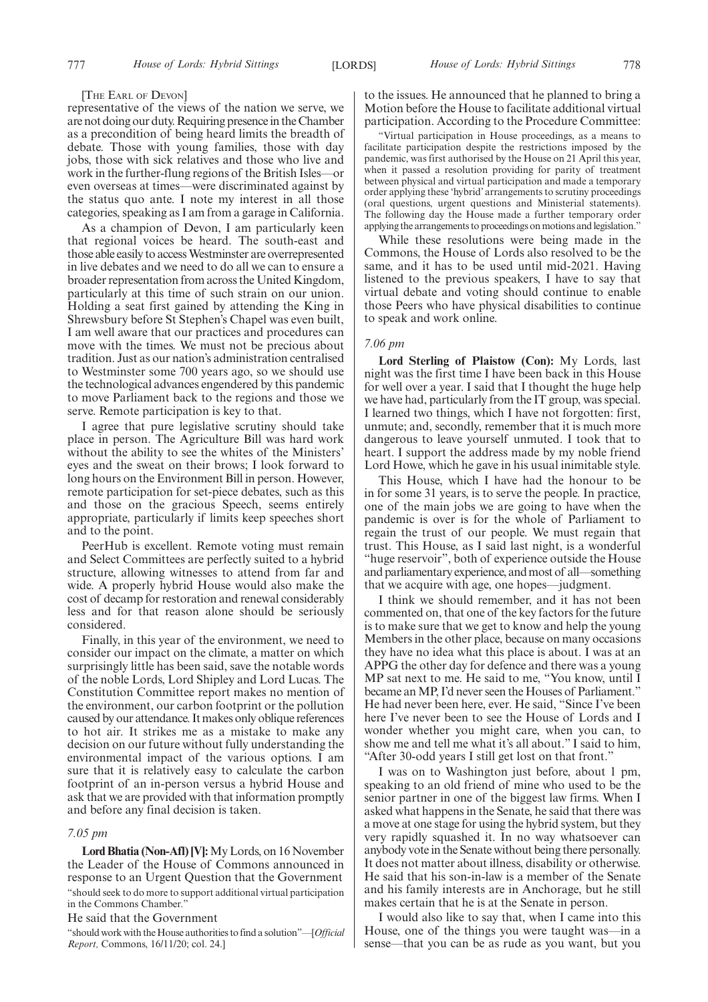#### [THE EARL OF DEVON]

representative of the views of the nation we serve, we are not doing our duty. Requiring presence in the Chamber as a precondition of being heard limits the breadth of debate. Those with young families, those with day jobs, those with sick relatives and those who live and work in the further-flung regions of the British Isles—or even overseas at times—were discriminated against by the status quo ante. I note my interest in all those categories, speaking as I am from a garage in California.

As a champion of Devon, I am particularly keen that regional voices be heard. The south-east and those able easily to access Westminster are overrepresented in live debates and we need to do all we can to ensure a broader representation from across the United Kingdom, particularly at this time of such strain on our union. Holding a seat first gained by attending the King in Shrewsbury before St Stephen's Chapel was even built, I am well aware that our practices and procedures can move with the times. We must not be precious about tradition. Just as our nation's administration centralised to Westminster some 700 years ago, so we should use the technological advances engendered by this pandemic to move Parliament back to the regions and those we serve. Remote participation is key to that.

I agree that pure legislative scrutiny should take place in person. The Agriculture Bill was hard work without the ability to see the whites of the Ministers' eyes and the sweat on their brows; I look forward to long hours on the Environment Bill in person. However, remote participation for set-piece debates, such as this and those on the gracious Speech, seems entirely appropriate, particularly if limits keep speeches short and to the point.

PeerHub is excellent. Remote voting must remain and Select Committees are perfectly suited to a hybrid structure, allowing witnesses to attend from far and wide. A properly hybrid House would also make the cost of decamp for restoration and renewal considerably less and for that reason alone should be seriously considered.

Finally, in this year of the environment, we need to consider our impact on the climate, a matter on which surprisingly little has been said, save the notable words of the noble Lords, Lord Shipley and Lord Lucas. The Constitution Committee report makes no mention of the environment, our carbon footprint or the pollution caused by our attendance. It makes only oblique references to hot air. It strikes me as a mistake to make any decision on our future without fully understanding the environmental impact of the various options. I am sure that it is relatively easy to calculate the carbon footprint of an in-person versus a hybrid House and ask that we are provided with that information promptly and before any final decision is taken.

#### *7.05 pm*

**Lord Bhatia (Non-Afl) [V]:**My Lords, on 16 November the Leader of the House of Commons announced in response to an Urgent Question that the Government "should seek to do more to support additional virtual participation in the Commons Chamber."

He said that the Government

"should work with the House authorities to find a solution"—[*Official Report,* Commons, 16/11/20; col. 24.]

to the issues. He announced that he planned to bring a Motion before the House to facilitate additional virtual participation. According to the Procedure Committee:

"Virtual participation in House proceedings, as a means to facilitate participation despite the restrictions imposed by the pandemic, was first authorised by the House on 21 April this year, when it passed a resolution providing for parity of treatment between physical and virtual participation and made a temporary order applying these 'hybrid' arrangements to scrutiny proceedings (oral questions, urgent questions and Ministerial statements). The following day the House made a further temporary order applying the arrangements to proceedings on motions and legislation."

While these resolutions were being made in the Commons, the House of Lords also resolved to be the same, and it has to be used until mid-2021. Having listened to the previous speakers, I have to say that virtual debate and voting should continue to enable those Peers who have physical disabilities to continue to speak and work online.

## *7.06 pm*

**Lord Sterling of Plaistow (Con):** My Lords, last night was the first time I have been back in this House for well over a year. I said that I thought the huge help we have had, particularly from the IT group, was special. I learned two things, which I have not forgotten: first, unmute; and, secondly, remember that it is much more dangerous to leave yourself unmuted. I took that to heart. I support the address made by my noble friend Lord Howe, which he gave in his usual inimitable style.

This House, which I have had the honour to be in for some 31 years, is to serve the people. In practice, one of the main jobs we are going to have when the pandemic is over is for the whole of Parliament to regain the trust of our people. We must regain that trust. This House, as I said last night, is a wonderful "huge reservoir", both of experience outside the House and parliamentary experience, and most of all—something that we acquire with age, one hopes—judgment.

I think we should remember, and it has not been commented on, that one of the key factors for the future is to make sure that we get to know and help the young Members in the other place, because on many occasions they have no idea what this place is about. I was at an APPG the other day for defence and there was a young MP sat next to me. He said to me, "You know, until I became an MP, I'd never seen the Houses of Parliament." He had never been here, ever. He said, "Since I've been here I've never been to see the House of Lords and I wonder whether you might care, when you can, to show me and tell me what it's all about." I said to him, "After 30-odd years I still get lost on that front."

I was on to Washington just before, about 1 pm, speaking to an old friend of mine who used to be the senior partner in one of the biggest law firms. When I asked what happens in the Senate, he said that there was a move at one stage for using the hybrid system, but they very rapidly squashed it. In no way whatsoever can anybody vote in the Senate without being there personally. It does not matter about illness, disability or otherwise. He said that his son-in-law is a member of the Senate and his family interests are in Anchorage, but he still makes certain that he is at the Senate in person.

I would also like to say that, when I came into this House, one of the things you were taught was—in a sense—that you can be as rude as you want, but you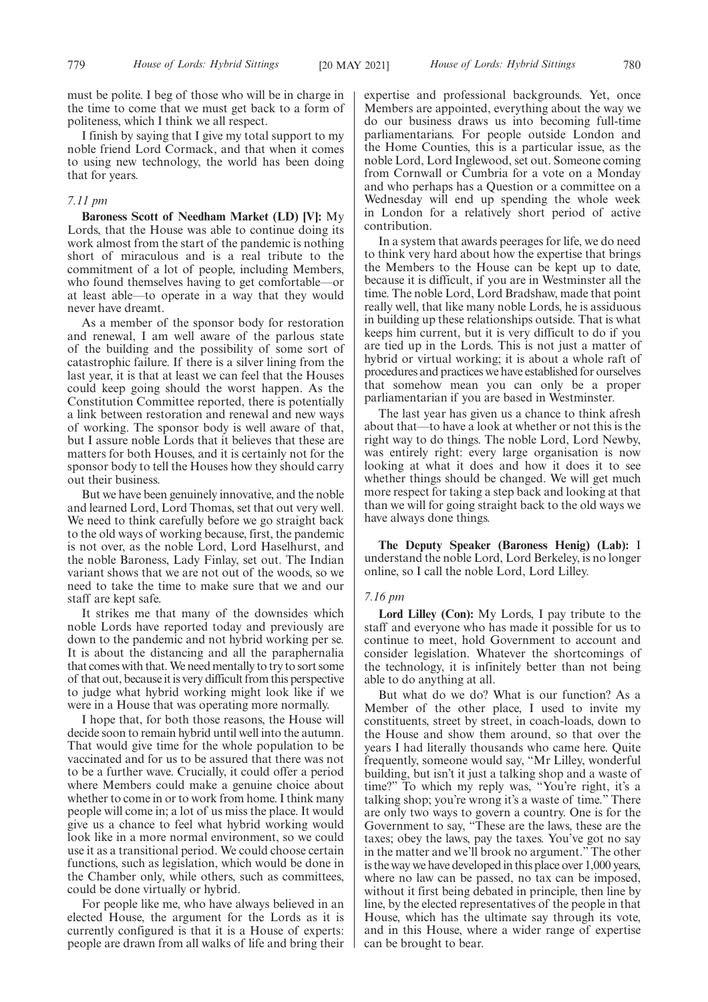must be polite. I beg of those who will be in charge in the time to come that we must get back to a form of politeness, which I think we all respect.

I finish by saying that I give my total support to my noble friend Lord Cormack, and that when it comes to using new technology, the world has been doing that for years.

# *7.11 pm*

**Baroness Scott of Needham Market (LD) [V]:** My Lords, that the House was able to continue doing its work almost from the start of the pandemic is nothing short of miraculous and is a real tribute to the commitment of a lot of people, including Members, who found themselves having to get comfortable—or at least able—to operate in a way that they would never have dreamt.

As a member of the sponsor body for restoration and renewal, I am well aware of the parlous state of the building and the possibility of some sort of catastrophic failure. If there is a silver lining from the last year, it is that at least we can feel that the Houses could keep going should the worst happen. As the Constitution Committee reported, there is potentially a link between restoration and renewal and new ways of working. The sponsor body is well aware of that, but I assure noble Lords that it believes that these are matters for both Houses, and it is certainly not for the sponsor body to tell the Houses how they should carry out their business.

But we have been genuinely innovative, and the noble and learned Lord, Lord Thomas, set that out very well. We need to think carefully before we go straight back to the old ways of working because, first, the pandemic is not over, as the noble Lord, Lord Haselhurst, and the noble Baroness, Lady Finlay, set out. The Indian variant shows that we are not out of the woods, so we need to take the time to make sure that we and our staff are kept safe.

It strikes me that many of the downsides which noble Lords have reported today and previously are down to the pandemic and not hybrid working per se. It is about the distancing and all the paraphernalia that comes with that. We need mentally to try to sort some of that out, because it is very difficult from this perspective to judge what hybrid working might look like if we were in a House that was operating more normally.

I hope that, for both those reasons, the House will decide soon to remain hybrid until well into the autumn. That would give time for the whole population to be vaccinated and for us to be assured that there was not to be a further wave. Crucially, it could offer a period where Members could make a genuine choice about whether to come in or to work from home. I think many people will come in; a lot of us miss the place. It would give us a chance to feel what hybrid working would look like in a more normal environment, so we could use it as a transitional period. We could choose certain functions, such as legislation, which would be done in the Chamber only, while others, such as committees, could be done virtually or hybrid.

For people like me, who have always believed in an elected House, the argument for the Lords as it is currently configured is that it is a House of experts: people are drawn from all walks of life and bring their expertise and professional backgrounds. Yet, once Members are appointed, everything about the way we do our business draws us into becoming full-time parliamentarians. For people outside London and the Home Counties, this is a particular issue, as the noble Lord, Lord Inglewood, set out. Someone coming from Cornwall or Cumbria for a vote on a Monday and who perhaps has a Question or a committee on a Wednesday will end up spending the whole week in London for a relatively short period of active contribution.

In a system that awards peerages for life, we do need to think very hard about how the expertise that brings the Members to the House can be kept up to date, because it is difficult, if you are in Westminster all the time. The noble Lord, Lord Bradshaw, made that point really well, that like many noble Lords, he is assiduous in building up these relationships outside. That is what keeps him current, but it is very difficult to do if you are tied up in the Lords. This is not just a matter of hybrid or virtual working; it is about a whole raft of procedures and practices we have established for ourselves that somehow mean you can only be a proper parliamentarian if you are based in Westminster.

The last year has given us a chance to think afresh about that—to have a look at whether or not this is the right way to do things. The noble Lord, Lord Newby, was entirely right: every large organisation is now looking at what it does and how it does it to see whether things should be changed. We will get much more respect for taking a step back and looking at that than we will for going straight back to the old ways we have always done things.

**The Deputy Speaker (Baroness Henig) (Lab):** I understand the noble Lord, Lord Berkeley, is no longer online, so I call the noble Lord, Lord Lilley.

## *7.16 pm*

**Lord Lilley (Con):** My Lords, I pay tribute to the staff and everyone who has made it possible for us to continue to meet, hold Government to account and consider legislation. Whatever the shortcomings of the technology, it is infinitely better than not being able to do anything at all.

But what do we do? What is our function? As a Member of the other place, I used to invite my constituents, street by street, in coach-loads, down to the House and show them around, so that over the years I had literally thousands who came here. Quite frequently, someone would say, "Mr Lilley, wonderful building, but isn't it just a talking shop and a waste of time?" To which my reply was, "You're right, it's a talking shop; you're wrong it's a waste of time." There are only two ways to govern a country. One is for the Government to say, "These are the laws, these are the taxes; obey the laws, pay the taxes. You've got no say in the matter and we'll brook no argument." The other is the way we have developed in this place over 1,000 years, where no law can be passed, no tax can be imposed, without it first being debated in principle, then line by line, by the elected representatives of the people in that House, which has the ultimate say through its vote, and in this House, where a wider range of expertise can be brought to bear.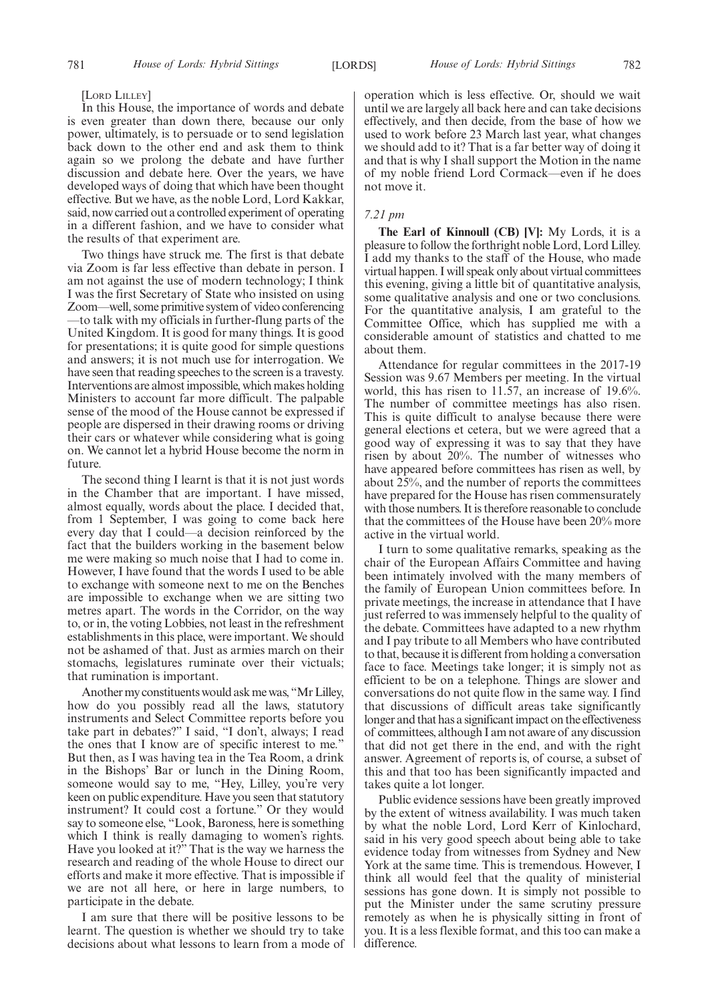#### [LORD LILLEY]

In this House, the importance of words and debate is even greater than down there, because our only power, ultimately, is to persuade or to send legislation back down to the other end and ask them to think again so we prolong the debate and have further discussion and debate here. Over the years, we have developed ways of doing that which have been thought effective. But we have, as the noble Lord, Lord Kakkar, said, now carried out a controlled experiment of operating in a different fashion, and we have to consider what the results of that experiment are.

Two things have struck me. The first is that debate via Zoom is far less effective than debate in person. I am not against the use of modern technology; I think I was the first Secretary of State who insisted on using Zoom—well, some primitive system of video conferencing —to talk with my officials in further-flung parts of the United Kingdom. It is good for many things. It is good for presentations; it is quite good for simple questions and answers; it is not much use for interrogation. We have seen that reading speeches to the screen is a travesty. Interventions are almost impossible, which makes holding Ministers to account far more difficult. The palpable sense of the mood of the House cannot be expressed if people are dispersed in their drawing rooms or driving their cars or whatever while considering what is going on. We cannot let a hybrid House become the norm in future.

The second thing I learnt is that it is not just words in the Chamber that are important. I have missed, almost equally, words about the place. I decided that, from 1 September, I was going to come back here every day that I could—a decision reinforced by the fact that the builders working in the basement below me were making so much noise that I had to come in. However, I have found that the words I used to be able to exchange with someone next to me on the Benches are impossible to exchange when we are sitting two metres apart. The words in the Corridor, on the way to, or in, the voting Lobbies, not least in the refreshment establishments in this place, were important. We should not be ashamed of that. Just as armies march on their stomachs, legislatures ruminate over their victuals; that rumination is important.

Another my constituents would ask me was, "Mr Lilley, how do you possibly read all the laws, statutory instruments and Select Committee reports before you take part in debates?" I said, "I don't, always; I read the ones that I know are of specific interest to me." But then, as I was having tea in the Tea Room, a drink in the Bishops' Bar or lunch in the Dining Room, someone would say to me, "Hey, Lilley, you're very keen on public expenditure. Have you seen that statutory instrument? It could cost a fortune." Or they would say to someone else, "Look, Baroness, here is something which I think is really damaging to women's rights. Have you looked at it?" That is the way we harness the research and reading of the whole House to direct our efforts and make it more effective. That is impossible if we are not all here, or here in large numbers, to participate in the debate.

I am sure that there will be positive lessons to be learnt. The question is whether we should try to take decisions about what lessons to learn from a mode of operation which is less effective. Or, should we wait until we are largely all back here and can take decisions effectively, and then decide, from the base of how we used to work before 23 March last year, what changes we should add to it? That is a far better way of doing it and that is why I shall support the Motion in the name of my noble friend Lord Cormack—even if he does not move it.

## *7.21 pm*

**The Earl of Kinnoull (CB) [V]:** My Lords, it is a pleasure to follow the forthright noble Lord, Lord Lilley. I add my thanks to the staff of the House, who made virtual happen. I will speak only about virtual committees this evening, giving a little bit of quantitative analysis, some qualitative analysis and one or two conclusions. For the quantitative analysis, I am grateful to the Committee Office, which has supplied me with a considerable amount of statistics and chatted to me about them.

Attendance for regular committees in the 2017-19 Session was 9.67 Members per meeting. In the virtual world, this has risen to 11.57, an increase of 19.6%. The number of committee meetings has also risen. This is quite difficult to analyse because there were general elections et cetera, but we were agreed that a good way of expressing it was to say that they have risen by about 20%. The number of witnesses who have appeared before committees has risen as well, by about 25%, and the number of reports the committees have prepared for the House has risen commensurately with those numbers. It is therefore reasonable to conclude that the committees of the House have been 20% more active in the virtual world.

I turn to some qualitative remarks, speaking as the chair of the European Affairs Committee and having been intimately involved with the many members of the family of European Union committees before. In private meetings, the increase in attendance that I have just referred to was immensely helpful to the quality of the debate. Committees have adapted to a new rhythm and I pay tribute to all Members who have contributed to that, because it is different from holding a conversation face to face. Meetings take longer; it is simply not as efficient to be on a telephone. Things are slower and conversations do not quite flow in the same way. I find that discussions of difficult areas take significantly longer and that has a significant impact on the effectiveness of committees, although I am not aware of any discussion that did not get there in the end, and with the right answer. Agreement of reports is, of course, a subset of this and that too has been significantly impacted and takes quite a lot longer.

Public evidence sessions have been greatly improved by the extent of witness availability. I was much taken by what the noble Lord, Lord Kerr of Kinlochard, said in his very good speech about being able to take evidence today from witnesses from Sydney and New York at the same time. This is tremendous. However, I think all would feel that the quality of ministerial sessions has gone down. It is simply not possible to put the Minister under the same scrutiny pressure remotely as when he is physically sitting in front of you. It is a less flexible format, and this too can make a difference.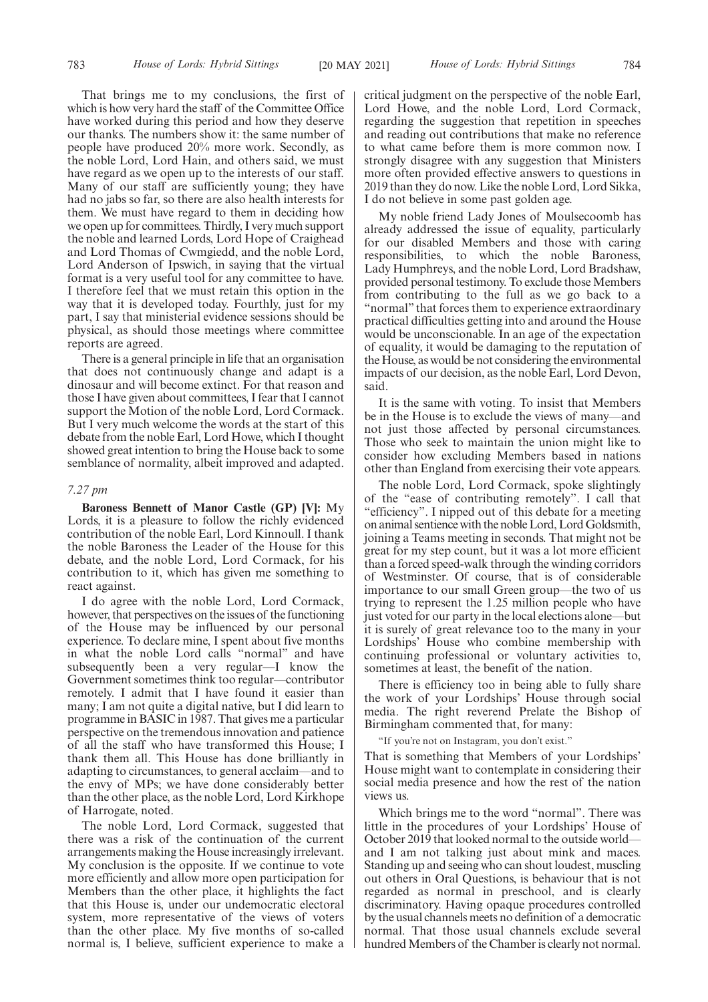That brings me to my conclusions, the first of which is how very hard the staff of the Committee Office have worked during this period and how they deserve our thanks. The numbers show it: the same number of people have produced 20% more work. Secondly, as the noble Lord, Lord Hain, and others said, we must have regard as we open up to the interests of our staff. Many of our staff are sufficiently young; they have had no jabs so far, so there are also health interests for them. We must have regard to them in deciding how we open up for committees. Thirdly, I very much support the noble and learned Lords, Lord Hope of Craighead and Lord Thomas of Cwmgiedd, and the noble Lord, Lord Anderson of Ipswich, in saying that the virtual format is a very useful tool for any committee to have. I therefore feel that we must retain this option in the way that it is developed today. Fourthly, just for my part, I say that ministerial evidence sessions should be physical, as should those meetings where committee reports are agreed.

There is a general principle in life that an organisation that does not continuously change and adapt is a dinosaur and will become extinct. For that reason and those I have given about committees, I fear that I cannot support the Motion of the noble Lord, Lord Cormack. But I very much welcome the words at the start of this debate from the noble Earl, Lord Howe, which I thought showed great intention to bring the House back to some semblance of normality, albeit improved and adapted.

#### *7.27 pm*

**Baroness Bennett of Manor Castle (GP) [V]:** My Lords, it is a pleasure to follow the richly evidenced contribution of the noble Earl, Lord Kinnoull. I thank the noble Baroness the Leader of the House for this debate, and the noble Lord, Lord Cormack, for his contribution to it, which has given me something to react against.

I do agree with the noble Lord, Lord Cormack, however, that perspectives on the issues of the functioning of the House may be influenced by our personal experience. To declare mine, I spent about five months in what the noble Lord calls "normal" and have subsequently been a very regular—I know the Government sometimes think too regular—contributor remotely. I admit that I have found it easier than many; I am not quite a digital native, but I did learn to programme in BASIC in 1987. That gives me a particular perspective on the tremendous innovation and patience of all the staff who have transformed this House; I thank them all. This House has done brilliantly in adapting to circumstances, to general acclaim—and to the envy of MPs; we have done considerably better than the other place, as the noble Lord, Lord Kirkhope of Harrogate, noted.

The noble Lord, Lord Cormack, suggested that there was a risk of the continuation of the current arrangements making the House increasingly irrelevant. My conclusion is the opposite. If we continue to vote more efficiently and allow more open participation for Members than the other place, it highlights the fact that this House is, under our undemocratic electoral system, more representative of the views of voters than the other place. My five months of so-called normal is, I believe, sufficient experience to make a critical judgment on the perspective of the noble Earl, Lord Howe, and the noble Lord, Lord Cormack, regarding the suggestion that repetition in speeches and reading out contributions that make no reference to what came before them is more common now. I strongly disagree with any suggestion that Ministers more often provided effective answers to questions in 2019 than they do now. Like the noble Lord, Lord Sikka, I do not believe in some past golden age.

My noble friend Lady Jones of Moulsecoomb has already addressed the issue of equality, particularly for our disabled Members and those with caring responsibilities, to which the noble Baroness, Lady Humphreys, and the noble Lord, Lord Bradshaw, provided personal testimony. To exclude those Members from contributing to the full as we go back to a "normal" that forces them to experience extraordinary practical difficulties getting into and around the House would be unconscionable. In an age of the expectation of equality, it would be damaging to the reputation of the House, as would be not considering the environmental impacts of our decision, as the noble Earl, Lord Devon, said.

It is the same with voting. To insist that Members be in the House is to exclude the views of many—and not just those affected by personal circumstances. Those who seek to maintain the union might like to consider how excluding Members based in nations other than England from exercising their vote appears.

The noble Lord, Lord Cormack, spoke slightingly of the "ease of contributing remotely". I call that "efficiency". I nipped out of this debate for a meeting on animal sentience with the noble Lord, Lord Goldsmith, joining a Teams meeting in seconds. That might not be great for my step count, but it was a lot more efficient than a forced speed-walk through the winding corridors of Westminster. Of course, that is of considerable importance to our small Green group—the two of us trying to represent the 1.25 million people who have just voted for our party in the local elections alone—but it is surely of great relevance too to the many in your Lordships' House who combine membership with continuing professional or voluntary activities to, sometimes at least, the benefit of the nation.

There is efficiency too in being able to fully share the work of your Lordships' House through social media. The right reverend Prelate the Bishop of Birmingham commented that, for many:

"If you're not on Instagram, you don't exist."

That is something that Members of your Lordships' House might want to contemplate in considering their social media presence and how the rest of the nation views us.

Which brings me to the word "normal". There was little in the procedures of your Lordships' House of October 2019 that looked normal to the outside world and I am not talking just about mink and maces. Standing up and seeing who can shout loudest, muscling out others in Oral Questions, is behaviour that is not regarded as normal in preschool, and is clearly discriminatory. Having opaque procedures controlled by the usual channels meets no definition of a democratic normal. That those usual channels exclude several hundred Members of the Chamber is clearly not normal.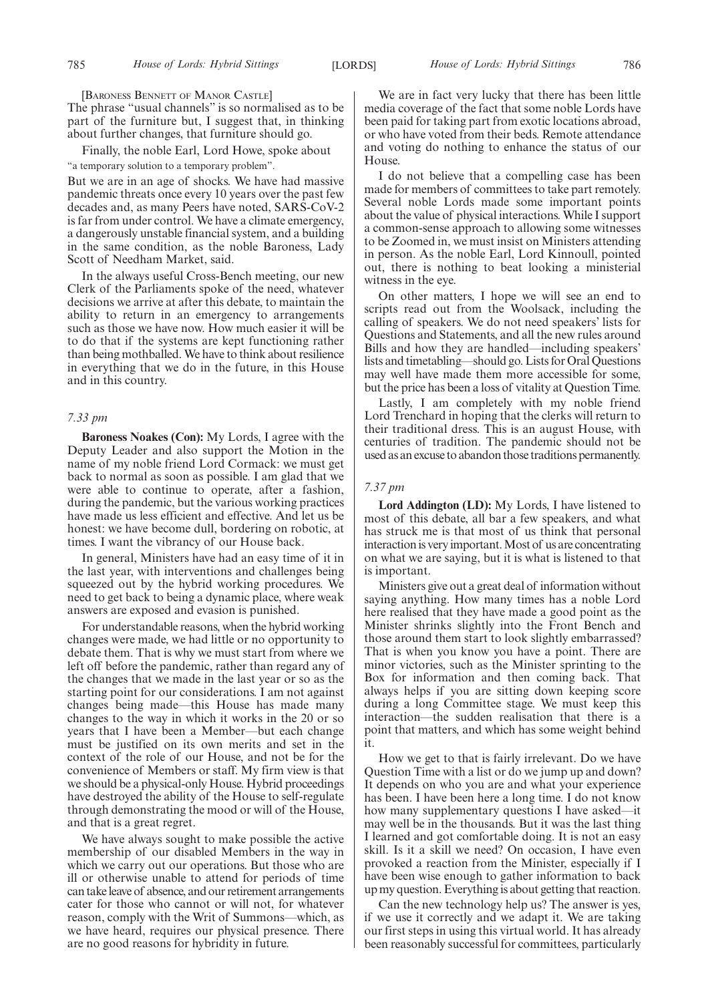[BARONESS BENNETT OF MANOR CASTLE] The phrase "usual channels" is so normalised as to be part of the furniture but, I suggest that, in thinking about further changes, that furniture should go.

Finally, the noble Earl, Lord Howe, spoke about "a temporary solution to a temporary problem".

But we are in an age of shocks. We have had massive pandemic threats once every 10 years over the past few decades and, as many Peers have noted, SARS-CoV-2 is far from under control. We have a climate emergency, a dangerously unstable financial system, and a building in the same condition, as the noble Baroness, Lady Scott of Needham Market, said.

In the always useful Cross-Bench meeting, our new Clerk of the Parliaments spoke of the need, whatever decisions we arrive at after this debate, to maintain the ability to return in an emergency to arrangements such as those we have now. How much easier it will be to do that if the systems are kept functioning rather than being mothballed. We have to think about resilience in everything that we do in the future, in this House and in this country.

# *7.33 pm*

**Baroness Noakes (Con):** My Lords, I agree with the Deputy Leader and also support the Motion in the name of my noble friend Lord Cormack: we must get back to normal as soon as possible. I am glad that we were able to continue to operate, after a fashion, during the pandemic, but the various working practices have made us less efficient and effective. And let us be honest: we have become dull, bordering on robotic, at times. I want the vibrancy of our House back.

In general, Ministers have had an easy time of it in the last year, with interventions and challenges being squeezed out by the hybrid working procedures. We need to get back to being a dynamic place, where weak answers are exposed and evasion is punished.

For understandable reasons, when the hybrid working changes were made, we had little or no opportunity to debate them. That is why we must start from where we left off before the pandemic, rather than regard any of the changes that we made in the last year or so as the starting point for our considerations. I am not against changes being made—this House has made many changes to the way in which it works in the 20 or so years that I have been a Member—but each change must be justified on its own merits and set in the context of the role of our House, and not be for the convenience of Members or staff. My firm view is that we should be a physical-only House. Hybrid proceedings have destroyed the ability of the House to self-regulate through demonstrating the mood or will of the House, and that is a great regret.

We have always sought to make possible the active membership of our disabled Members in the way in which we carry out our operations. But those who are ill or otherwise unable to attend for periods of time can take leave of absence, and our retirement arrangements cater for those who cannot or will not, for whatever reason, comply with the Writ of Summons—which, as we have heard, requires our physical presence. There are no good reasons for hybridity in future.

We are in fact very lucky that there has been little media coverage of the fact that some noble Lords have been paid for taking part from exotic locations abroad, or who have voted from their beds. Remote attendance and voting do nothing to enhance the status of our House.

I do not believe that a compelling case has been made for members of committees to take part remotely. Several noble Lords made some important points about the value of physical interactions. While I support a common-sense approach to allowing some witnesses to be Zoomed in, we must insist on Ministers attending in person. As the noble Earl, Lord Kinnoull, pointed out, there is nothing to beat looking a ministerial witness in the eye.

On other matters, I hope we will see an end to scripts read out from the Woolsack, including the calling of speakers. We do not need speakers' lists for Questions and Statements, and all the new rules around Bills and how they are handled—including speakers' lists and timetabling—should go. Lists for Oral Questions may well have made them more accessible for some, but the price has been a loss of vitality at Question Time.

Lastly, I am completely with my noble friend Lord Trenchard in hoping that the clerks will return to their traditional dress. This is an august House, with centuries of tradition. The pandemic should not be used as an excuse to abandon those traditions permanently.

# *7.37 pm*

**Lord Addington (LD):** My Lords, I have listened to most of this debate, all bar a few speakers, and what has struck me is that most of us think that personal interaction is very important. Most of us are concentrating on what we are saying, but it is what is listened to that is important.

Ministers give out a great deal of information without saying anything. How many times has a noble Lord here realised that they have made a good point as the Minister shrinks slightly into the Front Bench and those around them start to look slightly embarrassed? That is when you know you have a point. There are minor victories, such as the Minister sprinting to the Box for information and then coming back. That always helps if you are sitting down keeping score during a long Committee stage. We must keep this interaction—the sudden realisation that there is a point that matters, and which has some weight behind it.

How we get to that is fairly irrelevant. Do we have Question Time with a list or do we jump up and down? It depends on who you are and what your experience has been. I have been here a long time. I do not know how many supplementary questions I have asked—it may well be in the thousands. But it was the last thing I learned and got comfortable doing. It is not an easy skill. Is it a skill we need? On occasion, I have even provoked a reaction from the Minister, especially if I have been wise enough to gather information to back up my question. Everything is about getting that reaction.

Can the new technology help us? The answer is yes, if we use it correctly and we adapt it. We are taking our first steps in using this virtual world. It has already been reasonably successful for committees, particularly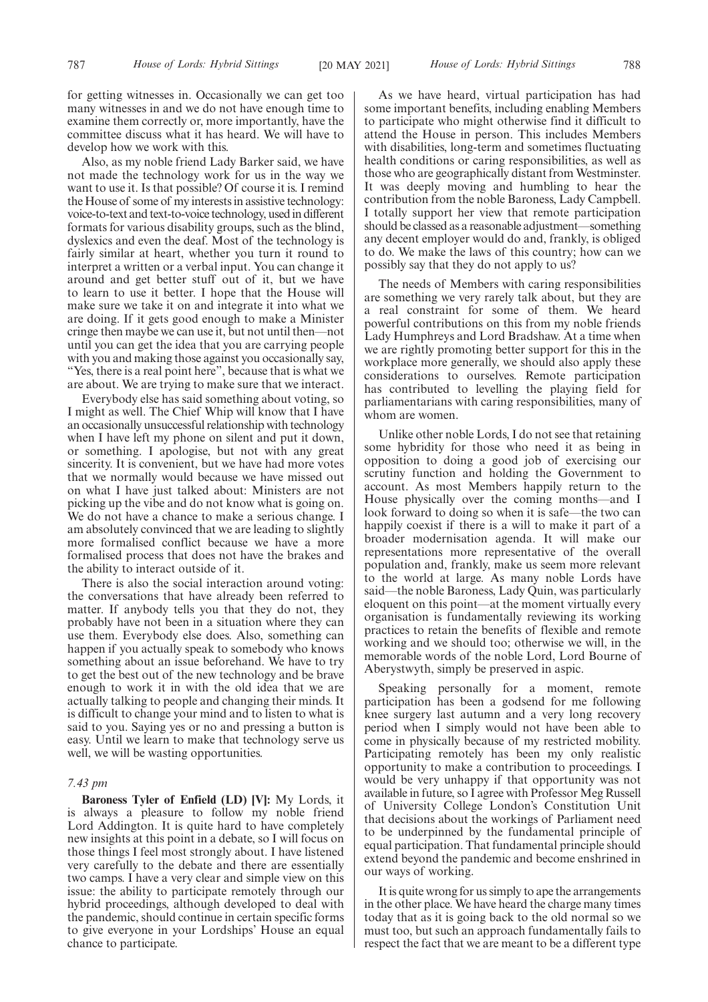for getting witnesses in. Occasionally we can get too many witnesses in and we do not have enough time to examine them correctly or, more importantly, have the committee discuss what it has heard. We will have to develop how we work with this.

Also, as my noble friend Lady Barker said, we have not made the technology work for us in the way we want to use it. Is that possible? Of course it is. I remind the House of some of my interests in assistive technology: voice-to-text and text-to-voice technology, used in different formats for various disability groups, such as the blind, dyslexics and even the deaf. Most of the technology is fairly similar at heart, whether you turn it round to interpret a written or a verbal input. You can change it around and get better stuff out of it, but we have to learn to use it better. I hope that the House will make sure we take it on and integrate it into what we are doing. If it gets good enough to make a Minister cringe then maybe we can use it, but not until then—not until you can get the idea that you are carrying people with you and making those against you occasionally say, "Yes, there is a real point here", because that is what we are about. We are trying to make sure that we interact.

Everybody else has said something about voting, so I might as well. The Chief Whip will know that I have an occasionally unsuccessful relationship with technology when I have left my phone on silent and put it down, or something. I apologise, but not with any great sincerity. It is convenient, but we have had more votes that we normally would because we have missed out on what I have just talked about: Ministers are not picking up the vibe and do not know what is going on. We do not have a chance to make a serious change. I am absolutely convinced that we are leading to slightly more formalised conflict because we have a more formalised process that does not have the brakes and the ability to interact outside of it.

There is also the social interaction around voting: the conversations that have already been referred to matter. If anybody tells you that they do not, they probably have not been in a situation where they can use them. Everybody else does. Also, something can happen if you actually speak to somebody who knows something about an issue beforehand. We have to try to get the best out of the new technology and be brave enough to work it in with the old idea that we are actually talking to people and changing their minds. It is difficult to change your mind and to listen to what is said to you. Saying yes or no and pressing a button is easy. Until we learn to make that technology serve us well, we will be wasting opportunities.

#### *7.43 pm*

**Baroness Tyler of Enfield (LD) [V]:** My Lords, it is always a pleasure to follow my noble friend Lord Addington. It is quite hard to have completely new insights at this point in a debate, so I will focus on those things I feel most strongly about. I have listened very carefully to the debate and there are essentially two camps. I have a very clear and simple view on this issue: the ability to participate remotely through our hybrid proceedings, although developed to deal with the pandemic, should continue in certain specific forms to give everyone in your Lordships' House an equal chance to participate.

787 *House of Lords: Hybrid Sittings* [20 MAY 2021] *House of Lords: Hybrid Sittings* 788

As we have heard, virtual participation has had some important benefits, including enabling Members to participate who might otherwise find it difficult to attend the House in person. This includes Members with disabilities, long-term and sometimes fluctuating health conditions or caring responsibilities, as well as those who are geographically distant from Westminster. It was deeply moving and humbling to hear the contribution from the noble Baroness, Lady Campbell. I totally support her view that remote participation should be classed as a reasonable adjustment—something any decent employer would do and, frankly, is obliged to do. We make the laws of this country; how can we possibly say that they do not apply to us?

The needs of Members with caring responsibilities are something we very rarely talk about, but they are a real constraint for some of them. We heard powerful contributions on this from my noble friends Lady Humphreys and Lord Bradshaw. At a time when we are rightly promoting better support for this in the workplace more generally, we should also apply these considerations to ourselves. Remote participation has contributed to levelling the playing field for parliamentarians with caring responsibilities, many of whom are women.

Unlike other noble Lords, I do not see that retaining some hybridity for those who need it as being in opposition to doing a good job of exercising our scrutiny function and holding the Government to account. As most Members happily return to the House physically over the coming months—and I look forward to doing so when it is safe—the two can happily coexist if there is a will to make it part of a broader modernisation agenda. It will make our representations more representative of the overall population and, frankly, make us seem more relevant to the world at large. As many noble Lords have said—the noble Baroness, Lady Quin, was particularly eloquent on this point—at the moment virtually every organisation is fundamentally reviewing its working practices to retain the benefits of flexible and remote working and we should too; otherwise we will, in the memorable words of the noble Lord, Lord Bourne of Aberystwyth, simply be preserved in aspic.

Speaking personally for a moment, remote participation has been a godsend for me following knee surgery last autumn and a very long recovery period when I simply would not have been able to come in physically because of my restricted mobility. Participating remotely has been my only realistic opportunity to make a contribution to proceedings. I would be very unhappy if that opportunity was not available in future, so I agree with Professor Meg Russell of University College London's Constitution Unit that decisions about the workings of Parliament need to be underpinned by the fundamental principle of equal participation. That fundamental principle should extend beyond the pandemic and become enshrined in our ways of working.

It is quite wrong for us simply to ape the arrangements in the other place. We have heard the charge many times today that as it is going back to the old normal so we must too, but such an approach fundamentally fails to respect the fact that we are meant to be a different type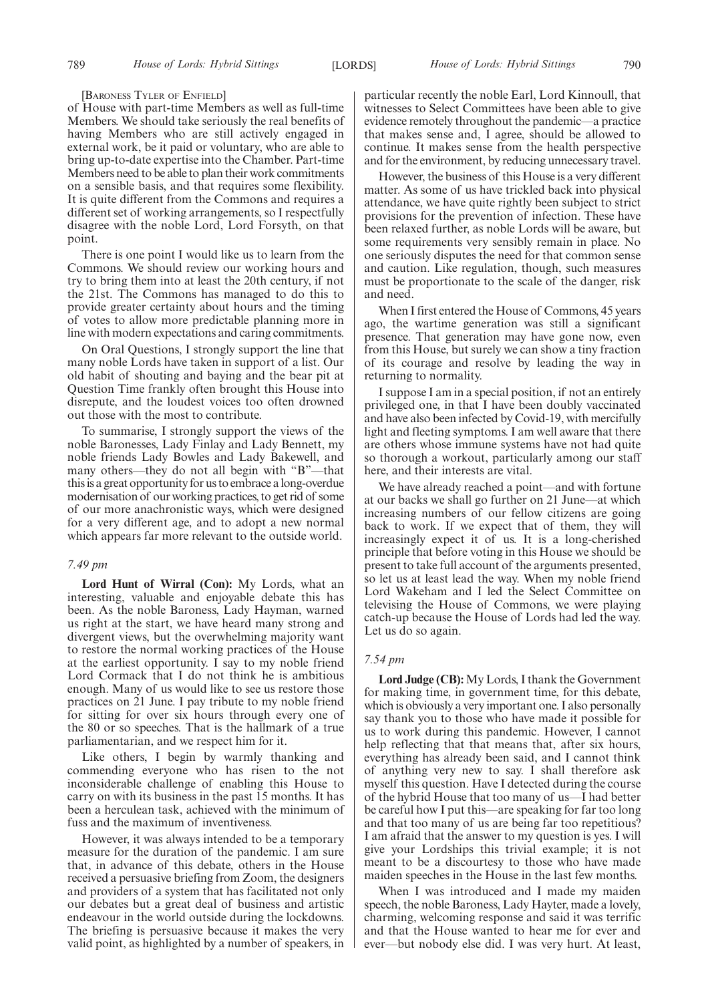#### [BARONESS TYLER OF ENFIELD]

of House with part-time Members as well as full-time Members. We should take seriously the real benefits of having Members who are still actively engaged in external work, be it paid or voluntary, who are able to bring up-to-date expertise into the Chamber. Part-time Members need to be able to plan their work commitments on a sensible basis, and that requires some flexibility. It is quite different from the Commons and requires a different set of working arrangements, so I respectfully disagree with the noble Lord, Lord Forsyth, on that point.

There is one point I would like us to learn from the Commons. We should review our working hours and try to bring them into at least the 20th century, if not the 21st. The Commons has managed to do this to provide greater certainty about hours and the timing of votes to allow more predictable planning more in line with modern expectations and caring commitments.

On Oral Questions, I strongly support the line that many noble Lords have taken in support of a list. Our old habit of shouting and baying and the bear pit at Question Time frankly often brought this House into disrepute, and the loudest voices too often drowned out those with the most to contribute.

To summarise, I strongly support the views of the noble Baronesses, Lady Finlay and Lady Bennett, my noble friends Lady Bowles and Lady Bakewell, and many others—they do not all begin with "B"—that this is a great opportunity for us to embrace a long-overdue modernisation of our working practices, to get rid of some of our more anachronistic ways, which were designed for a very different age, and to adopt a new normal which appears far more relevant to the outside world.

# *7.49 pm*

**Lord Hunt of Wirral (Con):** My Lords, what an interesting, valuable and enjoyable debate this has been. As the noble Baroness, Lady Hayman, warned us right at the start, we have heard many strong and divergent views, but the overwhelming majority want to restore the normal working practices of the House at the earliest opportunity. I say to my noble friend Lord Cormack that I do not think he is ambitious enough. Many of us would like to see us restore those practices on 21 June. I pay tribute to my noble friend for sitting for over six hours through every one of the 80 or so speeches. That is the hallmark of a true parliamentarian, and we respect him for it.

Like others, I begin by warmly thanking and commending everyone who has risen to the not inconsiderable challenge of enabling this House to carry on with its business in the past 15 months. It has been a herculean task, achieved with the minimum of fuss and the maximum of inventiveness.

However, it was always intended to be a temporary measure for the duration of the pandemic. I am sure that, in advance of this debate, others in the House received a persuasive briefing from Zoom, the designers and providers of a system that has facilitated not only our debates but a great deal of business and artistic endeavour in the world outside during the lockdowns. The briefing is persuasive because it makes the very valid point, as highlighted by a number of speakers, in particular recently the noble Earl, Lord Kinnoull, that witnesses to Select Committees have been able to give evidence remotely throughout the pandemic—a practice that makes sense and, I agree, should be allowed to continue. It makes sense from the health perspective and for the environment, by reducing unnecessary travel.

However, the business of this House is a very different matter. As some of us have trickled back into physical attendance, we have quite rightly been subject to strict provisions for the prevention of infection. These have been relaxed further, as noble Lords will be aware, but some requirements very sensibly remain in place. No one seriously disputes the need for that common sense and caution. Like regulation, though, such measures must be proportionate to the scale of the danger, risk and need.

When I first entered the House of Commons, 45 years ago, the wartime generation was still a significant presence. That generation may have gone now, even from this House, but surely we can show a tiny fraction of its courage and resolve by leading the way in returning to normality.

I suppose I am in a special position, if not an entirely privileged one, in that I have been doubly vaccinated and have also been infected by Covid-19, with mercifully light and fleeting symptoms. I am well aware that there are others whose immune systems have not had quite so thorough a workout, particularly among our staff here, and their interests are vital.

We have already reached a point—and with fortune at our backs we shall go further on 21 June—at which increasing numbers of our fellow citizens are going back to work. If we expect that of them, they will increasingly expect it of us. It is a long-cherished principle that before voting in this House we should be present to take full account of the arguments presented, so let us at least lead the way. When my noble friend Lord Wakeham and I led the Select Committee on televising the House of Commons, we were playing catch-up because the House of Lords had led the way. Let us do so again.

#### *7.54 pm*

**Lord Judge (CB):** My Lords, I thank the Government for making time, in government time, for this debate, which is obviously a very important one. I also personally say thank you to those who have made it possible for us to work during this pandemic. However, I cannot help reflecting that that means that, after six hours, everything has already been said, and I cannot think of anything very new to say. I shall therefore ask myself this question. Have I detected during the course of the hybrid House that too many of us—I had better be careful how I put this—are speaking for far too long and that too many of us are being far too repetitious? I am afraid that the answer to my question is yes. I will give your Lordships this trivial example; it is not meant to be a discourtesy to those who have made maiden speeches in the House in the last few months.

When I was introduced and I made my maiden speech, the noble Baroness, Lady Hayter, made a lovely, charming, welcoming response and said it was terrific and that the House wanted to hear me for ever and ever—but nobody else did. I was very hurt. At least,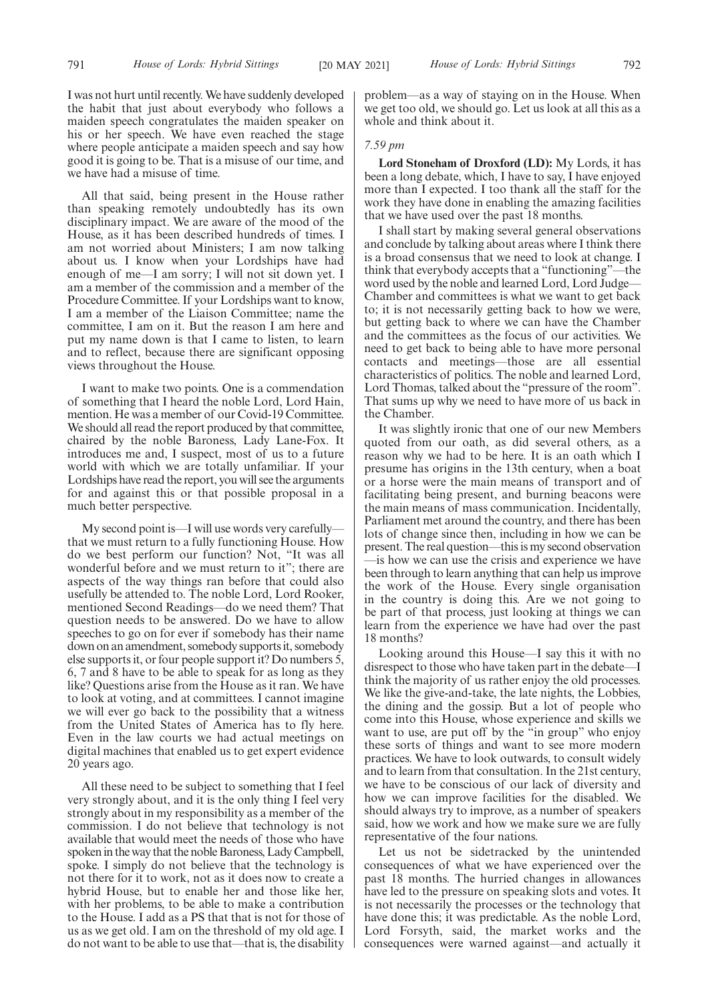I was not hurt until recently. We have suddenly developed the habit that just about everybody who follows a maiden speech congratulates the maiden speaker on his or her speech. We have even reached the stage where people anticipate a maiden speech and say how good it is going to be. That is a misuse of our time, and we have had a misuse of time.

All that said, being present in the House rather than speaking remotely undoubtedly has its own disciplinary impact. We are aware of the mood of the House, as it has been described hundreds of times. I am not worried about Ministers; I am now talking about us. I know when your Lordships have had enough of me—I am sorry; I will not sit down yet. I am a member of the commission and a member of the Procedure Committee. If your Lordships want to know, I am a member of the Liaison Committee; name the committee, I am on it. But the reason I am here and put my name down is that I came to listen, to learn and to reflect, because there are significant opposing views throughout the House.

I want to make two points. One is a commendation of something that I heard the noble Lord, Lord Hain, mention. He was a member of our Covid-19 Committee. We should all read the report produced by that committee, chaired by the noble Baroness, Lady Lane-Fox. It introduces me and, I suspect, most of us to a future world with which we are totally unfamiliar. If your Lordships have read the report, you will see the arguments for and against this or that possible proposal in a much better perspective.

My second point is—I will use words very carefully that we must return to a fully functioning House. How do we best perform our function? Not, "It was all wonderful before and we must return to it"; there are aspects of the way things ran before that could also usefully be attended to. The noble Lord, Lord Rooker, mentioned Second Readings—do we need them? That question needs to be answered. Do we have to allow speeches to go on for ever if somebody has their name down on an amendment, somebody supports it, somebody else supports it, or four people support it? Do numbers 5, 6, 7 and 8 have to be able to speak for as long as they like? Questions arise from the House as it ran. We have to look at voting, and at committees. I cannot imagine we will ever go back to the possibility that a witness from the United States of America has to fly here. Even in the law courts we had actual meetings on digital machines that enabled us to get expert evidence 20 years ago.

All these need to be subject to something that I feel very strongly about, and it is the only thing I feel very strongly about in my responsibility as a member of the commission. I do not believe that technology is not available that would meet the needs of those who have spoken in the way that the noble Baroness, Lady Campbell, spoke. I simply do not believe that the technology is not there for it to work, not as it does now to create a hybrid House, but to enable her and those like her, with her problems, to be able to make a contribution to the House. I add as a PS that that is not for those of us as we get old. I am on the threshold of my old age. I do not want to be able to use that—that is, the disability problem—as a way of staying on in the House. When we get too old, we should go. Let us look at all this as a whole and think about it.

# *7.59 pm*

**Lord Stoneham of Droxford (LD):** My Lords, it has been a long debate, which, I have to say, I have enjoyed more than I expected. I too thank all the staff for the work they have done in enabling the amazing facilities that we have used over the past 18 months.

I shall start by making several general observations and conclude by talking about areas where I think there is a broad consensus that we need to look at change. I think that everybody accepts that a "functioning"—the word used by the noble and learned Lord, Lord Judge— Chamber and committees is what we want to get back to; it is not necessarily getting back to how we were, but getting back to where we can have the Chamber and the committees as the focus of our activities. We need to get back to being able to have more personal contacts and meetings—those are all essential characteristics of politics. The noble and learned Lord, Lord Thomas, talked about the "pressure of the room". That sums up why we need to have more of us back in the Chamber.

It was slightly ironic that one of our new Members quoted from our oath, as did several others, as a reason why we had to be here. It is an oath which I presume has origins in the 13th century, when a boat or a horse were the main means of transport and of facilitating being present, and burning beacons were the main means of mass communication. Incidentally, Parliament met around the country, and there has been lots of change since then, including in how we can be present. The real question—this is my second observation —is how we can use the crisis and experience we have been through to learn anything that can help us improve the work of the House. Every single organisation in the country is doing this. Are we not going to be part of that process, just looking at things we can learn from the experience we have had over the past 18 months?

Looking around this House—I say this it with no disrespect to those who have taken part in the debate—I think the majority of us rather enjoy the old processes. We like the give-and-take, the late nights, the Lobbies, the dining and the gossip. But a lot of people who come into this House, whose experience and skills we want to use, are put off by the "in group" who enjoy these sorts of things and want to see more modern practices. We have to look outwards, to consult widely and to learn from that consultation. In the 21st century, we have to be conscious of our lack of diversity and how we can improve facilities for the disabled. We should always try to improve, as a number of speakers said, how we work and how we make sure we are fully representative of the four nations.

Let us not be sidetracked by the unintended consequences of what we have experienced over the past 18 months. The hurried changes in allowances have led to the pressure on speaking slots and votes. It is not necessarily the processes or the technology that have done this; it was predictable. As the noble Lord, Lord Forsyth, said, the market works and the consequences were warned against—and actually it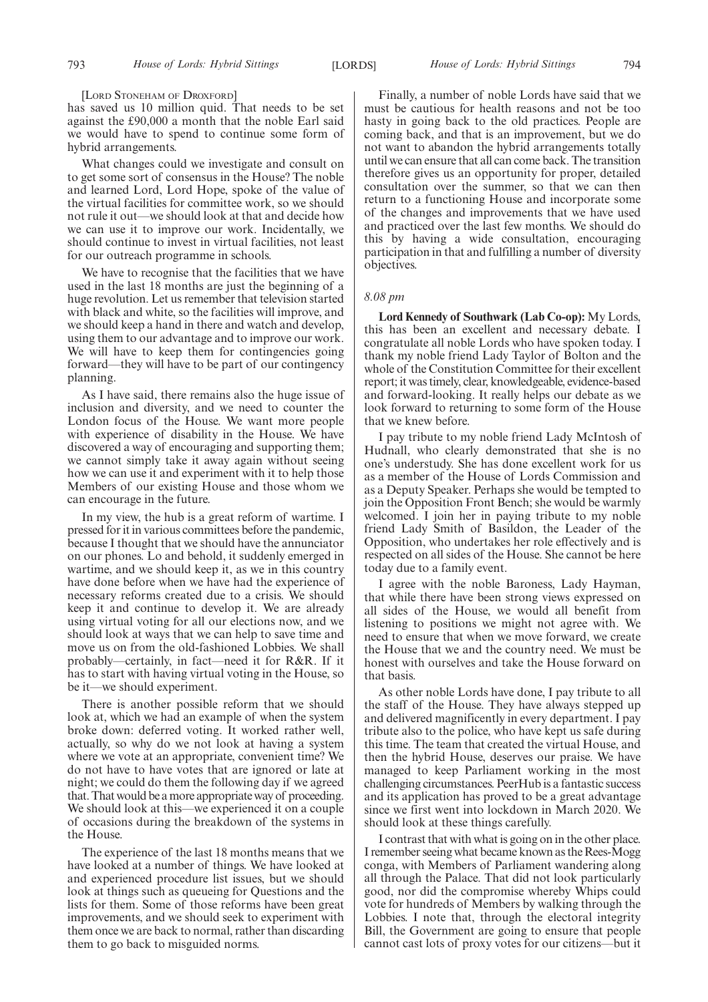[LORD STONEHAM OF DROXFORD]

has saved us 10 million quid. That needs to be set against the £90,000 a month that the noble Earl said we would have to spend to continue some form of hybrid arrangements.

What changes could we investigate and consult on to get some sort of consensus in the House? The noble and learned Lord, Lord Hope, spoke of the value of the virtual facilities for committee work, so we should not rule it out—we should look at that and decide how we can use it to improve our work. Incidentally, we should continue to invest in virtual facilities, not least for our outreach programme in schools.

We have to recognise that the facilities that we have used in the last 18 months are just the beginning of a huge revolution. Let us remember that television started with black and white, so the facilities will improve, and we should keep a hand in there and watch and develop, using them to our advantage and to improve our work. We will have to keep them for contingencies going forward—they will have to be part of our contingency planning.

As I have said, there remains also the huge issue of inclusion and diversity, and we need to counter the London focus of the House. We want more people with experience of disability in the House. We have discovered a way of encouraging and supporting them; we cannot simply take it away again without seeing how we can use it and experiment with it to help those Members of our existing House and those whom we can encourage in the future.

In my view, the hub is a great reform of wartime. I pressed for it in various committees before the pandemic, because I thought that we should have the annunciator on our phones. Lo and behold, it suddenly emerged in wartime, and we should keep it, as we in this country have done before when we have had the experience of necessary reforms created due to a crisis. We should keep it and continue to develop it. We are already using virtual voting for all our elections now, and we should look at ways that we can help to save time and move us on from the old-fashioned Lobbies. We shall probably—certainly, in fact—need it for R&R. If it has to start with having virtual voting in the House, so be it—we should experiment.

There is another possible reform that we should look at, which we had an example of when the system broke down: deferred voting. It worked rather well, actually, so why do we not look at having a system where we vote at an appropriate, convenient time? We do not have to have votes that are ignored or late at night; we could do them the following day if we agreed that. That would be a more appropriate way of proceeding. We should look at this—we experienced it on a couple of occasions during the breakdown of the systems in the House.

The experience of the last 18 months means that we have looked at a number of things. We have looked at and experienced procedure list issues, but we should look at things such as queueing for Questions and the lists for them. Some of those reforms have been great improvements, and we should seek to experiment with them once we are back to normal, rather than discarding them to go back to misguided norms.

Finally, a number of noble Lords have said that we must be cautious for health reasons and not be too hasty in going back to the old practices. People are coming back, and that is an improvement, but we do not want to abandon the hybrid arrangements totally until we can ensure that all can come back. The transition therefore gives us an opportunity for proper, detailed consultation over the summer, so that we can then return to a functioning House and incorporate some of the changes and improvements that we have used and practiced over the last few months. We should do this by having a wide consultation, encouraging participation in that and fulfilling a number of diversity objectives.

#### *8.08 pm*

**Lord Kennedy of Southwark (Lab Co-op):** My Lords, this has been an excellent and necessary debate. I congratulate all noble Lords who have spoken today. I thank my noble friend Lady Taylor of Bolton and the whole of the Constitution Committee for their excellent report; it was timely, clear, knowledgeable, evidence-based and forward-looking. It really helps our debate as we look forward to returning to some form of the House that we knew before.

I pay tribute to my noble friend Lady McIntosh of Hudnall, who clearly demonstrated that she is no one's understudy. She has done excellent work for us as a member of the House of Lords Commission and as a Deputy Speaker. Perhaps she would be tempted to join the Opposition Front Bench; she would be warmly welcomed. I join her in paying tribute to my noble friend Lady Smith of Basildon, the Leader of the Opposition, who undertakes her role effectively and is respected on all sides of the House. She cannot be here today due to a family event.

I agree with the noble Baroness, Lady Hayman, that while there have been strong views expressed on all sides of the House, we would all benefit from listening to positions we might not agree with. We need to ensure that when we move forward, we create the House that we and the country need. We must be honest with ourselves and take the House forward on that basis.

As other noble Lords have done, I pay tribute to all the staff of the House. They have always stepped up and delivered magnificently in every department. I pay tribute also to the police, who have kept us safe during this time. The team that created the virtual House, and then the hybrid House, deserves our praise. We have managed to keep Parliament working in the most challenging circumstances. PeerHub is a fantastic success and its application has proved to be a great advantage since we first went into lockdown in March 2020. We should look at these things carefully.

I contrast that with what is going on in the other place. I remember seeing what became known as the Rees-Mogg conga, with Members of Parliament wandering along all through the Palace. That did not look particularly good, nor did the compromise whereby Whips could vote for hundreds of Members by walking through the Lobbies. I note that, through the electoral integrity Bill, the Government are going to ensure that people cannot cast lots of proxy votes for our citizens—but it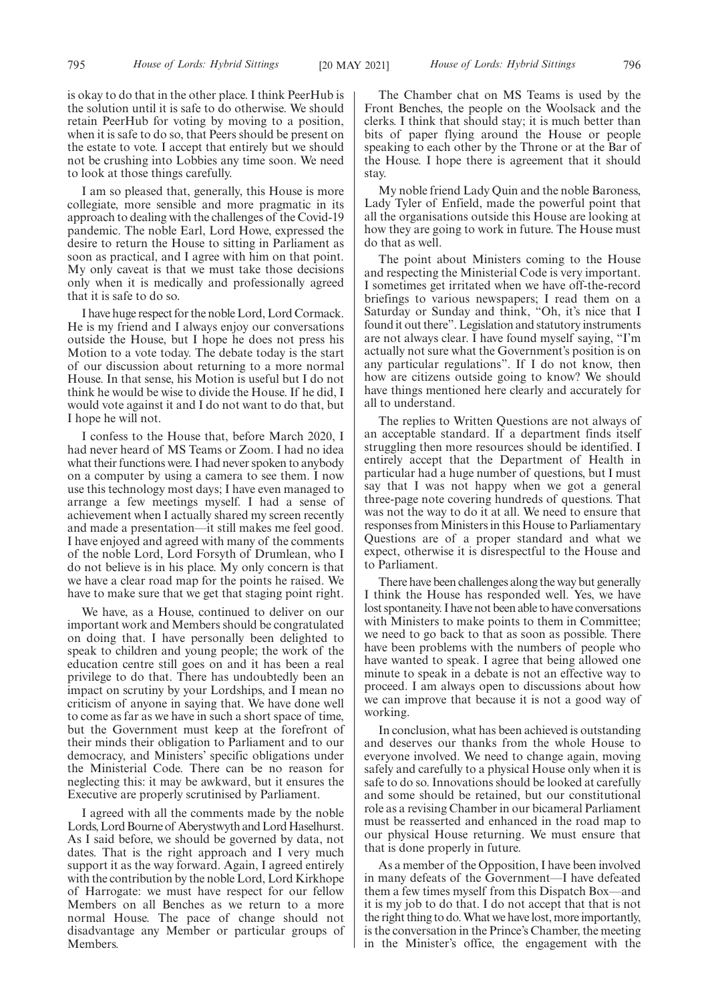I am so pleased that, generally, this House is more collegiate, more sensible and more pragmatic in its approach to dealing with the challenges of the Covid-19 pandemic. The noble Earl, Lord Howe, expressed the desire to return the House to sitting in Parliament as soon as practical, and I agree with him on that point. My only caveat is that we must take those decisions only when it is medically and professionally agreed that it is safe to do so.

I have huge respect for the noble Lord, Lord Cormack. He is my friend and I always enjoy our conversations outside the House, but I hope he does not press his Motion to a vote today. The debate today is the start of our discussion about returning to a more normal House. In that sense, his Motion is useful but I do not think he would be wise to divide the House. If he did, I would vote against it and I do not want to do that, but I hope he will not.

I confess to the House that, before March 2020, I had never heard of MS Teams or Zoom. I had no idea what their functions were. I had never spoken to anybody on a computer by using a camera to see them. I now use this technology most days; I have even managed to arrange a few meetings myself. I had a sense of achievement when I actually shared my screen recently and made a presentation—it still makes me feel good. I have enjoyed and agreed with many of the comments of the noble Lord, Lord Forsyth of Drumlean, who I do not believe is in his place. My only concern is that we have a clear road map for the points he raised. We have to make sure that we get that staging point right.

We have, as a House, continued to deliver on our important work and Members should be congratulated on doing that. I have personally been delighted to speak to children and young people; the work of the education centre still goes on and it has been a real privilege to do that. There has undoubtedly been an impact on scrutiny by your Lordships, and I mean no criticism of anyone in saying that. We have done well to come as far as we have in such a short space of time, but the Government must keep at the forefront of their minds their obligation to Parliament and to our democracy, and Ministers' specific obligations under the Ministerial Code. There can be no reason for neglecting this: it may be awkward, but it ensures the Executive are properly scrutinised by Parliament.

I agreed with all the comments made by the noble Lords, Lord Bourne of Aberystwyth and Lord Haselhurst. As I said before, we should be governed by data, not dates. That is the right approach and I very much support it as the way forward. Again, I agreed entirely with the contribution by the noble Lord, Lord Kirkhope of Harrogate: we must have respect for our fellow Members on all Benches as we return to a more normal House. The pace of change should not disadvantage any Member or particular groups of Members.

795 *House of Lords: Hybrid Sittings House of Lords: Hybrid Sittings* [20 MAY 2021] 796

The Chamber chat on MS Teams is used by the Front Benches, the people on the Woolsack and the clerks. I think that should stay; it is much better than bits of paper flying around the House or people speaking to each other by the Throne or at the Bar of the House. I hope there is agreement that it should stay.

My noble friend Lady Quin and the noble Baroness, Lady Tyler of Enfield, made the powerful point that all the organisations outside this House are looking at how they are going to work in future. The House must do that as well.

The point about Ministers coming to the House and respecting the Ministerial Code is very important. I sometimes get irritated when we have off-the-record briefings to various newspapers; I read them on a Saturday or Sunday and think, "Oh, it's nice that I found it out there". Legislation and statutory instruments are not always clear. I have found myself saying, "I'm actually not sure what the Government's position is on any particular regulations". If I do not know, then how are citizens outside going to know? We should have things mentioned here clearly and accurately for all to understand.

The replies to Written Questions are not always of an acceptable standard. If a department finds itself struggling then more resources should be identified. I entirely accept that the Department of Health in particular had a huge number of questions, but I must say that I was not happy when we got a general three-page note covering hundreds of questions. That was not the way to do it at all. We need to ensure that responses from Ministers in this House to Parliamentary Questions are of a proper standard and what we expect, otherwise it is disrespectful to the House and to Parliament.

There have been challenges along the way but generally I think the House has responded well. Yes, we have lost spontaneity. I have not been able to have conversations with Ministers to make points to them in Committee; we need to go back to that as soon as possible. There have been problems with the numbers of people who have wanted to speak. I agree that being allowed one minute to speak in a debate is not an effective way to proceed. I am always open to discussions about how we can improve that because it is not a good way of working.

In conclusion, what has been achieved is outstanding and deserves our thanks from the whole House to everyone involved. We need to change again, moving safely and carefully to a physical House only when it is safe to do so. Innovations should be looked at carefully and some should be retained, but our constitutional role as a revising Chamber in our bicameral Parliament must be reasserted and enhanced in the road map to our physical House returning. We must ensure that that is done properly in future.

As a member of the Opposition, I have been involved in many defeats of the Government—I have defeated them a few times myself from this Dispatch Box—and it is my job to do that. I do not accept that that is not the right thing to do. What we have lost, more importantly, is the conversation in the Prince's Chamber, the meeting in the Minister's office, the engagement with the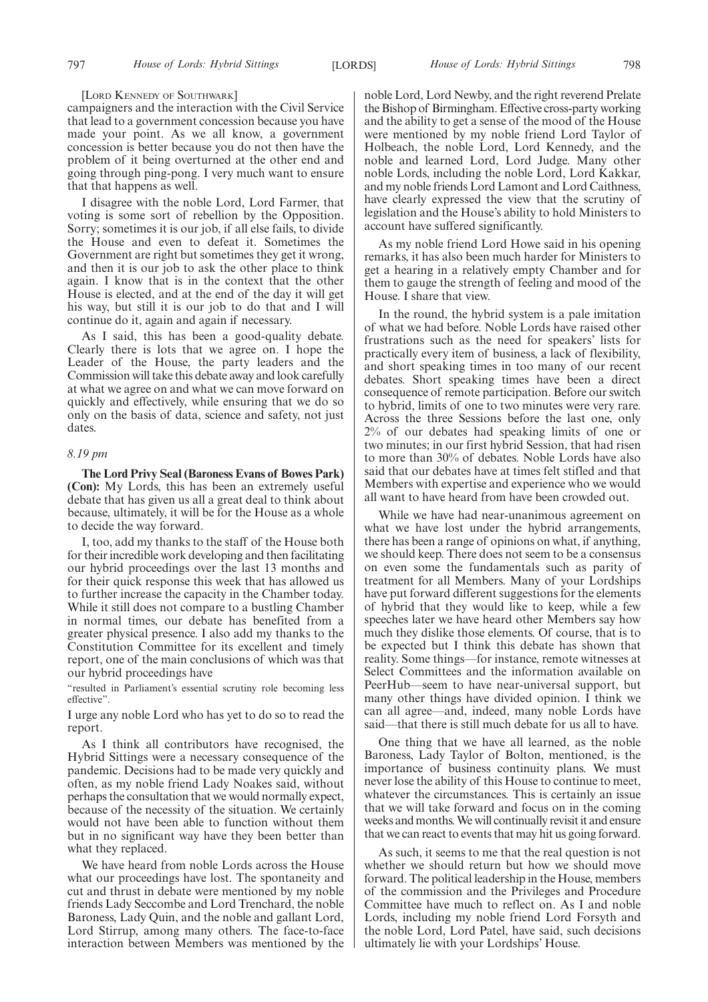#### [LORD KENNEDY OF SOUTHWARK]

campaigners and the interaction with the Civil Service that lead to a government concession because you have made your point. As we all know, a government concession is better because you do not then have the problem of it being overturned at the other end and going through ping-pong. I very much want to ensure that that happens as well.

I disagree with the noble Lord, Lord Farmer, that voting is some sort of rebellion by the Opposition. Sorry; sometimes it is our job, if all else fails, to divide the House and even to defeat it. Sometimes the Government are right but sometimes they get it wrong, and then it is our job to ask the other place to think again. I know that is in the context that the other House is elected, and at the end of the day it will get his way, but still it is our job to do that and I will continue do it, again and again if necessary.

As I said, this has been a good-quality debate. Clearly there is lots that we agree on. I hope the Leader of the House, the party leaders and the Commission will take this debate away and look carefully at what we agree on and what we can move forward on quickly and effectively, while ensuring that we do so only on the basis of data, science and safety, not just dates.

# *8.19 pm*

**The Lord Privy Seal (Baroness Evans of Bowes Park) (Con):** My Lords, this has been an extremely useful debate that has given us all a great deal to think about because, ultimately, it will be for the House as a whole to decide the way forward.

I, too, add my thanks to the staff of the House both for their incredible work developing and then facilitating our hybrid proceedings over the last 13 months and for their quick response this week that has allowed us to further increase the capacity in the Chamber today. While it still does not compare to a bustling Chamber in normal times, our debate has benefited from a greater physical presence. I also add my thanks to the Constitution Committee for its excellent and timely report, one of the main conclusions of which was that our hybrid proceedings have

"resulted in Parliament's essential scrutiny role becoming less effective".

I urge any noble Lord who has yet to do so to read the report.

As I think all contributors have recognised, the Hybrid Sittings were a necessary consequence of the pandemic. Decisions had to be made very quickly and often, as my noble friend Lady Noakes said, without perhaps the consultation that we would normally expect, because of the necessity of the situation. We certainly would not have been able to function without them but in no significant way have they been better than what they replaced.

We have heard from noble Lords across the House what our proceedings have lost. The spontaneity and cut and thrust in debate were mentioned by my noble friends Lady Seccombe and Lord Trenchard, the noble Baroness, Lady Quin, and the noble and gallant Lord, Lord Stirrup, among many others. The face-to-face interaction between Members was mentioned by the noble Lord, Lord Newby, and the right reverend Prelate the Bishop of Birmingham. Effective cross-party working and the ability to get a sense of the mood of the House were mentioned by my noble friend Lord Taylor of Holbeach, the noble Lord, Lord Kennedy, and the noble and learned Lord, Lord Judge. Many other noble Lords, including the noble Lord, Lord Kakkar, and my noble friends Lord Lamont and Lord Caithness, have clearly expressed the view that the scrutiny of legislation and the House's ability to hold Ministers to account have suffered significantly.

As my noble friend Lord Howe said in his opening remarks, it has also been much harder for Ministers to get a hearing in a relatively empty Chamber and for them to gauge the strength of feeling and mood of the House. I share that view.

In the round, the hybrid system is a pale imitation of what we had before. Noble Lords have raised other frustrations such as the need for speakers' lists for practically every item of business, a lack of flexibility, and short speaking times in too many of our recent debates. Short speaking times have been a direct consequence of remote participation. Before our switch to hybrid, limits of one to two minutes were very rare. Across the three Sessions before the last one, only 2% of our debates had speaking limits of one or two minutes; in our first hybrid Session, that had risen to more than 30% of debates. Noble Lords have also said that our debates have at times felt stifled and that Members with expertise and experience who we would all want to have heard from have been crowded out.

While we have had near-unanimous agreement on what we have lost under the hybrid arrangements, there has been a range of opinions on what, if anything, we should keep. There does not seem to be a consensus on even some the fundamentals such as parity of treatment for all Members. Many of your Lordships have put forward different suggestions for the elements of hybrid that they would like to keep, while a few speeches later we have heard other Members say how much they dislike those elements. Of course, that is to be expected but I think this debate has shown that reality. Some things—for instance, remote witnesses at Select Committees and the information available on PeerHub—seem to have near-universal support, but many other things have divided opinion. I think we can all agree—and, indeed, many noble Lords have said—that there is still much debate for us all to have.

One thing that we have all learned, as the noble Baroness, Lady Taylor of Bolton, mentioned, is the importance of business continuity plans. We must never lose the ability of this House to continue to meet, whatever the circumstances. This is certainly an issue that we will take forward and focus on in the coming weeks and months. We will continually revisit it and ensure that we can react to events that may hit us going forward.

As such, it seems to me that the real question is not whether we should return but how we should move forward. The political leadership in the House, members of the commission and the Privileges and Procedure Committee have much to reflect on. As I and noble Lords, including my noble friend Lord Forsyth and the noble Lord, Lord Patel, have said, such decisions ultimately lie with your Lordships' House.